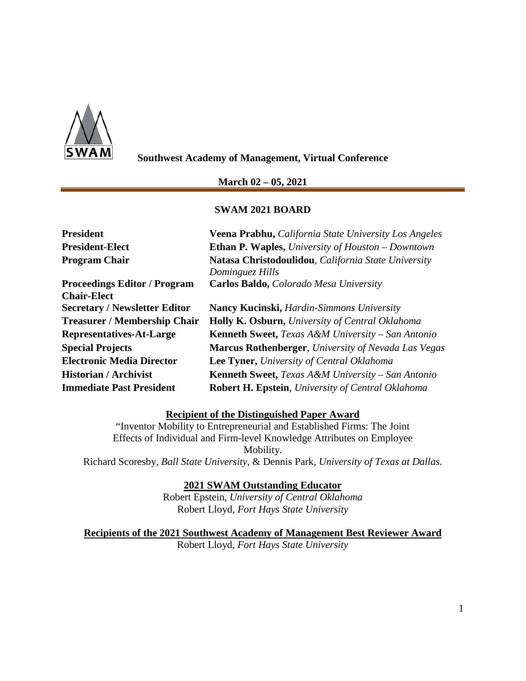

**Southwest Academy of Management, Virtual Conference**

## **March 02 – 05, 2021**

## **SWAM 2021 BOARD**

| <b>President</b>                     | Veena Prabhu, California State University Los Angeles        |  |
|--------------------------------------|--------------------------------------------------------------|--|
| <b>President-Elect</b>               | <b>Ethan P. Waples, University of Houston – Downtown</b>     |  |
| <b>Program Chair</b>                 | Natasa Christodoulidou, California State University          |  |
|                                      | Dominguez Hills                                              |  |
| <b>Proceedings Editor / Program</b>  | Carlos Baldo, Colorado Mesa University                       |  |
| <b>Chair-Elect</b>                   |                                                              |  |
| <b>Secretary / Newsletter Editor</b> | <b>Nancy Kucinski, <i>Hardin-Simmons University</i></b>      |  |
| <b>Treasurer / Membership Chair</b>  | <b>Holly K. Osburn, University of Central Oklahoma</b>       |  |
| Representatives-At-Large             | Kenneth Sweet, Texas A&M University - San Antonio            |  |
| <b>Special Projects</b>              | <b>Marcus Rothenberger, University of Nevada Las Vegas</b>   |  |
| <b>Electronic Media Director</b>     | Lee Tyner, University of Central Oklahoma                    |  |
| <b>Historian / Archivist</b>         | <b>Kenneth Sweet, Texas A&amp;M University - San Antonio</b> |  |
| <b>Immediate Past President</b>      | <b>Robert H. Epstein, University of Central Oklahoma</b>     |  |

## **Recipient of the Distinguished Paper Award**

"Inventor Mobility to Entrepreneurial and Established Firms: The Joint Effects of Individual and Firm-level Knowledge Attributes on Employee Mobility. Richard Scoresby, *Ball State University,* & Dennis Park, *University of Texas at Dallas.*

## **2021 SWAM Outstanding Educator**

Robert Epstein, *University of Central Oklahoma* Robert Lloyd, *Fort Hays State University*

**Recipients of the 2021 Southwest Academy of Management Best Reviewer Award** Robert Lloyd, *Fort Hays State University*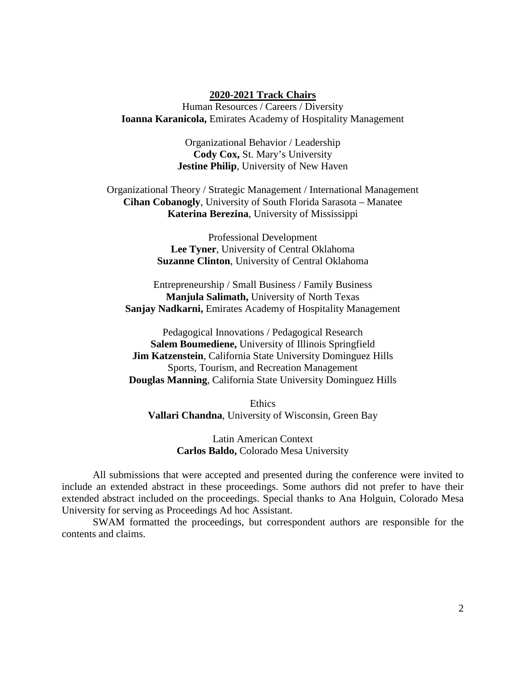#### **2020-2021 Track Chairs**

Human Resources / Careers / Diversity **Ioanna Karanicola,** Emirates Academy of Hospitality Management

> Organizational Behavior / Leadership **Cody Cox,** St. Mary's University **Jestine Philip**, University of New Haven

Organizational Theory / Strategic Management / International Management **Cihan Cobanogly**, University of South Florida Sarasota – Manatee **Katerina Berezina**, University of Mississippi

> Professional Development **Lee Tyner**, University of Central Oklahoma **Suzanne Clinton**, University of Central Oklahoma

Entrepreneurship / Small Business / Family Business **Manjula Salimath,** University of North Texas **Sanjay Nadkarni,** Emirates Academy of Hospitality Management

Pedagogical Innovations / Pedagogical Research **Salem Boumediene,** University of Illinois Springfield **Jim Katzenstein**, California State University Dominguez Hills Sports, Tourism, and Recreation Management **Douglas Manning**, California State University Dominguez Hills

**Ethics Vallari Chandna**, University of Wisconsin, Green Bay

> Latin American Context **Carlos Baldo,** Colorado Mesa University

All submissions that were accepted and presented during the conference were invited to include an extended abstract in these proceedings. Some authors did not prefer to have their extended abstract included on the proceedings. Special thanks to Ana Holguin, Colorado Mesa University for serving as Proceedings Ad hoc Assistant.

SWAM formatted the proceedings, but correspondent authors are responsible for the contents and claims.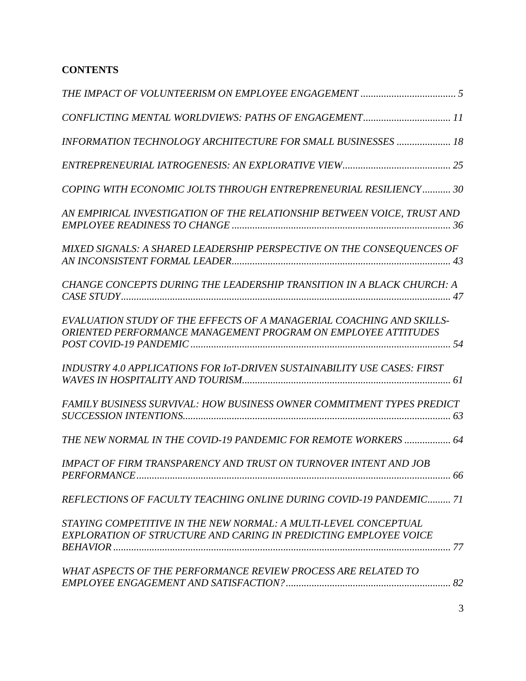# **CONTENTS**

| CONFLICTING MENTAL WORLDVIEWS: PATHS OF ENGAGEMENT 11                                                                                        |
|----------------------------------------------------------------------------------------------------------------------------------------------|
| <b>INFORMATION TECHNOLOGY ARCHITECTURE FOR SMALL BUSINESSES  18</b>                                                                          |
|                                                                                                                                              |
| COPING WITH ECONOMIC JOLTS THROUGH ENTREPRENEURIAL RESILIENCY 30                                                                             |
| AN EMPIRICAL INVESTIGATION OF THE RELATIONSHIP BETWEEN VOICE, TRUST AND                                                                      |
| MIXED SIGNALS: A SHARED LEADERSHIP PERSPECTIVE ON THE CONSEQUENCES OF                                                                        |
| CHANGE CONCEPTS DURING THE LEADERSHIP TRANSITION IN A BLACK CHURCH: A                                                                        |
| EVALUATION STUDY OF THE EFFECTS OF A MANAGERIAL COACHING AND SKILLS-<br><b>ORIENTED PERFORMANCE MANAGEMENT PROGRAM ON EMPLOYEE ATTITUDES</b> |
| INDUSTRY 4.0 APPLICATIONS FOR I0T-DRIVEN SUSTAINABILITY USE CASES: FIRST                                                                     |
| <b>FAMILY BUSINESS SURVIVAL: HOW BUSINESS OWNER COMMITMENT TYPES PREDICT</b>                                                                 |
| THE NEW NORMAL IN THE COVID-19 PANDEMIC FOR REMOTE WORKERS  64                                                                               |
| <b>IMPACT OF FIRM TRANSPARENCY AND TRUST ON TURNOVER INTENT AND JOB</b>                                                                      |
| REFLECTIONS OF FACULTY TEACHING ONLINE DURING COVID-19 PANDEMIC 71                                                                           |
| STAYING COMPETITIVE IN THE NEW NORMAL: A MULTI-LEVEL CONCEPTUAL<br><b>EXPLORATION OF STRUCTURE AND CARING IN PREDICTING EMPLOYEE VOICE</b>   |
| WHAT ASPECTS OF THE PERFORMANCE REVIEW PROCESS ARE RELATED TO                                                                                |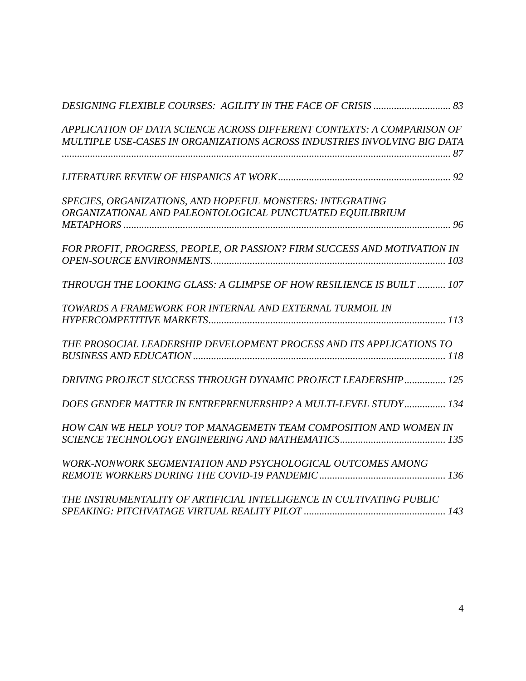| APPLICATION OF DATA SCIENCE ACROSS DIFFERENT CONTEXTS: A COMPARISON OF   |  |
|--------------------------------------------------------------------------|--|
| MULTIPLE USE-CASES IN ORGANIZATIONS ACROSS INDUSTRIES INVOLVING BIG DATA |  |
|                                                                          |  |
|                                                                          |  |
| SPECIES, ORGANIZATIONS, AND HOPEFUL MONSTERS: INTEGRATING                |  |
| ORGANIZATIONAL AND PALEONTOLOGICAL PUNCTUATED EQUILIBRIUM                |  |
|                                                                          |  |
| FOR PROFIT, PROGRESS, PEOPLE, OR PASSION? FIRM SUCCESS AND MOTIVATION IN |  |
|                                                                          |  |
| THROUGH THE LOOKING GLASS: A GLIMPSE OF HOW RESILIENCE IS BUILT  107     |  |
| TOWARDS A FRAMEWORK FOR INTERNAL AND EXTERNAL TURMOIL IN                 |  |
|                                                                          |  |
| THE PROSOCIAL LEADERSHIP DEVELOPMENT PROCESS AND ITS APPLICATIONS TO     |  |
|                                                                          |  |
| DRIVING PROJECT SUCCESS THROUGH DYNAMIC PROJECT LEADERSHIP 125           |  |
| DOES GENDER MATTER IN ENTREPRENUERSHIP? A MULTI-LEVEL STUDY 134          |  |
| HOW CAN WE HELP YOU? TOP MANAGEMETN TEAM COMPOSITION AND WOMEN IN        |  |
|                                                                          |  |
| WORK-NONWORK SEGMENTATION AND PSYCHOLOGICAL OUTCOMES AMONG               |  |
|                                                                          |  |
| THE INSTRUMENTALITY OF ARTIFICIAL INTELLIGENCE IN CULTIVATING PUBLIC     |  |
|                                                                          |  |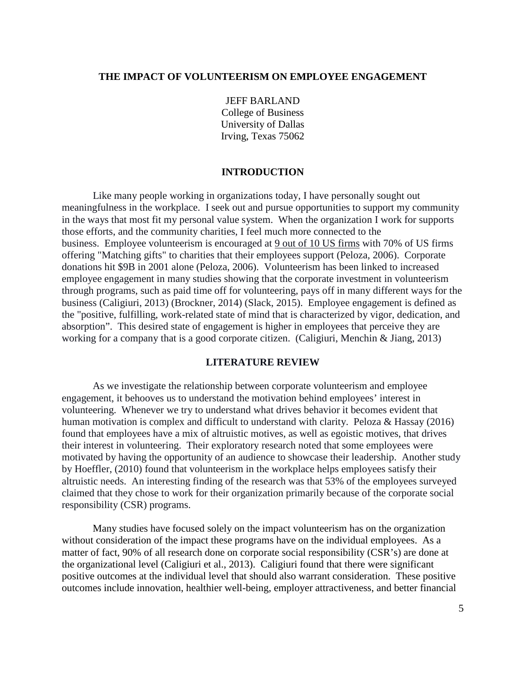## <span id="page-4-0"></span>**THE IMPACT OF VOLUNTEERISM ON EMPLOYEE ENGAGEMENT**

JEFF BARLAND College of Business University of Dallas Irving, Texas 75062

#### **INTRODUCTION**

 Like many people working in organizations today, I have personally sought out meaningfulness in the workplace. I seek out and pursue opportunities to support my community in the ways that most fit my personal value system. When the organization I work for supports those efforts, and the community charities, I feel much more connected to the business. Employee volunteerism is encouraged at 9 out of 10 US firms with 70% of US firms offering "Matching gifts" to charities that their employees support (Peloza, 2006). Corporate donations hit \$9B in 2001 alone (Peloza, 2006). Volunteerism has been linked to increased employee engagement in many studies showing that the corporate investment in volunteerism through programs, such as paid time off for volunteering, pays off in many different ways for the business (Caligiuri, 2013) (Brockner, 2014) (Slack, 2015). Employee engagement is defined as the "positive, fulfilling, work-related state of mind that is characterized by vigor, dedication, and absorption". This desired state of engagement is higher in employees that perceive they are working for a company that is a good corporate citizen. (Caligiuri, Menchin & Jiang, 2013)

#### **LITERATURE REVIEW**

As we investigate the relationship between corporate volunteerism and employee engagement, it behooves us to understand the motivation behind employees' interest in volunteering. Whenever we try to understand what drives behavior it becomes evident that human motivation is complex and difficult to understand with clarity. Peloza & Hassay (2016) found that employees have a mix of altruistic motives, as well as egoistic motives, that drives their interest in volunteering. Their exploratory research noted that some employees were motivated by having the opportunity of an audience to showcase their leadership. Another study by Hoeffler, (2010) found that volunteerism in the workplace helps employees satisfy their altruistic needs. An interesting finding of the research was that 53% of the employees surveyed claimed that they chose to work for their organization primarily because of the corporate social responsibility (CSR) programs.

Many studies have focused solely on the impact volunteerism has on the organization without consideration of the impact these programs have on the individual employees. As a matter of fact, 90% of all research done on corporate social responsibility (CSR's) are done at the organizational level (Caligiuri et al., 2013). Caligiuri found that there were significant positive outcomes at the individual level that should also warrant consideration. These positive outcomes include innovation, healthier well-being, employer attractiveness, and better financial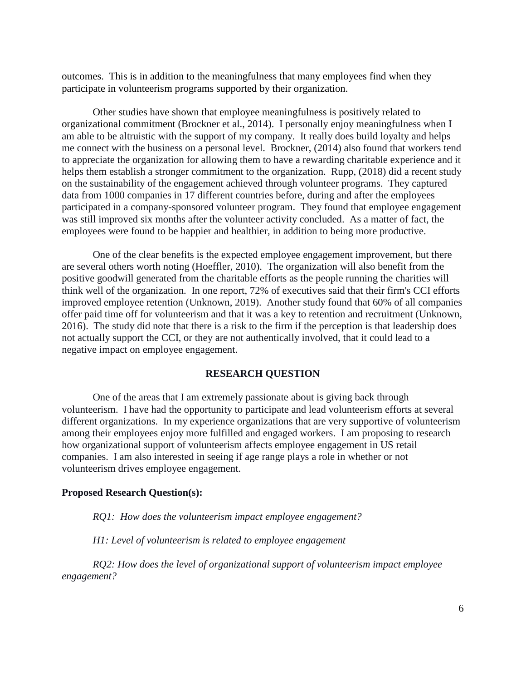outcomes. This is in addition to the meaningfulness that many employees find when they participate in volunteerism programs supported by their organization.

Other studies have shown that employee meaningfulness is positively related to organizational commitment (Brockner et al., 2014). I personally enjoy meaningfulness when I am able to be altruistic with the support of my company. It really does build loyalty and helps me connect with the business on a personal level. Brockner, (2014) also found that workers tend to appreciate the organization for allowing them to have a rewarding charitable experience and it helps them establish a stronger commitment to the organization. Rupp, (2018) did a recent study on the sustainability of the engagement achieved through volunteer programs. They captured data from 1000 companies in 17 different countries before, during and after the employees participated in a company-sponsored volunteer program. They found that employee engagement was still improved six months after the volunteer activity concluded. As a matter of fact, the employees were found to be happier and healthier, in addition to being more productive.

One of the clear benefits is the expected employee engagement improvement, but there are several others worth noting (Hoeffler, 2010). The organization will also benefit from the positive goodwill generated from the charitable efforts as the people running the charities will think well of the organization. In one report, 72% of executives said that their firm's CCI efforts improved employee retention (Unknown, 2019). Another study found that 60% of all companies offer paid time off for volunteerism and that it was a key to retention and recruitment (Unknown, 2016). The study did note that there is a risk to the firm if the perception is that leadership does not actually support the CCI, or they are not authentically involved, that it could lead to a negative impact on employee engagement.

## **RESEARCH QUESTION**

One of the areas that I am extremely passionate about is giving back through volunteerism. I have had the opportunity to participate and lead volunteerism efforts at several different organizations. In my experience organizations that are very supportive of volunteerism among their employees enjoy more fulfilled and engaged workers. I am proposing to research how organizational support of volunteerism affects employee engagement in US retail companies. I am also interested in seeing if age range plays a role in whether or not volunteerism drives employee engagement.

#### **Proposed Research Question(s):**

*RQ1: How does the volunteerism impact employee engagement?*

*H1: Level of volunteerism is related to employee engagement*

*RQ2: How does the level of organizational support of volunteerism impact employee engagement?*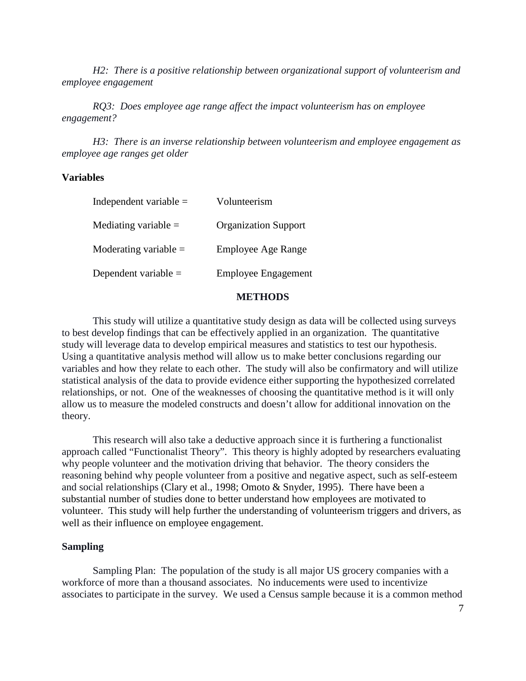*H2: There is a positive relationship between organizational support of volunteerism and employee engagement*

*RQ3: Does employee age range affect the impact volunteerism has on employee engagement?*

*H3: There is an inverse relationship between volunteerism and employee engagement as employee age ranges get older*

## **Variables**

| Independent variable $=$ | Volunteerism                |
|--------------------------|-----------------------------|
| Mediating variable $=$   | <b>Organization Support</b> |
| Moderating variable $=$  | Employee Age Range          |
| Dependent variable $=$   | <b>Employee Engagement</b>  |

## **METHODS**

This study will utilize a quantitative study design as data will be collected using surveys to best develop findings that can be effectively applied in an organization. The quantitative study will leverage data to develop empirical measures and statistics to test our hypothesis. Using a quantitative analysis method will allow us to make better conclusions regarding our variables and how they relate to each other. The study will also be confirmatory and will utilize statistical analysis of the data to provide evidence either supporting the hypothesized correlated relationships, or not. One of the weaknesses of choosing the quantitative method is it will only allow us to measure the modeled constructs and doesn't allow for additional innovation on the theory.

This research will also take a deductive approach since it is furthering a functionalist approach called "Functionalist Theory". This theory is highly adopted by researchers evaluating why people volunteer and the motivation driving that behavior. The theory considers the reasoning behind why people volunteer from a positive and negative aspect, such as self-esteem and social relationships (Clary et al., 1998; Omoto & Snyder, 1995). There have been a substantial number of studies done to better understand how employees are motivated to volunteer. This study will help further the understanding of volunteerism triggers and drivers, as well as their influence on employee engagement.

## **Sampling**

Sampling Plan: The population of the study is all major US grocery companies with a workforce of more than a thousand associates. No inducements were used to incentivize associates to participate in the survey. We used a Census sample because it is a common method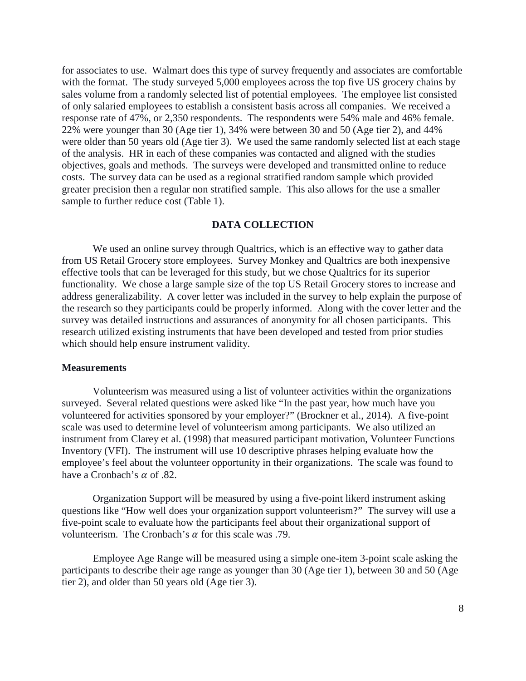for associates to use. Walmart does this type of survey frequently and associates are comfortable with the format. The study surveyed 5,000 employees across the top five US grocery chains by sales volume from a randomly selected list of potential employees. The employee list consisted of only salaried employees to establish a consistent basis across all companies. We received a response rate of 47%, or 2,350 respondents. The respondents were 54% male and 46% female. 22% were younger than 30 (Age tier 1), 34% were between 30 and 50 (Age tier 2), and 44% were older than 50 years old (Age tier 3). We used the same randomly selected list at each stage of the analysis. HR in each of these companies was contacted and aligned with the studies objectives, goals and methods. The surveys were developed and transmitted online to reduce costs. The survey data can be used as a regional stratified random sample which provided greater precision then a regular non stratified sample. This also allows for the use a smaller sample to further reduce cost (Table 1).

#### **DATA COLLECTION**

We used an online survey through Qualtrics, which is an effective way to gather data from US Retail Grocery store employees. Survey Monkey and Qualtrics are both inexpensive effective tools that can be leveraged for this study, but we chose Qualtrics for its superior functionality. We chose a large sample size of the top US Retail Grocery stores to increase and address generalizability. A cover letter was included in the survey to help explain the purpose of the research so they participants could be properly informed. Along with the cover letter and the survey was detailed instructions and assurances of anonymity for all chosen participants. This research utilized existing instruments that have been developed and tested from prior studies which should help ensure instrument validity.

#### **Measurements**

Volunteerism was measured using a list of volunteer activities within the organizations surveyed. Several related questions were asked like "In the past year, how much have you volunteered for activities sponsored by your employer?" (Brockner et al., 2014). A five-point scale was used to determine level of volunteerism among participants. We also utilized an instrument from Clarey et al. (1998) that measured participant motivation, Volunteer Functions Inventory (VFI). The instrument will use 10 descriptive phrases helping evaluate how the employee's feel about the volunteer opportunity in their organizations. The scale was found to have a Cronbach's  $\alpha$  of .82.

Organization Support will be measured by using a five-point likerd instrument asking questions like "How well does your organization support volunteerism?" The survey will use a five-point scale to evaluate how the participants feel about their organizational support of volunteerism. The Cronbach's  $\alpha$  for this scale was .79.

Employee Age Range will be measured using a simple one-item 3-point scale asking the participants to describe their age range as younger than 30 (Age tier 1), between 30 and 50 (Age tier 2), and older than 50 years old (Age tier 3).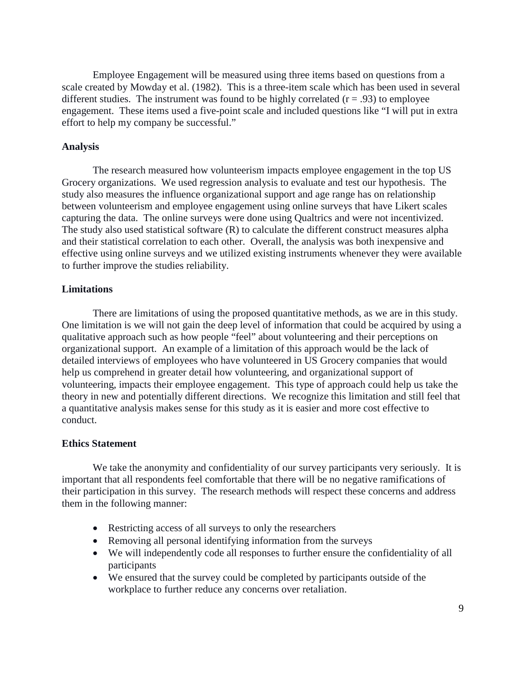Employee Engagement will be measured using three items based on questions from a scale created by Mowday et al. (1982). This is a three-item scale which has been used in several different studies. The instrument was found to be highly correlated  $(r = .93)$  to employee engagement. These items used a five-point scale and included questions like "I will put in extra effort to help my company be successful."

## **Analysis**

The research measured how volunteerism impacts employee engagement in the top US Grocery organizations. We used regression analysis to evaluate and test our hypothesis. The study also measures the influence organizational support and age range has on relationship between volunteerism and employee engagement using online surveys that have Likert scales capturing the data. The online surveys were done using Qualtrics and were not incentivized. The study also used statistical software (R) to calculate the different construct measures alpha and their statistical correlation to each other. Overall, the analysis was both inexpensive and effective using online surveys and we utilized existing instruments whenever they were available to further improve the studies reliability.

## **Limitations**

There are limitations of using the proposed quantitative methods, as we are in this study. One limitation is we will not gain the deep level of information that could be acquired by using a qualitative approach such as how people "feel" about volunteering and their perceptions on organizational support. An example of a limitation of this approach would be the lack of detailed interviews of employees who have volunteered in US Grocery companies that would help us comprehend in greater detail how volunteering, and organizational support of volunteering, impacts their employee engagement. This type of approach could help us take the theory in new and potentially different directions. We recognize this limitation and still feel that a quantitative analysis makes sense for this study as it is easier and more cost effective to conduct.

## **Ethics Statement**

We take the anonymity and confidentiality of our survey participants very seriously. It is important that all respondents feel comfortable that there will be no negative ramifications of their participation in this survey. The research methods will respect these concerns and address them in the following manner:

- Restricting access of all surveys to only the researchers
- Removing all personal identifying information from the surveys
- We will independently code all responses to further ensure the confidentiality of all participants
- We ensured that the survey could be completed by participants outside of the workplace to further reduce any concerns over retaliation.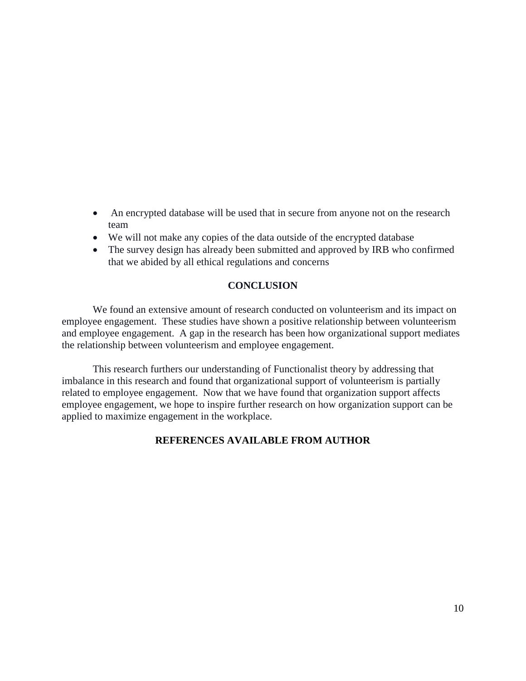- An encrypted database will be used that in secure from anyone not on the research team
- We will not make any copies of the data outside of the encrypted database
- The survey design has already been submitted and approved by IRB who confirmed that we abided by all ethical regulations and concerns

## **CONCLUSION**

We found an extensive amount of research conducted on volunteerism and its impact on employee engagement. These studies have shown a positive relationship between volunteerism and employee engagement. A gap in the research has been how organizational support mediates the relationship between volunteerism and employee engagement.

This research furthers our understanding of Functionalist theory by addressing that imbalance in this research and found that organizational support of volunteerism is partially related to employee engagement. Now that we have found that organization support affects employee engagement, we hope to inspire further research on how organization support can be applied to maximize engagement in the workplace.

## **REFERENCES AVAILABLE FROM AUTHOR**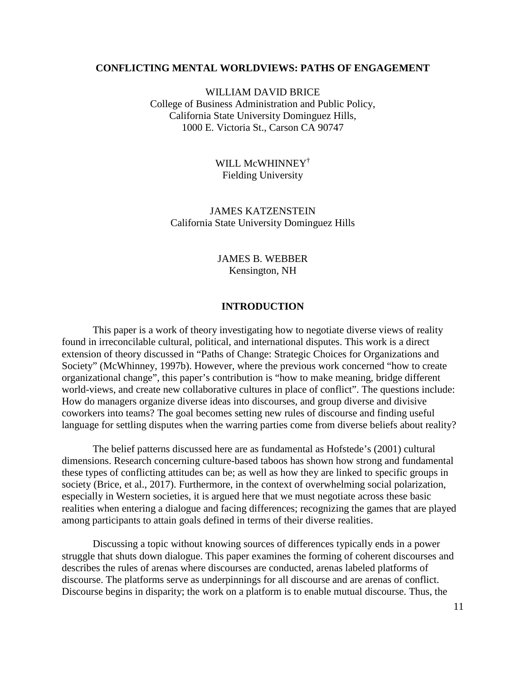## <span id="page-10-0"></span>**CONFLICTING MENTAL WORLDVIEWS: PATHS OF ENGAGEMENT**

WILLIAM DAVID BRICE College of Business Administration and Public Policy, California State University Dominguez Hills, 1000 E. Victoria St., Carson CA 90747

> WILL McWHINNEY† Fielding University

JAMES KATZENSTEIN California State University Dominguez Hills

> JAMES B. WEBBER Kensington, NH

## **INTRODUCTION**

This paper is a work of theory investigating how to negotiate diverse views of reality found in irreconcilable cultural, political, and international disputes. This work is a direct extension of theory discussed in "Paths of Change: Strategic Choices for Organizations and Society" (McWhinney, 1997b). However, where the previous work concerned "how to create organizational change", this paper's contribution is "how to make meaning, bridge different world-views, and create new collaborative cultures in place of conflict". The questions include: How do managers organize diverse ideas into discourses, and group diverse and divisive coworkers into teams? The goal becomes setting new rules of discourse and finding useful language for settling disputes when the warring parties come from diverse beliefs about reality?

The belief patterns discussed here are as fundamental as Hofstede's (2001) cultural dimensions. Research concerning culture-based taboos has shown how strong and fundamental these types of conflicting attitudes can be; as well as how they are linked to specific groups in society (Brice, et al., 2017). Furthermore, in the context of overwhelming social polarization, especially in Western societies, it is argued here that we must negotiate across these basic realities when entering a dialogue and facing differences; recognizing the games that are played among participants to attain goals defined in terms of their diverse realities.

Discussing a topic without knowing sources of differences typically ends in a power struggle that shuts down dialogue. This paper examines the forming of coherent discourses and describes the rules of arenas where discourses are conducted, arenas labeled platforms of discourse. The platforms serve as underpinnings for all discourse and are arenas of conflict. Discourse begins in disparity; the work on a platform is to enable mutual discourse. Thus, the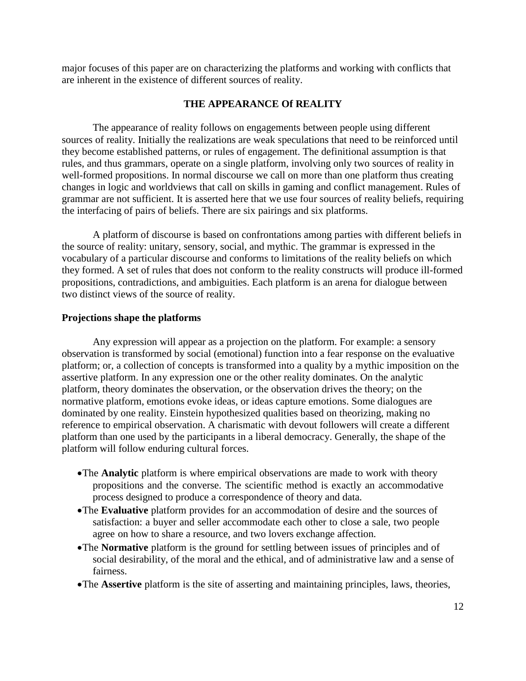major focuses of this paper are on characterizing the platforms and working with conflicts that are inherent in the existence of different sources of reality.

## **THE APPEARANCE Of REALITY**

The appearance of reality follows on engagements between people using different sources of reality. Initially the realizations are weak speculations that need to be reinforced until they become established patterns, or rules of engagement. The definitional assumption is that rules, and thus grammars, operate on a single platform, involving only two sources of reality in well-formed propositions. In normal discourse we call on more than one platform thus creating changes in logic and worldviews that call on skills in gaming and conflict management. Rules of grammar are not sufficient. It is asserted here that we use four sources of reality beliefs, requiring the interfacing of pairs of beliefs. There are six pairings and six platforms.

A platform of discourse is based on confrontations among parties with different beliefs in the source of reality: unitary, sensory, social, and mythic. The grammar is expressed in the vocabulary of a particular discourse and conforms to limitations of the reality beliefs on which they formed. A set of rules that does not conform to the reality constructs will produce ill-formed propositions, contradictions, and ambiguities. Each platform is an arena for dialogue between two distinct views of the source of reality.

## **Projections shape the platforms**

Any expression will appear as a projection on the platform. For example: a sensory observation is transformed by social (emotional) function into a fear response on the evaluative platform; or, a collection of concepts is transformed into a quality by a mythic imposition on the assertive platform. In any expression one or the other reality dominates. On the analytic platform, theory dominates the observation, or the observation drives the theory; on the normative platform, emotions evoke ideas, or ideas capture emotions. Some dialogues are dominated by one reality. Einstein hypothesized qualities based on theorizing, making no reference to empirical observation. A charismatic with devout followers will create a different platform than one used by the participants in a liberal democracy. Generally, the shape of the platform will follow enduring cultural forces.

- •The **Analytic** platform is where empirical observations are made to work with theory propositions and the converse. The scientific method is exactly an accommodative process designed to produce a correspondence of theory and data.
- •The **Evaluative** platform provides for an accommodation of desire and the sources of satisfaction: a buyer and seller accommodate each other to close a sale, two people agree on how to share a resource, and two lovers exchange affection.
- •The **Normative** platform is the ground for settling between issues of principles and of social desirability, of the moral and the ethical, and of administrative law and a sense of fairness.
- •The **Assertive** platform is the site of asserting and maintaining principles, laws, theories,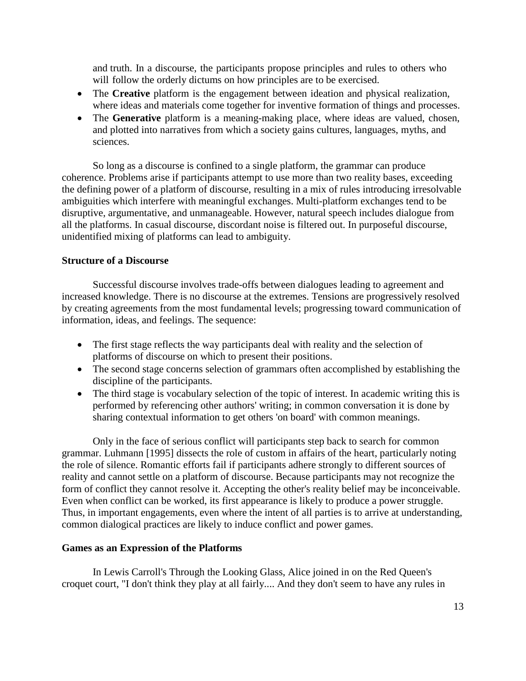and truth. In a discourse, the participants propose principles and rules to others who will follow the orderly dictums on how principles are to be exercised.

- The **Creative** platform is the engagement between ideation and physical realization, where ideas and materials come together for inventive formation of things and processes.
- The **Generative** platform is a meaning-making place, where ideas are valued, chosen, and plotted into narratives from which a society gains cultures, languages, myths, and sciences.

So long as a discourse is confined to a single platform, the grammar can produce coherence. Problems arise if participants attempt to use more than two reality bases, exceeding the defining power of a platform of discourse, resulting in a mix of rules introducing irresolvable ambiguities which interfere with meaningful exchanges. Multi-platform exchanges tend to be disruptive, argumentative, and unmanageable. However, natural speech includes dialogue from all the platforms. In casual discourse, discordant noise is filtered out. In purposeful discourse, unidentified mixing of platforms can lead to ambiguity.

## **Structure of a Discourse**

Successful discourse involves trade-offs between dialogues leading to agreement and increased knowledge. There is no discourse at the extremes. Tensions are progressively resolved by creating agreements from the most fundamental levels; progressing toward communication of information, ideas, and feelings. The sequence:

- The first stage reflects the way participants deal with reality and the selection of platforms of discourse on which to present their positions.
- The second stage concerns selection of grammars often accomplished by establishing the discipline of the participants.
- The third stage is vocabulary selection of the topic of interest. In academic writing this is performed by referencing other authors' writing; in common conversation it is done by sharing contextual information to get others 'on board' with common meanings.

Only in the face of serious conflict will participants step back to search for common grammar. Luhmann [1995] dissects the role of custom in affairs of the heart, particularly noting the role of silence. Romantic efforts fail if participants adhere strongly to different sources of reality and cannot settle on a platform of discourse. Because participants may not recognize the form of conflict they cannot resolve it. Accepting the other's reality belief may be inconceivable. Even when conflict can be worked, its first appearance is likely to produce a power struggle. Thus, in important engagements, even where the intent of all parties is to arrive at understanding, common dialogical practices are likely to induce conflict and power games.

## **Games as an Expression of the Platforms**

In Lewis Carroll's Through the Looking Glass, Alice joined in on the Red Queen's croquet court, "I don't think they play at all fairly.... And they don't seem to have any rules in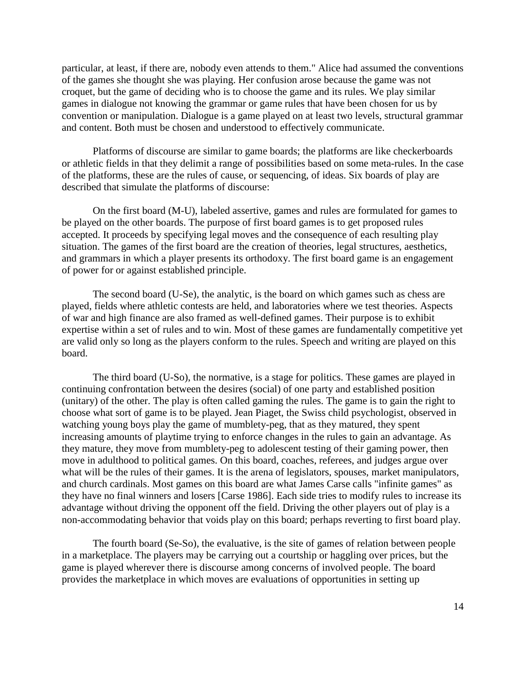particular, at least, if there are, nobody even attends to them." Alice had assumed the conventions of the games she thought she was playing. Her confusion arose because the game was not croquet, but the game of deciding who is to choose the game and its rules. We play similar games in dialogue not knowing the grammar or game rules that have been chosen for us by convention or manipulation. Dialogue is a game played on at least two levels, structural grammar and content. Both must be chosen and understood to effectively communicate.

Platforms of discourse are similar to game boards; the platforms are like checkerboards or athletic fields in that they delimit a range of possibilities based on some meta-rules. In the case of the platforms, these are the rules of cause, or sequencing, of ideas. Six boards of play are described that simulate the platforms of discourse:

On the first board (M-U), labeled assertive, games and rules are formulated for games to be played on the other boards. The purpose of first board games is to get proposed rules accepted. It proceeds by specifying legal moves and the consequence of each resulting play situation. The games of the first board are the creation of theories, legal structures, aesthetics, and grammars in which a player presents its orthodoxy. The first board game is an engagement of power for or against established principle.

The second board (U-Se), the analytic, is the board on which games such as chess are played, fields where athletic contests are held, and laboratories where we test theories. Aspects of war and high finance are also framed as well-defined games. Their purpose is to exhibit expertise within a set of rules and to win. Most of these games are fundamentally competitive yet are valid only so long as the players conform to the rules. Speech and writing are played on this board.

The third board (U-So), the normative, is a stage for politics. These games are played in continuing confrontation between the desires (social) of one party and established position (unitary) of the other. The play is often called gaming the rules. The game is to gain the right to choose what sort of game is to be played. Jean Piaget, the Swiss child psychologist, observed in watching young boys play the game of mumblety-peg, that as they matured, they spent increasing amounts of playtime trying to enforce changes in the rules to gain an advantage. As they mature, they move from mumblety-peg to adolescent testing of their gaming power, then move in adulthood to political games. On this board, coaches, referees, and judges argue over what will be the rules of their games. It is the arena of legislators, spouses, market manipulators, and church cardinals. Most games on this board are what James Carse calls "infinite games" as they have no final winners and losers [Carse 1986]. Each side tries to modify rules to increase its advantage without driving the opponent off the field. Driving the other players out of play is a non-accommodating behavior that voids play on this board; perhaps reverting to first board play.

The fourth board (Se-So), the evaluative, is the site of games of relation between people in a marketplace. The players may be carrying out a courtship or haggling over prices, but the game is played wherever there is discourse among concerns of involved people. The board provides the marketplace in which moves are evaluations of opportunities in setting up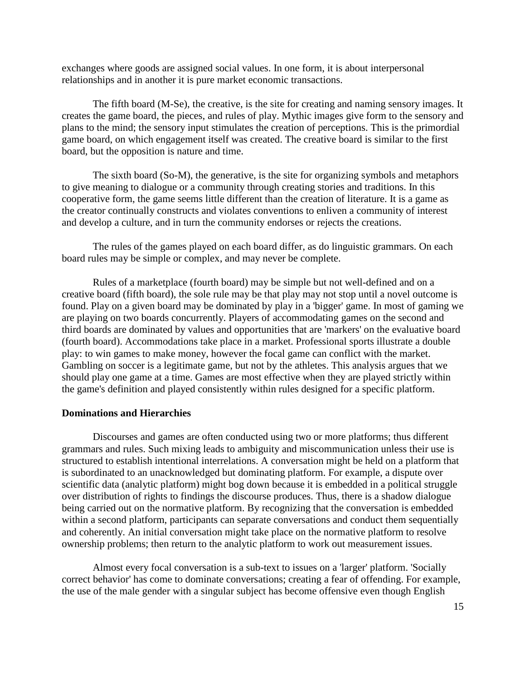exchanges where goods are assigned social values. In one form, it is about interpersonal relationships and in another it is pure market economic transactions.

The fifth board (M-Se), the creative, is the site for creating and naming sensory images. It creates the game board, the pieces, and rules of play. Mythic images give form to the sensory and plans to the mind; the sensory input stimulates the creation of perceptions. This is the primordial game board, on which engagement itself was created. The creative board is similar to the first board, but the opposition is nature and time.

The sixth board (So-M), the generative, is the site for organizing symbols and metaphors to give meaning to dialogue or a community through creating stories and traditions. In this cooperative form, the game seems little different than the creation of literature. It is a game as the creator continually constructs and violates conventions to enliven a community of interest and develop a culture, and in turn the community endorses or rejects the creations.

The rules of the games played on each board differ, as do linguistic grammars. On each board rules may be simple or complex, and may never be complete.

Rules of a marketplace (fourth board) may be simple but not well-defined and on a creative board (fifth board), the sole rule may be that play may not stop until a novel outcome is found. Play on a given board may be dominated by play in a 'bigger' game. In most of gaming we are playing on two boards concurrently. Players of accommodating games on the second and third boards are dominated by values and opportunities that are 'markers' on the evaluative board (fourth board). Accommodations take place in a market. Professional sports illustrate a double play: to win games to make money, however the focal game can conflict with the market. Gambling on soccer is a legitimate game, but not by the athletes. This analysis argues that we should play one game at a time. Games are most effective when they are played strictly within the game's definition and played consistently within rules designed for a specific platform.

## **Dominations and Hierarchies**

Discourses and games are often conducted using two or more platforms; thus different grammars and rules. Such mixing leads to ambiguity and miscommunication unless their use is structured to establish intentional interrelations. A conversation might be held on a platform that is subordinated to an unacknowledged but dominating platform. For example, a dispute over scientific data (analytic platform) might bog down because it is embedded in a political struggle over distribution of rights to findings the discourse produces. Thus, there is a shadow dialogue being carried out on the normative platform. By recognizing that the conversation is embedded within a second platform, participants can separate conversations and conduct them sequentially and coherently. An initial conversation might take place on the normative platform to resolve ownership problems; then return to the analytic platform to work out measurement issues.

Almost every focal conversation is a sub-text to issues on a 'larger' platform. 'Socially correct behavior' has come to dominate conversations; creating a fear of offending. For example, the use of the male gender with a singular subject has become offensive even though English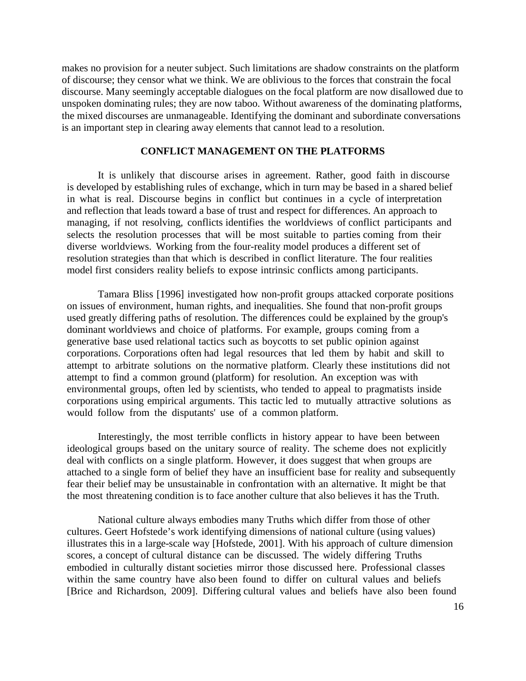makes no provision for a neuter subject. Such limitations are shadow constraints on the platform of discourse; they censor what we think. We are oblivious to the forces that constrain the focal discourse. Many seemingly acceptable dialogues on the focal platform are now disallowed due to unspoken dominating rules; they are now taboo. Without awareness of the dominating platforms, the mixed discourses are unmanageable. Identifying the dominant and subordinate conversations is an important step in clearing away elements that cannot lead to a resolution.

## **CONFLICT MANAGEMENT ON THE PLATFORMS**

It is unlikely that discourse arises in agreement. Rather, good faith in discourse is developed by establishing rules of exchange, which in turn may be based in a shared belief in what is real. Discourse begins in conflict but continues in a cycle of interpretation and reflection that leads toward a base of trust and respect for differences. An approach to managing, if not resolving, conflicts identifies the worldviews of conflict participants and selects the resolution processes that will be most suitable to parties coming from their diverse worldviews. Working from the four-reality model produces a different set of resolution strategies than that which is described in conflict literature. The four realities model first considers reality beliefs to expose intrinsic conflicts among participants.

Tamara Bliss [1996] investigated how non-profit groups attacked corporate positions on issues of environment, human rights, and inequalities. She found that non-profit groups used greatly differing paths of resolution. The differences could be explained by the group's dominant worldviews and choice of platforms. For example, groups coming from a generative base used relational tactics such as boycotts to set public opinion against corporations. Corporations often had legal resources that led them by habit and skill to attempt to arbitrate solutions on the normative platform. Clearly these institutions did not attempt to find a common ground (platform) for resolution. An exception was with environmental groups, often led by scientists, who tended to appeal to pragmatists inside corporations using empirical arguments. This tactic led to mutually attractive solutions as would follow from the disputants' use of a common platform.

Interestingly, the most terrible conflicts in history appear to have been between ideological groups based on the unitary source of reality. The scheme does not explicitly deal with conflicts on a single platform. However, it does suggest that when groups are attached to a single form of belief they have an insufficient base for reality and subsequently fear their belief may be unsustainable in confrontation with an alternative. It might be that the most threatening condition is to face another culture that also believes it has the Truth.

National culture always embodies many Truths which differ from those of other cultures. Geert Hofstede's work identifying dimensions of national culture (using values) illustrates this in a large-scale way [Hofstede, 2001]. With his approach of culture dimension scores, a concept of cultural distance can be discussed. The widely differing Truths embodied in culturally distant societies mirror those discussed here. Professional classes within the same country have also been found to differ on cultural values and beliefs [Brice and Richardson, 2009]. Differing cultural values and beliefs have also been found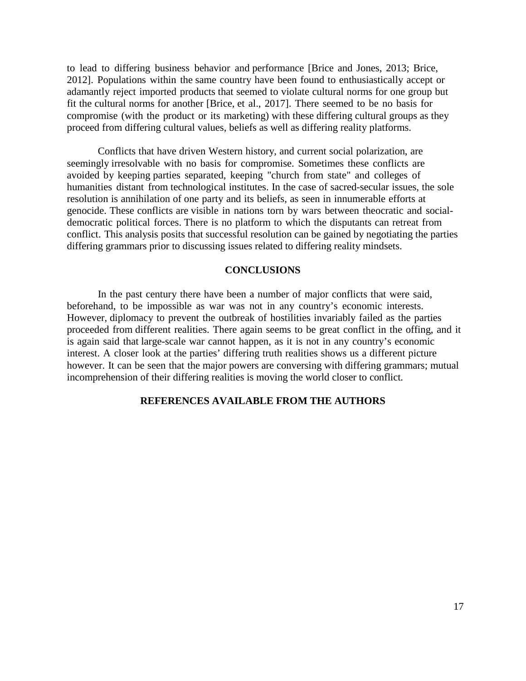to lead to differing business behavior and performance [Brice and Jones, 2013; Brice, 2012]. Populations within the same country have been found to enthusiastically accept or adamantly reject imported products that seemed to violate cultural norms for one group but fit the cultural norms for another [Brice, et al., 2017]. There seemed to be no basis for compromise (with the product or its marketing) with these differing cultural groups as they proceed from differing cultural values, beliefs as well as differing reality platforms.

Conflicts that have driven Western history, and current social polarization, are seemingly irresolvable with no basis for compromise. Sometimes these conflicts are avoided by keeping parties separated, keeping "church from state" and colleges of humanities distant from technological institutes. In the case of sacred-secular issues, the sole resolution is annihilation of one party and its beliefs, as seen in innumerable efforts at genocide. These conflicts are visible in nations torn by wars between theocratic and socialdemocratic political forces. There is no platform to which the disputants can retreat from conflict. This analysis posits that successful resolution can be gained by negotiating the parties differing grammars prior to discussing issues related to differing reality mindsets.

## **CONCLUSIONS**

In the past century there have been a number of major conflicts that were said, beforehand, to be impossible as war was not in any country's economic interests. However, diplomacy to prevent the outbreak of hostilities invariably failed as the parties proceeded from different realities. There again seems to be great conflict in the offing, and it is again said that large-scale war cannot happen, as it is not in any country's economic interest. A closer look at the parties' differing truth realities shows us a different picture however. It can be seen that the major powers are conversing with differing grammars; mutual incomprehension of their differing realities is moving the world closer to conflict.

#### **REFERENCES AVAILABLE FROM THE AUTHORS**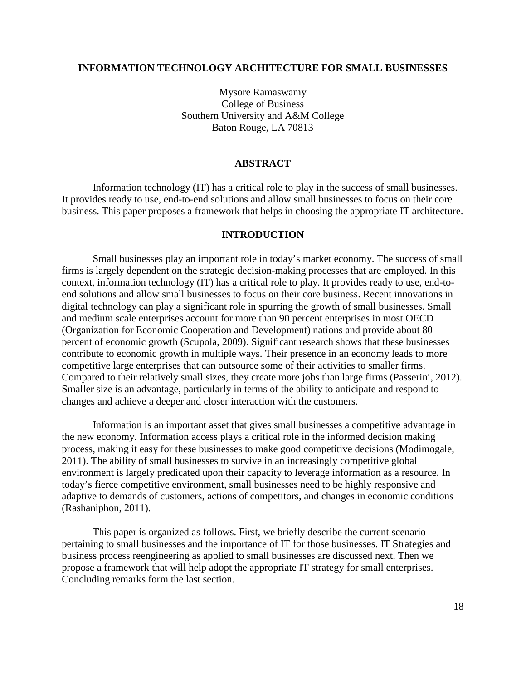### <span id="page-17-0"></span>**INFORMATION TECHNOLOGY ARCHITECTURE FOR SMALL BUSINESSES**

Mysore Ramaswamy College of Business Southern University and A&M College Baton Rouge, LA 70813

## **ABSTRACT**

Information technology (IT) has a critical role to play in the success of small businesses. It provides ready to use, end-to-end solutions and allow small businesses to focus on their core business. This paper proposes a framework that helps in choosing the appropriate IT architecture.

#### **INTRODUCTION**

Small businesses play an important role in today's market economy. The success of small firms is largely dependent on the strategic decision-making processes that are employed. In this context, information technology (IT) has a critical role to play. It provides ready to use, end-toend solutions and allow small businesses to focus on their core business. Recent innovations in digital technology can play a significant role in spurring the growth of small businesses. Small and medium scale enterprises account for more than 90 percent enterprises in most OECD (Organization for Economic Cooperation and Development) nations and provide about 80 percent of economic growth (Scupola, 2009). Significant research shows that these businesses contribute to economic growth in multiple ways. Their presence in an economy leads to more competitive large enterprises that can outsource some of their activities to smaller firms. Compared to their relatively small sizes, they create more jobs than large firms (Passerini, 2012). Smaller size is an advantage, particularly in terms of the ability to anticipate and respond to changes and achieve a deeper and closer interaction with the customers.

Information is an important asset that gives small businesses a competitive advantage in the new economy. Information access plays a critical role in the informed decision making process, making it easy for these businesses to make good competitive decisions (Modimogale, 2011). The ability of small businesses to survive in an increasingly competitive global environment is largely predicated upon their capacity to leverage information as a resource. In today's fierce competitive environment, small businesses need to be highly responsive and adaptive to demands of customers, actions of competitors, and changes in economic conditions (Rashaniphon, 2011).

This paper is organized as follows. First, we briefly describe the current scenario pertaining to small businesses and the importance of IT for those businesses. IT Strategies and business process reengineering as applied to small businesses are discussed next. Then we propose a framework that will help adopt the appropriate IT strategy for small enterprises. Concluding remarks form the last section.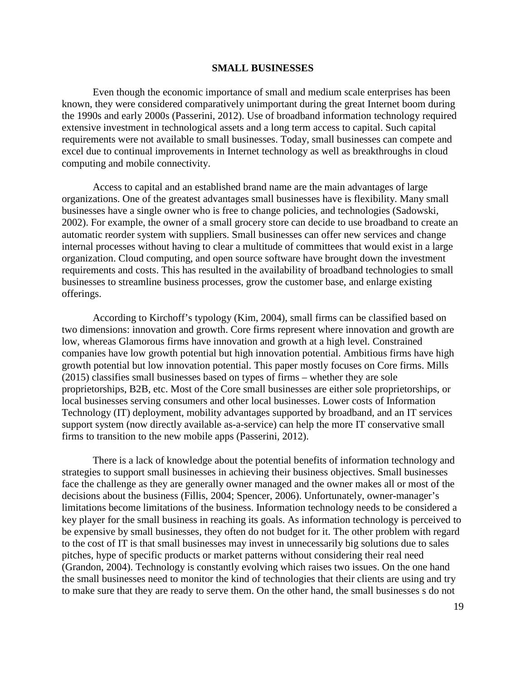#### **SMALL BUSINESSES**

Even though the economic importance of small and medium scale enterprises has been known, they were considered comparatively unimportant during the great Internet boom during the 1990s and early 2000s (Passerini, 2012). Use of broadband information technology required extensive investment in technological assets and a long term access to capital. Such capital requirements were not available to small businesses. Today, small businesses can compete and excel due to continual improvements in Internet technology as well as breakthroughs in cloud computing and mobile connectivity.

Access to capital and an established brand name are the main advantages of large organizations. One of the greatest advantages small businesses have is flexibility. Many small businesses have a single owner who is free to change policies, and technologies (Sadowski, 2002). For example, the owner of a small grocery store can decide to use broadband to create an automatic reorder system with suppliers. Small businesses can offer new services and change internal processes without having to clear a multitude of committees that would exist in a large organization. Cloud computing, and open source software have brought down the investment requirements and costs. This has resulted in the availability of broadband technologies to small businesses to streamline business processes, grow the customer base, and enlarge existing offerings.

According to Kirchoff's typology (Kim, 2004), small firms can be classified based on two dimensions: innovation and growth. Core firms represent where innovation and growth are low, whereas Glamorous firms have innovation and growth at a high level. Constrained companies have low growth potential but high innovation potential. Ambitious firms have high growth potential but low innovation potential. This paper mostly focuses on Core firms. Mills (2015) classifies small businesses based on types of firms – whether they are sole proprietorships, B2B, etc. Most of the Core small businesses are either sole proprietorships, or local businesses serving consumers and other local businesses. Lower costs of Information Technology (IT) deployment, mobility advantages supported by broadband, and an IT services support system (now directly available as-a-service) can help the more IT conservative small firms to transition to the new mobile apps (Passerini, 2012).

There is a lack of knowledge about the potential benefits of information technology and strategies to support small businesses in achieving their business objectives. Small businesses face the challenge as they are generally owner managed and the owner makes all or most of the decisions about the business (Fillis, 2004; Spencer, 2006). Unfortunately, owner-manager's limitations become limitations of the business. Information technology needs to be considered a key player for the small business in reaching its goals. As information technology is perceived to be expensive by small businesses, they often do not budget for it. The other problem with regard to the cost of IT is that small businesses may invest in unnecessarily big solutions due to sales pitches, hype of specific products or market patterns without considering their real need (Grandon, 2004). Technology is constantly evolving which raises two issues. On the one hand the small businesses need to monitor the kind of technologies that their clients are using and try to make sure that they are ready to serve them. On the other hand, the small businesses s do not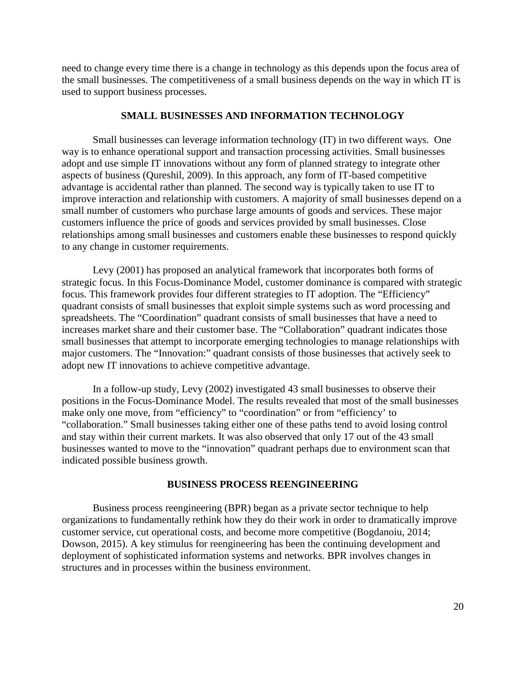need to change every time there is a change in technology as this depends upon the focus area of the small businesses. The competitiveness of a small business depends on the way in which IT is used to support business processes.

#### **SMALL BUSINESSES AND INFORMATION TECHNOLOGY**

Small businesses can leverage information technology (IT) in two different ways. One way is to enhance operational support and transaction processing activities. Small businesses adopt and use simple IT innovations without any form of planned strategy to integrate other aspects of business (Qureshil, 2009). In this approach, any form of IT-based competitive advantage is accidental rather than planned. The second way is typically taken to use IT to improve interaction and relationship with customers. A majority of small businesses depend on a small number of customers who purchase large amounts of goods and services. These major customers influence the price of goods and services provided by small businesses. Close relationships among small businesses and customers enable these businesses to respond quickly to any change in customer requirements.

Levy (2001) has proposed an analytical framework that incorporates both forms of strategic focus. In this Focus-Dominance Model, customer dominance is compared with strategic focus. This framework provides four different strategies to IT adoption. The "Efficiency" quadrant consists of small businesses that exploit simple systems such as word processing and spreadsheets. The "Coordination" quadrant consists of small businesses that have a need to increases market share and their customer base. The "Collaboration" quadrant indicates those small businesses that attempt to incorporate emerging technologies to manage relationships with major customers. The "Innovation:" quadrant consists of those businesses that actively seek to adopt new IT innovations to achieve competitive advantage.

In a follow-up study, Levy (2002) investigated 43 small businesses to observe their positions in the Focus-Dominance Model. The results revealed that most of the small businesses make only one move, from "efficiency" to "coordination" or from "efficiency' to "collaboration." Small businesses taking either one of these paths tend to avoid losing control and stay within their current markets. It was also observed that only 17 out of the 43 small businesses wanted to move to the "innovation" quadrant perhaps due to environment scan that indicated possible business growth.

#### **BUSINESS PROCESS REENGINEERING**

Business process reengineering (BPR) began as a private sector technique to help organizations to fundamentally rethink how they do their work in order to dramatically improve customer service, cut operational costs, and become more competitive (Bogdanoiu, 2014; Dowson, 2015). A key stimulus for reengineering has been the continuing development and deployment of sophisticated information systems and networks. BPR involves changes in structures and in processes within the business environment.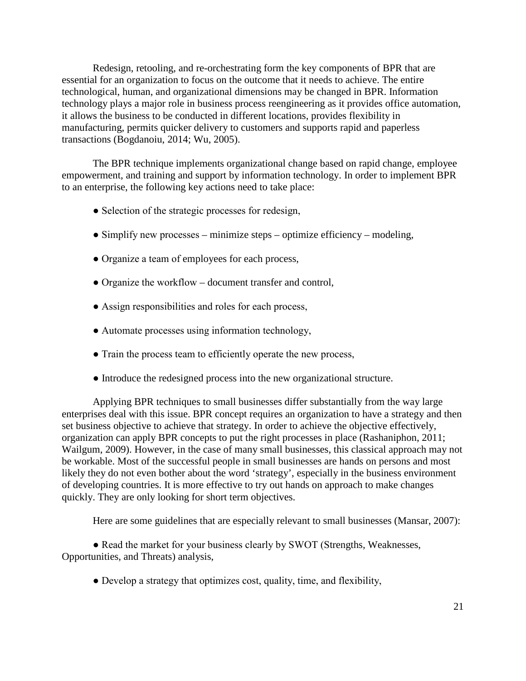Redesign, retooling, and re-orchestrating form the key components of BPR that are essential for an organization to focus on the outcome that it needs to achieve. The entire technological, human, and organizational dimensions may be changed in BPR. Information technology plays a major role in business process reengineering as it provides office automation, it allows the business to be conducted in different locations, provides flexibility in manufacturing, permits quicker delivery to customers and supports rapid and paperless transactions (Bogdanoiu, 2014; Wu, 2005).

The BPR technique implements organizational change based on rapid change, employee empowerment, and training and support by information technology. In order to implement BPR to an enterprise, the following key actions need to take place:

- Selection of the strategic processes for redesign,
- $\bullet$  Simplify new processes minimize steps optimize efficiency modeling,
- Organize a team of employees for each process,
- Organize the workflow document transfer and control,
- Assign responsibilities and roles for each process,
- Automate processes using information technology,
- Train the process team to efficiently operate the new process,
- Introduce the redesigned process into the new organizational structure.

Applying BPR techniques to small businesses differ substantially from the way large enterprises deal with this issue. BPR concept requires an organization to have a strategy and then set business objective to achieve that strategy. In order to achieve the objective effectively, organization can apply BPR concepts to put the right processes in place (Rashaniphon, 2011; Wailgum, 2009). However, in the case of many small businesses, this classical approach may not be workable. Most of the successful people in small businesses are hands on persons and most likely they do not even bother about the word 'strategy', especially in the business environment of developing countries. It is more effective to try out hands on approach to make changes quickly. They are only looking for short term objectives.

Here are some guidelines that are especially relevant to small businesses (Mansar, 2007):

• Read the market for your business clearly by SWOT (Strengths, Weaknesses, Opportunities, and Threats) analysis,

• Develop a strategy that optimizes cost, quality, time, and flexibility,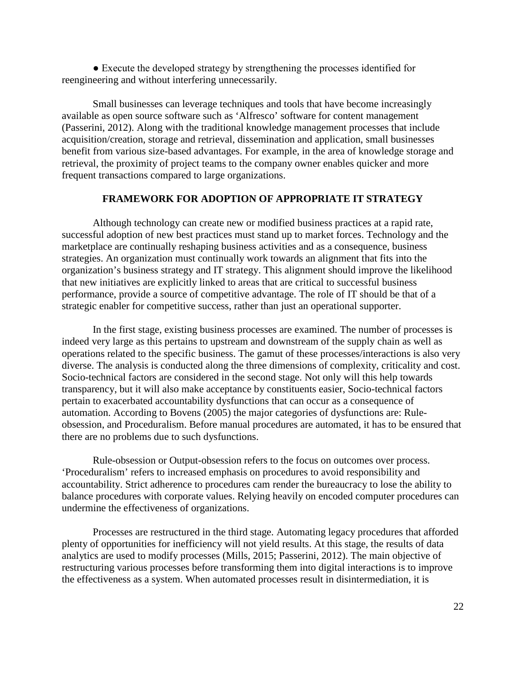● Execute the developed strategy by strengthening the processes identified for reengineering and without interfering unnecessarily.

Small businesses can leverage techniques and tools that have become increasingly available as open source software such as 'Alfresco' software for content management (Passerini, 2012). Along with the traditional knowledge management processes that include acquisition/creation, storage and retrieval, dissemination and application, small businesses benefit from various size-based advantages. For example, in the area of knowledge storage and retrieval, the proximity of project teams to the company owner enables quicker and more frequent transactions compared to large organizations.

## **FRAMEWORK FOR ADOPTION OF APPROPRIATE IT STRATEGY**

Although technology can create new or modified business practices at a rapid rate, successful adoption of new best practices must stand up to market forces. Technology and the marketplace are continually reshaping business activities and as a consequence, business strategies. An organization must continually work towards an alignment that fits into the organization's business strategy and IT strategy. This alignment should improve the likelihood that new initiatives are explicitly linked to areas that are critical to successful business performance, provide a source of competitive advantage. The role of IT should be that of a strategic enabler for competitive success, rather than just an operational supporter.

In the first stage, existing business processes are examined. The number of processes is indeed very large as this pertains to upstream and downstream of the supply chain as well as operations related to the specific business. The gamut of these processes/interactions is also very diverse. The analysis is conducted along the three dimensions of complexity, criticality and cost. Socio-technical factors are considered in the second stage. Not only will this help towards transparency, but it will also make acceptance by constituents easier, Socio-technical factors pertain to exacerbated accountability dysfunctions that can occur as a consequence of automation. According to Bovens (2005) the major categories of dysfunctions are: Ruleobsession, and Proceduralism. Before manual procedures are automated, it has to be ensured that there are no problems due to such dysfunctions.

Rule-obsession or Output-obsession refers to the focus on outcomes over process. 'Proceduralism' refers to increased emphasis on procedures to avoid responsibility and accountability. Strict adherence to procedures cam render the bureaucracy to lose the ability to balance procedures with corporate values. Relying heavily on encoded computer procedures can undermine the effectiveness of organizations.

Processes are restructured in the third stage. Automating legacy procedures that afforded plenty of opportunities for inefficiency will not yield results. At this stage, the results of data analytics are used to modify processes (Mills, 2015; Passerini, 2012). The main objective of restructuring various processes before transforming them into digital interactions is to improve the effectiveness as a system. When automated processes result in disintermediation, it is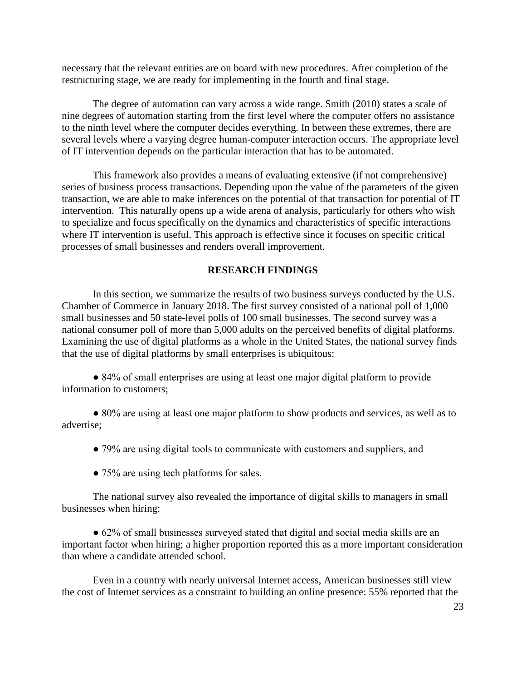necessary that the relevant entities are on board with new procedures. After completion of the restructuring stage, we are ready for implementing in the fourth and final stage.

The degree of automation can vary across a wide range. Smith (2010) states a scale of nine degrees of automation starting from the first level where the computer offers no assistance to the ninth level where the computer decides everything. In between these extremes, there are several levels where a varying degree human-computer interaction occurs. The appropriate level of IT intervention depends on the particular interaction that has to be automated.

This framework also provides a means of evaluating extensive (if not comprehensive) series of business process transactions. Depending upon the value of the parameters of the given transaction, we are able to make inferences on the potential of that transaction for potential of IT intervention. This naturally opens up a wide arena of analysis, particularly for others who wish to specialize and focus specifically on the dynamics and characteristics of specific interactions where IT intervention is useful. This approach is effective since it focuses on specific critical processes of small businesses and renders overall improvement.

## **RESEARCH FINDINGS**

In this section, we summarize the results of two business surveys conducted by the U.S. Chamber of Commerce in January 2018. The first survey consisted of a national poll of 1,000 small businesses and 50 state-level polls of 100 small businesses. The second survey was a national consumer poll of more than 5,000 adults on the perceived benefits of digital platforms. Examining the use of digital platforms as a whole in the United States, the national survey finds that the use of digital platforms by small enterprises is ubiquitous:

● 84% of small enterprises are using at least one major digital platform to provide information to customers;

● 80% are using at least one major platform to show products and services, as well as to advertise;

- 79% are using digital tools to communicate with customers and suppliers, and
- 75% are using tech platforms for sales.

The national survey also revealed the importance of digital skills to managers in small businesses when hiring:

● 62% of small businesses surveyed stated that digital and social media skills are an important factor when hiring; a higher proportion reported this as a more important consideration than where a candidate attended school.

Even in a country with nearly universal Internet access, American businesses still view the cost of Internet services as a constraint to building an online presence: 55% reported that the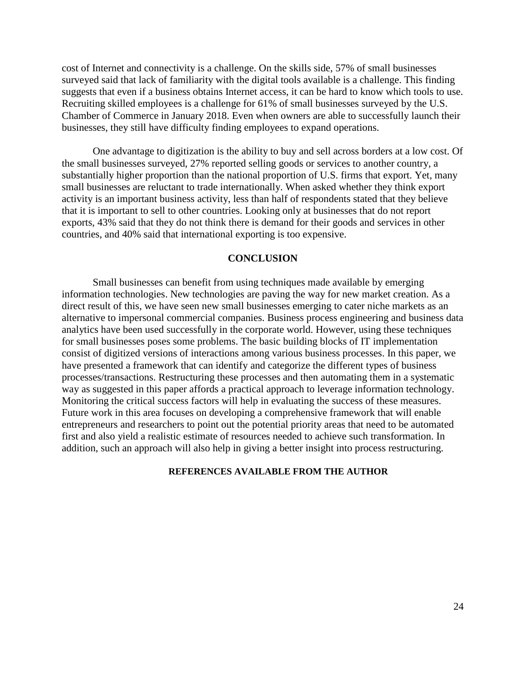cost of Internet and connectivity is a challenge. On the skills side, 57% of small businesses surveyed said that lack of familiarity with the digital tools available is a challenge. This finding suggests that even if a business obtains Internet access, it can be hard to know which tools to use. Recruiting skilled employees is a challenge for 61% of small businesses surveyed by the U.S. Chamber of Commerce in January 2018. Even when owners are able to successfully launch their businesses, they still have difficulty finding employees to expand operations.

One advantage to digitization is the ability to buy and sell across borders at a low cost. Of the small businesses surveyed, 27% reported selling goods or services to another country, a substantially higher proportion than the national proportion of U.S. firms that export. Yet, many small businesses are reluctant to trade internationally. When asked whether they think export activity is an important business activity, less than half of respondents stated that they believe that it is important to sell to other countries. Looking only at businesses that do not report exports, 43% said that they do not think there is demand for their goods and services in other countries, and 40% said that international exporting is too expensive.

#### **CONCLUSION**

Small businesses can benefit from using techniques made available by emerging information technologies. New technologies are paving the way for new market creation. As a direct result of this, we have seen new small businesses emerging to cater niche markets as an alternative to impersonal commercial companies. Business process engineering and business data analytics have been used successfully in the corporate world. However, using these techniques for small businesses poses some problems. The basic building blocks of IT implementation consist of digitized versions of interactions among various business processes. In this paper, we have presented a framework that can identify and categorize the different types of business processes/transactions. Restructuring these processes and then automating them in a systematic way as suggested in this paper affords a practical approach to leverage information technology. Monitoring the critical success factors will help in evaluating the success of these measures. Future work in this area focuses on developing a comprehensive framework that will enable entrepreneurs and researchers to point out the potential priority areas that need to be automated first and also yield a realistic estimate of resources needed to achieve such transformation. In addition, such an approach will also help in giving a better insight into process restructuring.

#### **REFERENCES AVAILABLE FROM THE AUTHOR**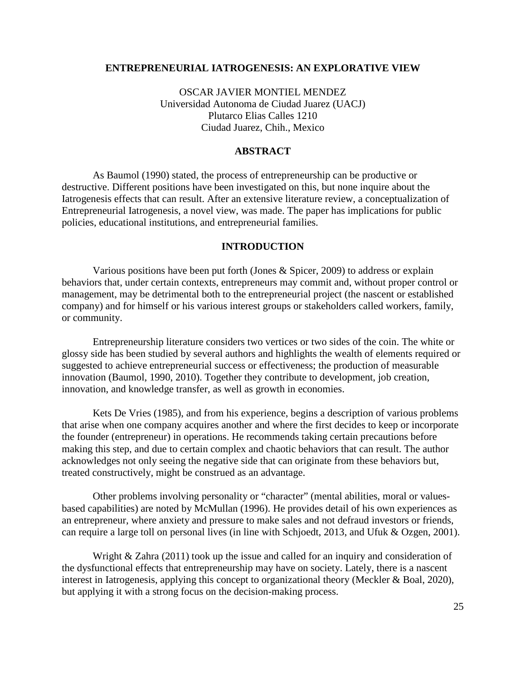#### <span id="page-24-0"></span>**ENTREPRENEURIAL IATROGENESIS: AN EXPLORATIVE VIEW**

OSCAR JAVIER MONTIEL MENDEZ Universidad Autonoma de Ciudad Juarez (UACJ) Plutarco Elias Calles 1210 Ciudad Juarez, Chih., Mexico

## **ABSTRACT**

As Baumol (1990) stated, the process of entrepreneurship can be productive or destructive. Different positions have been investigated on this, but none inquire about the Iatrogenesis effects that can result. After an extensive literature review, a conceptualization of Entrepreneurial Iatrogenesis, a novel view, was made. The paper has implications for public policies, educational institutions, and entrepreneurial families.

## **INTRODUCTION**

Various positions have been put forth (Jones & Spicer, 2009) to address or explain behaviors that, under certain contexts, entrepreneurs may commit and, without proper control or management, may be detrimental both to the entrepreneurial project (the nascent or established company) and for himself or his various interest groups or stakeholders called workers, family, or community.

Entrepreneurship literature considers two vertices or two sides of the coin. The white or glossy side has been studied by several authors and highlights the wealth of elements required or suggested to achieve entrepreneurial success or effectiveness; the production of measurable innovation (Baumol, 1990, 2010). Together they contribute to development, job creation, innovation, and knowledge transfer, as well as growth in economies.

Kets De Vries (1985), and from his experience, begins a description of various problems that arise when one company acquires another and where the first decides to keep or incorporate the founder (entrepreneur) in operations. He recommends taking certain precautions before making this step, and due to certain complex and chaotic behaviors that can result. The author acknowledges not only seeing the negative side that can originate from these behaviors but, treated constructively, might be construed as an advantage.

Other problems involving personality or "character" (mental abilities, moral or valuesbased capabilities) are noted by McMullan (1996). He provides detail of his own experiences as an entrepreneur, where anxiety and pressure to make sales and not defraud investors or friends, can require a large toll on personal lives (in line with Schjoedt, 2013, and Ufuk & Ozgen, 2001).

Wright & Zahra (2011) took up the issue and called for an inquiry and consideration of the dysfunctional effects that entrepreneurship may have on society. Lately, there is a nascent interest in Iatrogenesis, applying this concept to organizational theory (Meckler & Boal, 2020), but applying it with a strong focus on the decision-making process.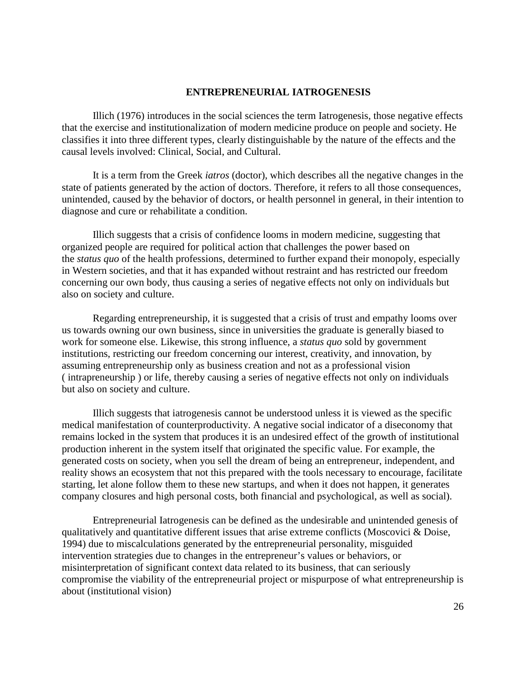## **ENTREPRENEURIAL IATROGENESIS**

Illich (1976) introduces in the social sciences the term Iatrogenesis, those negative effects that the exercise and institutionalization of modern medicine produce on people and society. He classifies it into three different types, clearly distinguishable by the nature of the effects and the causal levels involved: Clinical, Social, and Cultural.

It is a term from the Greek *iatros* (doctor), which describes all the negative changes in the state of patients generated by the action of doctors. Therefore, it refers to all those consequences, unintended, caused by the behavior of doctors, or health personnel in general, in their intention to diagnose and cure or rehabilitate a condition.

Illich suggests that a crisis of confidence looms in modern medicine, suggesting that organized people are required for political action that challenges the power based on the *status quo* of the health professions, determined to further expand their monopoly, especially in Western societies, and that it has expanded without restraint and has restricted our freedom concerning our own body, thus causing a series of negative effects not only on individuals but also on society and culture.

Regarding entrepreneurship, it is suggested that a crisis of trust and empathy looms over us towards owning our own business, since in universities the graduate is generally biased to work for someone else. Likewise, this strong influence, a *status quo* sold by government institutions, restricting our freedom concerning our interest, creativity, and innovation, by assuming entrepreneurship only as business creation and not as a professional vision ( intrapreneurship ) or life, thereby causing a series of negative effects not only on individuals but also on society and culture.

Illich suggests that iatrogenesis cannot be understood unless it is viewed as the specific medical manifestation of counterproductivity. A negative social indicator of a diseconomy that remains locked in the system that produces it is an undesired effect of the growth of institutional production inherent in the system itself that originated the specific value. For example, the generated costs on society, when you sell the dream of being an entrepreneur, independent, and reality shows an ecosystem that not this prepared with the tools necessary to encourage, facilitate starting, let alone follow them to these new startups, and when it does not happen, it generates company closures and high personal costs, both financial and psychological, as well as social).

Entrepreneurial Iatrogenesis can be defined as the undesirable and unintended genesis of qualitatively and quantitative different issues that arise extreme conflicts (Moscovici & Doise, 1994) due to miscalculations generated by the entrepreneurial personality, misguided intervention strategies due to changes in the entrepreneur's values or behaviors, or misinterpretation of significant context data related to its business, that can seriously compromise the viability of the entrepreneurial project or mispurpose of what entrepreneurship is about (institutional vision)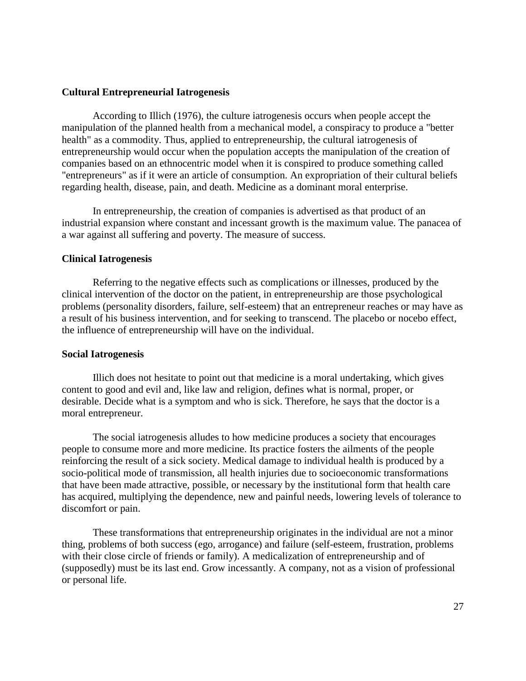## **Cultural Entrepreneurial Iatrogenesis**

According to Illich (1976), the culture iatrogenesis occurs when people accept the manipulation of the planned health from a mechanical model, a conspiracy to produce a "better health" as a commodity. Thus, applied to entrepreneurship, the cultural iatrogenesis of entrepreneurship would occur when the population accepts the manipulation of the creation of companies based on an ethnocentric model when it is conspired to produce something called "entrepreneurs" as if it were an article of consumption. An expropriation of their cultural beliefs regarding health, disease, pain, and death. Medicine as a dominant moral enterprise.

In entrepreneurship, the creation of companies is advertised as that product of an industrial expansion where constant and incessant growth is the maximum value. The panacea of a war against all suffering and poverty. The measure of success.

#### **Clinical Iatrogenesis**

Referring to the negative effects such as complications or illnesses, produced by the clinical intervention of the doctor on the patient, in entrepreneurship are those psychological problems (personality disorders, failure, self-esteem) that an entrepreneur reaches or may have as a result of his business intervention, and for seeking to transcend. The placebo or nocebo effect, the influence of entrepreneurship will have on the individual.

#### **Social Iatrogenesis**

Illich does not hesitate to point out that medicine is a moral undertaking, which gives content to good and evil and, like law and religion, defines what is normal, proper, or desirable. Decide what is a symptom and who is sick. Therefore, he says that the doctor is a moral entrepreneur.

The social iatrogenesis alludes to how medicine produces a society that encourages people to consume more and more medicine. Its practice fosters the ailments of the people reinforcing the result of a sick society. Medical damage to individual health is produced by a socio-political mode of transmission, all health injuries due to socioeconomic transformations that have been made attractive, possible, or necessary by the institutional form that health care has acquired, multiplying the dependence, new and painful needs, lowering levels of tolerance to discomfort or pain.

These transformations that entrepreneurship originates in the individual are not a minor thing, problems of both success (ego, arrogance) and failure (self-esteem, frustration, problems with their close circle of friends or family). A medicalization of entrepreneurship and of (supposedly) must be its last end. Grow incessantly. A company, not as a vision of professional or personal life.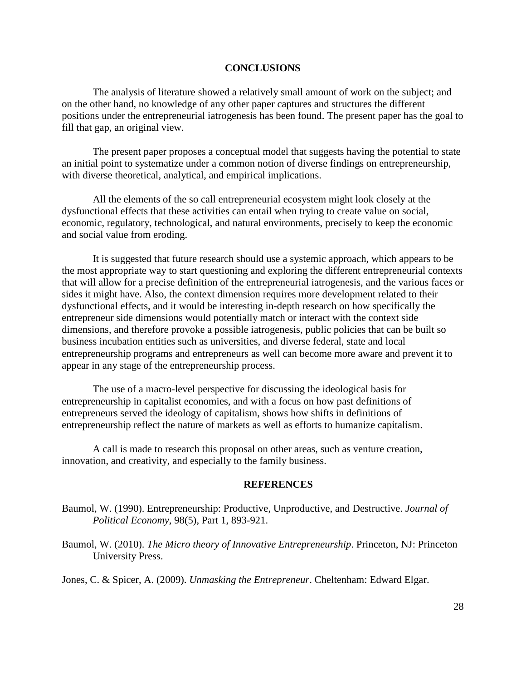## **CONCLUSIONS**

The analysis of literature showed a relatively small amount of work on the subject; and on the other hand, no knowledge of any other paper captures and structures the different positions under the entrepreneurial iatrogenesis has been found. The present paper has the goal to fill that gap, an original view.

The present paper proposes a conceptual model that suggests having the potential to state an initial point to systematize under a common notion of diverse findings on entrepreneurship, with diverse theoretical, analytical, and empirical implications.

All the elements of the so call entrepreneurial ecosystem might look closely at the dysfunctional effects that these activities can entail when trying to create value on social, economic, regulatory, technological, and natural environments, precisely to keep the economic and social value from eroding.

It is suggested that future research should use a systemic approach, which appears to be the most appropriate way to start questioning and exploring the different entrepreneurial contexts that will allow for a precise definition of the entrepreneurial iatrogenesis, and the various faces or sides it might have. Also, the context dimension requires more development related to their dysfunctional effects, and it would be interesting in-depth research on how specifically the entrepreneur side dimensions would potentially match or interact with the context side dimensions, and therefore provoke a possible iatrogenesis, public policies that can be built so business incubation entities such as universities, and diverse federal, state and local entrepreneurship programs and entrepreneurs as well can become more aware and prevent it to appear in any stage of the entrepreneurship process.

The use of a macro-level perspective for discussing the ideological basis for entrepreneurship in capitalist economies, and with a focus on how past definitions of entrepreneurs served the ideology of capitalism, shows how shifts in definitions of entrepreneurship reflect the nature of markets as well as efforts to humanize capitalism.

A call is made to research this proposal on other areas, such as venture creation, innovation, and creativity, and especially to the family business.

#### **REFERENCES**

- Baumol, W. (1990). Entrepreneurship: Productive, Unproductive, and Destructive. *Journal of Political Economy*, 98(5), Part 1, 893-921.
- Baumol, W. (2010). *The Micro theory of Innovative Entrepreneurship*. Princeton, NJ: Princeton University Press.

Jones, C. & Spicer, A. (2009). *Unmasking the Entrepreneur*. Cheltenham: Edward Elgar.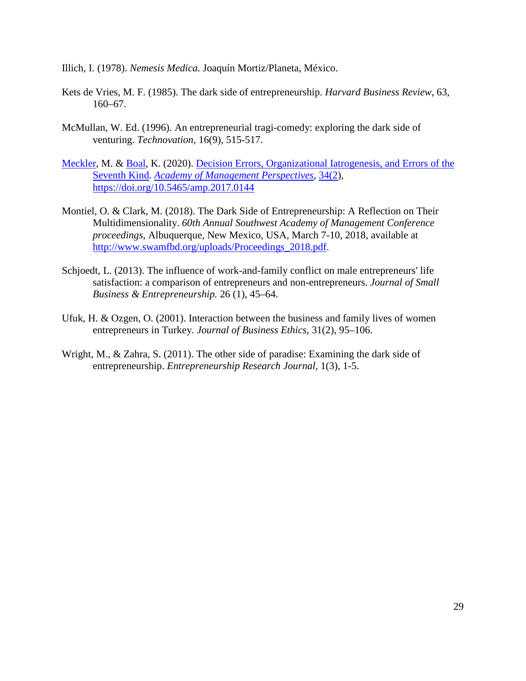Illich, I. (1978). *Nemesis Medica*. Joaquín Mortiz/Planeta, México.

- Kets de Vries, M. F. (1985). The dark side of entrepreneurship. *Harvard Business Review*, 63, 160–67.
- McMullan, W. Ed. (1996). An entrepreneurial tragi-comedy: exploring the dark side of venturing. *Technovation,* 16(9), 515-517.
- [Meckler,](https://journals.aom.org/doi/abs/10.5465/amp.2017.0144) M. & [Boal,](https://journals.aom.org/doi/abs/10.5465/amp.2017.0144) K. (2020). [Decision Errors, Organizational Iatrogenesis, and Errors of the](https://journals.aom.org/doi/full/10.5465/amp.2017.0144)  [Seventh Kind.](https://journals.aom.org/doi/full/10.5465/amp.2017.0144) *Academy of Management Perspectives,* 34(2), <https://doi.org/10.5465/amp.2017.0144>
- Montiel, O. & Clark, M. (2018). The Dark Side of Entrepreneurship: A Reflection on Their Multidimensionality. *60th Annual Southwest Academy of Management Conference proceedings*, Albuquerque, New Mexico, USA, March 7-10, 2018, available at [http://www.swamfbd.org/uploads/Proceedings\\_2018.pdf.](http://www.swamfbd.org/uploads/Proceedings_2018.pdf)
- Schjoedt, L. (2013). The influence of work-and-family conflict on male entrepreneurs' life satisfaction: a comparison of entrepreneurs and non-entrepreneurs. *Journal of Small Business & Entrepreneurship.* 26 (1), 45–64.
- Ufuk, H. & Ozgen, O. (2001). Interaction between the business and family lives of women entrepreneurs in Turkey. *Journal of Business Ethics,* 31(2), 95–106.
- Wright, M., & Zahra, S. (2011). The other side of paradise: Examining the dark side of entrepreneurship. *Entrepreneurship Research Journal,* 1(3), 1-5.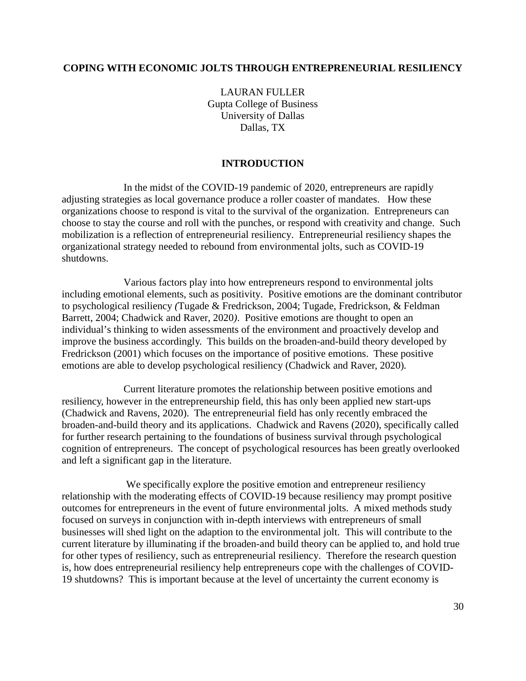## <span id="page-29-0"></span>**COPING WITH ECONOMIC JOLTS THROUGH ENTREPRENEURIAL RESILIENCY**

LAURAN FULLER Gupta College of Business University of Dallas Dallas, TX

## **INTRODUCTION**

In the midst of the COVID-19 pandemic of 2020, entrepreneurs are rapidly adjusting strategies as local governance produce a roller coaster of mandates. How these organizations choose to respond is vital to the survival of the organization. Entrepreneurs can choose to stay the course and roll with the punches, or respond with creativity and change. Such mobilization is a reflection of entrepreneurial resiliency. Entrepreneurial resiliency shapes the organizational strategy needed to rebound from environmental jolts, such as COVID-19 shutdowns.

Various factors play into how entrepreneurs respond to environmental jolts including emotional elements, such as positivity. Positive emotions are the dominant contributor to psychological resiliency *(*Tugade & Fredrickson, 2004; Tugade, Fredrickson, & Feldman Barrett, 2004; Chadwick and Raver, 2020*)*. Positive emotions are thought to open an individual's thinking to widen assessments of the environment and proactively develop and improve the business accordingly. This builds on the broaden-and-build theory developed by Fredrickson (2001) which focuses on the importance of positive emotions. These positive emotions are able to develop psychological resiliency (Chadwick and Raver, 2020)*.*

Current literature promotes the relationship between positive emotions and resiliency, however in the entrepreneurship field, this has only been applied new start-ups (Chadwick and Ravens, 2020). The entrepreneurial field has only recently embraced the broaden-and-build theory and its applications. Chadwick and Ravens (2020), specifically called for further research pertaining to the foundations of business survival through psychological cognition of entrepreneurs. The concept of psychological resources has been greatly overlooked and left a significant gap in the literature.

We specifically explore the positive emotion and entrepreneur resiliency relationship with the moderating effects of COVID-19 because resiliency may prompt positive outcomes for entrepreneurs in the event of future environmental jolts. A mixed methods study focused on surveys in conjunction with in-depth interviews with entrepreneurs of small businesses will shed light on the adaption to the environmental jolt. This will contribute to the current literature by illuminating if the broaden-and build theory can be applied to, and hold true for other types of resiliency, such as entrepreneurial resiliency. Therefore the research question is, how does entrepreneurial resiliency help entrepreneurs cope with the challenges of COVID-19 shutdowns? This is important because at the level of uncertainty the current economy is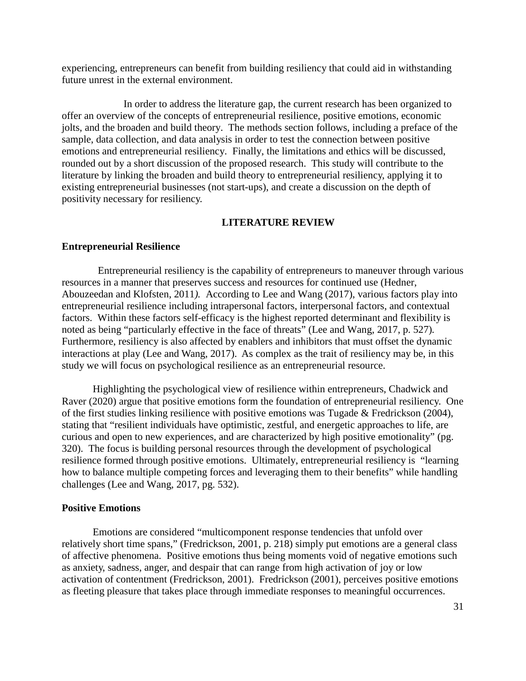experiencing, entrepreneurs can benefit from building resiliency that could aid in withstanding future unrest in the external environment.

In order to address the literature gap, the current research has been organized to offer an overview of the concepts of entrepreneurial resilience, positive emotions, economic jolts, and the broaden and build theory. The methods section follows, including a preface of the sample, data collection, and data analysis in order to test the connection between positive emotions and entrepreneurial resiliency. Finally, the limitations and ethics will be discussed, rounded out by a short discussion of the proposed research. This study will contribute to the literature by linking the broaden and build theory to entrepreneurial resiliency, applying it to existing entrepreneurial businesses (not start-ups), and create a discussion on the depth of positivity necessary for resiliency.

#### **LITERATURE REVIEW**

#### **Entrepreneurial Resilience**

 Entrepreneurial resiliency is the capability of entrepreneurs to maneuver through various resources in a manner that preserves success and resources for continued use (Hedner, Abouzeedan and Klofsten, 2011*).* According to Lee and Wang (2017), various factors play into entrepreneurial resilience including intrapersonal factors, interpersonal factors, and contextual factors. Within these factors self-efficacy is the highest reported determinant and flexibility is noted as being "particularly effective in the face of threats" (Lee and Wang, 2017, p. 527)*.*  Furthermore, resiliency is also affected by enablers and inhibitors that must offset the dynamic interactions at play (Lee and Wang, 2017). As complex as the trait of resiliency may be, in this study we will focus on psychological resilience as an entrepreneurial resource.

Highlighting the psychological view of resilience within entrepreneurs, Chadwick and Raver (2020) argue that positive emotions form the foundation of entrepreneurial resiliency. One of the first studies linking resilience with positive emotions was Tugade & Fredrickson (2004), stating that "resilient individuals have optimistic, zestful, and energetic approaches to life, are curious and open to new experiences, and are characterized by high positive emotionality" (pg. 320). The focus is building personal resources through the development of psychological resilience formed through positive emotions. Ultimately, entrepreneurial resiliency is "learning how to balance multiple competing forces and leveraging them to their benefits" while handling challenges (Lee and Wang, 2017, pg. 532).

#### **Positive Emotions**

Emotions are considered "multicomponent response tendencies that unfold over relatively short time spans," (Fredrickson, 2001, p. 218) simply put emotions are a general class of affective phenomena. Positive emotions thus being moments void of negative emotions such as anxiety, sadness, anger, and despair that can range from high activation of joy or low activation of contentment (Fredrickson, 2001). Fredrickson (2001), perceives positive emotions as fleeting pleasure that takes place through immediate responses to meaningful occurrences.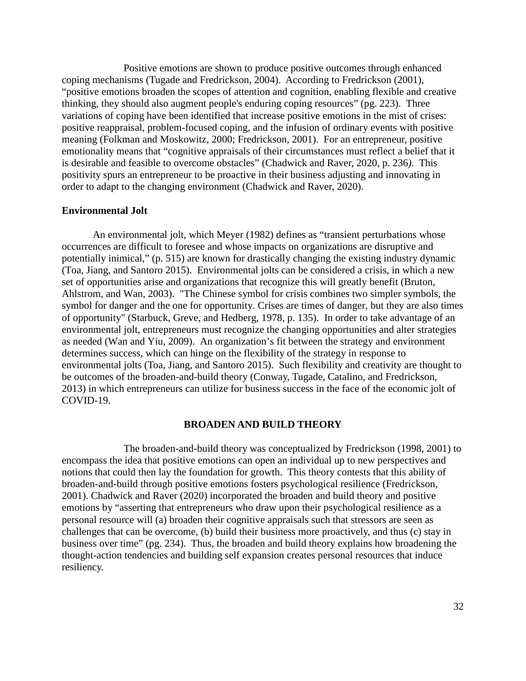Positive emotions are shown to produce positive outcomes through enhanced coping mechanisms (Tugade and Fredrickson, 2004). According to Fredrickson (2001), "positive emotions broaden the scopes of attention and cognition, enabling flexible and creative thinking, they should also augment people's enduring coping resources" (pg. 223). Three variations of coping have been identified that increase positive emotions in the mist of crises: positive reappraisal, problem-focused coping, and the infusion of ordinary events with positive meaning (Folkman and Moskowitz, 2000; Fredrickson, 2001). For an entrepreneur, positive emotionality means that "cognitive appraisals of their circumstances must reflect a belief that it is desirable and feasible to overcome obstacles" (Chadwick and Raver, 2020, p. 236*)*. This positivity spurs an entrepreneur to be proactive in their business adjusting and innovating in order to adapt to the changing environment (Chadwick and Raver, 2020).

#### **Environmental Jolt**

An environmental jolt, which Meyer (1982) defines as "transient perturbations whose occurrences are difficult to foresee and whose impacts on organizations are disruptive and potentially inimical," (p. 515) are known for drastically changing the existing industry dynamic (Toa, Jiang, and Santoro 2015). Environmental jolts can be considered a crisis, in which a new set of opportunities arise and organizations that recognize this will greatly benefit (Bruton, Ahlstrom, and Wan, 2003). "The Chinese symbol for crisis combines two simpler symbols, the symbol for danger and the one for opportunity. Crises are times of danger, but they are also times of opportunity" (Starbuck, Greve, and Hedberg, 1978, p. 135). In order to take advantage of an environmental jolt, entrepreneurs must recognize the changing opportunities and alter strategies as needed (Wan and Yiu, 2009). An organization's fit between the strategy and environment determines success, which can hinge on the flexibility of the strategy in response to environmental jolts (Toa, Jiang, and Santoro 2015). Such flexibility and creativity are thought to be outcomes of the broaden-and-build theory (Conway, Tugade, Catalino, and Fredrickson, 2013) in which entrepreneurs can utilize for business success in the face of the economic jolt of COVID-19.

#### **BROADEN AND BUILD THEORY**

The broaden-and-build theory was conceptualized by Fredrickson (1998, 2001) to encompass the idea that positive emotions can open an individual up to new perspectives and notions that could then lay the foundation for growth. This theory contests that this ability of broaden-and-build through positive emotions fosters psychological resilience (Fredrickson, 2001). Chadwick and Raver (2020) incorporated the broaden and build theory and positive emotions by "asserting that entrepreneurs who draw upon their psychological resilience as a personal resource will (a) broaden their cognitive appraisals such that stressors are seen as challenges that can be overcome, (b) build their business more proactively, and thus (c) stay in business over time" (pg. 234). Thus, the broaden and build theory explains how broadening the thought-action tendencies and building self expansion creates personal resources that induce resiliency.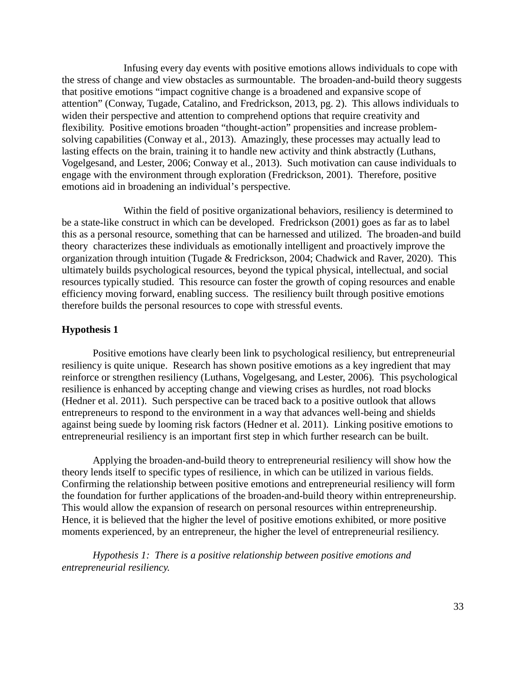Infusing every day events with positive emotions allows individuals to cope with the stress of change and view obstacles as surmountable. The broaden-and-build theory suggests that positive emotions "impact cognitive change is a broadened and expansive scope of attention" (Conway, Tugade, Catalino, and Fredrickson, 2013, pg. 2). This allows individuals to widen their perspective and attention to comprehend options that require creativity and flexibility. Positive emotions broaden "thought-action" propensities and increase problemsolving capabilities (Conway et al., 2013). Amazingly, these processes may actually lead to lasting effects on the brain, training it to handle new activity and think abstractly (Luthans, Vogelgesand, and Lester, 2006; Conway et al., 2013). Such motivation can cause individuals to engage with the environment through exploration (Fredrickson, 2001). Therefore, positive emotions aid in broadening an individual's perspective.

Within the field of positive organizational behaviors, resiliency is determined to be a state-like construct in which can be developed. Fredrickson (2001) goes as far as to label this as a personal resource, something that can be harnessed and utilized. The broaden-and build theory characterizes these individuals as emotionally intelligent and proactively improve the organization through intuition (Tugade & Fredrickson, 2004; Chadwick and Raver, 2020). This ultimately builds psychological resources, beyond the typical physical, intellectual, and social resources typically studied. This resource can foster the growth of coping resources and enable efficiency moving forward, enabling success. The resiliency built through positive emotions therefore builds the personal resources to cope with stressful events.

## **Hypothesis 1**

Positive emotions have clearly been link to psychological resiliency, but entrepreneurial resiliency is quite unique. Research has shown positive emotions as a key ingredient that may reinforce or strengthen resiliency (Luthans, Vogelgesang, and Lester, 2006)*.* This psychological resilience is enhanced by accepting change and viewing crises as hurdles, not road blocks (Hedner et al. 2011). Such perspective can be traced back to a positive outlook that allows entrepreneurs to respond to the environment in a way that advances well-being and shields against being suede by looming risk factors (Hedner et al. 2011). Linking positive emotions to entrepreneurial resiliency is an important first step in which further research can be built.

Applying the broaden-and-build theory to entrepreneurial resiliency will show how the theory lends itself to specific types of resilience, in which can be utilized in various fields. Confirming the relationship between positive emotions and entrepreneurial resiliency will form the foundation for further applications of the broaden-and-build theory within entrepreneurship. This would allow the expansion of research on personal resources within entrepreneurship. Hence, it is believed that the higher the level of positive emotions exhibited, or more positive moments experienced, by an entrepreneur, the higher the level of entrepreneurial resiliency.

*Hypothesis 1: There is a positive relationship between positive emotions and entrepreneurial resiliency.*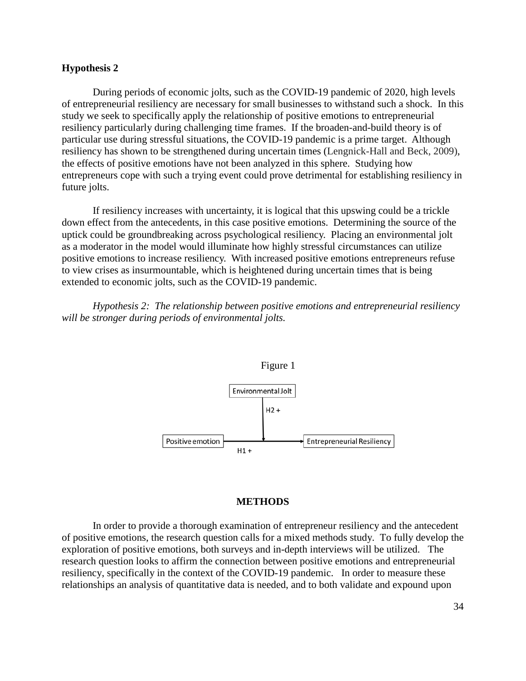## **Hypothesis 2**

During periods of economic jolts, such as the COVID-19 pandemic of 2020, high levels of entrepreneurial resiliency are necessary for small businesses to withstand such a shock. In this study we seek to specifically apply the relationship of positive emotions to entrepreneurial resiliency particularly during challenging time frames. If the broaden-and-build theory is of particular use during stressful situations, the COVID-19 pandemic is a prime target. Although resiliency has shown to be strengthened during uncertain times (Lengnick-Hall and Beck, 2009), the effects of positive emotions have not been analyzed in this sphere. Studying how entrepreneurs cope with such a trying event could prove detrimental for establishing resiliency in future jolts.

If resiliency increases with uncertainty, it is logical that this upswing could be a trickle down effect from the antecedents, in this case positive emotions. Determining the source of the uptick could be groundbreaking across psychological resiliency. Placing an environmental jolt as a moderator in the model would illuminate how highly stressful circumstances can utilize positive emotions to increase resiliency. With increased positive emotions entrepreneurs refuse to view crises as insurmountable, which is heightened during uncertain times that is being extended to economic jolts, such as the COVID-19 pandemic.

*Hypothesis 2: The relationship between positive emotions and entrepreneurial resiliency will be stronger during periods of environmental jolts.*



#### **METHODS**

In order to provide a thorough examination of entrepreneur resiliency and the antecedent of positive emotions, the research question calls for a mixed methods study. To fully develop the exploration of positive emotions, both surveys and in-depth interviews will be utilized. The research question looks to affirm the connection between positive emotions and entrepreneurial resiliency, specifically in the context of the COVID-19 pandemic. In order to measure these relationships an analysis of quantitative data is needed, and to both validate and expound upon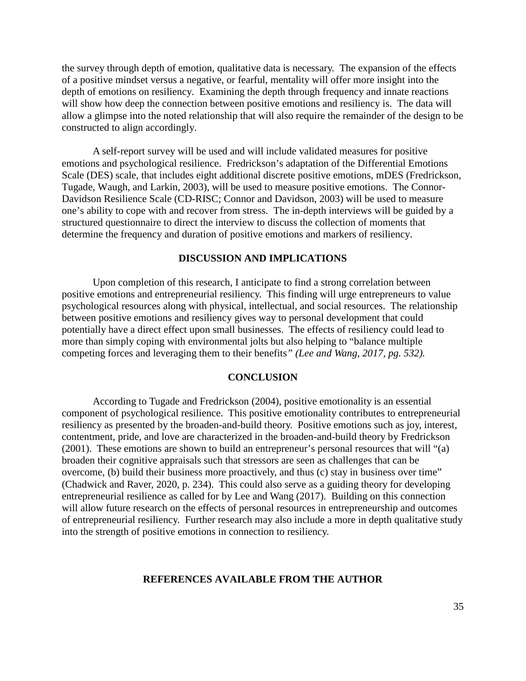the survey through depth of emotion, qualitative data is necessary. The expansion of the effects of a positive mindset versus a negative, or fearful, mentality will offer more insight into the depth of emotions on resiliency. Examining the depth through frequency and innate reactions will show how deep the connection between positive emotions and resiliency is. The data will allow a glimpse into the noted relationship that will also require the remainder of the design to be constructed to align accordingly.

A self-report survey will be used and will include validated measures for positive emotions and psychological resilience. Fredrickson's adaptation of the Differential Emotions Scale (DES) scale, that includes eight additional discrete positive emotions, mDES (Fredrickson, Tugade, Waugh, and Larkin, 2003), will be used to measure positive emotions. The Connor-Davidson Resilience Scale (CD-RISC; Connor and Davidson, 2003) will be used to measure one's ability to cope with and recover from stress. The in-depth interviews will be guided by a structured questionnaire to direct the interview to discuss the collection of moments that determine the frequency and duration of positive emotions and markers of resiliency.

#### **DISCUSSION AND IMPLICATIONS**

Upon completion of this research, I anticipate to find a strong correlation between positive emotions and entrepreneurial resiliency. This finding will urge entrepreneurs to value psychological resources along with physical, intellectual, and social resources. The relationship between positive emotions and resiliency gives way to personal development that could potentially have a direct effect upon small businesses. The effects of resiliency could lead to more than simply coping with environmental jolts but also helping to "balance multiple competing forces and leveraging them to their benefits*" (Lee and Wang, 2017, pg. 532).*

#### **CONCLUSION**

According to Tugade and Fredrickson (2004), positive emotionality is an essential component of psychological resilience. This positive emotionality contributes to entrepreneurial resiliency as presented by the broaden-and-build theory. Positive emotions such as joy, interest, contentment, pride, and love are characterized in the broaden-and-build theory by Fredrickson (2001). These emotions are shown to build an entrepreneur's personal resources that will "(a) broaden their cognitive appraisals such that stressors are seen as challenges that can be overcome, (b) build their business more proactively, and thus (c) stay in business over time" (Chadwick and Raver, 2020, p. 234). This could also serve as a guiding theory for developing entrepreneurial resilience as called for by Lee and Wang (2017). Building on this connection will allow future research on the effects of personal resources in entrepreneurship and outcomes of entrepreneurial resiliency. Further research may also include a more in depth qualitative study into the strength of positive emotions in connection to resiliency.

## **REFERENCES AVAILABLE FROM THE AUTHOR**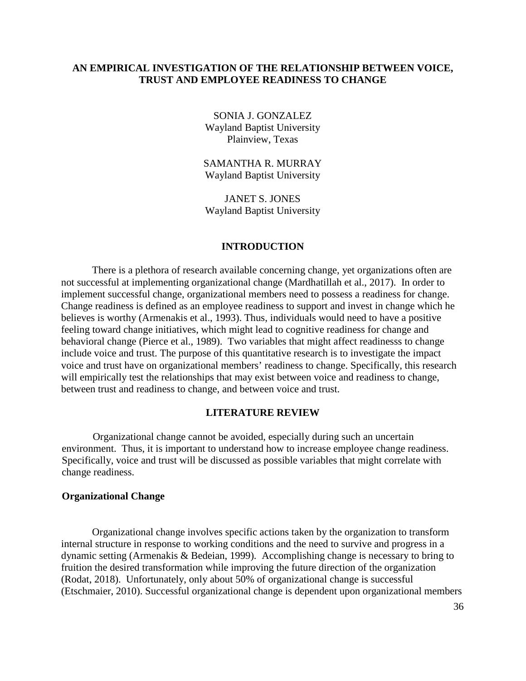## <span id="page-35-0"></span>**AN EMPIRICAL INVESTIGATION OF THE RELATIONSHIP BETWEEN VOICE, TRUST AND EMPLOYEE READINESS TO CHANGE**

SONIA J. GONZALEZ Wayland Baptist University Plainview, Texas

SAMANTHA R. MURRAY Wayland Baptist University

JANET S. JONES Wayland Baptist University

## **INTRODUCTION**

There is a plethora of research available concerning change, yet organizations often are not successful at implementing organizational change (Mardhatillah et al., 2017). In order to implement successful change, organizational members need to possess a readiness for change. Change readiness is defined as an employee readiness to support and invest in change which he believes is worthy (Armenakis et al., 1993). Thus, individuals would need to have a positive feeling toward change initiatives, which might lead to cognitive readiness for change and behavioral change (Pierce et al., 1989). Two variables that might affect readinesss to change include voice and trust. The purpose of this quantitative research is to investigate the impact voice and trust have on organizational members' readiness to change. Specifically, this research will empirically test the relationships that may exist between voice and readiness to change, between trust and readiness to change, and between voice and trust.

## **LITERATURE REVIEW**

Organizational change cannot be avoided, especially during such an uncertain environment. Thus, it is important to understand how to increase employee change readiness. Specifically, voice and trust will be discussed as possible variables that might correlate with change readiness.

## **Organizational Change**

Organizational change involves specific actions taken by the organization to transform internal structure in response to working conditions and the need to survive and progress in a dynamic setting (Armenakis & Bedeian, 1999). Accomplishing change is necessary to bring to fruition the desired transformation while improving the future direction of the organization (Rodat, 2018). Unfortunately, only about 50% of organizational change is successful (Etschmaier, 2010). Successful organizational change is dependent upon organizational members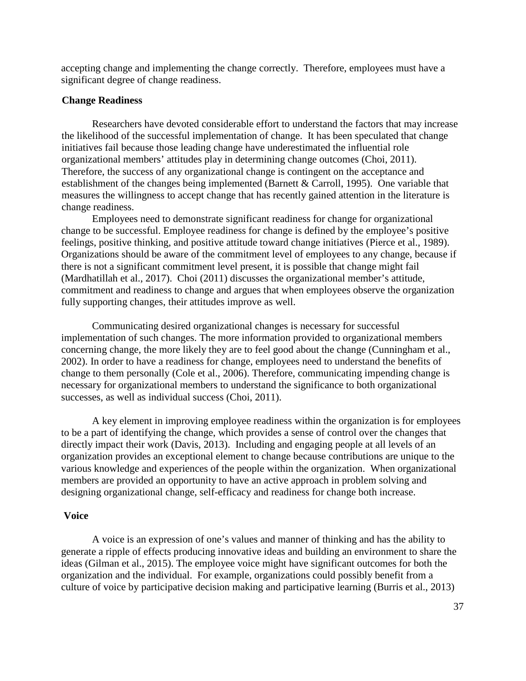accepting change and implementing the change correctly. Therefore, employees must have a significant degree of change readiness.

## **Change Readiness**

Researchers have devoted considerable effort to understand the factors that may increase the likelihood of the successful implementation of change. It has been speculated that change initiatives fail because those leading change have underestimated the influential role organizational members' attitudes play in determining change outcomes (Choi, 2011). Therefore, the success of any organizational change is contingent on the acceptance and establishment of the changes being implemented (Barnett & Carroll, 1995). One variable that measures the willingness to accept change that has recently gained attention in the literature is change readiness.

Employees need to demonstrate significant readiness for change for organizational change to be successful. Employee readiness for change is defined by the employee's positive feelings, positive thinking, and positive attitude toward change initiatives (Pierce et al., 1989). Organizations should be aware of the commitment level of employees to any change, because if there is not a significant commitment level present, it is possible that change might fail (Mardhatillah et al., 2017). Choi (2011) discusses the organizational member's attitude, commitment and readiness to change and argues that when employees observe the organization fully supporting changes, their attitudes improve as well.

Communicating desired organizational changes is necessary for successful implementation of such changes. The more information provided to organizational members concerning change, the more likely they are to feel good about the change (Cunningham et al., 2002). In order to have a readiness for change, employees need to understand the benefits of change to them personally (Cole et al., 2006). Therefore, communicating impending change is necessary for organizational members to understand the significance to both organizational successes, as well as individual success (Choi, 2011).

A key element in improving employee readiness within the organization is for employees to be a part of identifying the change, which provides a sense of control over the changes that directly impact their work (Davis, 2013). Including and engaging people at all levels of an organization provides an exceptional element to change because contributions are unique to the various knowledge and experiences of the people within the organization. When organizational members are provided an opportunity to have an active approach in problem solving and designing organizational change, self-efficacy and readiness for change both increase.

## **Voice**

A voice is an expression of one's values and manner of thinking and has the ability to generate a ripple of effects producing innovative ideas and building an environment to share the ideas (Gilman et al., 2015). The employee voice might have significant outcomes for both the organization and the individual. For example, organizations could possibly benefit from a culture of voice by participative decision making and participative learning (Burris et al., 2013)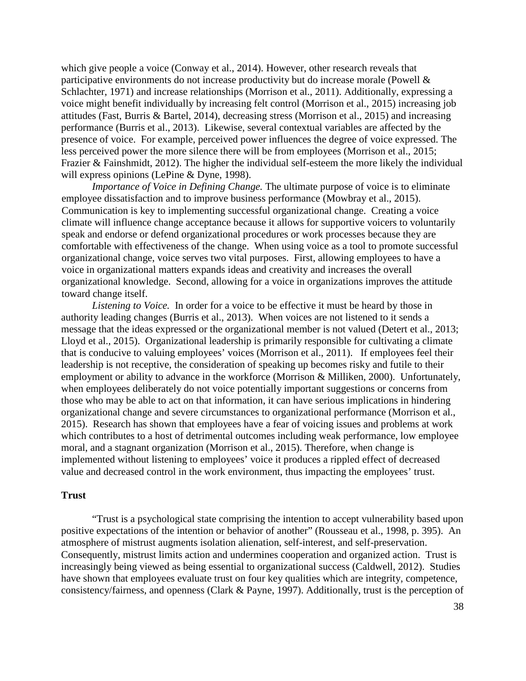which give people a voice (Conway et al., 2014). However, other research reveals that participative environments do not increase productivity but do increase morale (Powell & Schlachter, 1971) and increase relationships (Morrison et al., 2011). Additionally, expressing a voice might benefit individually by increasing felt control (Morrison et al., 2015) increasing job attitudes (Fast, Burris & Bartel, 2014), decreasing stress (Morrison et al., 2015) and increasing performance (Burris et al., 2013). Likewise, several contextual variables are affected by the presence of voice. For example, perceived power influences the degree of voice expressed. The less perceived power the more silence there will be from employees (Morrison et al., 2015; Frazier & Fainshmidt, 2012). The higher the individual self-esteem the more likely the individual will express opinions (LePine & Dyne, 1998).

*Importance of Voice in Defining Change.* The ultimate purpose of voice is to eliminate employee dissatisfaction and to improve business performance (Mowbray et al., 2015). Communication is key to implementing successful organizational change. Creating a voice climate will influence change acceptance because it allows for supportive voicers to voluntarily speak and endorse or defend organizational procedures or work processes because they are comfortable with effectiveness of the change. When using voice as a tool to promote successful organizational change, voice serves two vital purposes. First, allowing employees to have a voice in organizational matters expands ideas and creativity and increases the overall organizational knowledge. Second, allowing for a voice in organizations improves the attitude toward change itself.

*Listening to Voice.* In order for a voice to be effective it must be heard by those in authority leading changes (Burris et al., 2013). When voices are not listened to it sends a message that the ideas expressed or the organizational member is not valued (Detert et al., 2013; Lloyd et al., 2015). Organizational leadership is primarily responsible for cultivating a climate that is conducive to valuing employees' voices (Morrison et al., 2011). If employees feel their leadership is not receptive, the consideration of speaking up becomes risky and futile to their employment or ability to advance in the workforce (Morrison & Milliken, 2000). Unfortunately, when employees deliberately do not voice potentially important suggestions or concerns from those who may be able to act on that information, it can have serious implications in hindering organizational change and severe circumstances to organizational performance (Morrison et al., 2015). Research has shown that employees have a fear of voicing issues and problems at work which contributes to a host of detrimental outcomes including weak performance, low employee moral, and a stagnant organization (Morrison et al., 2015). Therefore, when change is implemented without listening to employees' voice it produces a rippled effect of decreased value and decreased control in the work environment, thus impacting the employees' trust.

#### **Trust**

"Trust is a psychological state comprising the intention to accept vulnerability based upon positive expectations of the intention or behavior of another" (Rousseau et al., 1998, p. 395). An atmosphere of mistrust augments isolation alienation, self-interest, and self-preservation. Consequently, mistrust limits action and undermines cooperation and organized action. Trust is increasingly being viewed as being essential to organizational success (Caldwell, 2012). Studies have shown that employees evaluate trust on four key qualities which are integrity, competence, consistency/fairness, and openness (Clark & Payne, 1997). Additionally, trust is the perception of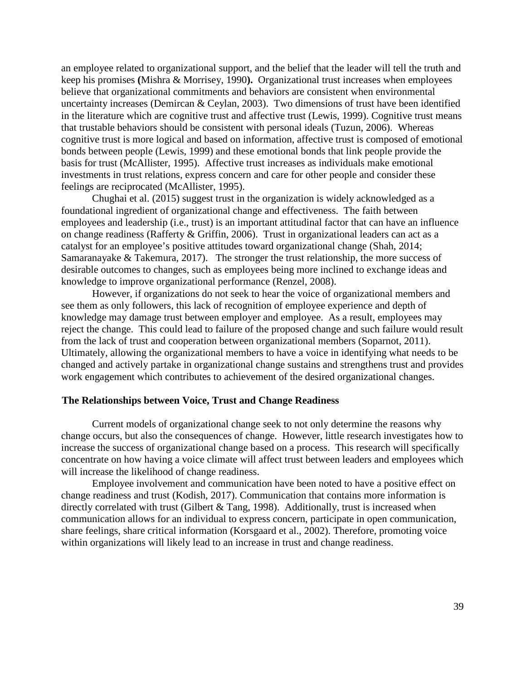an employee related to organizational support, and the belief that the leader will tell the truth and keep his promises **(**Mishra & Morrisey, 1990**).** Organizational trust increases when employees believe that organizational commitments and behaviors are consistent when environmental uncertainty increases (Demircan & Ceylan, 2003). Two dimensions of trust have been identified in the literature which are cognitive trust and affective trust (Lewis, 1999). Cognitive trust means that trustable behaviors should be consistent with personal ideals (Tuzun, 2006). Whereas cognitive trust is more logical and based on information, affective trust is composed of emotional bonds between people (Lewis, 1999) and these emotional bonds that link people provide the basis for trust (McAllister, 1995). Affective trust increases as individuals make emotional investments in trust relations, express concern and care for other people and consider these feelings are reciprocated (McAllister, 1995).

Chughai et al. (2015) suggest trust in the organization is widely acknowledged as a foundational ingredient of organizational change and effectiveness. The faith between employees and leadership (i.e., trust) is an important attitudinal factor that can have an influence on change readiness (Rafferty & Griffin, 2006). Trust in organizational leaders can act as a catalyst for an employee's positive attitudes toward organizational change (Shah, 2014; Samaranayake & Takemura, 2017). The stronger the trust relationship, the more success of desirable outcomes to changes, such as employees being more inclined to exchange ideas and knowledge to improve organizational performance (Renzel, 2008).

However, if organizations do not seek to hear the voice of organizational members and see them as only followers, this lack of recognition of employee experience and depth of knowledge may damage trust between employer and employee. As a result, employees may reject the change. This could lead to failure of the proposed change and such failure would result from the lack of trust and cooperation between organizational members (Soparnot, 2011). Ultimately, allowing the organizational members to have a voice in identifying what needs to be changed and actively partake in organizational change sustains and strengthens trust and provides work engagement which contributes to achievement of the desired organizational changes.

#### **The Relationships between Voice, Trust and Change Readiness**

Current models of organizational change seek to not only determine the reasons why change occurs, but also the consequences of change. However, little research investigates how to increase the success of organizational change based on a process. This research will specifically concentrate on how having a voice climate will affect trust between leaders and employees which will increase the likelihood of change readiness.

Employee involvement and communication have been noted to have a positive effect on change readiness and trust (Kodish, 2017). Communication that contains more information is directly correlated with trust (Gilbert & Tang, 1998). Additionally, trust is increased when communication allows for an individual to express concern, participate in open communication, share feelings, share critical information (Korsgaard et al., 2002). Therefore, promoting voice within organizations will likely lead to an increase in trust and change readiness.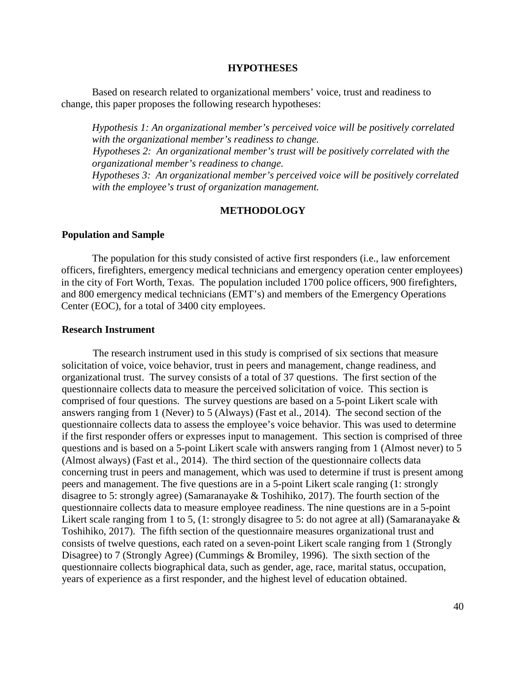#### **HYPOTHESES**

Based on research related to organizational members' voice, trust and readiness to change, this paper proposes the following research hypotheses:

*Hypothesis 1: An organizational member's perceived voice will be positively correlated with the organizational member's readiness to change. Hypotheses 2: An organizational member's trust will be positively correlated with the organizational member's readiness to change. Hypotheses 3: An organizational member's perceived voice will be positively correlated with the employee's trust of organization management.*

## **METHODOLOGY**

#### **Population and Sample**

The population for this study consisted of active first responders (i.e., law enforcement officers, firefighters, emergency medical technicians and emergency operation center employees) in the city of Fort Worth, Texas. The population included 1700 police officers, 900 firefighters, and 800 emergency medical technicians (EMT's) and members of the Emergency Operations Center (EOC), for a total of 3400 city employees.

#### **Research Instrument**

The research instrument used in this study is comprised of six sections that measure solicitation of voice, voice behavior, trust in peers and management, change readiness, and organizational trust. The survey consists of a total of 37 questions. The first section of the questionnaire collects data to measure the perceived solicitation of voice. This section is comprised of four questions. The survey questions are based on a 5-point Likert scale with answers ranging from 1 (Never) to 5 (Always) (Fast et al., 2014). The second section of the questionnaire collects data to assess the employee's voice behavior. This was used to determine if the first responder offers or expresses input to management. This section is comprised of three questions and is based on a 5-point Likert scale with answers ranging from 1 (Almost never) to 5 (Almost always) (Fast et al., 2014). The third section of the questionnaire collects data concerning trust in peers and management, which was used to determine if trust is present among peers and management. The five questions are in a 5-point Likert scale ranging (1: strongly disagree to 5: strongly agree) (Samaranayake & Toshihiko, 2017). The fourth section of the questionnaire collects data to measure employee readiness. The nine questions are in a 5-point Likert scale ranging from 1 to 5, (1: strongly disagree to 5: do not agree at all) (Samaranayake  $\&$ Toshihiko, 2017). The fifth section of the questionnaire measures organizational trust and consists of twelve questions, each rated on a seven-point Likert scale ranging from 1 (Strongly Disagree) to 7 (Strongly Agree) (Cummings & Bromiley, 1996). The sixth section of the questionnaire collects biographical data, such as gender, age, race, marital status, occupation, years of experience as a first responder, and the highest level of education obtained.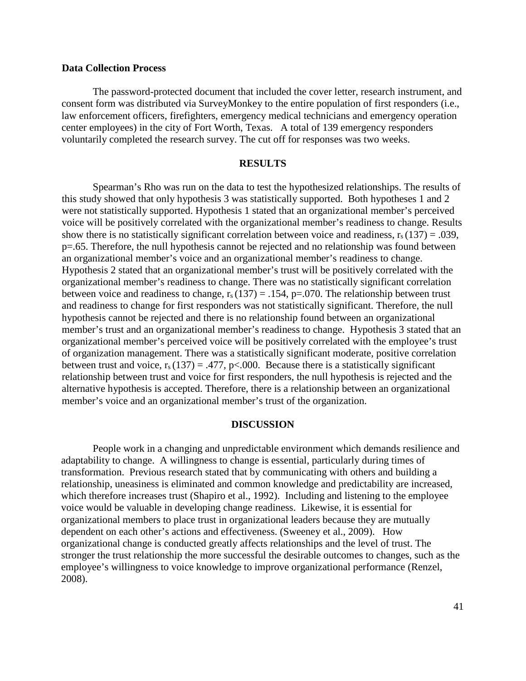## **Data Collection Process**

The password-protected document that included the cover letter, research instrument, and consent form was distributed via SurveyMonkey to the entire population of first responders (i.e., law enforcement officers, firefighters, emergency medical technicians and emergency operation center employees) in the city of Fort Worth, Texas. A total of 139 emergency responders voluntarily completed the research survey. The cut off for responses was two weeks.

## **RESULTS**

Spearman's Rho was run on the data to test the hypothesized relationships. The results of this study showed that only hypothesis 3 was statistically supported. Both hypotheses 1 and 2 were not statistically supported. Hypothesis 1 stated that an organizational member's perceived voice will be positively correlated with the organizational member's readiness to change. Results show there is no statistically significant correlation between voice and readiness,  $r_s(137) = .039$ , p=.65. Therefore, the null hypothesis cannot be rejected and no relationship was found between an organizational member's voice and an organizational member's readiness to change. Hypothesis 2 stated that an organizational member's trust will be positively correlated with the organizational member's readiness to change. There was no statistically significant correlation between voice and readiness to change,  $r_s(137) = .154$ , p=.070. The relationship between trust and readiness to change for first responders was not statistically significant. Therefore, the null hypothesis cannot be rejected and there is no relationship found between an organizational member's trust and an organizational member's readiness to change. Hypothesis 3 stated that an organizational member's perceived voice will be positively correlated with the employee's trust of organization management. There was a statistically significant moderate, positive correlation between trust and voice,  $r_s(137) = .477$ , p<.000. Because there is a statistically significant relationship between trust and voice for first responders, the null hypothesis is rejected and the alternative hypothesis is accepted. Therefore, there is a relationship between an organizational member's voice and an organizational member's trust of the organization.

#### **DISCUSSION**

People work in a changing and unpredictable environment which demands resilience and adaptability to change. A willingness to change is essential, particularly during times of transformation. Previous research stated that by communicating with others and building a relationship, uneasiness is eliminated and common knowledge and predictability are increased, which therefore increases trust (Shapiro et al., 1992). Including and listening to the employee voice would be valuable in developing change readiness. Likewise, it is essential for organizational members to place trust in organizational leaders because they are mutually dependent on each other's actions and effectiveness. (Sweeney et al., 2009). How organizational change is conducted greatly affects relationships and the level of trust. The stronger the trust relationship the more successful the desirable outcomes to changes, such as the employee's willingness to voice knowledge to improve organizational performance (Renzel, 2008).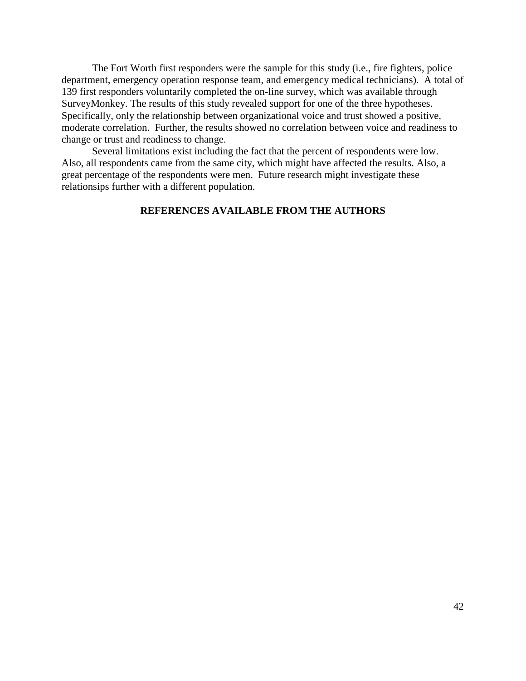The Fort Worth first responders were the sample for this study (i.e., fire fighters, police department, emergency operation response team, and emergency medical technicians). A total of 139 first responders voluntarily completed the on-line survey, which was available through SurveyMonkey. The results of this study revealed support for one of the three hypotheses. Specifically, only the relationship between organizational voice and trust showed a positive, moderate correlation. Further, the results showed no correlation between voice and readiness to change or trust and readiness to change.

Several limitations exist including the fact that the percent of respondents were low. Also, all respondents came from the same city, which might have affected the results. Also, a great percentage of the respondents were men. Future research might investigate these relationsips further with a different population.

## **REFERENCES AVAILABLE FROM THE AUTHORS**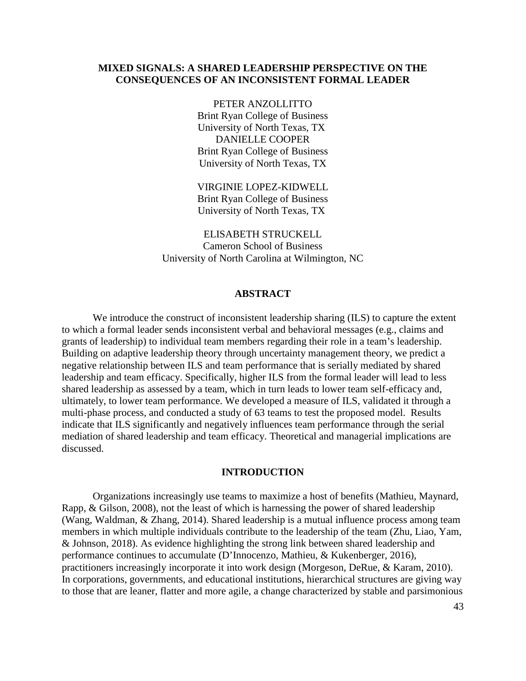## **MIXED SIGNALS: A SHARED LEADERSHIP PERSPECTIVE ON THE CONSEQUENCES OF AN INCONSISTENT FORMAL LEADER**

PETER ANZOLLITTO Brint Ryan College of Business University of North Texas, TX DANIELLE COOPER Brint Ryan College of Business University of North Texas, TX

VIRGINIE LOPEZ-KIDWELL Brint Ryan College of Business University of North Texas, TX

ELISABETH STRUCKELL Cameron School of Business University of North Carolina at Wilmington, NC

#### **ABSTRACT**

We introduce the construct of inconsistent leadership sharing (ILS) to capture the extent to which a formal leader sends inconsistent verbal and behavioral messages (e.g., claims and grants of leadership) to individual team members regarding their role in a team's leadership. Building on adaptive leadership theory through uncertainty management theory, we predict a negative relationship between ILS and team performance that is serially mediated by shared leadership and team efficacy. Specifically, higher ILS from the formal leader will lead to less shared leadership as assessed by a team, which in turn leads to lower team self-efficacy and, ultimately, to lower team performance. We developed a measure of ILS, validated it through a multi-phase process, and conducted a study of 63 teams to test the proposed model. Results indicate that ILS significantly and negatively influences team performance through the serial mediation of shared leadership and team efficacy. Theoretical and managerial implications are discussed.

#### **INTRODUCTION**

Organizations increasingly use teams to maximize a host of benefits (Mathieu, Maynard, Rapp, & Gilson, 2008), not the least of which is harnessing the power of shared leadership (Wang, Waldman, & Zhang, 2014). Shared leadership is a mutual influence process among team members in which multiple individuals contribute to the leadership of the team (Zhu, Liao, Yam, & Johnson, 2018). As evidence highlighting the strong link between shared leadership and performance continues to accumulate (D'Innocenzo, Mathieu, & Kukenberger, 2016), practitioners increasingly incorporate it into work design (Morgeson, DeRue, & Karam, 2010). In corporations, governments, and educational institutions, hierarchical structures are giving way to those that are leaner, flatter and more agile, a change characterized by stable and parsimonious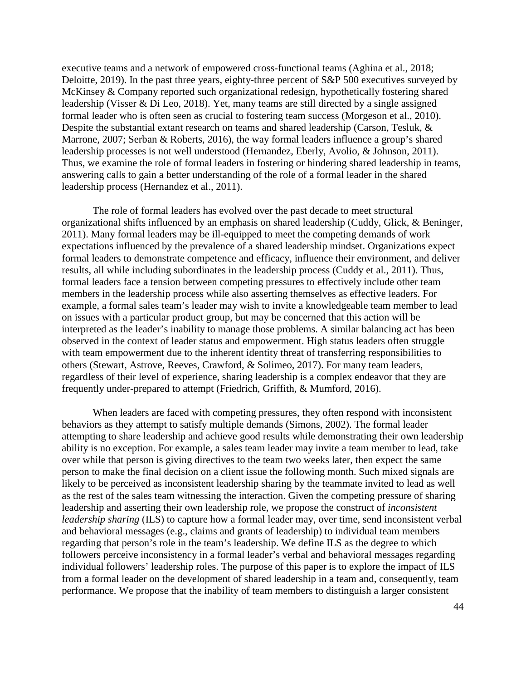executive teams and a network of empowered cross-functional teams (Aghina et al., 2018; Deloitte, 2019). In the past three years, eighty-three percent of S&P 500 executives surveyed by McKinsey & Company reported such organizational redesign, hypothetically fostering shared leadership (Visser & Di Leo, 2018). Yet, many teams are still directed by a single assigned formal leader who is often seen as crucial to fostering team success (Morgeson et al., 2010). Despite the substantial extant research on teams and shared leadership (Carson, Tesluk, & Marrone, 2007; Serban & Roberts, 2016), the way formal leaders influence a group's shared leadership processes is not well understood (Hernandez, Eberly, Avolio, & Johnson, 2011). Thus, we examine the role of formal leaders in fostering or hindering shared leadership in teams, answering calls to gain a better understanding of the role of a formal leader in the shared leadership process (Hernandez et al., 2011).

The role of formal leaders has evolved over the past decade to meet structural organizational shifts influenced by an emphasis on shared leadership (Cuddy, Glick, & Beninger, 2011). Many formal leaders may be ill-equipped to meet the competing demands of work expectations influenced by the prevalence of a shared leadership mindset. Organizations expect formal leaders to demonstrate competence and efficacy, influence their environment, and deliver results, all while including subordinates in the leadership process (Cuddy et al., 2011). Thus, formal leaders face a tension between competing pressures to effectively include other team members in the leadership process while also asserting themselves as effective leaders. For example, a formal sales team's leader may wish to invite a knowledgeable team member to lead on issues with a particular product group, but may be concerned that this action will be interpreted as the leader's inability to manage those problems. A similar balancing act has been observed in the context of leader status and empowerment. High status leaders often struggle with team empowerment due to the inherent identity threat of transferring responsibilities to others (Stewart, Astrove, Reeves, Crawford, & Solimeo, 2017). For many team leaders, regardless of their level of experience, sharing leadership is a complex endeavor that they are frequently under-prepared to attempt (Friedrich, Griffith, & Mumford, 2016).

When leaders are faced with competing pressures, they often respond with inconsistent behaviors as they attempt to satisfy multiple demands (Simons, 2002). The formal leader attempting to share leadership and achieve good results while demonstrating their own leadership ability is no exception. For example, a sales team leader may invite a team member to lead, take over while that person is giving directives to the team two weeks later, then expect the same person to make the final decision on a client issue the following month. Such mixed signals are likely to be perceived as inconsistent leadership sharing by the teammate invited to lead as well as the rest of the sales team witnessing the interaction. Given the competing pressure of sharing leadership and asserting their own leadership role, we propose the construct of *inconsistent leadership sharing* (ILS) to capture how a formal leader may, over time, send inconsistent verbal and behavioral messages (e.g., claims and grants of leadership) to individual team members regarding that person's role in the team's leadership. We define ILS as the degree to which followers perceive inconsistency in a formal leader's verbal and behavioral messages regarding individual followers' leadership roles. The purpose of this paper is to explore the impact of ILS from a formal leader on the development of shared leadership in a team and, consequently, team performance. We propose that the inability of team members to distinguish a larger consistent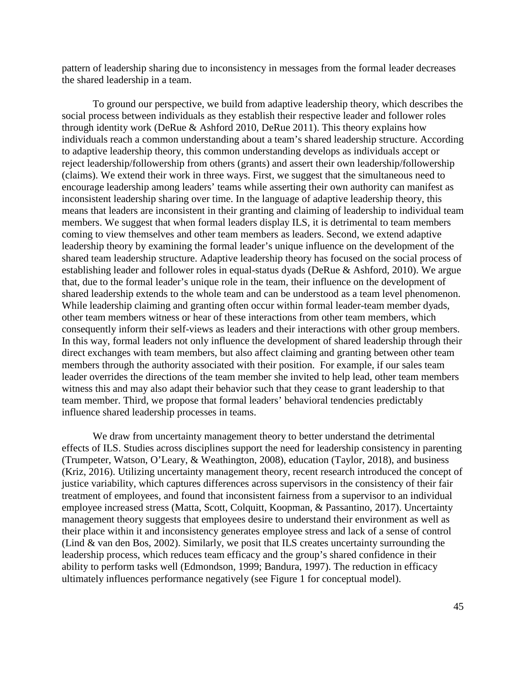pattern of leadership sharing due to inconsistency in messages from the formal leader decreases the shared leadership in a team.

To ground our perspective, we build from adaptive leadership theory, which describes the social process between individuals as they establish their respective leader and follower roles through identity work (DeRue & Ashford 2010, DeRue 2011). This theory explains how individuals reach a common understanding about a team's shared leadership structure. According to adaptive leadership theory, this common understanding develops as individuals accept or reject leadership/followership from others (grants) and assert their own leadership/followership (claims). We extend their work in three ways. First, we suggest that the simultaneous need to encourage leadership among leaders' teams while asserting their own authority can manifest as inconsistent leadership sharing over time. In the language of adaptive leadership theory, this means that leaders are inconsistent in their granting and claiming of leadership to individual team members. We suggest that when formal leaders display ILS, it is detrimental to team members coming to view themselves and other team members as leaders. Second, we extend adaptive leadership theory by examining the formal leader's unique influence on the development of the shared team leadership structure. Adaptive leadership theory has focused on the social process of establishing leader and follower roles in equal-status dyads (DeRue & Ashford, 2010). We argue that, due to the formal leader's unique role in the team, their influence on the development of shared leadership extends to the whole team and can be understood as a team level phenomenon. While leadership claiming and granting often occur within formal leader-team member dyads, other team members witness or hear of these interactions from other team members, which consequently inform their self-views as leaders and their interactions with other group members. In this way, formal leaders not only influence the development of shared leadership through their direct exchanges with team members, but also affect claiming and granting between other team members through the authority associated with their position. For example, if our sales team leader overrides the directions of the team member she invited to help lead, other team members witness this and may also adapt their behavior such that they cease to grant leadership to that team member. Third, we propose that formal leaders' behavioral tendencies predictably influence shared leadership processes in teams.

We draw from uncertainty management theory to better understand the detrimental effects of ILS. Studies across disciplines support the need for leadership consistency in parenting (Trumpeter, Watson, O'Leary, & Weathington, 2008), education (Taylor, 2018), and business (Kriz, 2016). Utilizing uncertainty management theory, recent research introduced the concept of justice variability, which captures differences across supervisors in the consistency of their fair treatment of employees, and found that inconsistent fairness from a supervisor to an individual employee increased stress (Matta, Scott, Colquitt, Koopman, & Passantino, 2017). Uncertainty management theory suggests that employees desire to understand their environment as well as their place within it and inconsistency generates employee stress and lack of a sense of control (Lind & van den Bos, 2002). Similarly, we posit that ILS creates uncertainty surrounding the leadership process, which reduces team efficacy and the group's shared confidence in their ability to perform tasks well (Edmondson, 1999; Bandura, 1997). The reduction in efficacy ultimately influences performance negatively (see Figure 1 for conceptual model).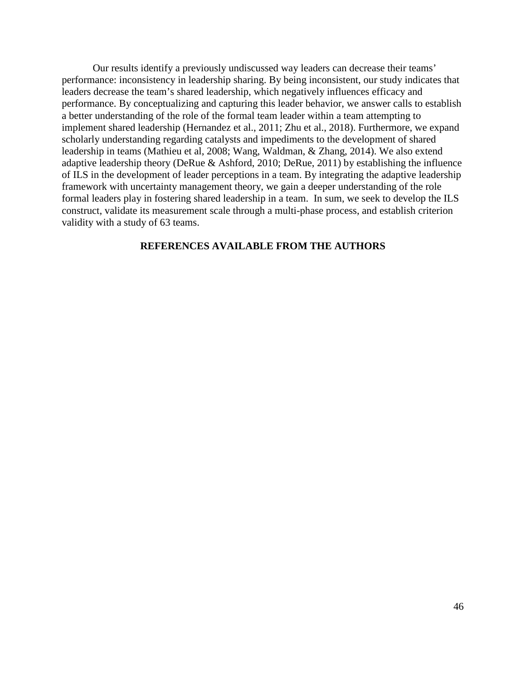Our results identify a previously undiscussed way leaders can decrease their teams' performance: inconsistency in leadership sharing. By being inconsistent, our study indicates that leaders decrease the team's shared leadership, which negatively influences efficacy and performance. By conceptualizing and capturing this leader behavior, we answer calls to establish a better understanding of the role of the formal team leader within a team attempting to implement shared leadership (Hernandez et al., 2011; Zhu et al., 2018). Furthermore, we expand scholarly understanding regarding catalysts and impediments to the development of shared leadership in teams (Mathieu et al, 2008; Wang, Waldman, & Zhang, 2014). We also extend adaptive leadership theory (DeRue & Ashford, 2010; DeRue, 2011) by establishing the influence of ILS in the development of leader perceptions in a team. By integrating the adaptive leadership framework with uncertainty management theory, we gain a deeper understanding of the role formal leaders play in fostering shared leadership in a team. In sum, we seek to develop the ILS construct, validate its measurement scale through a multi-phase process, and establish criterion validity with a study of 63 teams.

## **REFERENCES AVAILABLE FROM THE AUTHORS**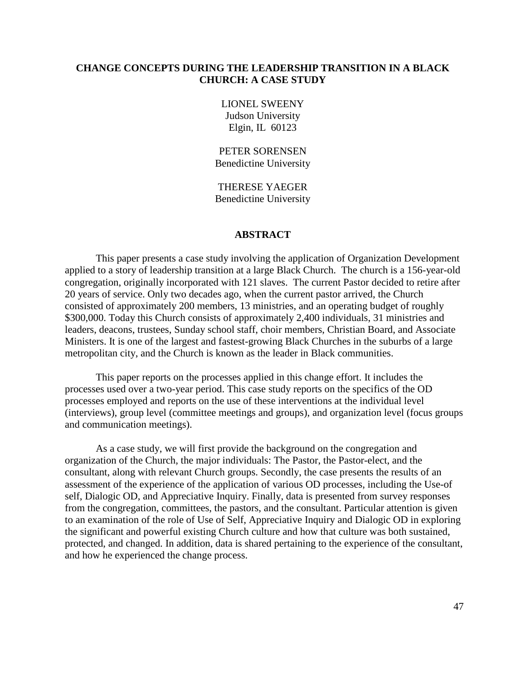## **CHANGE CONCEPTS DURING THE LEADERSHIP TRANSITION IN A BLACK CHURCH: A CASE STUDY**

LIONEL SWEENY Judson University Elgin, IL 60123

PETER SORENSEN Benedictine University

THERESE YAEGER Benedictine University

## **ABSTRACT**

This paper presents a case study involving the application of Organization Development applied to a story of leadership transition at a large Black Church. The church is a 156-year-old congregation, originally incorporated with 121 slaves. The current Pastor decided to retire after 20 years of service. Only two decades ago, when the current pastor arrived, the Church consisted of approximately 200 members, 13 ministries, and an operating budget of roughly \$300,000. Today this Church consists of approximately 2,400 individuals, 31 ministries and leaders, deacons, trustees, Sunday school staff, choir members, Christian Board, and Associate Ministers. It is one of the largest and fastest-growing Black Churches in the suburbs of a large metropolitan city, and the Church is known as the leader in Black communities.

This paper reports on the processes applied in this change effort. It includes the processes used over a two-year period. This case study reports on the specifics of the OD processes employed and reports on the use of these interventions at the individual level (interviews), group level (committee meetings and groups), and organization level (focus groups and communication meetings).

As a case study, we will first provide the background on the congregation and organization of the Church, the major individuals: The Pastor, the Pastor-elect, and the consultant, along with relevant Church groups. Secondly, the case presents the results of an assessment of the experience of the application of various OD processes, including the Use-of self, Dialogic OD, and Appreciative Inquiry. Finally, data is presented from survey responses from the congregation, committees, the pastors, and the consultant. Particular attention is given to an examination of the role of Use of Self, Appreciative Inquiry and Dialogic OD in exploring the significant and powerful existing Church culture and how that culture was both sustained, protected, and changed. In addition, data is shared pertaining to the experience of the consultant, and how he experienced the change process.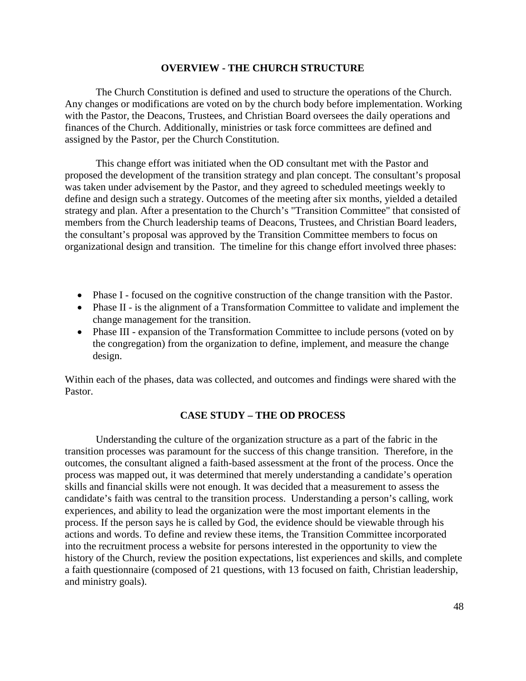## **OVERVIEW - THE CHURCH STRUCTURE**

The Church Constitution is defined and used to structure the operations of the Church. Any changes or modifications are voted on by the church body before implementation. Working with the Pastor, the Deacons, Trustees, and Christian Board oversees the daily operations and finances of the Church. Additionally, ministries or task force committees are defined and assigned by the Pastor, per the Church Constitution.

This change effort was initiated when the OD consultant met with the Pastor and proposed the development of the transition strategy and plan concept. The consultant's proposal was taken under advisement by the Pastor, and they agreed to scheduled meetings weekly to define and design such a strategy. Outcomes of the meeting after six months, yielded a detailed strategy and plan. After a presentation to the Church's "Transition Committee" that consisted of members from the Church leadership teams of Deacons, Trustees, and Christian Board leaders, the consultant's proposal was approved by the Transition Committee members to focus on organizational design and transition. The timeline for this change effort involved three phases:

- Phase I focused on the cognitive construction of the change transition with the Pastor.
- Phase II is the alignment of a Transformation Committee to validate and implement the change management for the transition.
- Phase III expansion of the Transformation Committee to include persons (voted on by the congregation) from the organization to define, implement, and measure the change design.

Within each of the phases, data was collected, and outcomes and findings were shared with the Pastor.

### **CASE STUDY – THE OD PROCESS**

Understanding the culture of the organization structure as a part of the fabric in the transition processes was paramount for the success of this change transition. Therefore, in the outcomes, the consultant aligned a faith-based assessment at the front of the process. Once the process was mapped out, it was determined that merely understanding a candidate's operation skills and financial skills were not enough. It was decided that a measurement to assess the candidate's faith was central to the transition process. Understanding a person's calling, work experiences, and ability to lead the organization were the most important elements in the process. If the person says he is called by God, the evidence should be viewable through his actions and words. To define and review these items, the Transition Committee incorporated into the recruitment process a website for persons interested in the opportunity to view the history of the Church, review the position expectations, list experiences and skills, and complete a faith questionnaire (composed of 21 questions, with 13 focused on faith, Christian leadership, and ministry goals).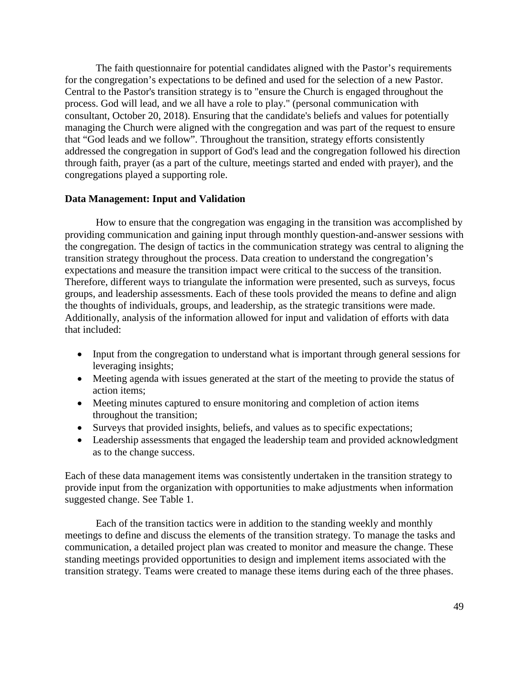The faith questionnaire for potential candidates aligned with the Pastor's requirements for the congregation's expectations to be defined and used for the selection of a new Pastor. Central to the Pastor's transition strategy is to "ensure the Church is engaged throughout the process. God will lead, and we all have a role to play." (personal communication with consultant, October 20, 2018). Ensuring that the candidate's beliefs and values for potentially managing the Church were aligned with the congregation and was part of the request to ensure that "God leads and we follow". Throughout the transition, strategy efforts consistently addressed the congregation in support of God's lead and the congregation followed his direction through faith, prayer (as a part of the culture, meetings started and ended with prayer), and the congregations played a supporting role.

### **Data Management: Input and Validation**

How to ensure that the congregation was engaging in the transition was accomplished by providing communication and gaining input through monthly question-and-answer sessions with the congregation. The design of tactics in the communication strategy was central to aligning the transition strategy throughout the process. Data creation to understand the congregation's expectations and measure the transition impact were critical to the success of the transition. Therefore, different ways to triangulate the information were presented, such as surveys, focus groups, and leadership assessments. Each of these tools provided the means to define and align the thoughts of individuals, groups, and leadership, as the strategic transitions were made. Additionally, analysis of the information allowed for input and validation of efforts with data that included:

- Input from the congregation to understand what is important through general sessions for leveraging insights;
- Meeting agenda with issues generated at the start of the meeting to provide the status of action items;
- Meeting minutes captured to ensure monitoring and completion of action items throughout the transition;
- Surveys that provided insights, beliefs, and values as to specific expectations;
- Leadership assessments that engaged the leadership team and provided acknowledgment as to the change success.

Each of these data management items was consistently undertaken in the transition strategy to provide input from the organization with opportunities to make adjustments when information suggested change. See Table 1.

Each of the transition tactics were in addition to the standing weekly and monthly meetings to define and discuss the elements of the transition strategy. To manage the tasks and communication, a detailed project plan was created to monitor and measure the change. These standing meetings provided opportunities to design and implement items associated with the transition strategy. Teams were created to manage these items during each of the three phases.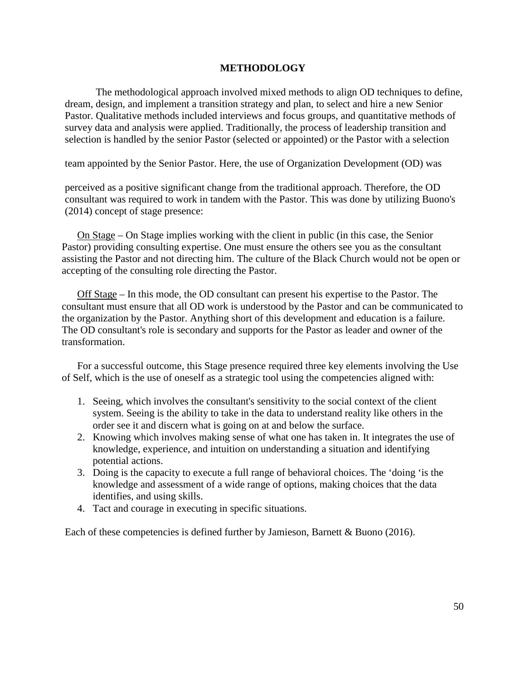## **METHODOLOGY**

The methodological approach involved mixed methods to align OD techniques to define, dream, design, and implement a transition strategy and plan, to select and hire a new Senior Pastor. Qualitative methods included interviews and focus groups, and quantitative methods of survey data and analysis were applied. Traditionally, the process of leadership transition and selection is handled by the senior Pastor (selected or appointed) or the Pastor with a selection

team appointed by the Senior Pastor. Here, the use of Organization Development (OD) was

perceived as a positive significant change from the traditional approach. Therefore, the OD consultant was required to work in tandem with the Pastor. This was done by utilizing Buono's (2014) concept of stage presence:

On Stage – On Stage implies working with the client in public (in this case, the Senior Pastor) providing consulting expertise. One must ensure the others see you as the consultant assisting the Pastor and not directing him. The culture of the Black Church would not be open or accepting of the consulting role directing the Pastor.

Off Stage – In this mode, the OD consultant can present his expertise to the Pastor. The consultant must ensure that all OD work is understood by the Pastor and can be communicated to the organization by the Pastor. Anything short of this development and education is a failure. The OD consultant's role is secondary and supports for the Pastor as leader and owner of the transformation.

For a successful outcome, this Stage presence required three key elements involving the Use of Self, which is the use of oneself as a strategic tool using the competencies aligned with:

- 1. Seeing, which involves the consultant's sensitivity to the social context of the client system. Seeing is the ability to take in the data to understand reality like others in the order see it and discern what is going on at and below the surface.
- 2. Knowing which involves making sense of what one has taken in. It integrates the use of knowledge, experience, and intuition on understanding a situation and identifying potential actions.
- 3. Doing is the capacity to execute a full range of behavioral choices. The 'doing 'is the knowledge and assessment of a wide range of options, making choices that the data identifies, and using skills.
- 4. Tact and courage in executing in specific situations.

Each of these competencies is defined further by Jamieson, Barnett & Buono (2016).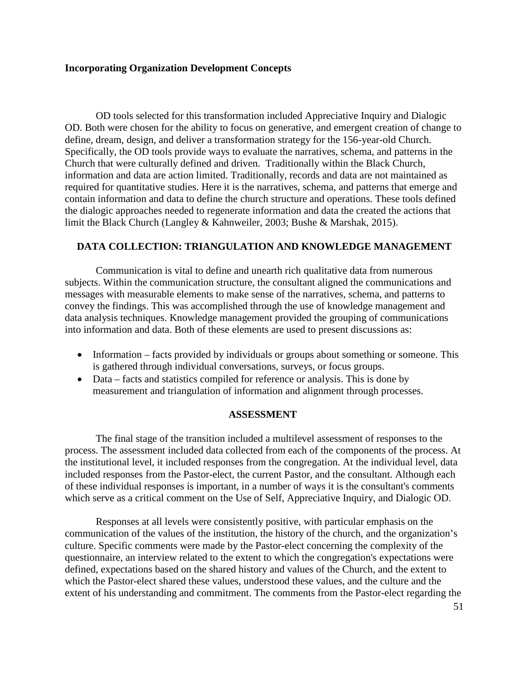## **Incorporating Organization Development Concepts**

OD tools selected for this transformation included Appreciative Inquiry and Dialogic OD. Both were chosen for the ability to focus on generative, and emergent creation of change to define, dream, design, and deliver a transformation strategy for the 156-year-old Church. Specifically, the OD tools provide ways to evaluate the narratives, schema, and patterns in the Church that were culturally defined and driven. Traditionally within the Black Church, information and data are action limited. Traditionally, records and data are not maintained as required for quantitative studies. Here it is the narratives, schema, and patterns that emerge and contain information and data to define the church structure and operations. These tools defined the dialogic approaches needed to regenerate information and data the created the actions that limit the Black Church (Langley & Kahnweiler, 2003; Bushe & Marshak, 2015).

## **DATA COLLECTION: TRIANGULATION AND KNOWLEDGE MANAGEMENT**

Communication is vital to define and unearth rich qualitative data from numerous subjects. Within the communication structure, the consultant aligned the communications and messages with measurable elements to make sense of the narratives, schema, and patterns to convey the findings. This was accomplished through the use of knowledge management and data analysis techniques. Knowledge management provided the grouping of communications into information and data. Both of these elements are used to present discussions as:

- Information facts provided by individuals or groups about something or someone. This is gathered through individual conversations, surveys, or focus groups.
- Data facts and statistics compiled for reference or analysis. This is done by measurement and triangulation of information and alignment through processes.

## **ASSESSMENT**

The final stage of the transition included a multilevel assessment of responses to the process. The assessment included data collected from each of the components of the process. At the institutional level, it included responses from the congregation. At the individual level, data included responses from the Pastor-elect, the current Pastor, and the consultant. Although each of these individual responses is important, in a number of ways it is the consultant's comments which serve as a critical comment on the Use of Self, Appreciative Inquiry, and Dialogic OD.

Responses at all levels were consistently positive, with particular emphasis on the communication of the values of the institution, the history of the church, and the organization's culture. Specific comments were made by the Pastor-elect concerning the complexity of the questionnaire, an interview related to the extent to which the congregation's expectations were defined, expectations based on the shared history and values of the Church, and the extent to which the Pastor-elect shared these values, understood these values, and the culture and the extent of his understanding and commitment. The comments from the Pastor-elect regarding the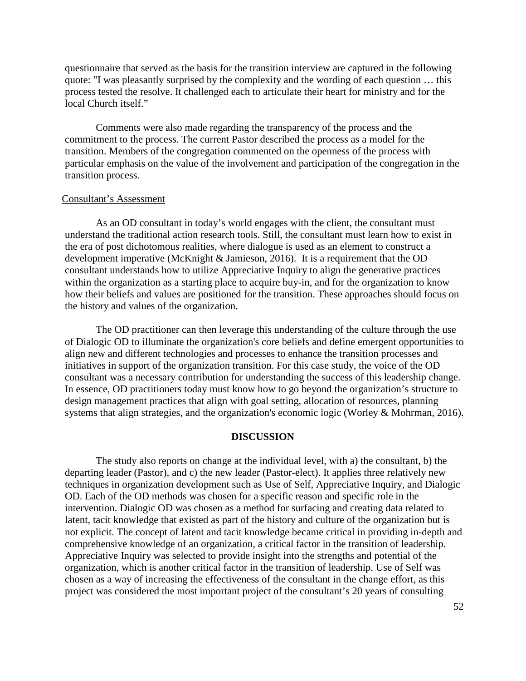questionnaire that served as the basis for the transition interview are captured in the following quote: "I was pleasantly surprised by the complexity and the wording of each question … this process tested the resolve. It challenged each to articulate their heart for ministry and for the local Church itself."

Comments were also made regarding the transparency of the process and the commitment to the process. The current Pastor described the process as a model for the transition. Members of the congregation commented on the openness of the process with particular emphasis on the value of the involvement and participation of the congregation in the transition process.

# Consultant's Assessment

As an OD consultant in today's world engages with the client, the consultant must understand the traditional action research tools. Still, the consultant must learn how to exist in the era of post dichotomous realities, where dialogue is used as an element to construct a development imperative (McKnight & Jamieson, 2016). It is a requirement that the OD consultant understands how to utilize Appreciative Inquiry to align the generative practices within the organization as a starting place to acquire buy-in, and for the organization to know how their beliefs and values are positioned for the transition. These approaches should focus on the history and values of the organization.

The OD practitioner can then leverage this understanding of the culture through the use of Dialogic OD to illuminate the organization's core beliefs and define emergent opportunities to align new and different technologies and processes to enhance the transition processes and initiatives in support of the organization transition. For this case study, the voice of the OD consultant was a necessary contribution for understanding the success of this leadership change. In essence, OD practitioners today must know how to go beyond the organization's structure to design management practices that align with goal setting, allocation of resources, planning systems that align strategies, and the organization's economic logic (Worley & Mohrman, 2016).

## **DISCUSSION**

The study also reports on change at the individual level, with a) the consultant, b) the departing leader (Pastor), and c) the new leader (Pastor-elect). It applies three relatively new techniques in organization development such as Use of Self, Appreciative Inquiry, and Dialogic OD. Each of the OD methods was chosen for a specific reason and specific role in the intervention. Dialogic OD was chosen as a method for surfacing and creating data related to latent, tacit knowledge that existed as part of the history and culture of the organization but is not explicit. The concept of latent and tacit knowledge became critical in providing in-depth and comprehensive knowledge of an organization, a critical factor in the transition of leadership. Appreciative Inquiry was selected to provide insight into the strengths and potential of the organization, which is another critical factor in the transition of leadership. Use of Self was chosen as a way of increasing the effectiveness of the consultant in the change effort, as this project was considered the most important project of the consultant's 20 years of consulting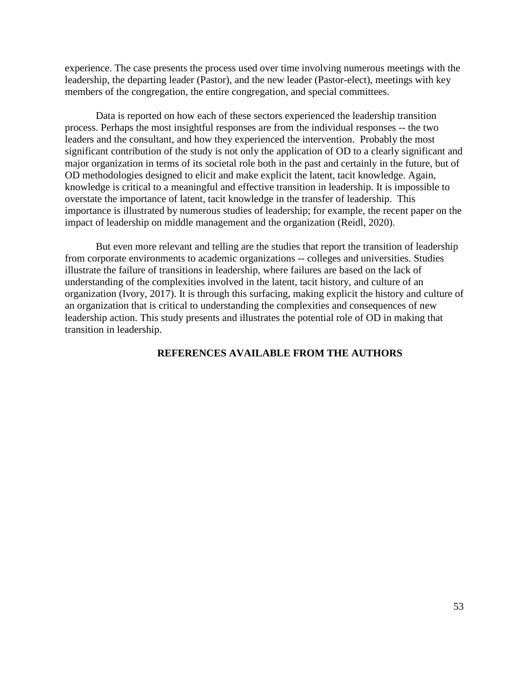experience. The case presents the process used over time involving numerous meetings with the leadership, the departing leader (Pastor), and the new leader (Pastor-elect), meetings with key members of the congregation, the entire congregation, and special committees.

Data is reported on how each of these sectors experienced the leadership transition process. Perhaps the most insightful responses are from the individual responses -- the two leaders and the consultant, and how they experienced the intervention. Probably the most significant contribution of the study is not only the application of OD to a clearly significant and major organization in terms of its societal role both in the past and certainly in the future, but of OD methodologies designed to elicit and make explicit the latent, tacit knowledge. Again, knowledge is critical to a meaningful and effective transition in leadership. It is impossible to overstate the importance of latent, tacit knowledge in the transfer of leadership. This importance is illustrated by numerous studies of leadership; for example, the recent paper on the impact of leadership on middle management and the organization (Reidl, 2020).

But even more relevant and telling are the studies that report the transition of leadership from corporate environments to academic organizations -- colleges and universities. Studies illustrate the failure of transitions in leadership, where failures are based on the lack of understanding of the complexities involved in the latent, tacit history, and culture of an organization (Ivory, 2017). It is through this surfacing, making explicit the history and culture of an organization that is critical to understanding the complexities and consequences of new leadership action. This study presents and illustrates the potential role of OD in making that transition in leadership.

## **REFERENCES AVAILABLE FROM THE AUTHORS**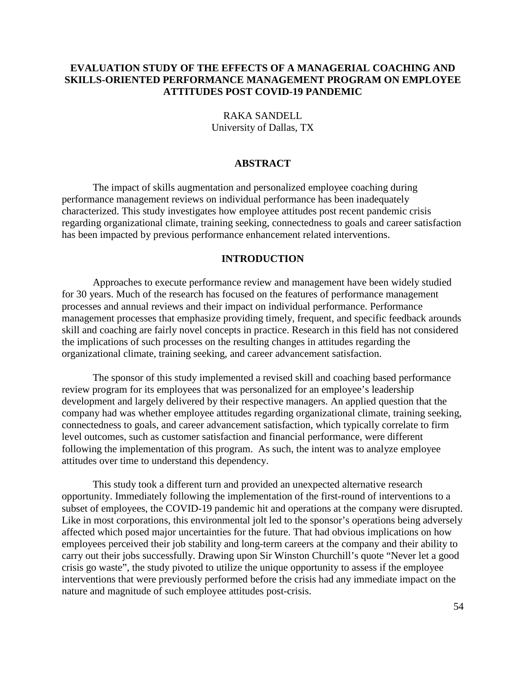# **EVALUATION STUDY OF THE EFFECTS OF A MANAGERIAL COACHING AND SKILLS-ORIENTED PERFORMANCE MANAGEMENT PROGRAM ON EMPLOYEE ATTITUDES POST COVID-19 PANDEMIC**

RAKA SANDELL University of Dallas, TX

## **ABSTRACT**

The impact of skills augmentation and personalized employee coaching during performance management reviews on individual performance has been inadequately characterized. This study investigates how employee attitudes post recent pandemic crisis regarding organizational climate, training seeking, connectedness to goals and career satisfaction has been impacted by previous performance enhancement related interventions.

#### **INTRODUCTION**

Approaches to execute performance review and management have been widely studied for 30 years. Much of the research has focused on the features of performance management processes and annual reviews and their impact on individual performance. Performance management processes that emphasize providing timely, frequent, and specific feedback arounds skill and coaching are fairly novel concepts in practice. Research in this field has not considered the implications of such processes on the resulting changes in attitudes regarding the organizational climate, training seeking, and career advancement satisfaction.

The sponsor of this study implemented a revised skill and coaching based performance review program for its employees that was personalized for an employee's leadership development and largely delivered by their respective managers. An applied question that the company had was whether employee attitudes regarding organizational climate, training seeking, connectedness to goals, and career advancement satisfaction, which typically correlate to firm level outcomes, such as customer satisfaction and financial performance, were different following the implementation of this program. As such, the intent was to analyze employee attitudes over time to understand this dependency.

This study took a different turn and provided an unexpected alternative research opportunity. Immediately following the implementation of the first-round of interventions to a subset of employees, the COVID-19 pandemic hit and operations at the company were disrupted. Like in most corporations, this environmental jolt led to the sponsor's operations being adversely affected which posed major uncertainties for the future. That had obvious implications on how employees perceived their job stability and long-term careers at the company and their ability to carry out their jobs successfully. Drawing upon Sir Winston Churchill's quote "Never let a good crisis go waste", the study pivoted to utilize the unique opportunity to assess if the employee interventions that were previously performed before the crisis had any immediate impact on the nature and magnitude of such employee attitudes post-crisis.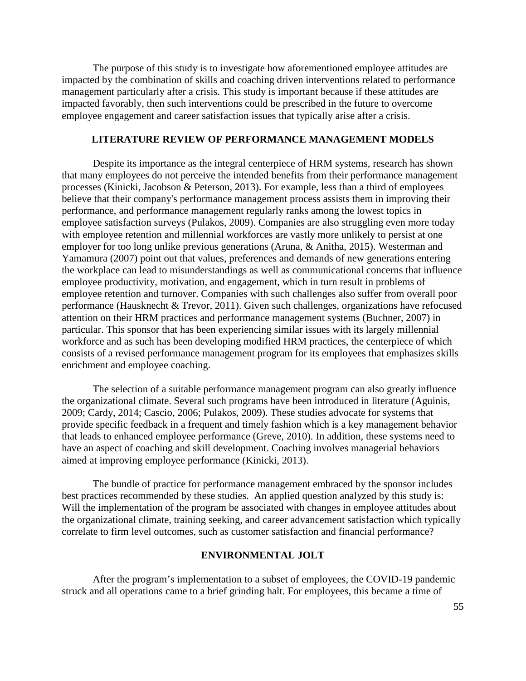The purpose of this study is to investigate how aforementioned employee attitudes are impacted by the combination of skills and coaching driven interventions related to performance management particularly after a crisis. This study is important because if these attitudes are impacted favorably, then such interventions could be prescribed in the future to overcome employee engagement and career satisfaction issues that typically arise after a crisis.

## **LITERATURE REVIEW OF PERFORMANCE MANAGEMENT MODELS**

Despite its importance as the integral centerpiece of HRM systems, research has shown that many employees do not perceive the intended benefits from their performance management processes (Kinicki, Jacobson & Peterson, 2013). For example, less than a third of employees believe that their company's performance management process assists them in improving their performance, and performance management regularly ranks among the lowest topics in employee satisfaction surveys (Pulakos, 2009). Companies are also struggling even more today with employee retention and millennial workforces are vastly more unlikely to persist at one employer for too long unlike previous generations (Aruna, & Anitha, 2015). Westerman and Yamamura (2007) point out that values, preferences and demands of new generations entering the workplace can lead to misunderstandings as well as communicational concerns that influence employee productivity, motivation, and engagement, which in turn result in problems of employee retention and turnover. Companies with such challenges also suffer from overall poor performance (Hausknecht & Trevor, 2011). Given such challenges, organizations have refocused attention on their HRM practices and performance management systems (Buchner, 2007) in particular. This sponsor that has been experiencing similar issues with its largely millennial workforce and as such has been developing modified HRM practices, the centerpiece of which consists of a revised performance management program for its employees that emphasizes skills enrichment and employee coaching.

The selection of a suitable performance management program can also greatly influence the organizational climate. Several such programs have been introduced in literature (Aguinis, 2009; Cardy, 2014; Cascio, 2006; Pulakos, 2009). These studies advocate for systems that provide specific feedback in a frequent and timely fashion which is a key management behavior that leads to enhanced employee performance (Greve, 2010). In addition, these systems need to have an aspect of coaching and skill development. Coaching involves managerial behaviors aimed at improving employee performance (Kinicki, 2013).

The bundle of practice for performance management embraced by the sponsor includes best practices recommended by these studies. An applied question analyzed by this study is: Will the implementation of the program be associated with changes in employee attitudes about the organizational climate, training seeking, and career advancement satisfaction which typically correlate to firm level outcomes, such as customer satisfaction and financial performance?

## **ENVIRONMENTAL JOLT**

After the program's implementation to a subset of employees, the COVID-19 pandemic struck and all operations came to a brief grinding halt. For employees, this became a time of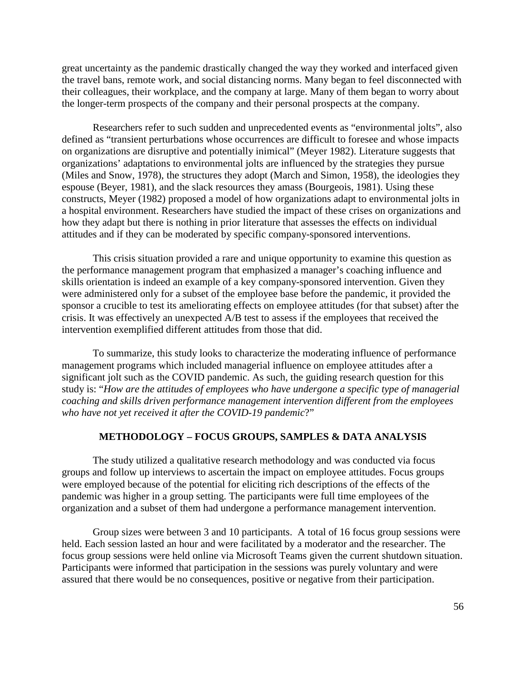great uncertainty as the pandemic drastically changed the way they worked and interfaced given the travel bans, remote work, and social distancing norms. Many began to feel disconnected with their colleagues, their workplace, and the company at large. Many of them began to worry about the longer-term prospects of the company and their personal prospects at the company.

Researchers refer to such sudden and unprecedented events as "environmental jolts", also defined as "transient perturbations whose occurrences are difficult to foresee and whose impacts on organizations are disruptive and potentially inimical" (Meyer 1982). Literature suggests that organizations' adaptations to environmental jolts are influenced by the strategies they pursue (Miles and Snow, 1978), the structures they adopt (March and Simon, 1958), the ideologies they espouse (Beyer, 1981), and the slack resources they amass (Bourgeois, 1981). Using these constructs, Meyer (1982) proposed a model of how organizations adapt to environmental jolts in a hospital environment. Researchers have studied the impact of these crises on organizations and how they adapt but there is nothing in prior literature that assesses the effects on individual attitudes and if they can be moderated by specific company-sponsored interventions.

This crisis situation provided a rare and unique opportunity to examine this question as the performance management program that emphasized a manager's coaching influence and skills orientation is indeed an example of a key company-sponsored intervention. Given they were administered only for a subset of the employee base before the pandemic, it provided the sponsor a crucible to test its ameliorating effects on employee attitudes (for that subset) after the crisis. It was effectively an unexpected A/B test to assess if the employees that received the intervention exemplified different attitudes from those that did.

To summarize, this study looks to characterize the moderating influence of performance management programs which included managerial influence on employee attitudes after a significant jolt such as the COVID pandemic. As such, the guiding research question for this study is: "*How are the attitudes of employees who have undergone a specific type of managerial coaching and skills driven performance management intervention different from the employees who have not yet received it after the COVID-19 pandemic*?"

### **METHODOLOGY – FOCUS GROUPS, SAMPLES & DATA ANALYSIS**

The study utilized a qualitative research methodology and was conducted via focus groups and follow up interviews to ascertain the impact on employee attitudes. Focus groups were employed because of the potential for eliciting rich descriptions of the effects of the pandemic was higher in a group setting. The participants were full time employees of the organization and a subset of them had undergone a performance management intervention.

Group sizes were between 3 and 10 participants. A total of 16 focus group sessions were held. Each session lasted an hour and were facilitated by a moderator and the researcher. The focus group sessions were held online via Microsoft Teams given the current shutdown situation. Participants were informed that participation in the sessions was purely voluntary and were assured that there would be no consequences, positive or negative from their participation.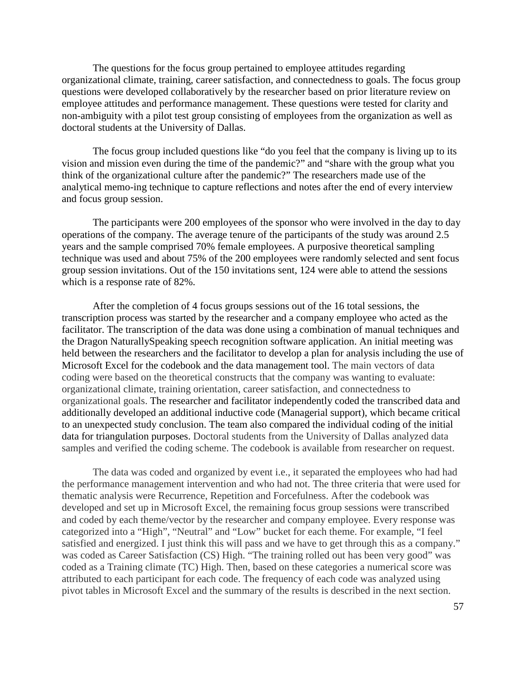The questions for the focus group pertained to employee attitudes regarding organizational climate, training, career satisfaction, and connectedness to goals. The focus group questions were developed collaboratively by the researcher based on prior literature review on employee attitudes and performance management. These questions were tested for clarity and non-ambiguity with a pilot test group consisting of employees from the organization as well as doctoral students at the University of Dallas.

The focus group included questions like "do you feel that the company is living up to its vision and mission even during the time of the pandemic?" and "share with the group what you think of the organizational culture after the pandemic?" The researchers made use of the analytical memo-ing technique to capture reflections and notes after the end of every interview and focus group session.

The participants were 200 employees of the sponsor who were involved in the day to day operations of the company. The average tenure of the participants of the study was around 2.5 years and the sample comprised 70% female employees. A purposive theoretical sampling technique was used and about 75% of the 200 employees were randomly selected and sent focus group session invitations. Out of the 150 invitations sent, 124 were able to attend the sessions which is a response rate of 82%.

After the completion of 4 focus groups sessions out of the 16 total sessions, the transcription process was started by the researcher and a company employee who acted as the facilitator. The transcription of the data was done using a combination of manual techniques and the Dragon NaturallySpeaking speech recognition software application. An initial meeting was held between the researchers and the facilitator to develop a plan for analysis including the use of Microsoft Excel for the codebook and the data management tool. The main vectors of data coding were based on the theoretical constructs that the company was wanting to evaluate: organizational climate, training orientation, career satisfaction, and connectedness to organizational goals. The researcher and facilitator independently coded the transcribed data and additionally developed an additional inductive code (Managerial support), which became critical to an unexpected study conclusion. The team also compared the individual coding of the initial data for triangulation purposes. Doctoral students from the University of Dallas analyzed data samples and verified the coding scheme. The codebook is available from researcher on request.

The data was coded and organized by event i.e., it separated the employees who had had the performance management intervention and who had not. The three criteria that were used for thematic analysis were Recurrence, Repetition and Forcefulness. After the codebook was developed and set up in Microsoft Excel, the remaining focus group sessions were transcribed and coded by each theme/vector by the researcher and company employee. Every response was categorized into a "High", "Neutral" and "Low" bucket for each theme. For example, "I feel satisfied and energized. I just think this will pass and we have to get through this as a company." was coded as Career Satisfaction (CS) High. "The training rolled out has been very good" was coded as a Training climate (TC) High. Then, based on these categories a numerical score was attributed to each participant for each code. The frequency of each code was analyzed using pivot tables in Microsoft Excel and the summary of the results is described in the next section.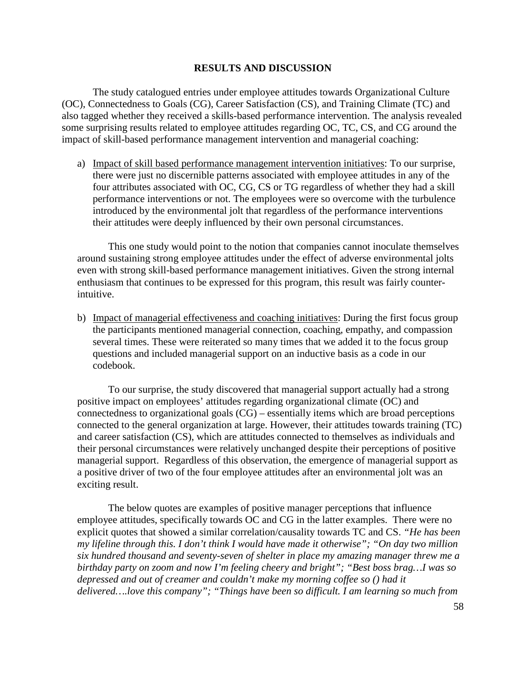## **RESULTS AND DISCUSSION**

The study catalogued entries under employee attitudes towards Organizational Culture (OC), Connectedness to Goals (CG), Career Satisfaction (CS), and Training Climate (TC) and also tagged whether they received a skills-based performance intervention. The analysis revealed some surprising results related to employee attitudes regarding OC, TC, CS, and CG around the impact of skill-based performance management intervention and managerial coaching:

a) Impact of skill based performance management intervention initiatives: To our surprise, there were just no discernible patterns associated with employee attitudes in any of the four attributes associated with OC, CG, CS or TG regardless of whether they had a skill performance interventions or not. The employees were so overcome with the turbulence introduced by the environmental jolt that regardless of the performance interventions their attitudes were deeply influenced by their own personal circumstances.

This one study would point to the notion that companies cannot inoculate themselves around sustaining strong employee attitudes under the effect of adverse environmental jolts even with strong skill-based performance management initiatives. Given the strong internal enthusiasm that continues to be expressed for this program, this result was fairly counterintuitive.

b) Impact of managerial effectiveness and coaching initiatives: During the first focus group the participants mentioned managerial connection, coaching, empathy, and compassion several times. These were reiterated so many times that we added it to the focus group questions and included managerial support on an inductive basis as a code in our codebook.

To our surprise, the study discovered that managerial support actually had a strong positive impact on employees' attitudes regarding organizational climate (OC) and connectedness to organizational goals (CG) – essentially items which are broad perceptions connected to the general organization at large. However, their attitudes towards training (TC) and career satisfaction (CS), which are attitudes connected to themselves as individuals and their personal circumstances were relatively unchanged despite their perceptions of positive managerial support. Regardless of this observation, the emergence of managerial support as a positive driver of two of the four employee attitudes after an environmental jolt was an exciting result.

The below quotes are examples of positive manager perceptions that influence employee attitudes, specifically towards OC and CG in the latter examples. There were no explicit quotes that showed a similar correlation/causality towards TC and CS. *"He has been my lifeline through this. I don't think I would have made it otherwise"; "On day two million six hundred thousand and seventy-seven of shelter in place my amazing manager threw me a birthday party on zoom and now I'm feeling cheery and bright"; "Best boss brag…I was so depressed and out of creamer and couldn't make my morning coffee so () had it delivered….love this company"; "Things have been so difficult. I am learning so much from*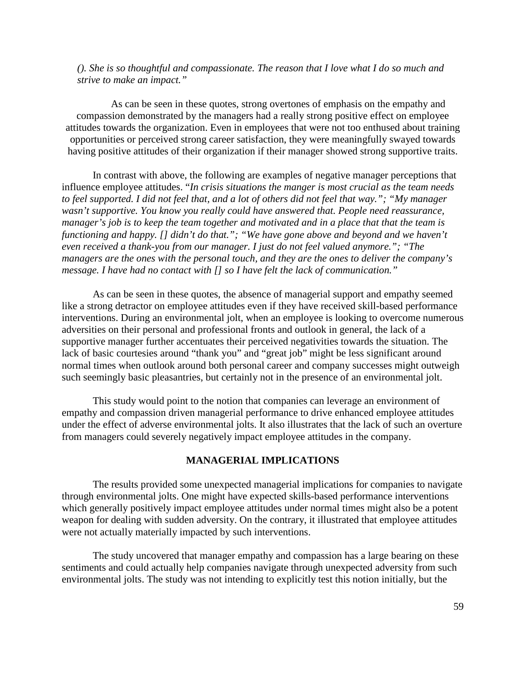*(). She is so thoughtful and compassionate. The reason that I love what I do so much and strive to make an impact."*

As can be seen in these quotes, strong overtones of emphasis on the empathy and compassion demonstrated by the managers had a really strong positive effect on employee attitudes towards the organization. Even in employees that were not too enthused about training opportunities or perceived strong career satisfaction, they were meaningfully swayed towards having positive attitudes of their organization if their manager showed strong supportive traits.

In contrast with above, the following are examples of negative manager perceptions that influence employee attitudes. "*In crisis situations the manger is most crucial as the team needs to feel supported. I did not feel that, and a lot of others did not feel that way."; "My manager wasn't supportive. You know you really could have answered that. People need reassurance, manager's job is to keep the team together and motivated and in a place that that the team is functioning and happy. [] didn't do that."; "We have gone above and beyond and we haven't even received a thank-you from our manager. I just do not feel valued anymore."; "The managers are the ones with the personal touch, and they are the ones to deliver the company's message. I have had no contact with [] so I have felt the lack of communication."*

As can be seen in these quotes, the absence of managerial support and empathy seemed like a strong detractor on employee attitudes even if they have received skill-based performance interventions. During an environmental jolt, when an employee is looking to overcome numerous adversities on their personal and professional fronts and outlook in general, the lack of a supportive manager further accentuates their perceived negativities towards the situation. The lack of basic courtesies around "thank you" and "great job" might be less significant around normal times when outlook around both personal career and company successes might outweigh such seemingly basic pleasantries, but certainly not in the presence of an environmental jolt.

This study would point to the notion that companies can leverage an environment of empathy and compassion driven managerial performance to drive enhanced employee attitudes under the effect of adverse environmental jolts. It also illustrates that the lack of such an overture from managers could severely negatively impact employee attitudes in the company.

## **MANAGERIAL IMPLICATIONS**

The results provided some unexpected managerial implications for companies to navigate through environmental jolts. One might have expected skills-based performance interventions which generally positively impact employee attitudes under normal times might also be a potent weapon for dealing with sudden adversity. On the contrary, it illustrated that employee attitudes were not actually materially impacted by such interventions.

The study uncovered that manager empathy and compassion has a large bearing on these sentiments and could actually help companies navigate through unexpected adversity from such environmental jolts. The study was not intending to explicitly test this notion initially, but the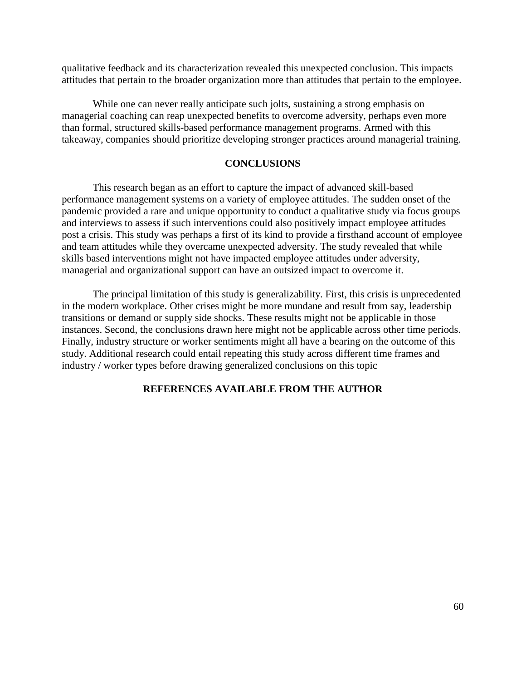qualitative feedback and its characterization revealed this unexpected conclusion. This impacts attitudes that pertain to the broader organization more than attitudes that pertain to the employee.

While one can never really anticipate such jolts, sustaining a strong emphasis on managerial coaching can reap unexpected benefits to overcome adversity, perhaps even more than formal, structured skills-based performance management programs. Armed with this takeaway, companies should prioritize developing stronger practices around managerial training.

## **CONCLUSIONS**

This research began as an effort to capture the impact of advanced skill-based performance management systems on a variety of employee attitudes. The sudden onset of the pandemic provided a rare and unique opportunity to conduct a qualitative study via focus groups and interviews to assess if such interventions could also positively impact employee attitudes post a crisis. This study was perhaps a first of its kind to provide a firsthand account of employee and team attitudes while they overcame unexpected adversity. The study revealed that while skills based interventions might not have impacted employee attitudes under adversity, managerial and organizational support can have an outsized impact to overcome it.

The principal limitation of this study is generalizability. First, this crisis is unprecedented in the modern workplace. Other crises might be more mundane and result from say, leadership transitions or demand or supply side shocks. These results might not be applicable in those instances. Second, the conclusions drawn here might not be applicable across other time periods. Finally, industry structure or worker sentiments might all have a bearing on the outcome of this study. Additional research could entail repeating this study across different time frames and industry / worker types before drawing generalized conclusions on this topic

## **REFERENCES AVAILABLE FROM THE AUTHOR**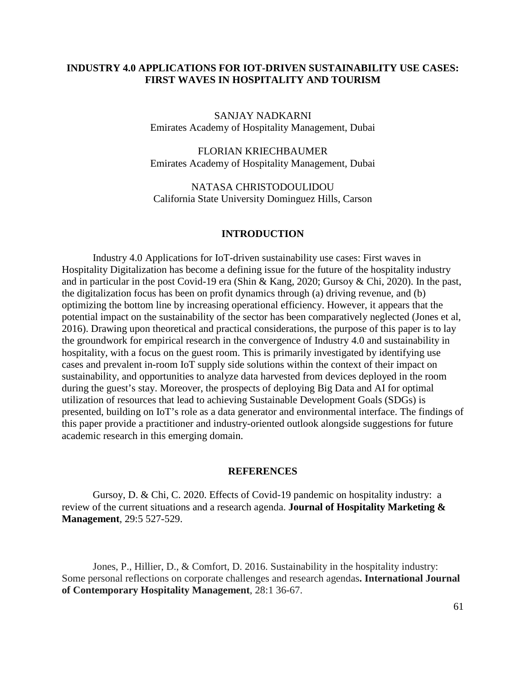# **INDUSTRY 4.0 APPLICATIONS FOR IOT-DRIVEN SUSTAINABILITY USE CASES: FIRST WAVES IN HOSPITALITY AND TOURISM**

SANJAY NADKARNI Emirates Academy of Hospitality Management, Dubai

FLORIAN KRIECHBAUMER Emirates Academy of Hospitality Management, Dubai

NATASA CHRISTODOULIDOU California State University Dominguez Hills, Carson

## **INTRODUCTION**

Industry 4.0 Applications for IoT-driven sustainability use cases: First waves in Hospitality Digitalization has become a defining issue for the future of the hospitality industry and in particular in the post Covid-19 era (Shin & Kang, 2020; Gursoy & Chi, 2020). In the past, the digitalization focus has been on profit dynamics through (a) driving revenue, and (b) optimizing the bottom line by increasing operational efficiency. However, it appears that the potential impact on the sustainability of the sector has been comparatively neglected (Jones et al, 2016). Drawing upon theoretical and practical considerations, the purpose of this paper is to lay the groundwork for empirical research in the convergence of Industry 4.0 and sustainability in hospitality, with a focus on the guest room. This is primarily investigated by identifying use cases and prevalent in-room IoT supply side solutions within the context of their impact on sustainability, and opportunities to analyze data harvested from devices deployed in the room during the guest's stay. Moreover, the prospects of deploying Big Data and AI for optimal utilization of resources that lead to achieving Sustainable Development Goals (SDGs) is presented, building on IoT's role as a data generator and environmental interface. The findings of this paper provide a practitioner and industry-oriented outlook alongside suggestions for future academic research in this emerging domain.

## **REFERENCES**

Gursoy, D. & Chi, C. 2020. Effects of Covid-19 pandemic on hospitality industry: a review of the current situations and a research agenda. **Journal of Hospitality Marketing & Management***,* 29:5 527-529.

Jones, P., Hillier, D., & Comfort, D. 2016. Sustainability in the hospitality industry: Some personal reflections on corporate challenges and research agendas**. International Journal of Contemporary Hospitality Management**, 28:1 36-67.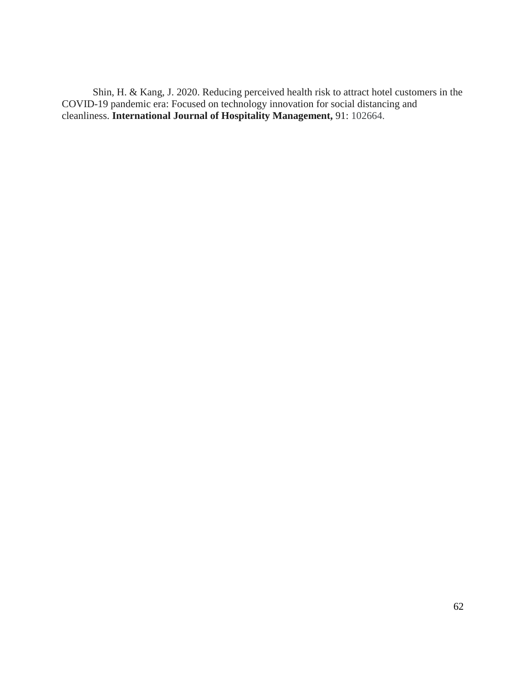Shin, H. & Kang, J. 2020. Reducing perceived health risk to attract hotel customers in the COVID-19 pandemic era: Focused on technology innovation for social distancing and cleanliness. **International Journal of Hospitality Management,** 91: 102664.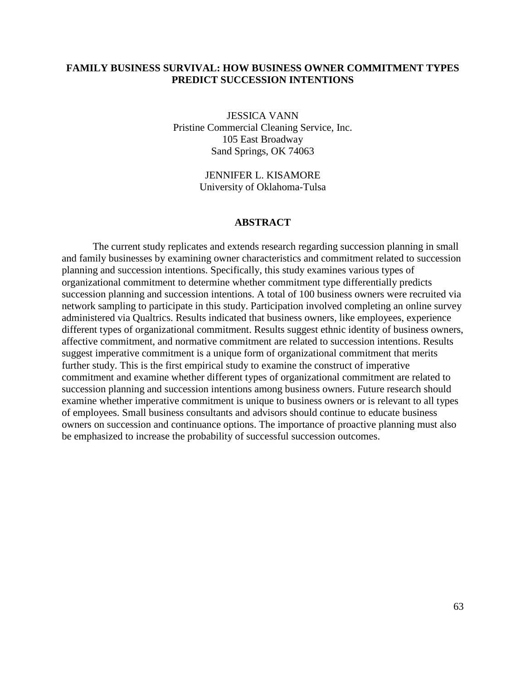## **FAMILY BUSINESS SURVIVAL: HOW BUSINESS OWNER COMMITMENT TYPES PREDICT SUCCESSION INTENTIONS**

JESSICA VANN Pristine Commercial Cleaning Service, Inc. 105 East Broadway Sand Springs, OK 74063

> JENNIFER L. KISAMORE University of Oklahoma-Tulsa

#### **ABSTRACT**

The current study replicates and extends research regarding succession planning in small and family businesses by examining owner characteristics and commitment related to succession planning and succession intentions. Specifically, this study examines various types of organizational commitment to determine whether commitment type differentially predicts succession planning and succession intentions. A total of 100 business owners were recruited via network sampling to participate in this study. Participation involved completing an online survey administered via Qualtrics. Results indicated that business owners, like employees, experience different types of organizational commitment. Results suggest ethnic identity of business owners, affective commitment, and normative commitment are related to succession intentions. Results suggest imperative commitment is a unique form of organizational commitment that merits further study. This is the first empirical study to examine the construct of imperative commitment and examine whether different types of organizational commitment are related to succession planning and succession intentions among business owners. Future research should examine whether imperative commitment is unique to business owners or is relevant to all types of employees. Small business consultants and advisors should continue to educate business owners on succession and continuance options. The importance of proactive planning must also be emphasized to increase the probability of successful succession outcomes.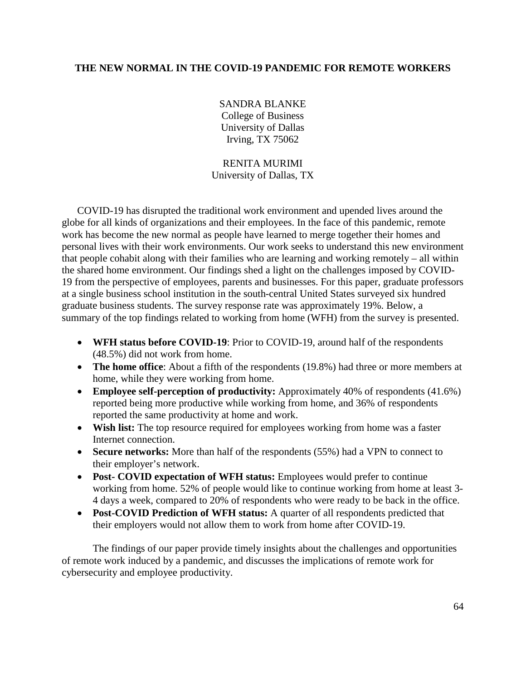## **THE NEW NORMAL IN THE COVID-19 PANDEMIC FOR REMOTE WORKERS**

SANDRA BLANKE College of Business University of Dallas Irving, TX 75062

# RENITA MURIMI University of Dallas, TX

COVID-19 has disrupted the traditional work environment and upended lives around the globe for all kinds of organizations and their employees. In the face of this pandemic, remote work has become the new normal as people have learned to merge together their homes and personal lives with their work environments. Our work seeks to understand this new environment that people cohabit along with their families who are learning and working remotely – all within the shared home environment. Our findings shed a light on the challenges imposed by COVID-19 from the perspective of employees, parents and businesses. For this paper, graduate professors at a single business school institution in the south-central United States surveyed six hundred graduate business students. The survey response rate was approximately 19%. Below, a summary of the top findings related to working from home (WFH) from the survey is presented.

- **WFH status before COVID-19**: Prior to COVID-19, around half of the respondents (48.5%) did not work from home.
- **The home office**: About a fifth of the respondents (19.8%) had three or more members at home, while they were working from home.
- **Employee self-perception of productivity:** Approximately 40% of respondents (41.6%) reported being more productive while working from home, and 36% of respondents reported the same productivity at home and work.
- **Wish list:** The top resource required for employees working from home was a faster Internet connection.
- **Secure networks:** More than half of the respondents (55%) had a VPN to connect to their employer's network.
- **Post- COVID expectation of WFH status:** Employees would prefer to continue working from home. 52% of people would like to continue working from home at least 3- 4 days a week, compared to 20% of respondents who were ready to be back in the office.
- **Post-COVID Prediction of WFH status:** A quarter of all respondents predicted that their employers would not allow them to work from home after COVID-19.

The findings of our paper provide timely insights about the challenges and opportunities of remote work induced by a pandemic, and discusses the implications of remote work for cybersecurity and employee productivity.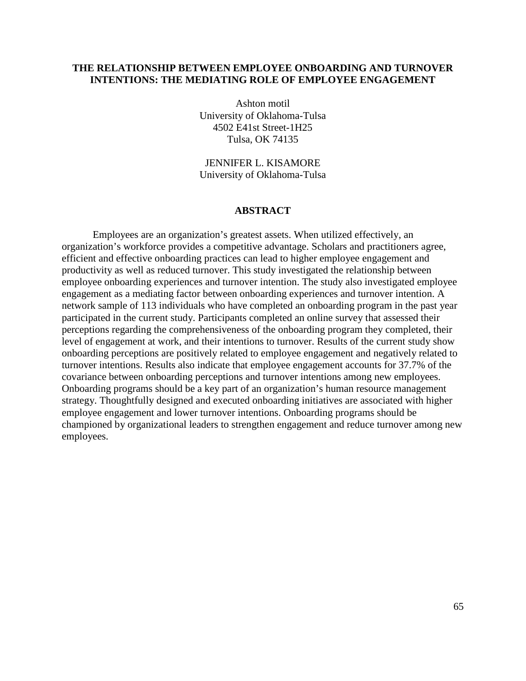## **THE RELATIONSHIP BETWEEN EMPLOYEE ONBOARDING AND TURNOVER INTENTIONS: THE MEDIATING ROLE OF EMPLOYEE ENGAGEMENT**

Ashton motil University of Oklahoma-Tulsa 4502 E41st Street-1H25 Tulsa, OK 74135

JENNIFER L. KISAMORE University of Oklahoma-Tulsa

#### **ABSTRACT**

Employees are an organization's greatest assets. When utilized effectively, an organization's workforce provides a competitive advantage. Scholars and practitioners agree, efficient and effective onboarding practices can lead to higher employee engagement and productivity as well as reduced turnover. This study investigated the relationship between employee onboarding experiences and turnover intention. The study also investigated employee engagement as a mediating factor between onboarding experiences and turnover intention. A network sample of 113 individuals who have completed an onboarding program in the past year participated in the current study. Participants completed an online survey that assessed their perceptions regarding the comprehensiveness of the onboarding program they completed, their level of engagement at work, and their intentions to turnover. Results of the current study show onboarding perceptions are positively related to employee engagement and negatively related to turnover intentions. Results also indicate that employee engagement accounts for 37.7% of the covariance between onboarding perceptions and turnover intentions among new employees. Onboarding programs should be a key part of an organization's human resource management strategy. Thoughtfully designed and executed onboarding initiatives are associated with higher employee engagement and lower turnover intentions. Onboarding programs should be championed by organizational leaders to strengthen engagement and reduce turnover among new employees.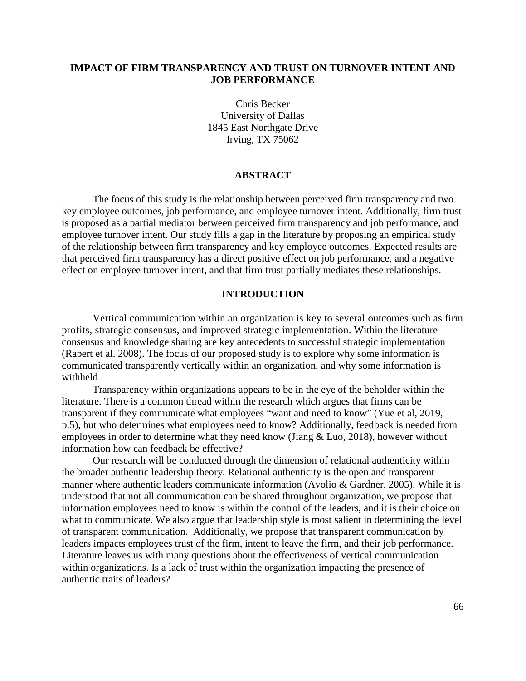## **IMPACT OF FIRM TRANSPARENCY AND TRUST ON TURNOVER INTENT AND JOB PERFORMANCE**

Chris Becker University of Dallas 1845 East Northgate Drive Irving, TX 75062

## **ABSTRACT**

The focus of this study is the relationship between perceived firm transparency and two key employee outcomes, job performance, and employee turnover intent. Additionally, firm trust is proposed as a partial mediator between perceived firm transparency and job performance, and employee turnover intent. Our study fills a gap in the literature by proposing an empirical study of the relationship between firm transparency and key employee outcomes. Expected results are that perceived firm transparency has a direct positive effect on job performance, and a negative effect on employee turnover intent, and that firm trust partially mediates these relationships.

## **INTRODUCTION**

Vertical communication within an organization is key to several outcomes such as firm profits, strategic consensus, and improved strategic implementation. Within the literature consensus and knowledge sharing are key antecedents to successful strategic implementation (Rapert et al. 2008). The focus of our proposed study is to explore why some information is communicated transparently vertically within an organization, and why some information is withheld.

Transparency within organizations appears to be in the eye of the beholder within the literature. There is a common thread within the research which argues that firms can be transparent if they communicate what employees "want and need to know" (Yue et al, 2019, p.5), but who determines what employees need to know? Additionally, feedback is needed from employees in order to determine what they need know (Jiang & Luo, 2018), however without information how can feedback be effective?

Our research will be conducted through the dimension of relational authenticity within the broader authentic leadership theory. Relational authenticity is the open and transparent manner where authentic leaders communicate information (Avolio & Gardner, 2005). While it is understood that not all communication can be shared throughout organization, we propose that information employees need to know is within the control of the leaders, and it is their choice on what to communicate. We also argue that leadership style is most salient in determining the level of transparent communication. Additionally, we propose that transparent communication by leaders impacts employees trust of the firm, intent to leave the firm, and their job performance. Literature leaves us with many questions about the effectiveness of vertical communication within organizations. Is a lack of trust within the organization impacting the presence of authentic traits of leaders?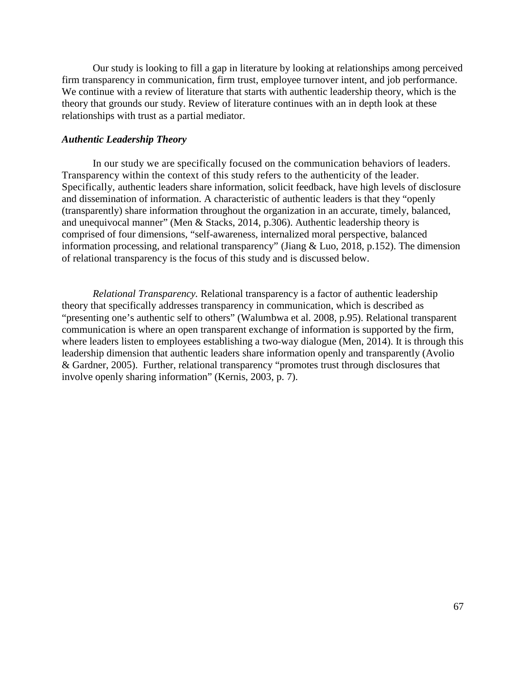Our study is looking to fill a gap in literature by looking at relationships among perceived firm transparency in communication, firm trust, employee turnover intent, and job performance. We continue with a review of literature that starts with authentic leadership theory, which is the theory that grounds our study. Review of literature continues with an in depth look at these relationships with trust as a partial mediator.

## *Authentic Leadership Theory*

In our study we are specifically focused on the communication behaviors of leaders. Transparency within the context of this study refers to the authenticity of the leader. Specifically, authentic leaders share information, solicit feedback, have high levels of disclosure and dissemination of information. A characteristic of authentic leaders is that they "openly (transparently) share information throughout the organization in an accurate, timely, balanced, and unequivocal manner" (Men & Stacks, 2014, p.306). Authentic leadership theory is comprised of four dimensions, "self-awareness, internalized moral perspective, balanced information processing, and relational transparency" (Jiang & Luo, 2018, p.152). The dimension of relational transparency is the focus of this study and is discussed below.

*Relational Transparency.* Relational transparency is a factor of authentic leadership theory that specifically addresses transparency in communication, which is described as "presenting one's authentic self to others" (Walumbwa et al. 2008, p.95). Relational transparent communication is where an open transparent exchange of information is supported by the firm, where leaders listen to employees establishing a two-way dialogue (Men, 2014). It is through this leadership dimension that authentic leaders share information openly and transparently (Avolio & Gardner, 2005). Further, relational transparency "promotes trust through disclosures that involve openly sharing information" (Kernis, 2003, p. 7).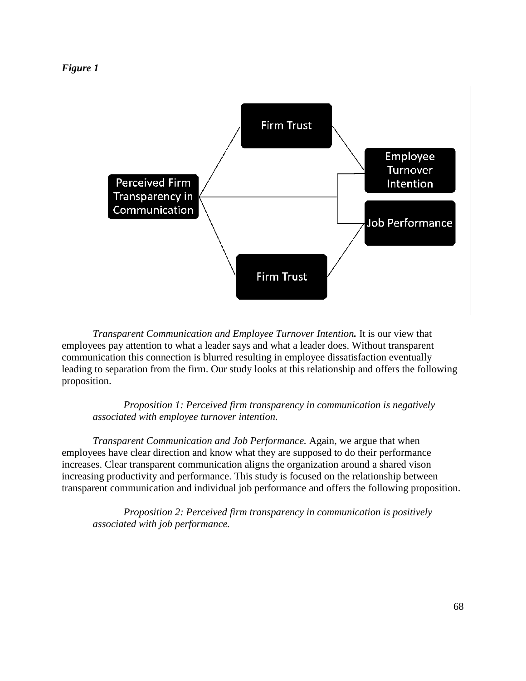*Figure 1*



*Transparent Communication and Employee Turnover Intention.* It is our view that employees pay attention to what a leader says and what a leader does. Without transparent communication this connection is blurred resulting in employee dissatisfaction eventually leading to separation from the firm. Our study looks at this relationship and offers the following proposition.

*Proposition 1: Perceived firm transparency in communication is negatively associated with employee turnover intention.*

*Transparent Communication and Job Performance.* Again, we argue that when employees have clear direction and know what they are supposed to do their performance increases. Clear transparent communication aligns the organization around a shared vison increasing productivity and performance. This study is focused on the relationship between transparent communication and individual job performance and offers the following proposition.

*Proposition 2: Perceived firm transparency in communication is positively associated with job performance.*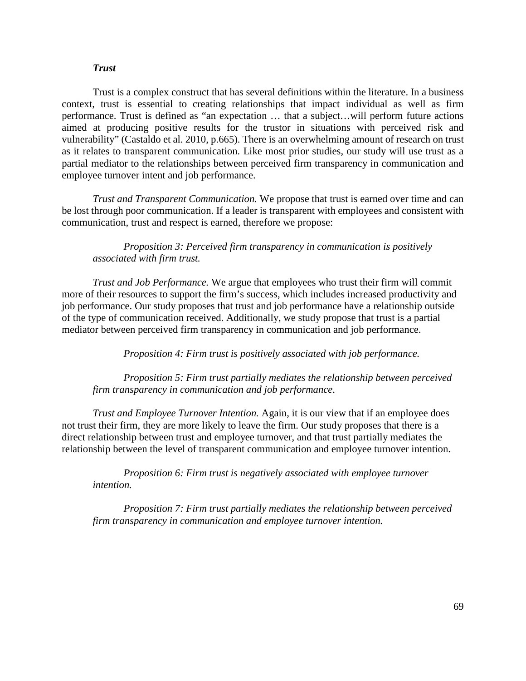## *Trust*

Trust is a complex construct that has several definitions within the literature. In a business context, trust is essential to creating relationships that impact individual as well as firm performance. Trust is defined as "an expectation … that a subject…will perform future actions aimed at producing positive results for the trustor in situations with perceived risk and vulnerability" (Castaldo et al. 2010, p.665). There is an overwhelming amount of research on trust as it relates to transparent communication. Like most prior studies, our study will use trust as a partial mediator to the relationships between perceived firm transparency in communication and employee turnover intent and job performance.

*Trust and Transparent Communication.* We propose that trust is earned over time and can be lost through poor communication. If a leader is transparent with employees and consistent with communication, trust and respect is earned, therefore we propose:

## *Proposition 3: Perceived firm transparency in communication is positively associated with firm trust.*

*Trust and Job Performance.* We argue that employees who trust their firm will commit more of their resources to support the firm's success, which includes increased productivity and job performance. Our study proposes that trust and job performance have a relationship outside of the type of communication received. Additionally, we study propose that trust is a partial mediator between perceived firm transparency in communication and job performance.

*Proposition 4: Firm trust is positively associated with job performance.*

*Proposition 5: Firm trust partially mediates the relationship between perceived firm transparency in communication and job performance*.

*Trust and Employee Turnover Intention.* Again, it is our view that if an employee does not trust their firm, they are more likely to leave the firm. Our study proposes that there is a direct relationship between trust and employee turnover, and that trust partially mediates the relationship between the level of transparent communication and employee turnover intention.

*Proposition 6: Firm trust is negatively associated with employee turnover intention.*

*Proposition 7: Firm trust partially mediates the relationship between perceived firm transparency in communication and employee turnover intention.*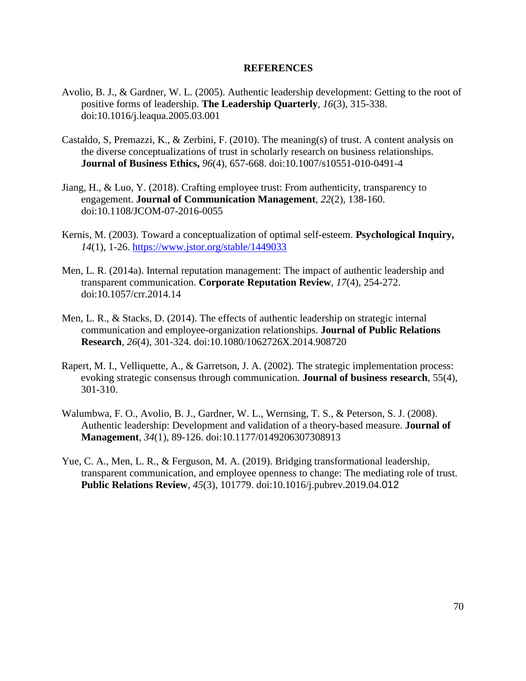## **REFERENCES**

- Avolio, B. J., & Gardner, W. L. (2005). Authentic leadership development: Getting to the root of positive forms of leadership. **The Leadership Quarterly***, 16*(3), 315-338. doi:10.1016/j.leaqua.2005.03.001
- Castaldo, S, Premazzi, K., & Zerbini, F. (2010). The meaning(s) of trust. A content analysis on the diverse conceptualizations of trust in scholarly research on business relationships. **Journal of Business Ethics,** *96*(4), 657-668. doi:10.1007/s10551-010-0491-4
- Jiang, H., & Luo, Y. (2018). Crafting employee trust: From authenticity, transparency to engagement. **Journal of Communication Management***, 22*(2), 138-160. doi:10.1108/JCOM-07-2016-0055
- Kernis, M. (2003). Toward a conceptualization of optimal self-esteem. **Psychological Inquiry,** *14*(1), 1-26.<https://www.jstor.org/stable/1449033>
- Men, L. R. (2014a). Internal reputation management: The impact of authentic leadership and transparent communication. **Corporate Reputation Review***, 17*(4), 254-272. doi:10.1057/crr.2014.14
- Men, L. R., & Stacks, D. (2014). The effects of authentic leadership on strategic internal communication and employee-organization relationships. **Journal of Public Relations Research***, 26*(4), 301-324. doi:10.1080/1062726X.2014.908720
- Rapert, M. I., Velliquette, A., & Garretson, J. A. (2002). The strategic implementation process: evoking strategic consensus through communication. **Journal of business research**, 55(4), 301-310.
- Walumbwa, F. O., Avolio, B. J., Gardner, W. L., Wernsing, T. S., & Peterson, S. J. (2008). Authentic leadership: Development and validation of a theory-based measure. **Journal of Management***, 34*(1), 89-126. doi:10.1177/0149206307308913
- Yue, C. A., Men, L. R., & Ferguson, M. A. (2019). Bridging transformational leadership, transparent communication, and employee openness to change: The mediating role of trust. **Public Relations Review***, 45*(3), 101779. doi:10.1016/j.pubrev.2019.04.012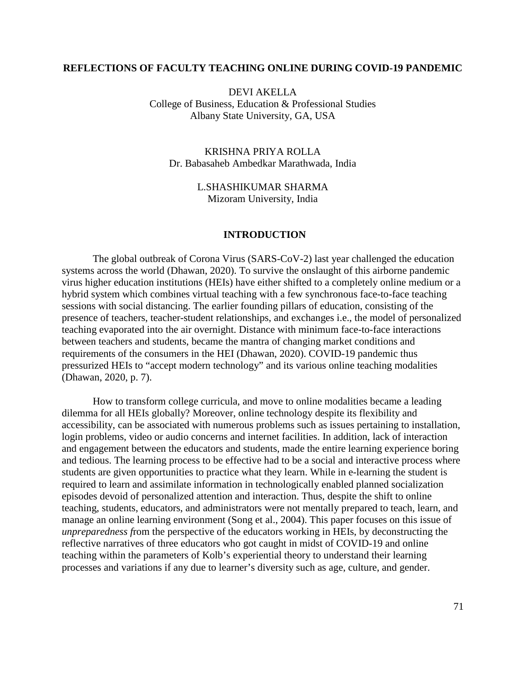## **REFLECTIONS OF FACULTY TEACHING ONLINE DURING COVID-19 PANDEMIC**

DEVI AKELLA College of Business, Education & Professional Studies Albany State University, GA, USA

KRISHNA PRIYA ROLLA Dr. Babasaheb Ambedkar Marathwada, India

> L.SHASHIKUMAR SHARMA Mizoram University, India

### **INTRODUCTION**

The global outbreak of Corona Virus (SARS-CoV-2) last year challenged the education systems across the world (Dhawan, 2020). To survive the onslaught of this airborne pandemic virus higher education institutions (HEIs) have either shifted to a completely online medium or a hybrid system which combines virtual teaching with a few synchronous face-to-face teaching sessions with social distancing. The earlier founding pillars of education, consisting of the presence of teachers, teacher-student relationships, and exchanges i.e., the model of personalized teaching evaporated into the air overnight. Distance with minimum face-to-face interactions between teachers and students, became the mantra of changing market conditions and requirements of the consumers in the HEI (Dhawan, 2020). COVID-19 pandemic thus pressurized HEIs to "accept modern technology" and its various online teaching modalities (Dhawan, 2020, p. 7).

How to transform college curricula, and move to online modalities became a leading dilemma for all HEIs globally? Moreover, online technology despite its flexibility and accessibility, can be associated with numerous problems such as issues pertaining to installation, login problems, video or audio concerns and internet facilities. In addition, lack of interaction and engagement between the educators and students, made the entire learning experience boring and tedious. The learning process to be effective had to be a social and interactive process where students are given opportunities to practice what they learn. While in e-learning the student is required to learn and assimilate information in technologically enabled planned socialization episodes devoid of personalized attention and interaction. Thus, despite the shift to online teaching, students, educators, and administrators were not mentally prepared to teach, learn, and manage an online learning environment (Song et al., 2004). This paper focuses on this issue of *unpreparedness f*rom the perspective of the educators working in HEIs, by deconstructing the reflective narratives of three educators who got caught in midst of COVID-19 and online teaching within the parameters of Kolb's experiential theory to understand their learning processes and variations if any due to learner's diversity such as age, culture, and gender.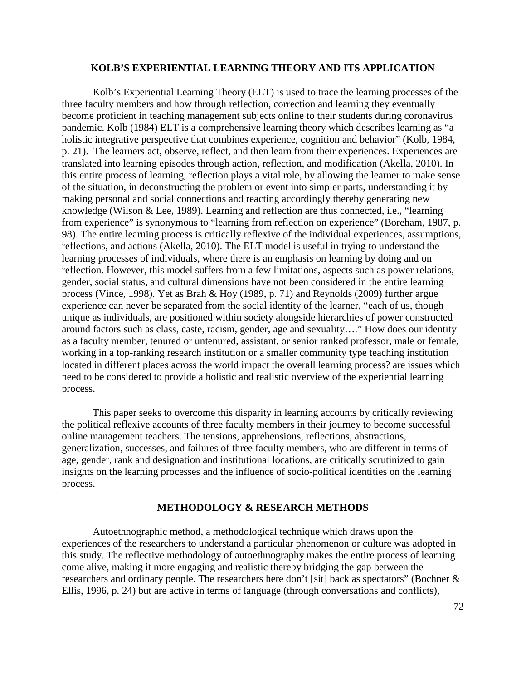#### **KOLB'S EXPERIENTIAL LEARNING THEORY AND ITS APPLICATION**

Kolb's Experiential Learning Theory (ELT) is used to trace the learning processes of the three faculty members and how through reflection, correction and learning they eventually become proficient in teaching management subjects online to their students during coronavirus pandemic. Kolb (1984) ELT is a comprehensive learning theory which describes learning as "a holistic integrative perspective that combines experience, cognition and behavior" (Kolb, 1984, p. 21). The learners act, observe, reflect, and then learn from their experiences. Experiences are translated into learning episodes through action, reflection, and modification (Akella, 2010). In this entire process of learning, reflection plays a vital role, by allowing the learner to make sense of the situation, in deconstructing the problem or event into simpler parts, understanding it by making personal and social connections and reacting accordingly thereby generating new knowledge (Wilson & Lee, 1989). Learning and reflection are thus connected, i.e., "learning from experience" is synonymous to "learning from reflection on experience" (Boreham, 1987, p. 98). The entire learning process is critically reflexive of the individual experiences, assumptions, reflections, and actions (Akella, 2010). The ELT model is useful in trying to understand the learning processes of individuals, where there is an emphasis on learning by doing and on reflection. However, this model suffers from a few limitations, aspects such as power relations, gender, social status, and cultural dimensions have not been considered in the entire learning process (Vince, 1998). Yet as Brah & Hoy (1989, p. 71) and Reynolds (2009) further argue experience can never be separated from the social identity of the learner, "each of us, though unique as individuals, are positioned within society alongside hierarchies of power constructed around factors such as class, caste, racism, gender, age and sexuality…." How does our identity as a faculty member, tenured or untenured, assistant, or senior ranked professor, male or female, working in a top-ranking research institution or a smaller community type teaching institution located in different places across the world impact the overall learning process? are issues which need to be considered to provide a holistic and realistic overview of the experiential learning process.

This paper seeks to overcome this disparity in learning accounts by critically reviewing the political reflexive accounts of three faculty members in their journey to become successful online management teachers. The tensions, apprehensions, reflections, abstractions, generalization, successes, and failures of three faculty members, who are different in terms of age, gender, rank and designation and institutional locations, are critically scrutinized to gain insights on the learning processes and the influence of socio-political identities on the learning process.

## **METHODOLOGY & RESEARCH METHODS**

Autoethnographic method, a methodological technique which draws upon the experiences of the researchers to understand a particular phenomenon or culture was adopted in this study. The reflective methodology of autoethnography makes the entire process of learning come alive, making it more engaging and realistic thereby bridging the gap between the researchers and ordinary people. The researchers here don't [sit] back as spectators" (Bochner & Ellis, 1996, p. 24) but are active in terms of language (through conversations and conflicts),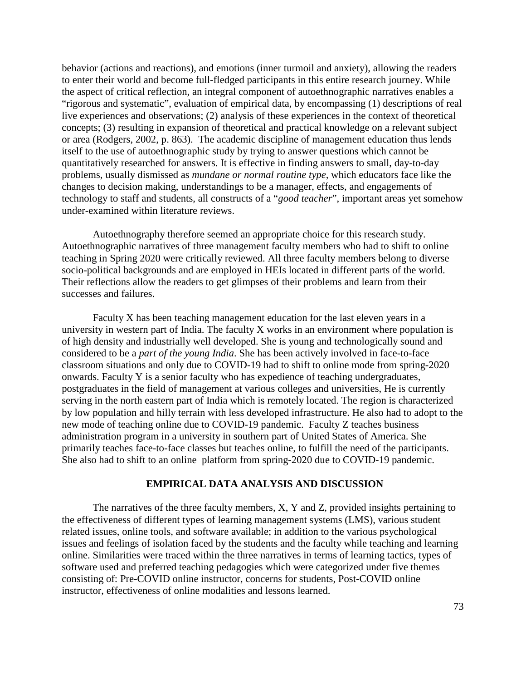behavior (actions and reactions), and emotions (inner turmoil and anxiety), allowing the readers to enter their world and become full-fledged participants in this entire research journey. While the aspect of critical reflection, an integral component of autoethnographic narratives enables a "rigorous and systematic", evaluation of empirical data, by encompassing (1) descriptions of real live experiences and observations; (2) analysis of these experiences in the context of theoretical concepts; (3) resulting in expansion of theoretical and practical knowledge on a relevant subject or area (Rodgers, 2002, p. 863). The academic discipline of management education thus lends itself to the use of autoethnographic study by trying to answer questions which cannot be quantitatively researched for answers. It is effective in finding answers to small, day-to-day problems, usually dismissed as *mundane or normal routine type,* which educators face like the changes to decision making, understandings to be a manager, effects, and engagements of technology to staff and students, all constructs of a "*good teacher*", important areas yet somehow under-examined within literature reviews.

Autoethnography therefore seemed an appropriate choice for this research study. Autoethnographic narratives of three management faculty members who had to shift to online teaching in Spring 2020 were critically reviewed. All three faculty members belong to diverse socio-political backgrounds and are employed in HEIs located in different parts of the world. Their reflections allow the readers to get glimpses of their problems and learn from their successes and failures.

Faculty X has been teaching management education for the last eleven years in a university in western part of India. The faculty X works in an environment where population is of high density and industrially well developed. She is young and technologically sound and considered to be a *part of the young India*. She has been actively involved in face-to-face classroom situations and only due to COVID-19 had to shift to online mode from spring-2020 onwards. Faculty Y is a senior faculty who has expedience of teaching undergraduates, postgraduates in the field of management at various colleges and universities, He is currently serving in the north eastern part of India which is remotely located. The region is characterized by low population and hilly terrain with less developed infrastructure. He also had to adopt to the new mode of teaching online due to COVID-19 pandemic. Faculty Z teaches business administration program in a university in southern part of United States of America. She primarily teaches face-to-face classes but teaches online, to fulfill the need of the participants. She also had to shift to an online platform from spring-2020 due to COVID-19 pandemic.

# **EMPIRICAL DATA ANALYSIS AND DISCUSSION**

The narratives of the three faculty members, X, Y and Z, provided insights pertaining to the effectiveness of different types of learning management systems (LMS), various student related issues, online tools, and software available; in addition to the various psychological issues and feelings of isolation faced by the students and the faculty while teaching and learning online. Similarities were traced within the three narratives in terms of learning tactics, types of software used and preferred teaching pedagogies which were categorized under five themes consisting of: Pre-COVID online instructor, concerns for students, Post-COVID online instructor, effectiveness of online modalities and lessons learned.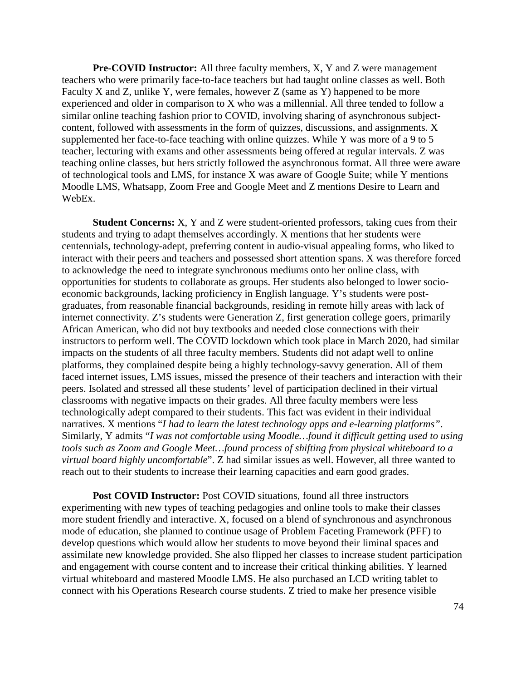**Pre-COVID Instructor:** All three faculty members, X, Y and Z were management teachers who were primarily face-to-face teachers but had taught online classes as well. Both Faculty X and Z, unlike Y, were females, however Z (same as Y) happened to be more experienced and older in comparison to X who was a millennial. All three tended to follow a similar online teaching fashion prior to COVID, involving sharing of asynchronous subjectcontent, followed with assessments in the form of quizzes, discussions, and assignments. X supplemented her face-to-face teaching with online quizzes. While Y was more of a 9 to 5 teacher, lecturing with exams and other assessments being offered at regular intervals. Z was teaching online classes, but hers strictly followed the asynchronous format. All three were aware of technological tools and LMS, for instance X was aware of Google Suite; while Y mentions Moodle LMS, Whatsapp, Zoom Free and Google Meet and Z mentions Desire to Learn and WebEx.

**Student Concerns:** X, Y and Z were student-oriented professors, taking cues from their students and trying to adapt themselves accordingly. X mentions that her students were centennials, technology-adept, preferring content in audio-visual appealing forms, who liked to interact with their peers and teachers and possessed short attention spans. X was therefore forced to acknowledge the need to integrate synchronous mediums onto her online class, with opportunities for students to collaborate as groups. Her students also belonged to lower socioeconomic backgrounds, lacking proficiency in English language. Y's students were postgraduates, from reasonable financial backgrounds, residing in remote hilly areas with lack of internet connectivity. Z's students were Generation Z, first generation college goers, primarily African American, who did not buy textbooks and needed close connections with their instructors to perform well. The COVID lockdown which took place in March 2020, had similar impacts on the students of all three faculty members. Students did not adapt well to online platforms, they complained despite being a highly technology-savvy generation. All of them faced internet issues, LMS issues, missed the presence of their teachers and interaction with their peers. Isolated and stressed all these students' level of participation declined in their virtual classrooms with negative impacts on their grades. All three faculty members were less technologically adept compared to their students. This fact was evident in their individual narratives. X mentions "*I had to learn the latest technology apps and e-learning platforms"*. Similarly, Y admits "*I was not comfortable using Moodle…found it difficult getting used to using tools such as Zoom and Google Meet…found process of shifting from physical whiteboard to a virtual board highly uncomfortable*". Z had similar issues as well. However, all three wanted to reach out to their students to increase their learning capacities and earn good grades.

**Post COVID Instructor:** Post COVID situations, found all three instructors experimenting with new types of teaching pedagogies and online tools to make their classes more student friendly and interactive. X, focused on a blend of synchronous and asynchronous mode of education, she planned to continue usage of Problem Faceting Framework (PFF) to develop questions which would allow her students to move beyond their liminal spaces and assimilate new knowledge provided. She also flipped her classes to increase student participation and engagement with course content and to increase their critical thinking abilities. Y learned virtual whiteboard and mastered Moodle LMS. He also purchased an LCD writing tablet to connect with his Operations Research course students. Z tried to make her presence visible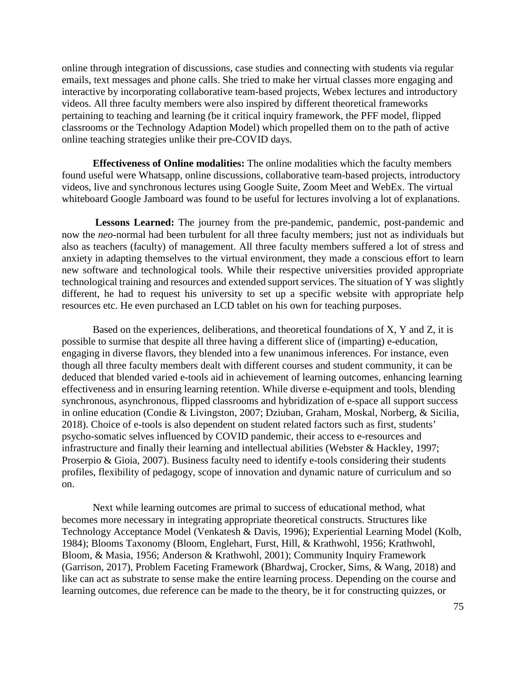online through integration of discussions, case studies and connecting with students via regular emails, text messages and phone calls. She tried to make her virtual classes more engaging and interactive by incorporating collaborative team-based projects, Webex lectures and introductory videos. All three faculty members were also inspired by different theoretical frameworks pertaining to teaching and learning (be it critical inquiry framework, the PFF model, flipped classrooms or the Technology Adaption Model) which propelled them on to the path of active online teaching strategies unlike their pre-COVID days.

**Effectiveness of Online modalities:** The online modalities which the faculty members found useful were Whatsapp, online discussions, collaborative team-based projects, introductory videos, live and synchronous lectures using Google Suite, Zoom Meet and WebEx. The virtual whiteboard Google Jamboard was found to be useful for lectures involving a lot of explanations.

**Lessons Learned:** The journey from the pre-pandemic, pandemic, post-pandemic and now the *neo*-normal had been turbulent for all three faculty members; just not as individuals but also as teachers (faculty) of management. All three faculty members suffered a lot of stress and anxiety in adapting themselves to the virtual environment, they made a conscious effort to learn new software and technological tools. While their respective universities provided appropriate technological training and resources and extended support services. The situation of Y was slightly different, he had to request his university to set up a specific website with appropriate help resources etc. He even purchased an LCD tablet on his own for teaching purposes.

Based on the experiences, deliberations, and theoretical foundations of X, Y and Z, it is possible to surmise that despite all three having a different slice of (imparting) e-education, engaging in diverse flavors, they blended into a few unanimous inferences. For instance, even though all three faculty members dealt with different courses and student community, it can be deduced that blended varied e-tools aid in achievement of learning outcomes, enhancing learning effectiveness and in ensuring learning retention. While diverse e-equipment and tools, blending synchronous, asynchronous, flipped classrooms and hybridization of e-space all support success in online education (Condie & Livingston, 2007; Dziuban, Graham, Moskal, Norberg, & Sicilia, 2018). Choice of e-tools is also dependent on student related factors such as first, students' psycho-somatic selves influenced by COVID pandemic, their access to e-resources and infrastructure and finally their learning and intellectual abilities (Webster & Hackley, 1997; Proserpio & Gioia, 2007). Business faculty need to identify e-tools considering their students profiles, flexibility of pedagogy, scope of innovation and dynamic nature of curriculum and so on.

Next while learning outcomes are primal to success of educational method, what becomes more necessary in integrating appropriate theoretical constructs. Structures like Technology Acceptance Model (Venkatesh & Davis, 1996); Experiential Learning Model (Kolb, 1984); Blooms Taxonomy (Bloom, Englehart, Furst, Hill, & Krathwohl, 1956; Krathwohl, Bloom, & Masia, 1956; Anderson & Krathwohl, 2001); Community Inquiry Framework (Garrison, 2017), Problem Faceting Framework (Bhardwaj, Crocker, Sims, & Wang, 2018) and like can act as substrate to sense make the entire learning process. Depending on the course and learning outcomes, due reference can be made to the theory, be it for constructing quizzes, or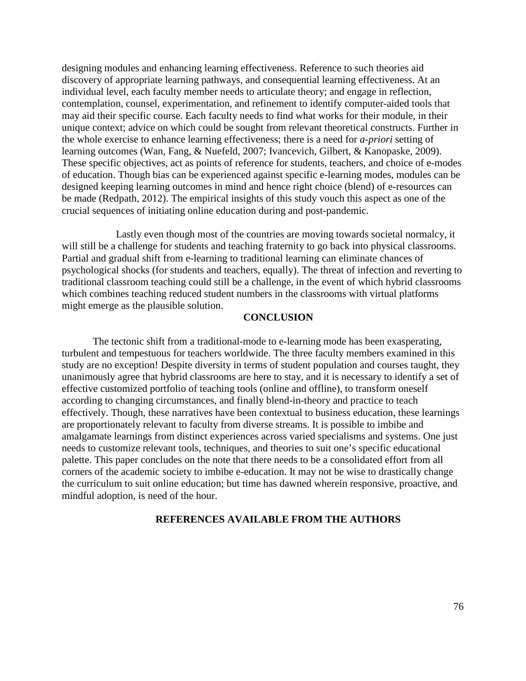designing modules and enhancing learning effectiveness. Reference to such theories aid discovery of appropriate learning pathways, and consequential learning effectiveness. At an individual level, each faculty member needs to articulate theory; and engage in reflection, contemplation, counsel, experimentation, and refinement to identify computer-aided tools that may aid their specific course. Each faculty needs to find what works for their module, in their unique context; advice on which could be sought from relevant theoretical constructs. Further in the whole exercise to enhance learning effectiveness; there is a need for *a-priori* setting of learning outcomes (Wan, Fang, & Nuefeld, 2007; Ivancevich, Gilbert, & Kanopaske, 2009). These specific objectives, act as points of reference for students, teachers, and choice of e-modes of education. Though bias can be experienced against specific e-learning modes, modules can be designed keeping learning outcomes in mind and hence right choice (blend) of e-resources can be made (Redpath, 2012). The empirical insights of this study vouch this aspect as one of the crucial sequences of initiating online education during and post-pandemic.

 Lastly even though most of the countries are moving towards societal normalcy, it will still be a challenge for students and teaching fraternity to go back into physical classrooms. Partial and gradual shift from e-learning to traditional learning can eliminate chances of psychological shocks (for students and teachers, equally). The threat of infection and reverting to traditional classroom teaching could still be a challenge, in the event of which hybrid classrooms which combines teaching reduced student numbers in the classrooms with virtual platforms might emerge as the plausible solution.

### **CONCLUSION**

The tectonic shift from a traditional-mode to e-learning mode has been exasperating, turbulent and tempestuous for teachers worldwide. The three faculty members examined in this study are no exception! Despite diversity in terms of student population and courses taught, they unanimously agree that hybrid classrooms are here to stay, and it is necessary to identify a set of effective customized portfolio of teaching tools (online and offline), to transform oneself according to changing circumstances, and finally blend-in-theory and practice to teach effectively. Though, these narratives have been contextual to business education, these learnings are proportionately relevant to faculty from diverse streams. It is possible to imbibe and amalgamate learnings from distinct experiences across varied specialisms and systems. One just needs to customize relevant tools, techniques, and theories to suit one's specific educational palette. This paper concludes on the note that there needs to be a consolidated effort from all corners of the academic society to imbibe e-education. It may not be wise to drastically change the curriculum to suit online education; but time has dawned wherein responsive, proactive, and mindful adoption, is need of the hour.

#### **REFERENCES AVAILABLE FROM THE AUTHORS**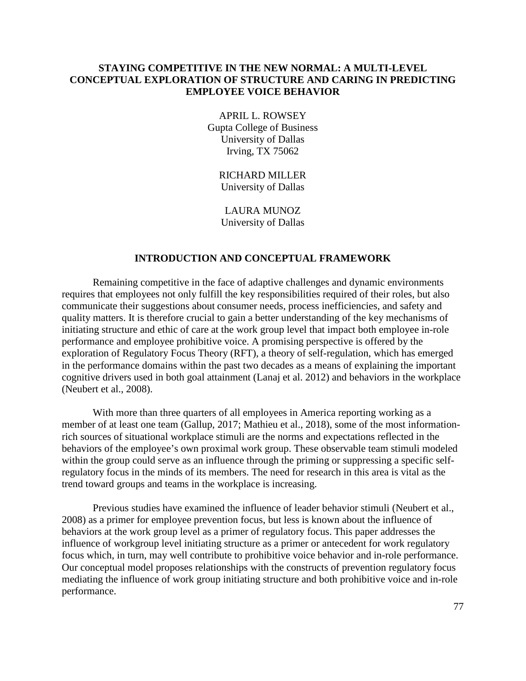# **STAYING COMPETITIVE IN THE NEW NORMAL: A MULTI-LEVEL CONCEPTUAL EXPLORATION OF STRUCTURE AND CARING IN PREDICTING EMPLOYEE VOICE BEHAVIOR**

APRIL L. ROWSEY Gupta College of Business University of Dallas Irving, TX 75062

> RICHARD MILLER University of Dallas

LAURA MUNOZ University of Dallas

### **INTRODUCTION AND CONCEPTUAL FRAMEWORK**

Remaining competitive in the face of adaptive challenges and dynamic environments requires that employees not only fulfill the key responsibilities required of their roles, but also communicate their suggestions about consumer needs, process inefficiencies, and safety and quality matters. It is therefore crucial to gain a better understanding of the key mechanisms of initiating structure and ethic of care at the work group level that impact both employee in-role performance and employee prohibitive voice. A promising perspective is offered by the exploration of Regulatory Focus Theory (RFT), a theory of self-regulation, which has emerged in the performance domains within the past two decades as a means of explaining the important cognitive drivers used in both goal attainment (Lanaj et al. 2012) and behaviors in the workplace (Neubert et al., 2008).

With more than three quarters of all employees in America reporting working as a member of at least one team (Gallup, 2017; Mathieu et al., 2018), some of the most informationrich sources of situational workplace stimuli are the norms and expectations reflected in the behaviors of the employee's own proximal work group. These observable team stimuli modeled within the group could serve as an influence through the priming or suppressing a specific selfregulatory focus in the minds of its members. The need for research in this area is vital as the trend toward groups and teams in the workplace is increasing.

Previous studies have examined the influence of leader behavior stimuli (Neubert et al., 2008) as a primer for employee prevention focus, but less is known about the influence of behaviors at the work group level as a primer of regulatory focus. This paper addresses the influence of workgroup level initiating structure as a primer or antecedent for work regulatory focus which, in turn, may well contribute to prohibitive voice behavior and in-role performance. Our conceptual model proposes relationships with the constructs of prevention regulatory focus mediating the influence of work group initiating structure and both prohibitive voice and in-role performance.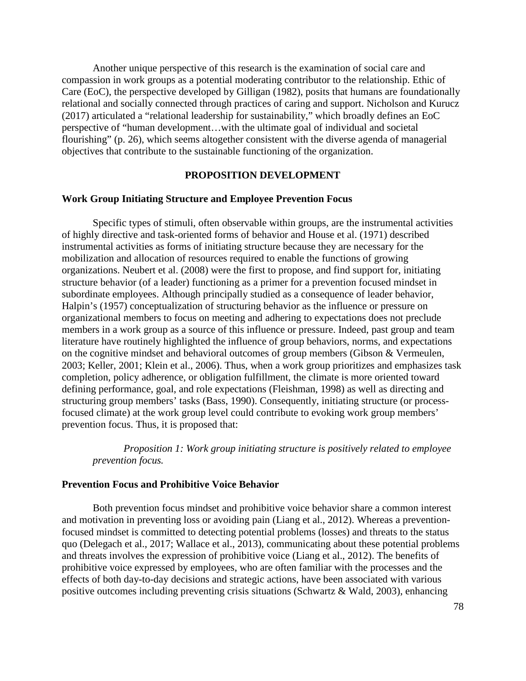Another unique perspective of this research is the examination of social care and compassion in work groups as a potential moderating contributor to the relationship. Ethic of Care (EoC), the perspective developed by Gilligan (1982), posits that humans are foundationally relational and socially connected through practices of caring and support. Nicholson and Kurucz (2017) articulated a "relational leadership for sustainability," which broadly defines an EoC perspective of "human development…with the ultimate goal of individual and societal flourishing" (p. 26), which seems altogether consistent with the diverse agenda of managerial objectives that contribute to the sustainable functioning of the organization.

# **PROPOSITION DEVELOPMENT**

#### **Work Group Initiating Structure and Employee Prevention Focus**

Specific types of stimuli, often observable within groups, are the instrumental activities of highly directive and task-oriented forms of behavior and House et al. (1971) described instrumental activities as forms of initiating structure because they are necessary for the mobilization and allocation of resources required to enable the functions of growing organizations. Neubert et al. (2008) were the first to propose, and find support for, initiating structure behavior (of a leader) functioning as a primer for a prevention focused mindset in subordinate employees. Although principally studied as a consequence of leader behavior, Halpin's (1957) conceptualization of structuring behavior as the influence or pressure on organizational members to focus on meeting and adhering to expectations does not preclude members in a work group as a source of this influence or pressure. Indeed, past group and team literature have routinely highlighted the influence of group behaviors, norms, and expectations on the cognitive mindset and behavioral outcomes of group members (Gibson & Vermeulen, 2003; Keller, 2001; Klein et al., 2006). Thus, when a work group prioritizes and emphasizes task completion, policy adherence, or obligation fulfillment, the climate is more oriented toward defining performance, goal, and role expectations (Fleishman, 1998) as well as directing and structuring group members' tasks (Bass, 1990). Consequently, initiating structure (or processfocused climate) at the work group level could contribute to evoking work group members' prevention focus. Thus, it is proposed that:

*Proposition 1: Work group initiating structure is positively related to employee prevention focus.*

#### **Prevention Focus and Prohibitive Voice Behavior**

Both prevention focus mindset and prohibitive voice behavior share a common interest and motivation in preventing loss or avoiding pain (Liang et al., 2012). Whereas a preventionfocused mindset is committed to detecting potential problems (losses) and threats to the status quo (Delegach et al., 2017; Wallace et al., 2013), communicating about these potential problems and threats involves the expression of prohibitive voice (Liang et al., 2012). The benefits of prohibitive voice expressed by employees, who are often familiar with the processes and the effects of both day-to-day decisions and strategic actions, have been associated with various positive outcomes including preventing crisis situations (Schwartz & Wald, 2003), enhancing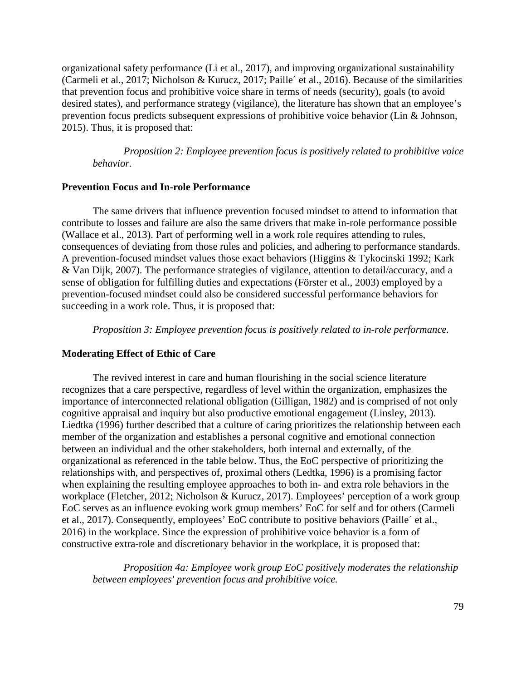organizational safety performance (Li et al., 2017), and improving organizational sustainability (Carmeli et al., 2017; Nicholson & Kurucz, 2017; Paille´ et al., 2016). Because of the similarities that prevention focus and prohibitive voice share in terms of needs (security), goals (to avoid desired states), and performance strategy (vigilance), the literature has shown that an employee's prevention focus predicts subsequent expressions of prohibitive voice behavior (Lin & Johnson, 2015). Thus, it is proposed that:

*Proposition 2: Employee prevention focus is positively related to prohibitive voice behavior.*

#### **Prevention Focus and In-role Performance**

The same drivers that influence prevention focused mindset to attend to information that contribute to losses and failure are also the same drivers that make in-role performance possible (Wallace et al., 2013). Part of performing well in a work role requires attending to rules, consequences of deviating from those rules and policies, and adhering to performance standards. A prevention-focused mindset values those exact behaviors (Higgins & Tykocinski 1992; Kark & Van Dijk, 2007). The performance strategies of vigilance, attention to detail/accuracy, and a sense of obligation for fulfilling duties and expectations (Förster et al., 2003) employed by a prevention-focused mindset could also be considered successful performance behaviors for succeeding in a work role. Thus, it is proposed that:

*Proposition 3: Employee prevention focus is positively related to in-role performance.*

## **Moderating Effect of Ethic of Care**

The revived interest in care and human flourishing in the social science literature recognizes that a care perspective, regardless of level within the organization, emphasizes the importance of interconnected relational obligation (Gilligan, 1982) and is comprised of not only cognitive appraisal and inquiry but also productive emotional engagement (Linsley, 2013). Liedtka (1996) further described that a culture of caring prioritizes the relationship between each member of the organization and establishes a personal cognitive and emotional connection between an individual and the other stakeholders, both internal and externally, of the organizational as referenced in the table below. Thus, the EoC perspective of prioritizing the relationships with, and perspectives of, proximal others (Ledtka, 1996) is a promising factor when explaining the resulting employee approaches to both in- and extra role behaviors in the workplace (Fletcher, 2012; Nicholson & Kurucz, 2017). Employees' perception of a work group EoC serves as an influence evoking work group members' EoC for self and for others (Carmeli et al., 2017). Consequently, employees' EoC contribute to positive behaviors (Paille´ et al., 2016) in the workplace. Since the expression of prohibitive voice behavior is a form of constructive extra-role and discretionary behavior in the workplace, it is proposed that:

*Proposition 4a: Employee work group EoC positively moderates the relationship between employees' prevention focus and prohibitive voice.*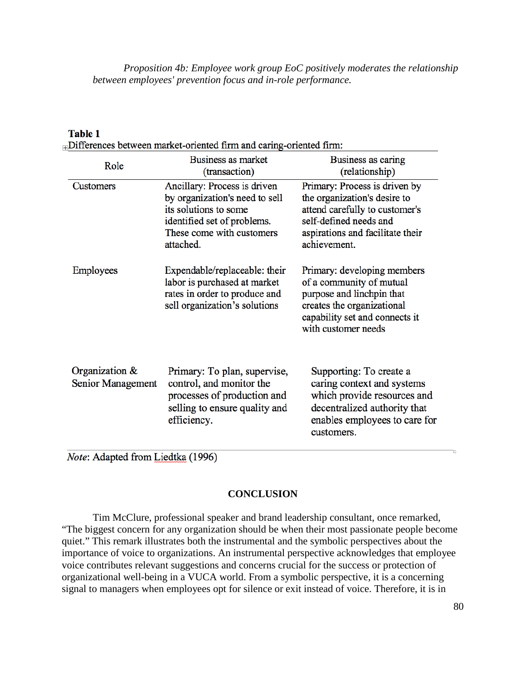*Proposition 4b: Employee work group EoC positively moderates the relationship between employees' prevention focus and in-role performance.*

| Role                                   | Business as market<br>(transaction)                                                                                                                              | Business as caring<br>(relationship)                                                                                                                                          |  |
|----------------------------------------|------------------------------------------------------------------------------------------------------------------------------------------------------------------|-------------------------------------------------------------------------------------------------------------------------------------------------------------------------------|--|
| Customers                              | Ancillary: Process is driven<br>by organization's need to sell<br>its solutions to some<br>identified set of problems.<br>These come with customers<br>attached. | Primary: Process is driven by<br>the organization's desire to<br>attend carefully to customer's<br>self-defined needs and<br>aspirations and facilitate their<br>achievement. |  |
| Employees                              | Expendable/replaceable: their<br>labor is purchased at market<br>rates in order to produce and<br>sell organization's solutions                                  | Primary: developing members<br>of a community of mutual<br>purpose and linchpin that<br>creates the organizational<br>capability set and connects it<br>with customer needs   |  |
| Organization $\&$<br>Senior Management | Primary: To plan, supervise,<br>control, and monitor the<br>processes of production and<br>selling to ensure quality and<br>efficiency.                          | Supporting: To create a<br>caring context and systems<br>which provide resources and<br>decentralized authority that<br>enables employees to care for<br>customers.           |  |

### **Table 1**

 $\Box$ Differences between market-oriented firm and caring-oriented firm:

*Note*: Adapted from Liedtka (1996)

# **CONCLUSION**

Tim McClure, professional speaker and brand leadership consultant, once remarked, "The biggest concern for any organization should be when their most passionate people become quiet." This remark illustrates both the instrumental and the symbolic perspectives about the importance of voice to organizations. An instrumental perspective acknowledges that employee voice contributes relevant suggestions and concerns crucial for the success or protection of organizational well-being in a VUCA world. From a symbolic perspective, it is a concerning signal to managers when employees opt for silence or exit instead of voice. Therefore, it is in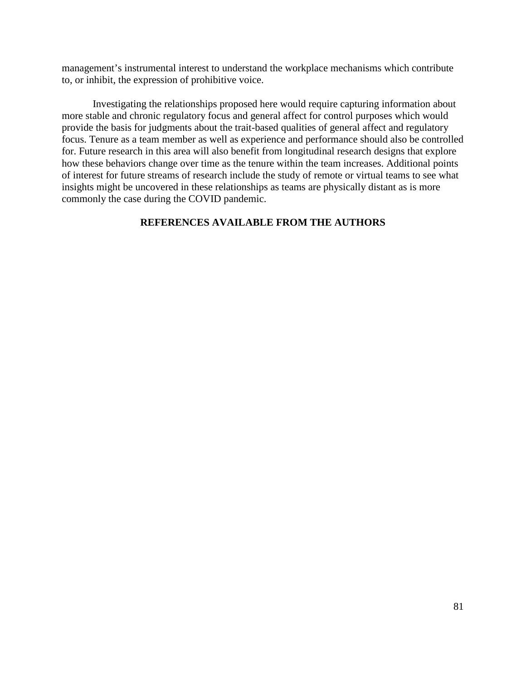management's instrumental interest to understand the workplace mechanisms which contribute to, or inhibit, the expression of prohibitive voice.

Investigating the relationships proposed here would require capturing information about more stable and chronic regulatory focus and general affect for control purposes which would provide the basis for judgments about the trait-based qualities of general affect and regulatory focus. Tenure as a team member as well as experience and performance should also be controlled for. Future research in this area will also benefit from longitudinal research designs that explore how these behaviors change over time as the tenure within the team increases. Additional points of interest for future streams of research include the study of remote or virtual teams to see what insights might be uncovered in these relationships as teams are physically distant as is more commonly the case during the COVID pandemic.

# **REFERENCES AVAILABLE FROM THE AUTHORS**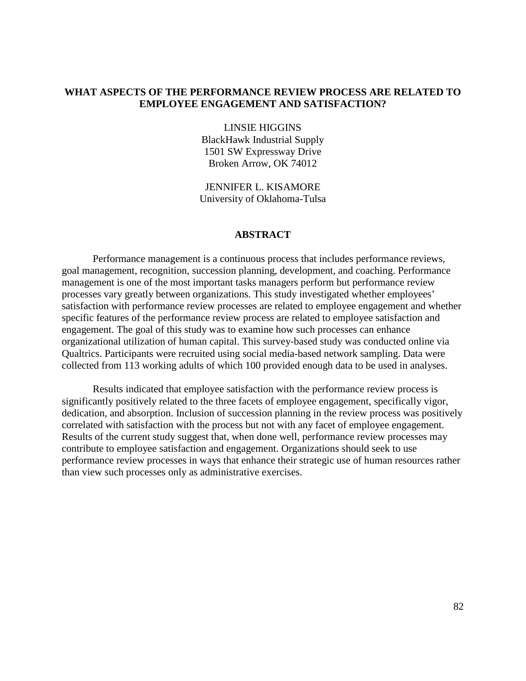# **WHAT ASPECTS OF THE PERFORMANCE REVIEW PROCESS ARE RELATED TO EMPLOYEE ENGAGEMENT AND SATISFACTION?**

LINSIE HIGGINS BlackHawk Industrial Supply 1501 SW Expressway Drive Broken Arrow, OK 74012

JENNIFER L. KISAMORE University of Oklahoma-Tulsa

### **ABSTRACT**

Performance management is a continuous process that includes performance reviews, goal management, recognition, succession planning, development, and coaching. Performance management is one of the most important tasks managers perform but performance review processes vary greatly between organizations. This study investigated whether employees' satisfaction with performance review processes are related to employee engagement and whether specific features of the performance review process are related to employee satisfaction and engagement. The goal of this study was to examine how such processes can enhance organizational utilization of human capital. This survey-based study was conducted online via Qualtrics. Participants were recruited using social media-based network sampling. Data were collected from 113 working adults of which 100 provided enough data to be used in analyses.

Results indicated that employee satisfaction with the performance review process is significantly positively related to the three facets of employee engagement, specifically vigor, dedication, and absorption. Inclusion of succession planning in the review process was positively correlated with satisfaction with the process but not with any facet of employee engagement. Results of the current study suggest that, when done well, performance review processes may contribute to employee satisfaction and engagement. Organizations should seek to use performance review processes in ways that enhance their strategic use of human resources rather than view such processes only as administrative exercises.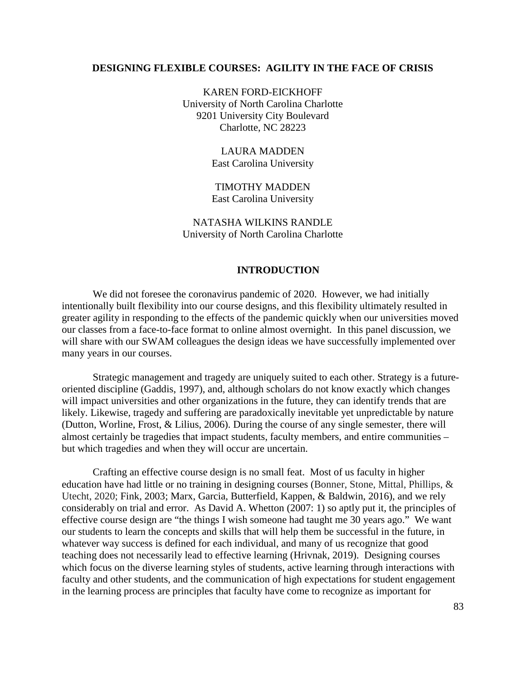#### **DESIGNING FLEXIBLE COURSES: AGILITY IN THE FACE OF CRISIS**

KAREN FORD-EICKHOFF University of North Carolina Charlotte 9201 University City Boulevard Charlotte, NC 28223

> LAURA MADDEN East Carolina University

TIMOTHY MADDEN East Carolina University

NATASHA WILKINS RANDLE University of North Carolina Charlotte

#### **INTRODUCTION**

We did not foresee the coronavirus pandemic of 2020. However, we had initially intentionally built flexibility into our course designs, and this flexibility ultimately resulted in greater agility in responding to the effects of the pandemic quickly when our universities moved our classes from a face-to-face format to online almost overnight. In this panel discussion, we will share with our SWAM colleagues the design ideas we have successfully implemented over many years in our courses.

Strategic management and tragedy are uniquely suited to each other. Strategy is a futureoriented discipline (Gaddis, 1997), and, although scholars do not know exactly which changes will impact universities and other organizations in the future, they can identify trends that are likely. Likewise, tragedy and suffering are paradoxically inevitable yet unpredictable by nature (Dutton, Worline, Frost, & Lilius, 2006). During the course of any single semester, there will almost certainly be tragedies that impact students, faculty members, and entire communities – but which tragedies and when they will occur are uncertain.

Crafting an effective course design is no small feat. Most of us faculty in higher education have had little or no training in designing courses (Bonner, Stone, Mittal, Phillips, & Utecht, 2020; Fink, 2003; Marx, Garcia, Butterfield, Kappen, & Baldwin, 2016), and we rely considerably on trial and error. As David A. Whetton (2007: 1) so aptly put it, the principles of effective course design are "the things I wish someone had taught me 30 years ago." We want our students to learn the concepts and skills that will help them be successful in the future, in whatever way success is defined for each individual, and many of us recognize that good teaching does not necessarily lead to effective learning (Hrivnak, 2019). Designing courses which focus on the diverse learning styles of students, active learning through interactions with faculty and other students, and the communication of high expectations for student engagement in the learning process are principles that faculty have come to recognize as important for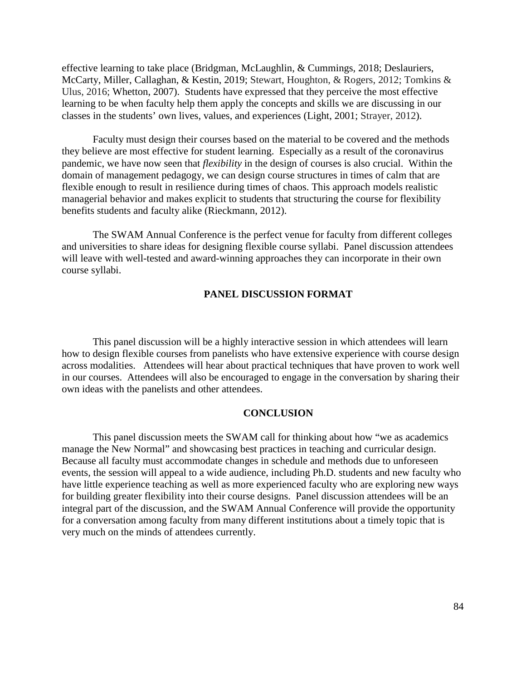effective learning to take place (Bridgman, McLaughlin, & Cummings, 2018; Deslauriers, McCarty, Miller, Callaghan, & Kestin, 2019; Stewart, Houghton, & Rogers, 2012; Tomkins & Ulus, 2016; Whetton, 2007). Students have expressed that they perceive the most effective learning to be when faculty help them apply the concepts and skills we are discussing in our classes in the students' own lives, values, and experiences (Light, 2001; Strayer, 2012).

Faculty must design their courses based on the material to be covered and the methods they believe are most effective for student learning. Especially as a result of the coronavirus pandemic, we have now seen that *flexibility* in the design of courses is also crucial. Within the domain of management pedagogy, we can design course structures in times of calm that are flexible enough to result in resilience during times of chaos. This approach models realistic managerial behavior and makes explicit to students that structuring the course for flexibility benefits students and faculty alike (Rieckmann, 2012).

The SWAM Annual Conference is the perfect venue for faculty from different colleges and universities to share ideas for designing flexible course syllabi. Panel discussion attendees will leave with well-tested and award-winning approaches they can incorporate in their own course syllabi.

## **PANEL DISCUSSION FORMAT**

This panel discussion will be a highly interactive session in which attendees will learn how to design flexible courses from panelists who have extensive experience with course design across modalities. Attendees will hear about practical techniques that have proven to work well in our courses. Attendees will also be encouraged to engage in the conversation by sharing their own ideas with the panelists and other attendees.

#### **CONCLUSION**

This panel discussion meets the SWAM call for thinking about how "we as academics manage the New Normal" and showcasing best practices in teaching and curricular design. Because all faculty must accommodate changes in schedule and methods due to unforeseen events, the session will appeal to a wide audience, including Ph.D. students and new faculty who have little experience teaching as well as more experienced faculty who are exploring new ways for building greater flexibility into their course designs. Panel discussion attendees will be an integral part of the discussion, and the SWAM Annual Conference will provide the opportunity for a conversation among faculty from many different institutions about a timely topic that is very much on the minds of attendees currently.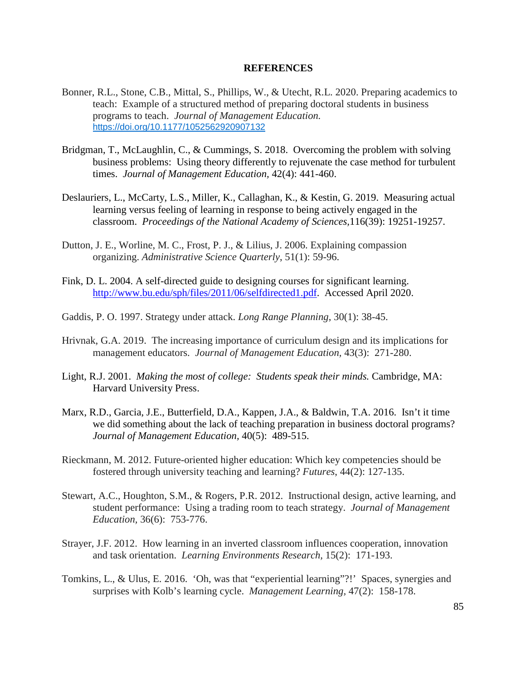#### **REFERENCES**

- Bonner, R.L., Stone, C.B., Mittal, S., Phillips, W., & Utecht, R.L. 2020. Preparing academics to teach: Example of a structured method of preparing doctoral students in business programs to teach. *Journal of Management Education.*  [https://doi.org/10.1177/1052562920907132](https://doi.org/10.1177%2F1052562920907132)
- Bridgman, T., McLaughlin, C., & Cummings, S. 2018. Overcoming the problem with solving business problems: Using theory differently to rejuvenate the case method for turbulent times. *Journal of Management Education,* 42(4): 441-460.
- Deslauriers, L., McCarty, L.S., Miller, K., Callaghan, K., & Kestin, G. 2019. Measuring actual learning versus feeling of learning in response to being actively engaged in the classroom. *Proceedings of the National Academy of Sciences,*116(39): 19251-19257.
- Dutton, J. E., Worline, M. C., Frost, P. J., & Lilius, J. 2006. Explaining compassion organizing. *Administrative Science Quarterly*, 51(1): 59-96.
- Fink, D. L. 2004. A self-directed guide to designing courses for significant learning. [http://www.bu.edu/sph/files/2011/06/selfdirected1.pdf.](http://www.bu.edu/sph/files/2011/06/selfdirected1.pdf) Accessed April 2020.
- Gaddis, P. O. 1997. Strategy under attack. *Long Range Planning*, 30(1): 38-45.
- Hrivnak, G.A. 2019. The increasing importance of curriculum design and its implications for management educators. *Journal of Management Education,* 43(3): 271-280.
- Light, R.J. 2001. *Making the most of college: Students speak their minds.* Cambridge, MA: Harvard University Press.
- Marx, R.D., Garcia, J.E., Butterfield, D.A., Kappen, J.A., & Baldwin, T.A. 2016. Isn't it time we did something about the lack of teaching preparation in business doctoral programs? *Journal of Management Education,* 40(5): 489-515.
- Rieckmann, M. 2012. Future-oriented higher education: Which key competencies should be fostered through university teaching and learning? *Futures*, 44(2): 127-135.
- Stewart, A.C., Houghton, S.M., & Rogers, P.R. 2012. Instructional design, active learning, and student performance: Using a trading room to teach strategy. *Journal of Management Education,* 36(6): 753-776.
- Strayer, J.F. 2012. How learning in an inverted classroom influences cooperation, innovation and task orientation. *Learning Environments Research,* 15(2): 171-193.
- Tomkins, L., & Ulus, E. 2016. 'Oh, was that "experiential learning"?!' Spaces, synergies and surprises with Kolb's learning cycle. *Management Learning,* 47(2): 158-178.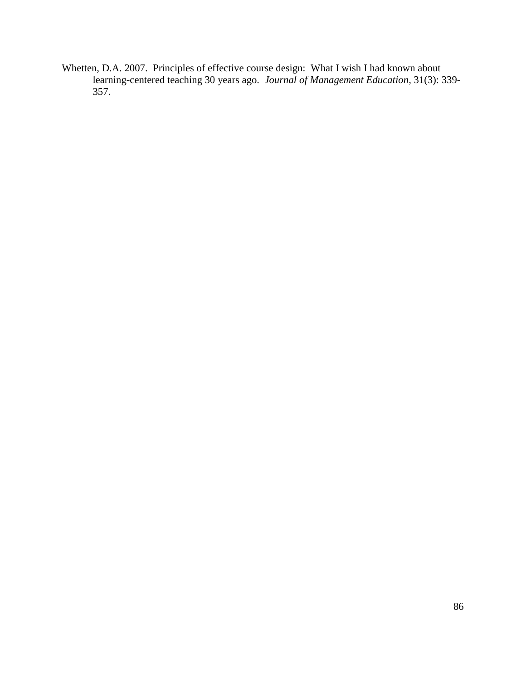Whetten, D.A. 2007. Principles of effective course design: What I wish I had known about learning-centered teaching 30 years ago. *Journal of Management Education,* 31(3): 339- 357.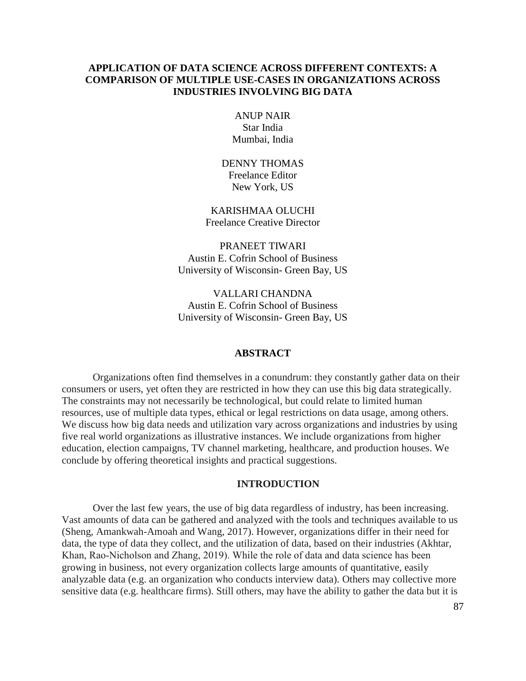# **APPLICATION OF DATA SCIENCE ACROSS DIFFERENT CONTEXTS: A COMPARISON OF MULTIPLE USE-CASES IN ORGANIZATIONS ACROSS INDUSTRIES INVOLVING BIG DATA**

ANUP NAIR Star India Mumbai, India

DENNY THOMAS Freelance Editor New York, US

KARISHMAA OLUCHI Freelance Creative Director

PRANEET TIWARI Austin E. Cofrin School of Business University of Wisconsin- Green Bay, US

VALLARI CHANDNA Austin E. Cofrin School of Business University of Wisconsin- Green Bay, US

#### **ABSTRACT**

Organizations often find themselves in a conundrum: they constantly gather data on their consumers or users, yet often they are restricted in how they can use this big data strategically. The constraints may not necessarily be technological, but could relate to limited human resources, use of multiple data types, ethical or legal restrictions on data usage, among others. We discuss how big data needs and utilization vary across organizations and industries by using five real world organizations as illustrative instances. We include organizations from higher education, election campaigns, TV channel marketing, healthcare, and production houses. We conclude by offering theoretical insights and practical suggestions.

#### **INTRODUCTION**

Over the last few years, the use of big data regardless of industry, has been increasing. Vast amounts of data can be gathered and analyzed with the tools and techniques available to us (Sheng, Amankwah-Amoah and Wang, 2017). However, organizations differ in their need for data, the type of data they collect, and the utilization of data, based on their industries (Akhtar, Khan, Rao‐Nicholson and Zhang, 2019). While the role of data and data science has been growing in business, not every organization collects large amounts of quantitative, easily analyzable data (e.g. an organization who conducts interview data). Others may collective more sensitive data (e.g. healthcare firms). Still others, may have the ability to gather the data but it is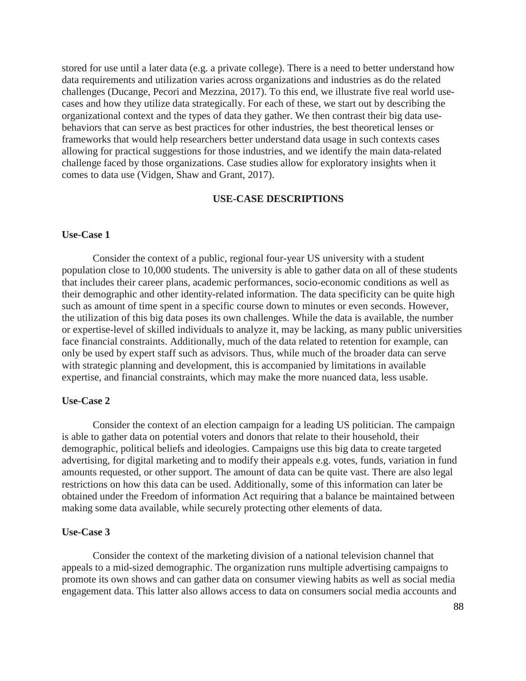stored for use until a later data (e.g. a private college). There is a need to better understand how data requirements and utilization varies across organizations and industries as do the related challenges (Ducange, Pecori and Mezzina, 2017). To this end, we illustrate five real world usecases and how they utilize data strategically. For each of these, we start out by describing the organizational context and the types of data they gather. We then contrast their big data usebehaviors that can serve as best practices for other industries, the best theoretical lenses or frameworks that would help researchers better understand data usage in such contexts cases allowing for practical suggestions for those industries, and we identify the main data-related challenge faced by those organizations. Case studies allow for exploratory insights when it comes to data use (Vidgen, Shaw and Grant, 2017).

# **USE-CASE DESCRIPTIONS**

#### **Use-Case 1**

Consider the context of a public, regional four-year US university with a student population close to 10,000 students. The university is able to gather data on all of these students that includes their career plans, academic performances, socio-economic conditions as well as their demographic and other identity-related information. The data specificity can be quite high such as amount of time spent in a specific course down to minutes or even seconds. However, the utilization of this big data poses its own challenges. While the data is available, the number or expertise-level of skilled individuals to analyze it, may be lacking, as many public universities face financial constraints. Additionally, much of the data related to retention for example, can only be used by expert staff such as advisors. Thus, while much of the broader data can serve with strategic planning and development, this is accompanied by limitations in available expertise, and financial constraints, which may make the more nuanced data, less usable.

#### **Use-Case 2**

Consider the context of an election campaign for a leading US politician. The campaign is able to gather data on potential voters and donors that relate to their household, their demographic, political beliefs and ideologies. Campaigns use this big data to create targeted advertising, for digital marketing and to modify their appeals e.g. votes, funds, variation in fund amounts requested, or other support. The amount of data can be quite vast. There are also legal restrictions on how this data can be used. Additionally, some of this information can later be obtained under the Freedom of information Act requiring that a balance be maintained between making some data available, while securely protecting other elements of data.

#### **Use-Case 3**

Consider the context of the marketing division of a national television channel that appeals to a mid-sized demographic. The organization runs multiple advertising campaigns to promote its own shows and can gather data on consumer viewing habits as well as social media engagement data. This latter also allows access to data on consumers social media accounts and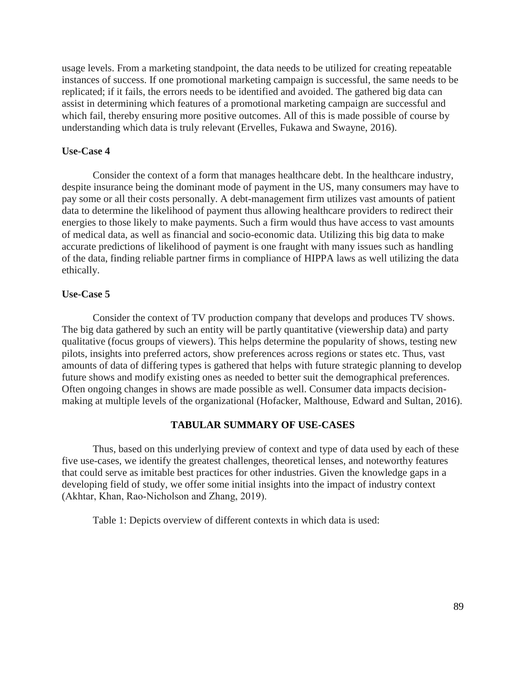usage levels. From a marketing standpoint, the data needs to be utilized for creating repeatable instances of success. If one promotional marketing campaign is successful, the same needs to be replicated; if it fails, the errors needs to be identified and avoided. The gathered big data can assist in determining which features of a promotional marketing campaign are successful and which fail, thereby ensuring more positive outcomes. All of this is made possible of course by understanding which data is truly relevant (Ervelles, Fukawa and Swayne, 2016).

## **Use-Case 4**

Consider the context of a form that manages healthcare debt. In the healthcare industry, despite insurance being the dominant mode of payment in the US, many consumers may have to pay some or all their costs personally. A debt-management firm utilizes vast amounts of patient data to determine the likelihood of payment thus allowing healthcare providers to redirect their energies to those likely to make payments. Such a firm would thus have access to vast amounts of medical data, as well as financial and socio-economic data. Utilizing this big data to make accurate predictions of likelihood of payment is one fraught with many issues such as handling of the data, finding reliable partner firms in compliance of HIPPA laws as well utilizing the data ethically.

## **Use-Case 5**

Consider the context of TV production company that develops and produces TV shows. The big data gathered by such an entity will be partly quantitative (viewership data) and party qualitative (focus groups of viewers). This helps determine the popularity of shows, testing new pilots, insights into preferred actors, show preferences across regions or states etc. Thus, vast amounts of data of differing types is gathered that helps with future strategic planning to develop future shows and modify existing ones as needed to better suit the demographical preferences. Often ongoing changes in shows are made possible as well. Consumer data impacts decisionmaking at multiple levels of the organizational (Hofacker, Malthouse, Edward and Sultan, 2016).

### **TABULAR SUMMARY OF USE-CASES**

Thus, based on this underlying preview of context and type of data used by each of these five use-cases, we identify the greatest challenges, theoretical lenses, and noteworthy features that could serve as imitable best practices for other industries. Given the knowledge gaps in a developing field of study, we offer some initial insights into the impact of industry context (Akhtar, Khan, Rao‐Nicholson and Zhang, 2019).

Table 1: Depicts overview of different contexts in which data is used: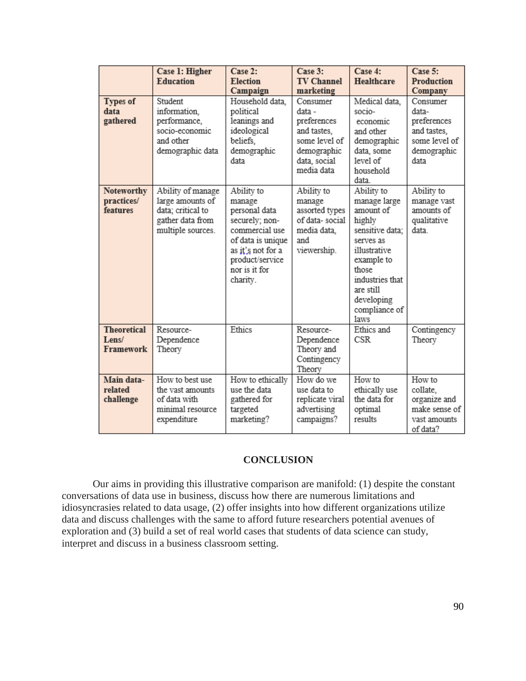|                                          | Case 1: Higher<br><b>Education</b>                                                                  | Case 2:<br><b>Election</b><br>Campaign                                                                                                                              | Case 3:<br><b>TV Channel</b><br>marketing                                                                      | Case 4:<br>Healthcare                                                                                                                                                                                  | Case 5:<br>Production<br>Company                                                        |
|------------------------------------------|-----------------------------------------------------------------------------------------------------|---------------------------------------------------------------------------------------------------------------------------------------------------------------------|----------------------------------------------------------------------------------------------------------------|--------------------------------------------------------------------------------------------------------------------------------------------------------------------------------------------------------|-----------------------------------------------------------------------------------------|
| <b>Types of</b><br>data<br>gathered      | Student<br>information.<br>performance,<br>socio-economic<br>and other<br>demographic data          | Household data,<br>political<br>leanings and<br>ideological<br>beliefs.<br>demographic<br>data                                                                      | Consumer<br>data -<br>preferences<br>and tastes.<br>some level of<br>demographic<br>data, social<br>media data | Medical data,<br>socio-<br>economic<br>and other<br>demographic<br>data, some<br>level of<br>household<br>data.                                                                                        | Consumer<br>data-<br>preferences<br>and tastes.<br>some level of<br>demographic<br>data |
| Noteworthy<br>practices/<br>features     | Ability of manage<br>large amounts of<br>data; critical to<br>gather data from<br>multiple sources. | Ability to<br>manage<br>personal data<br>securely; non-<br>commercial use<br>of data is unique<br>as it's not for a<br>product/service<br>nor is it for<br>charity. | Ability to<br>manage<br>assorted types<br>of data-social<br>media data,<br>and<br>viewership.                  | Ability to<br>manage large<br>amount of<br>highly<br>sensitive data:<br>serves as<br>illustrative<br>example to<br>those<br>industries that<br>are still<br>developing<br>compliance of<br><b>laws</b> | Ability to<br>manage vast<br>amounts of<br>qualitative<br>data                          |
| <b>Theoretical</b><br>Lens/<br>Framework | Resource-<br>Dependence<br>Theory                                                                   | Ethics                                                                                                                                                              | Resource-<br>Dependence<br>Theory and<br>Contingency<br>Theory                                                 | Ethics and<br><b>CSR</b>                                                                                                                                                                               | Contingency<br>Theory                                                                   |
| Main data-<br>related<br>challenge       | How to best use<br>the vast amounts<br>of data with<br>minimal resource<br>expenditure              | How to ethically<br>use the data<br>gathered for<br>targeted<br>marketing?                                                                                          | How do we<br>use data to<br>replicate viral<br>advertising<br>campaigns?                                       | How to<br>ethically use<br>the data for<br>optimal<br>results                                                                                                                                          | How to<br>collate,<br>organize and<br>make sense of<br>vast amounts<br>of data?         |

# **CONCLUSION**

Our aims in providing this illustrative comparison are manifold: (1) despite the constant conversations of data use in business, discuss how there are numerous limitations and idiosyncrasies related to data usage, (2) offer insights into how different organizations utilize data and discuss challenges with the same to afford future researchers potential avenues of exploration and (3) build a set of real world cases that students of data science can study, interpret and discuss in a business classroom setting.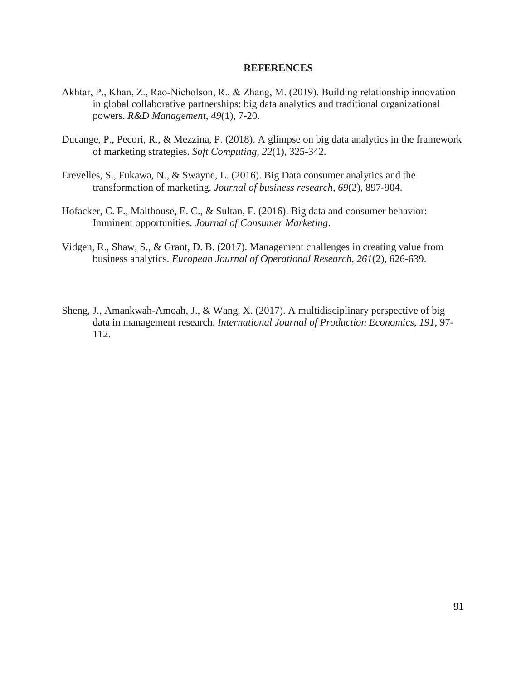#### **REFERENCES**

- Akhtar, P., Khan, Z., Rao‐Nicholson, R., & Zhang, M. (2019). Building relationship innovation in global collaborative partnerships: big data analytics and traditional organizational powers. *R&D Management*, *49*(1), 7-20.
- Ducange, P., Pecori, R., & Mezzina, P. (2018). A glimpse on big data analytics in the framework of marketing strategies. *Soft Computing*, *22*(1), 325-342.
- Erevelles, S., Fukawa, N., & Swayne, L. (2016). Big Data consumer analytics and the transformation of marketing. *Journal of business research*, *69*(2), 897-904.
- Hofacker, C. F., Malthouse, E. C., & Sultan, F. (2016). Big data and consumer behavior: Imminent opportunities. *Journal of Consumer Marketing*.
- Vidgen, R., Shaw, S., & Grant, D. B. (2017). Management challenges in creating value from business analytics. *European Journal of Operational Research*, *261*(2), 626-639.
- Sheng, J., Amankwah-Amoah, J., & Wang, X. (2017). A multidisciplinary perspective of big data in management research. *International Journal of Production Economics*, *191*, 97- 112.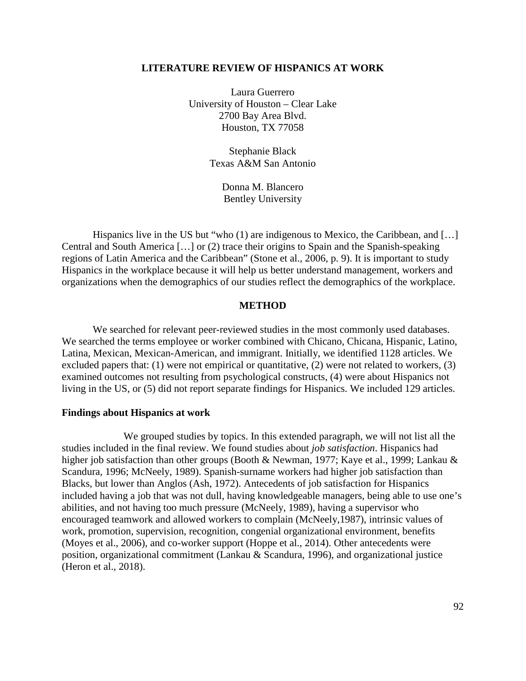#### **LITERATURE REVIEW OF HISPANICS AT WORK**

Laura Guerrero University of Houston – Clear Lake 2700 Bay Area Blvd. Houston, TX 77058

> Stephanie Black Texas A&M San Antonio

> > Donna M. Blancero Bentley University

Hispanics live in the US but "who (1) are indigenous to Mexico, the Caribbean, and [...] Central and South America […] or (2) trace their origins to Spain and the Spanish-speaking regions of Latin America and the Caribbean" (Stone et al., 2006, p. 9). It is important to study Hispanics in the workplace because it will help us better understand management, workers and organizations when the demographics of our studies reflect the demographics of the workplace.

### **METHOD**

We searched for relevant peer-reviewed studies in the most commonly used databases. We searched the terms employee or worker combined with Chicano, Chicana, Hispanic, Latino, Latina, Mexican, Mexican-American, and immigrant. Initially, we identified 1128 articles. We excluded papers that: (1) were not empirical or quantitative, (2) were not related to workers, (3) examined outcomes not resulting from psychological constructs, (4) were about Hispanics not living in the US, or (5) did not report separate findings for Hispanics. We included 129 articles.

#### **Findings about Hispanics at work**

We grouped studies by topics. In this extended paragraph, we will not list all the studies included in the final review. We found studies about *job satisfaction*. Hispanics had higher job satisfaction than other groups (Booth & Newman, 1977; Kaye et al., 1999; Lankau & Scandura, 1996; McNeely, 1989). Spanish-surname workers had higher job satisfaction than Blacks, but lower than Anglos (Ash, 1972). Antecedents of job satisfaction for Hispanics included having a job that was not dull, having knowledgeable managers, being able to use one's abilities, and not having too much pressure (McNeely, 1989), having a supervisor who encouraged teamwork and allowed workers to complain (McNeely,1987), intrinsic values of work, promotion, supervision, recognition, congenial organizational environment, benefits (Moyes et al., 2006), and co-worker support (Hoppe et al., 2014). Other antecedents were position, organizational commitment (Lankau & Scandura, 1996), and organizational justice (Heron et al., 2018).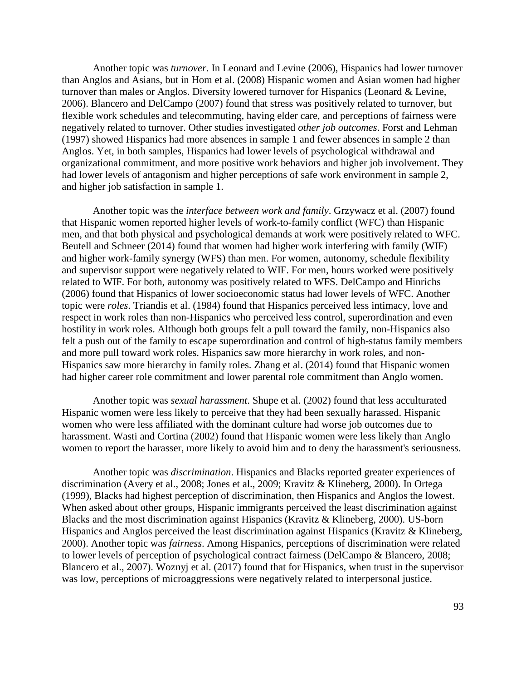Another topic was *turnover*. In Leonard and Levine (2006), Hispanics had lower turnover than Anglos and Asians, but in Hom et al. (2008) Hispanic women and Asian women had higher turnover than males or Anglos. Diversity lowered turnover for Hispanics (Leonard & Levine, 2006). Blancero and DelCampo (2007) found that stress was positively related to turnover, but flexible work schedules and telecommuting, having elder care, and perceptions of fairness were negatively related to turnover. Other studies investigated *other job outcomes*. Forst and Lehman (1997) showed Hispanics had more absences in sample 1 and fewer absences in sample 2 than Anglos. Yet, in both samples, Hispanics had lower levels of psychological withdrawal and organizational commitment, and more positive work behaviors and higher job involvement. They had lower levels of antagonism and higher perceptions of safe work environment in sample 2, and higher job satisfaction in sample 1.

Another topic was the *interface between work and family*. Grzywacz et al. (2007) found that Hispanic women reported higher levels of work-to-family conflict (WFC) than Hispanic men, and that both physical and psychological demands at work were positively related to WFC. Beutell and Schneer (2014) found that women had higher work interfering with family (WIF) and higher work-family synergy (WFS) than men. For women, autonomy, schedule flexibility and supervisor support were negatively related to WIF. For men, hours worked were positively related to WIF. For both, autonomy was positively related to WFS. DelCampo and Hinrichs (2006) found that Hispanics of lower socioeconomic status had lower levels of WFC. Another topic were *roles*. Triandis et al. (1984) found that Hispanics perceived less intimacy, love and respect in work roles than non-Hispanics who perceived less control, superordination and even hostility in work roles. Although both groups felt a pull toward the family, non-Hispanics also felt a push out of the family to escape superordination and control of high-status family members and more pull toward work roles. Hispanics saw more hierarchy in work roles, and non-Hispanics saw more hierarchy in family roles. Zhang et al. (2014) found that Hispanic women had higher career role commitment and lower parental role commitment than Anglo women.

Another topic was *sexual harassment*. Shupe et al. (2002) found that less acculturated Hispanic women were less likely to perceive that they had been sexually harassed. Hispanic women who were less affiliated with the dominant culture had worse job outcomes due to harassment. Wasti and Cortina (2002) found that Hispanic women were less likely than Anglo women to report the harasser, more likely to avoid him and to deny the harassment's seriousness.

Another topic was *discrimination*. Hispanics and Blacks reported greater experiences of discrimination (Avery et al., 2008; Jones et al., 2009; Kravitz & Klineberg, 2000). In Ortega (1999), Blacks had highest perception of discrimination, then Hispanics and Anglos the lowest. When asked about other groups, Hispanic immigrants perceived the least discrimination against Blacks and the most discrimination against Hispanics (Kravitz & Klineberg, 2000). US-born Hispanics and Anglos perceived the least discrimination against Hispanics (Kravitz & Klineberg, 2000). Another topic was *fairness*. Among Hispanics, perceptions of discrimination were related to lower levels of perception of psychological contract fairness (DelCampo & Blancero, 2008; Blancero et al., 2007). Woznyj et al. (2017) found that for Hispanics, when trust in the supervisor was low, perceptions of microaggressions were negatively related to interpersonal justice.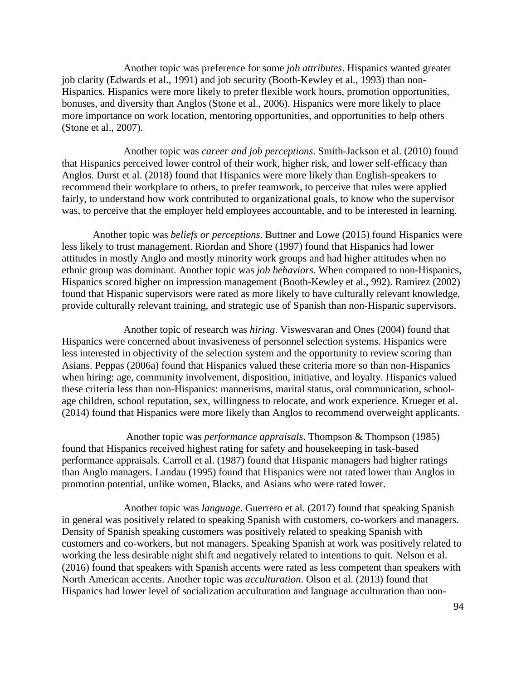Another topic was preference for some *job attributes*. Hispanics wanted greater job clarity (Edwards et al., 1991) and job security (Booth-Kewley et al., 1993) than non-Hispanics. Hispanics were more likely to prefer flexible work hours, promotion opportunities, bonuses, and diversity than Anglos (Stone et al., 2006). Hispanics were more likely to place more importance on work location, mentoring opportunities, and opportunities to help others (Stone et al., 2007).

Another topic was *career and job perceptions*. Smith-Jackson et al. (2010) found that Hispanics perceived lower control of their work, higher risk, and lower self-efficacy than Anglos. Durst et al. (2018) found that Hispanics were more likely than English-speakers to recommend their workplace to others, to prefer teamwork, to perceive that rules were applied fairly, to understand how work contributed to organizational goals, to know who the supervisor was, to perceive that the employer held employees accountable, and to be interested in learning.

Another topic was *beliefs or perceptions*. Buttner and Lowe (2015) found Hispanics were less likely to trust management. Riordan and Shore (1997) found that Hispanics had lower attitudes in mostly Anglo and mostly minority work groups and had higher attitudes when no ethnic group was dominant. Another topic was *job behaviors*. When compared to non-Hispanics, Hispanics scored higher on impression management (Booth-Kewley et al., 992). Ramirez (2002) found that Hispanic supervisors were rated as more likely to have culturally relevant knowledge, provide culturally relevant training, and strategic use of Spanish than non-Hispanic supervisors.

Another topic of research was *hiring*. Viswesvaran and Ones (2004) found that Hispanics were concerned about invasiveness of personnel selection systems. Hispanics were less interested in objectivity of the selection system and the opportunity to review scoring than Asians. Peppas (2006a) found that Hispanics valued these criteria more so than non-Hispanics when hiring: age, community involvement, disposition, initiative, and loyalty. Hispanics valued these criteria less than non-Hispanics: mannerisms, marital status, oral communication, schoolage children, school reputation, sex, willingness to relocate, and work experience. Krueger et al. (2014) found that Hispanics were more likely than Anglos to recommend overweight applicants.

Another topic was *performance appraisals*. Thompson & Thompson (1985) found that Hispanics received highest rating for safety and housekeeping in task-based performance appraisals. Carroll et al. (1987) found that Hispanic managers had higher ratings than Anglo managers. Landau (1995) found that Hispanics were not rated lower than Anglos in promotion potential, unlike women, Blacks, and Asians who were rated lower.

Another topic was *language*. Guerrero et al. (2017) found that speaking Spanish in general was positively related to speaking Spanish with customers, co-workers and managers. Density of Spanish speaking customers was positively related to speaking Spanish with customers and co-workers, but not managers. Speaking Spanish at work was positively related to working the less desirable night shift and negatively related to intentions to quit. Nelson et al. (2016) found that speakers with Spanish accents were rated as less competent than speakers with North American accents. Another topic was *acculturation*. Olson et al. (2013) found that Hispanics had lower level of socialization acculturation and language acculturation than non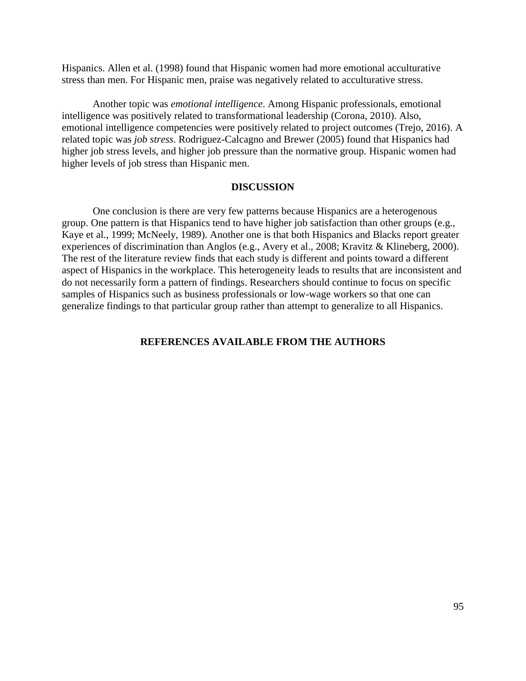Hispanics. Allen et al. (1998) found that Hispanic women had more emotional acculturative stress than men. For Hispanic men, praise was negatively related to acculturative stress.

Another topic was *emotional intelligence*. Among Hispanic professionals, emotional intelligence was positively related to transformational leadership (Corona, 2010). Also, emotional intelligence competencies were positively related to project outcomes (Trejo, 2016). A related topic was *job stress*. Rodriguez-Calcagno and Brewer (2005) found that Hispanics had higher job stress levels, and higher job pressure than the normative group. Hispanic women had higher levels of job stress than Hispanic men.

#### **DISCUSSION**

One conclusion is there are very few patterns because Hispanics are a heterogenous group. One pattern is that Hispanics tend to have higher job satisfaction than other groups (e.g., Kaye et al., 1999; McNeely, 1989). Another one is that both Hispanics and Blacks report greater experiences of discrimination than Anglos (e.g., Avery et al., 2008; Kravitz & Klineberg, 2000). The rest of the literature review finds that each study is different and points toward a different aspect of Hispanics in the workplace. This heterogeneity leads to results that are inconsistent and do not necessarily form a pattern of findings. Researchers should continue to focus on specific samples of Hispanics such as business professionals or low-wage workers so that one can generalize findings to that particular group rather than attempt to generalize to all Hispanics.

# **REFERENCES AVAILABLE FROM THE AUTHORS**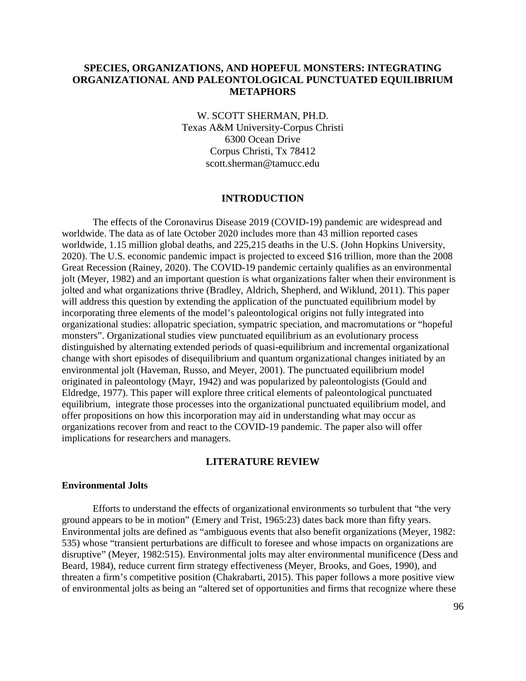# **SPECIES, ORGANIZATIONS, AND HOPEFUL MONSTERS: INTEGRATING ORGANIZATIONAL AND PALEONTOLOGICAL PUNCTUATED EQUILIBRIUM METAPHORS**

W. SCOTT SHERMAN, PH.D. Texas A&M University-Corpus Christi 6300 Ocean Drive Corpus Christi, Tx 78412 scott.sherman@tamucc.edu

#### **INTRODUCTION**

The effects of the Coronavirus Disease 2019 (COVID-19) pandemic are widespread and worldwide. The data as of late October 2020 includes more than 43 million reported cases worldwide, 1.15 million global deaths, and 225,215 deaths in the U.S. (John Hopkins University, 2020). The U.S. economic pandemic impact is projected to exceed \$16 trillion, more than the 2008 Great Recession (Rainey, 2020). The COVID-19 pandemic certainly qualifies as an environmental jolt (Meyer, 1982) and an important question is what organizations falter when their environment is jolted and what organizations thrive (Bradley, Aldrich, Shepherd, and Wiklund, 2011). This paper will address this question by extending the application of the punctuated equilibrium model by incorporating three elements of the model's paleontological origins not fully integrated into organizational studies: allopatric speciation, sympatric speciation, and macromutations or "hopeful monsters". Organizational studies view punctuated equilibrium as an evolutionary process distinguished by alternating extended periods of quasi-equilibrium and incremental organizational change with short episodes of disequilibrium and quantum organizational changes initiated by an environmental jolt (Haveman, Russo, and Meyer, 2001). The punctuated equilibrium model originated in paleontology (Mayr, 1942) and was popularized by paleontologists (Gould and Eldredge, 1977). This paper will explore three critical elements of paleontological punctuated equilibrium, integrate those processes into the organizational punctuated equilibrium model, and offer propositions on how this incorporation may aid in understanding what may occur as organizations recover from and react to the COVID-19 pandemic. The paper also will offer implications for researchers and managers.

### **LITERATURE REVIEW**

#### **Environmental Jolts**

Efforts to understand the effects of organizational environments so turbulent that "the very ground appears to be in motion" (Emery and Trist, 1965:23) dates back more than fifty years. Environmental jolts are defined as "ambiguous events that also benefit organizations (Meyer, 1982: 535) whose "transient perturbations are difficult to foresee and whose impacts on organizations are disruptive" (Meyer, 1982:515). Environmental jolts may alter environmental munificence (Dess and Beard, 1984), reduce current firm strategy effectiveness (Meyer, Brooks, and Goes, 1990), and threaten a firm's competitive position (Chakrabarti, 2015). This paper follows a more positive view of environmental jolts as being an "altered set of opportunities and firms that recognize where these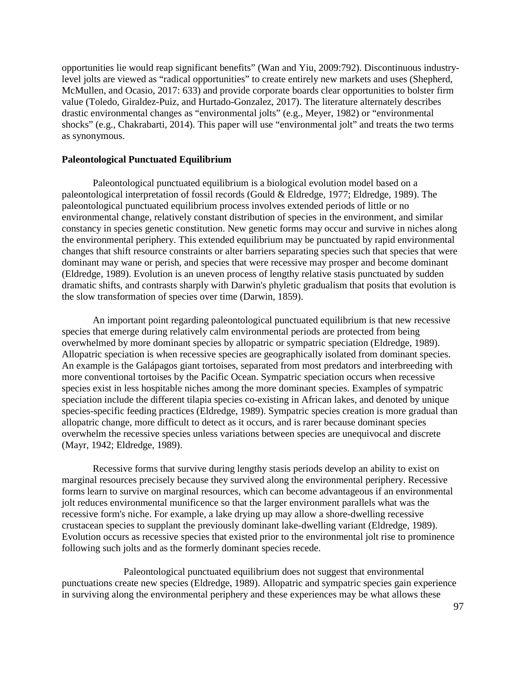opportunities lie would reap significant benefits" (Wan and Yiu, 2009:792). Discontinuous industrylevel jolts are viewed as "radical opportunities" to create entirely new markets and uses (Shepherd, McMullen, and Ocasio, 2017: 633) and provide corporate boards clear opportunities to bolster firm value (Toledo, Giraldez-Puiz, and Hurtado-Gonzalez, 2017). The literature alternately describes drastic environmental changes as "environmental jolts" (e.g., Meyer, 1982) or "environmental shocks" (e.g., Chakrabarti, 2014). This paper will use "environmental jolt" and treats the two terms as synonymous.

#### **Paleontological Punctuated Equilibrium**

Paleontological punctuated equilibrium is a biological evolution model based on a paleontological interpretation of fossil records (Gould & Eldredge, 1977; Eldredge, 1989). The paleontological punctuated equilibrium process involves extended periods of little or no environmental change, relatively constant distribution of species in the environment, and similar constancy in species genetic constitution. New genetic forms may occur and survive in niches along the environmental periphery. This extended equilibrium may be punctuated by rapid environmental changes that shift resource constraints or alter barriers separating species such that species that were dominant may wane or perish, and species that were recessive may prosper and become dominant (Eldredge, 1989). Evolution is an uneven process of lengthy relative stasis punctuated by sudden dramatic shifts, and contrasts sharply with Darwin's phyletic gradualism that posits that evolution is the slow transformation of species over time (Darwin, 1859).

An important point regarding paleontological punctuated equilibrium is that new recessive species that emerge during relatively calm environmental periods are protected from being overwhelmed by more dominant species by allopatric or sympatric speciation (Eldredge, 1989). Allopatric speciation is when recessive species are geographically isolated from dominant species. An example is the Galápagos giant tortoises, separated from most predators and interbreeding with more conventional tortoises by the Pacific Ocean. Sympatric speciation occurs when recessive species exist in less hospitable niches among the more dominant species. Examples of sympatric speciation include the different tilapia species co-existing in African lakes, and denoted by unique species-specific feeding practices (Eldredge, 1989). Sympatric species creation is more gradual than allopatric change, more difficult to detect as it occurs, and is rarer because dominant species overwhelm the recessive species unless variations between species are unequivocal and discrete (Mayr, 1942; Eldredge, 1989).

Recessive forms that survive during lengthy stasis periods develop an ability to exist on marginal resources precisely because they survived along the environmental periphery. Recessive forms learn to survive on marginal resources, which can become advantageous if an environmental jolt reduces environmental munificence so that the larger environment parallels what was the recessive form's niche. For example, a lake drying up may allow a shore-dwelling recessive crustacean species to supplant the previously dominant lake-dwelling variant (Eldredge, 1989). Evolution occurs as recessive species that existed prior to the environmental jolt rise to prominence following such jolts and as the formerly dominant species recede.

Paleontological punctuated equilibrium does not suggest that environmental punctuations create new species (Eldredge, 1989). Allopatric and sympatric species gain experience in surviving along the environmental periphery and these experiences may be what allows these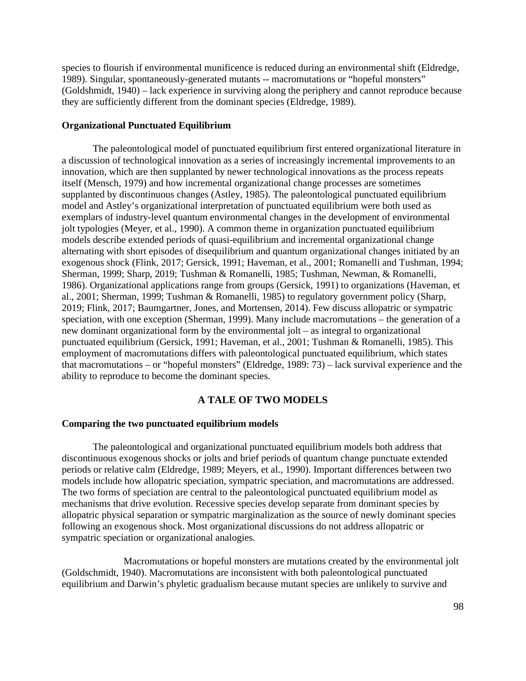species to flourish if environmental munificence is reduced during an environmental shift (Eldredge, 1989). Singular, spontaneously-generated mutants -- macromutations or "hopeful monsters" (Goldshmidt, 1940) – lack experience in surviving along the periphery and cannot reproduce because they are sufficiently different from the dominant species (Eldredge, 1989).

### **Organizational Punctuated Equilibrium**

The paleontological model of punctuated equilibrium first entered organizational literature in a discussion of technological innovation as a series of increasingly incremental improvements to an innovation, which are then supplanted by newer technological innovations as the process repeats itself (Mensch, 1979) and how incremental organizational change processes are sometimes supplanted by discontinuous changes (Astley, 1985). The paleontological punctuated equilibrium model and Astley's organizational interpretation of punctuated equilibrium were both used as exemplars of industry-level quantum environmental changes in the development of environmental jolt typologies (Meyer, et al., 1990). A common theme in organization punctuated equilibrium models describe extended periods of quasi-equilibrium and incremental organizational change alternating with short episodes of disequilibrium and quantum organizational changes initiated by an exogenous shock (Flink, 2017; Gersick, 1991; Haveman, et al., 2001; Romanelli and Tushman, 1994; Sherman, 1999; Sharp, 2019; Tushman & Romanelli, 1985; Tushman, Newman, & Romanelli, 1986). Organizational applications range from groups (Gersick, 1991) to organizations (Haveman, et al., 2001; Sherman, 1999; Tushman & Romanelli, 1985) to regulatory government policy (Sharp, 2019; Flink, 2017; Baumgartner, Jones, and Mortensen, 2014). Few discuss allopatric or sympatric speciation, with one exception (Sherman, 1999). Many include macromutations – the generation of a new dominant organizational form by the environmental jolt – as integral to organizational punctuated equilibrium (Gersick, 1991; Haveman, et al., 2001; Tushman & Romanelli, 1985). This employment of macromutations differs with paleontological punctuated equilibrium, which states that macromutations – or "hopeful monsters" (Eldredge, 1989: 73) – lack survival experience and the ability to reproduce to become the dominant species.

### **A TALE OF TWO MODELS**

#### **Comparing the two punctuated equilibrium models**

The paleontological and organizational punctuated equilibrium models both address that discontinuous exogenous shocks or jolts and brief periods of quantum change punctuate extended periods or relative calm (Eldredge, 1989; Meyers, et al., 1990). Important differences between two models include how allopatric speciation, sympatric speciation, and macromutations are addressed. The two forms of speciation are central to the paleontological punctuated equilibrium model as mechanisms that drive evolution. Recessive species develop separate from dominant species by allopatric physical separation or sympatric marginalization as the source of newly dominant species following an exogenous shock. Most organizational discussions do not address allopatric or sympatric speciation or organizational analogies.

Macromutations or hopeful monsters are mutations created by the environmental jolt (Goldschmidt, 1940). Macromutations are inconsistent with both paleontological punctuated equilibrium and Darwin's phyletic gradualism because mutant species are unlikely to survive and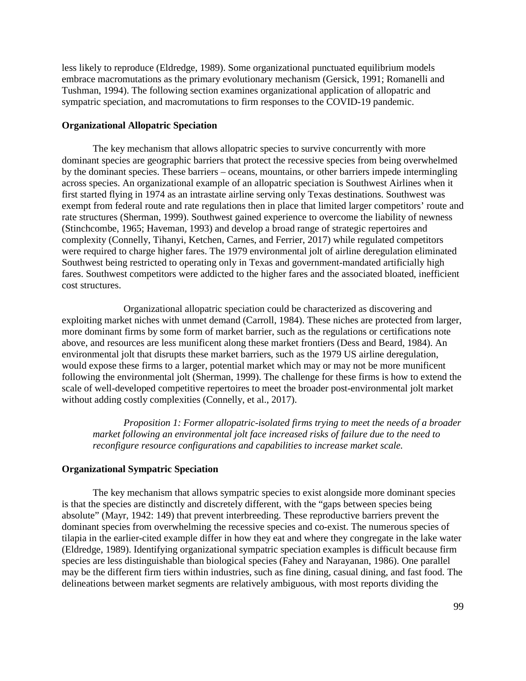less likely to reproduce (Eldredge, 1989). Some organizational punctuated equilibrium models embrace macromutations as the primary evolutionary mechanism (Gersick, 1991; Romanelli and Tushman, 1994). The following section examines organizational application of allopatric and sympatric speciation, and macromutations to firm responses to the COVID-19 pandemic.

### **Organizational Allopatric Speciation**

The key mechanism that allows allopatric species to survive concurrently with more dominant species are geographic barriers that protect the recessive species from being overwhelmed by the dominant species. These barriers – oceans, mountains, or other barriers impede intermingling across species. An organizational example of an allopatric speciation is Southwest Airlines when it first started flying in 1974 as an intrastate airline serving only Texas destinations. Southwest was exempt from federal route and rate regulations then in place that limited larger competitors' route and rate structures (Sherman, 1999). Southwest gained experience to overcome the liability of newness (Stinchcombe, 1965; Haveman, 1993) and develop a broad range of strategic repertoires and complexity (Connelly, Tihanyi, Ketchen, Carnes, and Ferrier, 2017) while regulated competitors were required to charge higher fares. The 1979 environmental jolt of airline deregulation eliminated Southwest being restricted to operating only in Texas and government-mandated artificially high fares. Southwest competitors were addicted to the higher fares and the associated bloated, inefficient cost structures.

Organizational allopatric speciation could be characterized as discovering and exploiting market niches with unmet demand (Carroll, 1984). These niches are protected from larger, more dominant firms by some form of market barrier, such as the regulations or certifications note above, and resources are less munificent along these market frontiers (Dess and Beard, 1984). An environmental jolt that disrupts these market barriers, such as the 1979 US airline deregulation, would expose these firms to a larger, potential market which may or may not be more munificent following the environmental jolt (Sherman, 1999). The challenge for these firms is how to extend the scale of well-developed competitive repertoires to meet the broader post-environmental jolt market without adding costly complexities (Connelly, et al., 2017).

*Proposition 1: Former allopatric-isolated firms trying to meet the needs of a broader market following an environmental jolt face increased risks of failure due to the need to reconfigure resource configurations and capabilities to increase market scale.*

#### **Organizational Sympatric Speciation**

The key mechanism that allows sympatric species to exist alongside more dominant species is that the species are distinctly and discretely different, with the "gaps between species being absolute" (Mayr, 1942: 149) that prevent interbreeding. These reproductive barriers prevent the dominant species from overwhelming the recessive species and co-exist. The numerous species of tilapia in the earlier-cited example differ in how they eat and where they congregate in the lake water (Eldredge, 1989). Identifying organizational sympatric speciation examples is difficult because firm species are less distinguishable than biological species (Fahey and Narayanan, 1986). One parallel may be the different firm tiers within industries, such as fine dining, casual dining, and fast food. The delineations between market segments are relatively ambiguous, with most reports dividing the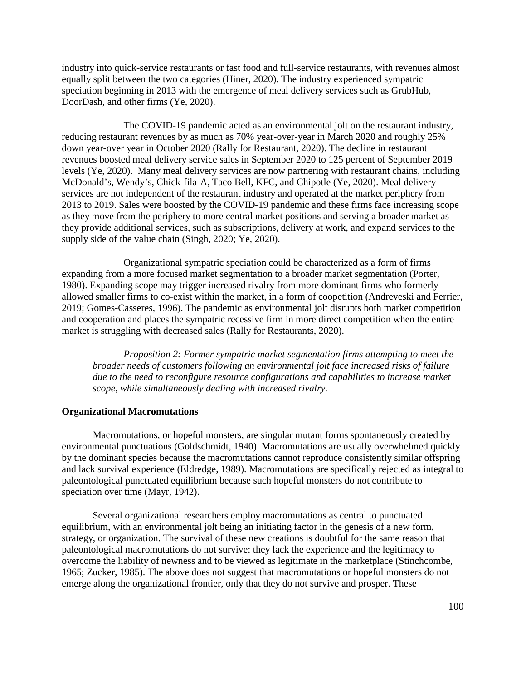industry into quick-service restaurants or fast food and full-service restaurants, with revenues almost equally split between the two categories (Hiner, 2020). The industry experienced sympatric speciation beginning in 2013 with the emergence of meal delivery services such as GrubHub, DoorDash, and other firms (Ye, 2020).

The COVID-19 pandemic acted as an environmental jolt on the restaurant industry, reducing restaurant revenues by as much as 70% year-over-year in March 2020 and roughly 25% down year-over year in October 2020 (Rally for Restaurant, 2020). The decline in restaurant revenues boosted meal delivery service sales in September 2020 to 125 percent of September 2019 levels (Ye, 2020). Many meal delivery services are now partnering with restaurant chains, including McDonald's, Wendy's, Chick-fila-A, Taco Bell, KFC, and Chipotle (Ye, 2020). Meal delivery services are not independent of the restaurant industry and operated at the market periphery from 2013 to 2019. Sales were boosted by the COVID-19 pandemic and these firms face increasing scope as they move from the periphery to more central market positions and serving a broader market as they provide additional services, such as subscriptions, delivery at work, and expand services to the supply side of the value chain (Singh, 2020; Ye, 2020).

Organizational sympatric speciation could be characterized as a form of firms expanding from a more focused market segmentation to a broader market segmentation (Porter, 1980). Expanding scope may trigger increased rivalry from more dominant firms who formerly allowed smaller firms to co-exist within the market, in a form of coopetition (Andreveski and Ferrier, 2019; Gomes-Casseres, 1996). The pandemic as environmental jolt disrupts both market competition and cooperation and places the sympatric recessive firm in more direct competition when the entire market is struggling with decreased sales (Rally for Restaurants, 2020).

*Proposition 2: Former sympatric market segmentation firms attempting to meet the broader needs of customers following an environmental jolt face increased risks of failure due to the need to reconfigure resource configurations and capabilities to increase market scope, while simultaneously dealing with increased rivalry.*

### **Organizational Macromutations**

Macromutations, or hopeful monsters, are singular mutant forms spontaneously created by environmental punctuations (Goldschmidt, 1940). Macromutations are usually overwhelmed quickly by the dominant species because the macromutations cannot reproduce consistently similar offspring and lack survival experience (Eldredge, 1989). Macromutations are specifically rejected as integral to paleontological punctuated equilibrium because such hopeful monsters do not contribute to speciation over time (Mayr, 1942).

Several organizational researchers employ macromutations as central to punctuated equilibrium, with an environmental jolt being an initiating factor in the genesis of a new form, strategy, or organization. The survival of these new creations is doubtful for the same reason that paleontological macromutations do not survive: they lack the experience and the legitimacy to overcome the liability of newness and to be viewed as legitimate in the marketplace (Stinchcombe, 1965; Zucker, 1985). The above does not suggest that macromutations or hopeful monsters do not emerge along the organizational frontier, only that they do not survive and prosper. These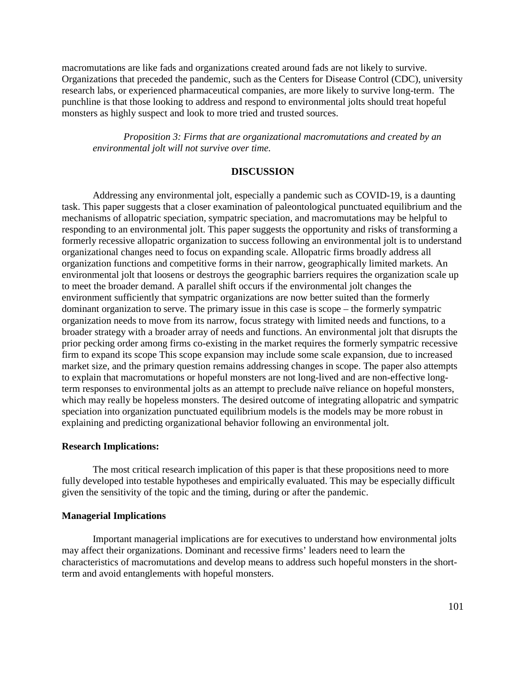macromutations are like fads and organizations created around fads are not likely to survive. Organizations that preceded the pandemic, such as the Centers for Disease Control (CDC), university research labs, or experienced pharmaceutical companies, are more likely to survive long-term. The punchline is that those looking to address and respond to environmental jolts should treat hopeful monsters as highly suspect and look to more tried and trusted sources.

*Proposition 3: Firms that are organizational macromutations and created by an environmental jolt will not survive over time.*

#### **DISCUSSION**

Addressing any environmental jolt, especially a pandemic such as COVID-19, is a daunting task. This paper suggests that a closer examination of paleontological punctuated equilibrium and the mechanisms of allopatric speciation, sympatric speciation, and macromutations may be helpful to responding to an environmental jolt. This paper suggests the opportunity and risks of transforming a formerly recessive allopatric organization to success following an environmental jolt is to understand organizational changes need to focus on expanding scale. Allopatric firms broadly address all organization functions and competitive forms in their narrow, geographically limited markets. An environmental jolt that loosens or destroys the geographic barriers requires the organization scale up to meet the broader demand. A parallel shift occurs if the environmental jolt changes the environment sufficiently that sympatric organizations are now better suited than the formerly dominant organization to serve. The primary issue in this case is scope – the formerly sympatric organization needs to move from its narrow, focus strategy with limited needs and functions, to a broader strategy with a broader array of needs and functions. An environmental jolt that disrupts the prior pecking order among firms co-existing in the market requires the formerly sympatric recessive firm to expand its scope This scope expansion may include some scale expansion, due to increased market size, and the primary question remains addressing changes in scope. The paper also attempts to explain that macromutations or hopeful monsters are not long-lived and are non-effective longterm responses to environmental jolts as an attempt to preclude naïve reliance on hopeful monsters, which may really be hopeless monsters. The desired outcome of integrating allopatric and sympatric speciation into organization punctuated equilibrium models is the models may be more robust in explaining and predicting organizational behavior following an environmental jolt.

#### **Research Implications:**

The most critical research implication of this paper is that these propositions need to more fully developed into testable hypotheses and empirically evaluated. This may be especially difficult given the sensitivity of the topic and the timing, during or after the pandemic.

#### **Managerial Implications**

Important managerial implications are for executives to understand how environmental jolts may affect their organizations. Dominant and recessive firms' leaders need to learn the characteristics of macromutations and develop means to address such hopeful monsters in the shortterm and avoid entanglements with hopeful monsters.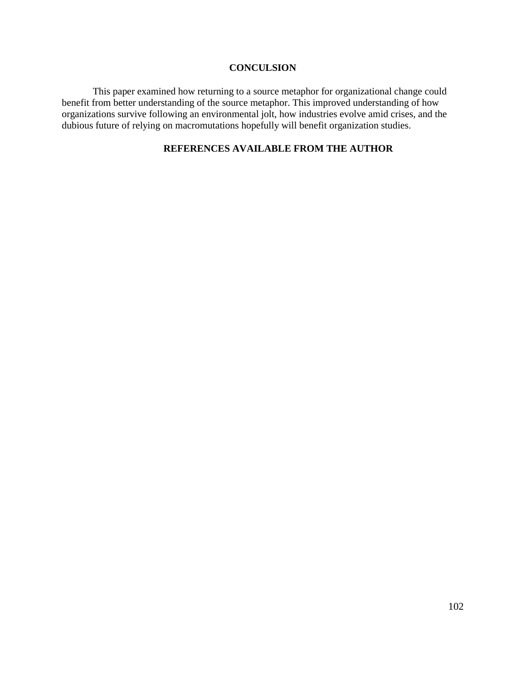### **CONCULSION**

This paper examined how returning to a source metaphor for organizational change could benefit from better understanding of the source metaphor. This improved understanding of how organizations survive following an environmental jolt, how industries evolve amid crises, and the dubious future of relying on macromutations hopefully will benefit organization studies.

# **REFERENCES AVAILABLE FROM THE AUTHOR**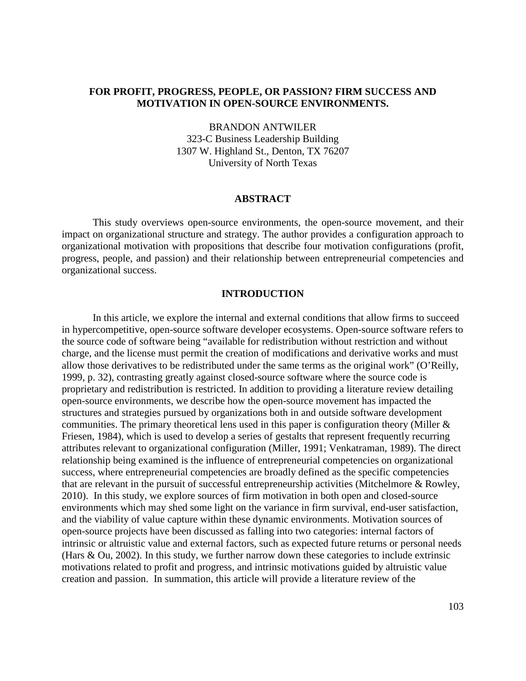# **FOR PROFIT, PROGRESS, PEOPLE, OR PASSION? FIRM SUCCESS AND MOTIVATION IN OPEN-SOURCE ENVIRONMENTS.**

BRANDON ANTWILER 323-C Business Leadership Building 1307 W. Highland St., Denton, TX 76207 University of North Texas

#### **ABSTRACT**

This study overviews open-source environments, the open-source movement, and their impact on organizational structure and strategy. The author provides a configuration approach to organizational motivation with propositions that describe four motivation configurations (profit, progress, people, and passion) and their relationship between entrepreneurial competencies and organizational success.

### **INTRODUCTION**

In this article, we explore the internal and external conditions that allow firms to succeed in hypercompetitive, open-source software developer ecosystems. Open-source software refers to the source code of software being "available for redistribution without restriction and without charge, and the license must permit the creation of modifications and derivative works and must allow those derivatives to be redistributed under the same terms as the original work" (O'Reilly, 1999, p. 32), contrasting greatly against closed-source software where the source code is proprietary and redistribution is restricted. In addition to providing a literature review detailing open-source environments, we describe how the open-source movement has impacted the structures and strategies pursued by organizations both in and outside software development communities. The primary theoretical lens used in this paper is configuration theory (Miller & Friesen, 1984), which is used to develop a series of gestalts that represent frequently recurring attributes relevant to organizational configuration (Miller, 1991; Venkatraman, 1989). The direct relationship being examined is the influence of entrepreneurial competencies on organizational success, where entrepreneurial competencies are broadly defined as the specific competencies that are relevant in the pursuit of successful entrepreneurship activities (Mitchelmore & Rowley, 2010). In this study, we explore sources of firm motivation in both open and closed-source environments which may shed some light on the variance in firm survival, end-user satisfaction, and the viability of value capture within these dynamic environments. Motivation sources of open-source projects have been discussed as falling into two categories: internal factors of intrinsic or altruistic value and external factors, such as expected future returns or personal needs (Hars & Ou, 2002). In this study, we further narrow down these categories to include extrinsic motivations related to profit and progress, and intrinsic motivations guided by altruistic value creation and passion. In summation, this article will provide a literature review of the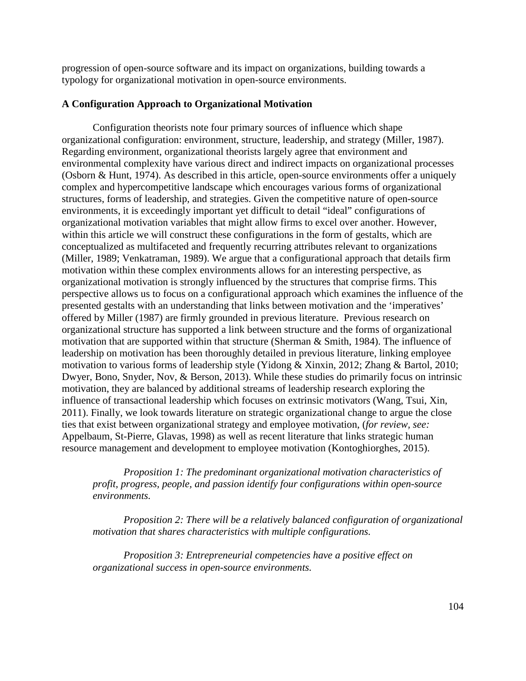progression of open-source software and its impact on organizations, building towards a typology for organizational motivation in open-source environments.

### **A Configuration Approach to Organizational Motivation**

Configuration theorists note four primary sources of influence which shape organizational configuration: environment, structure, leadership, and strategy (Miller, 1987). Regarding environment, organizational theorists largely agree that environment and environmental complexity have various direct and indirect impacts on organizational processes (Osborn & Hunt, 1974). As described in this article, open-source environments offer a uniquely complex and hypercompetitive landscape which encourages various forms of organizational structures, forms of leadership, and strategies. Given the competitive nature of open-source environments, it is exceedingly important yet difficult to detail "ideal" configurations of organizational motivation variables that might allow firms to excel over another. However, within this article we will construct these configurations in the form of gestalts, which are conceptualized as multifaceted and frequently recurring attributes relevant to organizations (Miller, 1989; Venkatraman, 1989). We argue that a configurational approach that details firm motivation within these complex environments allows for an interesting perspective, as organizational motivation is strongly influenced by the structures that comprise firms. This perspective allows us to focus on a configurational approach which examines the influence of the presented gestalts with an understanding that links between motivation and the 'imperatives' offered by Miller (1987) are firmly grounded in previous literature. Previous research on organizational structure has supported a link between structure and the forms of organizational motivation that are supported within that structure (Sherman & Smith, 1984). The influence of leadership on motivation has been thoroughly detailed in previous literature, linking employee motivation to various forms of leadership style (Yidong & Xinxin, 2012; Zhang & Bartol, 2010; Dwyer, Bono, Snyder, Nov, & Berson, 2013). While these studies do primarily focus on intrinsic motivation, they are balanced by additional streams of leadership research exploring the influence of transactional leadership which focuses on extrinsic motivators (Wang, Tsui, Xin, 2011). Finally, we look towards literature on strategic organizational change to argue the close ties that exist between organizational strategy and employee motivation, (*for review, see:* Appelbaum, St-Pierre, Glavas, 1998) as well as recent literature that links strategic human resource management and development to employee motivation (Kontoghiorghes, 2015).

*Proposition 1: The predominant organizational motivation characteristics of profit, progress, people, and passion identify four configurations within open-source environments.* 

*Proposition 2: There will be a relatively balanced configuration of organizational motivation that shares characteristics with multiple configurations.*

*Proposition 3: Entrepreneurial competencies have a positive effect on organizational success in open-source environments.*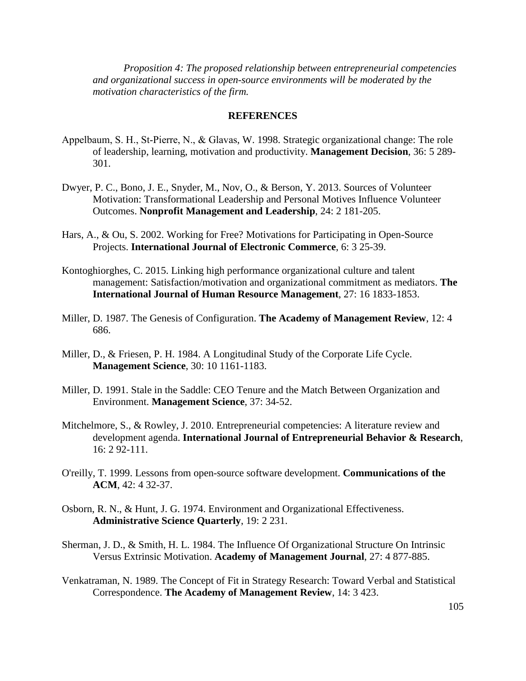*Proposition 4: The proposed relationship between entrepreneurial competencies and organizational success in open-source environments will be moderated by the motivation characteristics of the firm.*

#### **REFERENCES**

- Appelbaum, S. H., St‐Pierre, N., & Glavas, W. 1998. Strategic organizational change: The role of leadership, learning, motivation and productivity. **Management Decision**, 36: 5 289- 301.
- Dwyer, P. C., Bono, J. E., Snyder, M., Nov, O., & Berson, Y. 2013. Sources of Volunteer Motivation: Transformational Leadership and Personal Motives Influence Volunteer Outcomes. **Nonprofit Management and Leadership**, 24: 2 181-205.
- Hars, A., & Ou, S. 2002. Working for Free? Motivations for Participating in Open-Source Projects. **International Journal of Electronic Commerce**, 6: 3 25-39.
- Kontoghiorghes, C. 2015. Linking high performance organizational culture and talent management: Satisfaction/motivation and organizational commitment as mediators. **The International Journal of Human Resource Management**, 27: 16 1833-1853.
- Miller, D. 1987. The Genesis of Configuration. **The Academy of Management Review**, 12: 4 686.
- Miller, D., & Friesen, P. H. 1984. A Longitudinal Study of the Corporate Life Cycle. **Management Science**, 30: 10 1161-1183.
- Miller, D. 1991. Stale in the Saddle: CEO Tenure and the Match Between Organization and Environment. **Management Science**, 37: 34-52.
- Mitchelmore, S., & Rowley, J. 2010. Entrepreneurial competencies: A literature review and development agenda. **International Journal of Entrepreneurial Behavior & Research**, 16: 2 92-111.
- O'reilly, T. 1999. Lessons from open-source software development. **Communications of the ACM**, 42: 4 32-37.
- Osborn, R. N., & Hunt, J. G. 1974. Environment and Organizational Effectiveness. **Administrative Science Quarterly**, 19: 2 231.
- Sherman, J. D., & Smith, H. L. 1984. The Influence Of Organizational Structure On Intrinsic Versus Extrinsic Motivation. **Academy of Management Journal**, 27: 4 877-885.
- Venkatraman, N. 1989. The Concept of Fit in Strategy Research: Toward Verbal and Statistical Correspondence. **The Academy of Management Review**, 14: 3 423.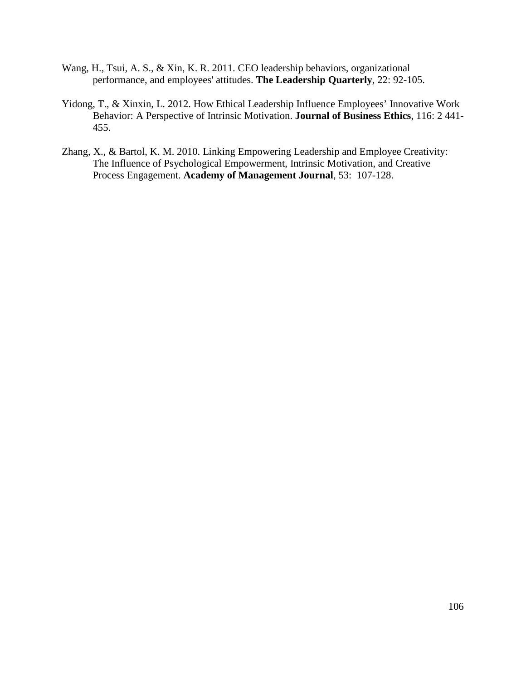- Wang, H., Tsui, A. S., & Xin, K. R. 2011. CEO leadership behaviors, organizational performance, and employees' attitudes. **The Leadership Quarterly**, 22: 92-105.
- Yidong, T., & Xinxin, L. 2012. How Ethical Leadership Influence Employees' Innovative Work Behavior: A Perspective of Intrinsic Motivation. **Journal of Business Ethics**, 116: 2 441- 455.
- Zhang, X., & Bartol, K. M. 2010. Linking Empowering Leadership and Employee Creativity: The Influence of Psychological Empowerment, Intrinsic Motivation, and Creative Process Engagement. **Academy of Management Journal**, 53: 107-128.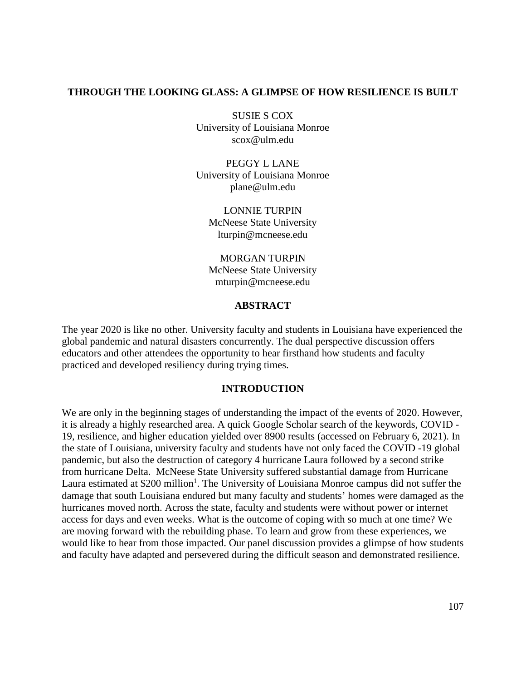# **THROUGH THE LOOKING GLASS: A GLIMPSE OF HOW RESILIENCE IS BUILT**

SUSIE S COX University of Louisiana Monroe scox@ulm.edu

PEGGY L LANE University of Louisiana Monroe plane@ulm.edu

LONNIE TURPIN McNeese State University lturpin@mcneese.edu

MORGAN TURPIN McNeese State University mturpin@mcneese.edu

## **ABSTRACT**

The year 2020 is like no other. University faculty and students in Louisiana have experienced the global pandemic and natural disasters concurrently. The dual perspective discussion offers educators and other attendees the opportunity to hear firsthand how students and faculty practiced and developed resiliency during trying times.

### **INTRODUCTION**

We are only in the beginning stages of understanding the impact of the events of 2020. However, it is already a highly researched area. A quick Google Scholar search of the keywords, COVID - 19, resilience, and higher education yielded over 8900 results (accessed on February 6, 2021). In the state of Louisiana, university faculty and students have not only faced the COVID -19 global pandemic, but also the destruction of category 4 hurricane Laura followed by a second strike from hurricane Delta. McNeese State University suffered substantial damage from Hurricane Laura estimated at \$200 million<sup>1</sup>. The University of Louisiana Monroe campus did not suffer the damage that south Louisiana endured but many faculty and students' homes were damaged as the hurricanes moved north. Across the state, faculty and students were without power or internet access for days and even weeks. What is the outcome of coping with so much at one time? We are moving forward with the rebuilding phase. To learn and grow from these experiences, we would like to hear from those impacted. Our panel discussion provides a glimpse of how students and faculty have adapted and persevered during the difficult season and demonstrated resilience.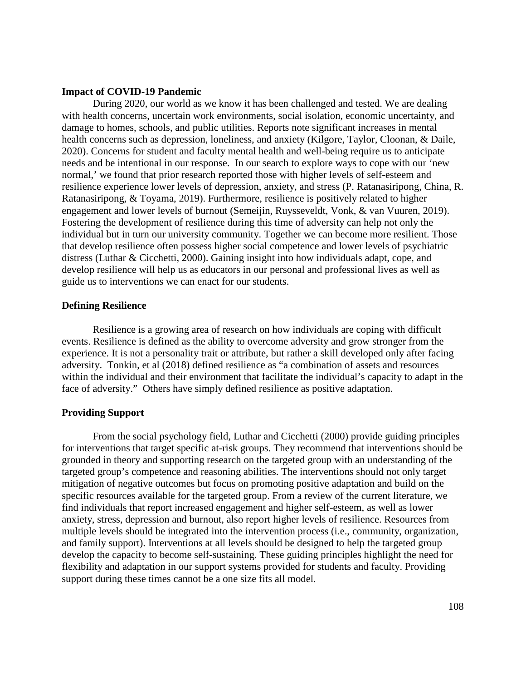#### **Impact of COVID-19 Pandemic**

During 2020, our world as we know it has been challenged and tested. We are dealing with health concerns, uncertain work environments, social isolation, economic uncertainty, and damage to homes, schools, and public utilities. Reports note significant increases in mental health concerns such as depression, loneliness, and anxiety (Kilgore, Taylor, Cloonan, & Daile, 2020). Concerns for student and faculty mental health and well-being require us to anticipate needs and be intentional in our response. In our search to explore ways to cope with our 'new normal,' we found that prior research reported those with higher levels of self-esteem and resilience experience lower levels of depression, anxiety, and stress (P. Ratanasiripong, China, R. Ratanasiripong, & Toyama, 2019). Furthermore, resilience is positively related to higher engagement and lower levels of burnout (Semeijin, Ruysseveldt, Vonk, & van Vuuren, 2019). Fostering the development of resilience during this time of adversity can help not only the individual but in turn our university community. Together we can become more resilient. Those that develop resilience often possess higher social competence and lower levels of psychiatric distress (Luthar & Cicchetti, 2000). Gaining insight into how individuals adapt, cope, and develop resilience will help us as educators in our personal and professional lives as well as guide us to interventions we can enact for our students.

#### **Defining Resilience**

Resilience is a growing area of research on how individuals are coping with difficult events. Resilience is defined as the ability to overcome adversity and grow stronger from the experience. It is not a personality trait or attribute, but rather a skill developed only after facing adversity. Tonkin, et al (2018) defined resilience as "a combination of assets and resources within the individual and their environment that facilitate the individual's capacity to adapt in the face of adversity." Others have simply defined resilience as positive adaptation.

#### **Providing Support**

From the social psychology field, Luthar and Cicchetti (2000) provide guiding principles for interventions that target specific at-risk groups. They recommend that interventions should be grounded in theory and supporting research on the targeted group with an understanding of the targeted group's competence and reasoning abilities. The interventions should not only target mitigation of negative outcomes but focus on promoting positive adaptation and build on the specific resources available for the targeted group. From a review of the current literature, we find individuals that report increased engagement and higher self-esteem, as well as lower anxiety, stress, depression and burnout, also report higher levels of resilience. Resources from multiple levels should be integrated into the intervention process (i.e., community, organization, and family support). Interventions at all levels should be designed to help the targeted group develop the capacity to become self-sustaining. These guiding principles highlight the need for flexibility and adaptation in our support systems provided for students and faculty. Providing support during these times cannot be a one size fits all model.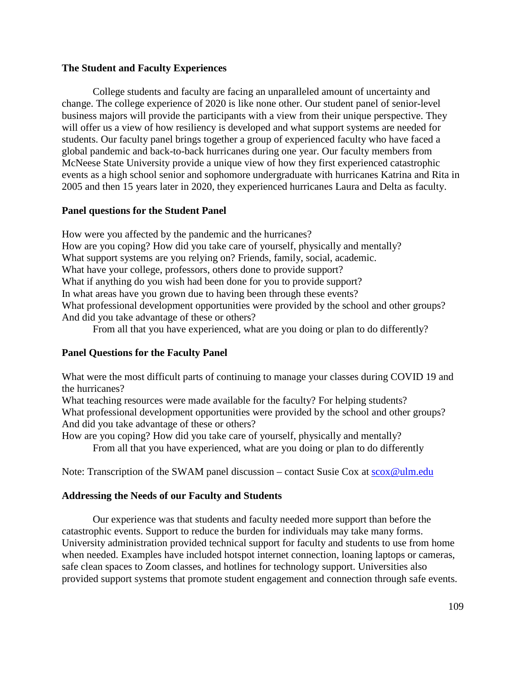# **The Student and Faculty Experiences**

College students and faculty are facing an unparalleled amount of uncertainty and change. The college experience of 2020 is like none other. Our student panel of senior-level business majors will provide the participants with a view from their unique perspective. They will offer us a view of how resiliency is developed and what support systems are needed for students. Our faculty panel brings together a group of experienced faculty who have faced a global pandemic and back-to-back hurricanes during one year. Our faculty members from McNeese State University provide a unique view of how they first experienced catastrophic events as a high school senior and sophomore undergraduate with hurricanes Katrina and Rita in 2005 and then 15 years later in 2020, they experienced hurricanes Laura and Delta as faculty.

# **Panel questions for the Student Panel**

How were you affected by the pandemic and the hurricanes? How are you coping? How did you take care of yourself, physically and mentally? What support systems are you relying on? Friends, family, social, academic. What have your college, professors, others done to provide support? What if anything do you wish had been done for you to provide support? In what areas have you grown due to having been through these events? What professional development opportunities were provided by the school and other groups? And did you take advantage of these or others?

From all that you have experienced, what are you doing or plan to do differently?

# **Panel Questions for the Faculty Panel**

What were the most difficult parts of continuing to manage your classes during COVID 19 and the hurricanes?

What teaching resources were made available for the faculty? For helping students? What professional development opportunities were provided by the school and other groups? And did you take advantage of these or others?

How are you coping? How did you take care of yourself, physically and mentally? From all that you have experienced, what are you doing or plan to do differently

Note: Transcription of the SWAM panel discussion – contact Susie Cox at [scox@ulm.edu](mailto:scox@ulm.edu)

# **Addressing the Needs of our Faculty and Students**

Our experience was that students and faculty needed more support than before the catastrophic events. Support to reduce the burden for individuals may take many forms. University administration provided technical support for faculty and students to use from home when needed. Examples have included hotspot internet connection, loaning laptops or cameras, safe clean spaces to Zoom classes, and hotlines for technology support. Universities also provided support systems that promote student engagement and connection through safe events.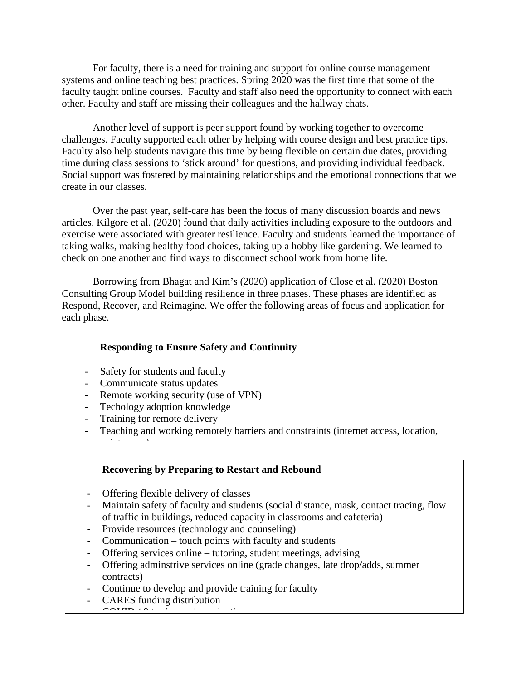For faculty, there is a need for training and support for online course management systems and online teaching best practices. Spring 2020 was the first time that some of the faculty taught online courses. Faculty and staff also need the opportunity to connect with each other. Faculty and staff are missing their colleagues and the hallway chats.

Another level of support is peer support found by working together to overcome challenges. Faculty supported each other by helping with course design and best practice tips. Faculty also help students navigate this time by being flexible on certain due dates, providing time during class sessions to 'stick around' for questions, and providing individual feedback. Social support was fostered by maintaining relationships and the emotional connections that we create in our classes.

Over the past year, self-care has been the focus of many discussion boards and news articles. Kilgore et al. (2020) found that daily activities including exposure to the outdoors and exercise were associated with greater resilience. Faculty and students learned the importance of taking walks, making healthy food choices, taking up a hobby like gardening. We learned to check on one another and find ways to disconnect school work from home life.

Borrowing from Bhagat and Kim's (2020) application of Close et al. (2020) Boston Consulting Group Model building resilience in three phases. These phases are identified as Respond, Recover, and Reimagine. We offer the following areas of focus and application for each phase.

# **Responding to Ensure Safety and Continuity**

- Safety for students and faculty
- Communicate status updates
- Remote working security (use of VPN)
- Techology adoption knowledge
- Training for remote delivery

 $\cdot$   $\cdot$   $\cdot$   $\cdot$   $\cdot$   $\cdot$ 

Teaching and working remotely barriers and constraints (internet access, location,

# **Recovering by Preparing to Restart and Rebound**

- Offering flexible delivery of classes
- Maintain safety of faculty and students (social distance, mask, contact tracing, flow of traffic in buildings, reduced capacity in classrooms and cafeteria)

110

- Provide resources (technology and counseling)
- Communication touch points with faculty and students
- Offering services online tutoring, student meetings, advising
- Offering adminstrive services online (grade changes, late drop/adds, summer contracts)
- Continue to develop and provide training for faculty
- CARES funding distribution  $C$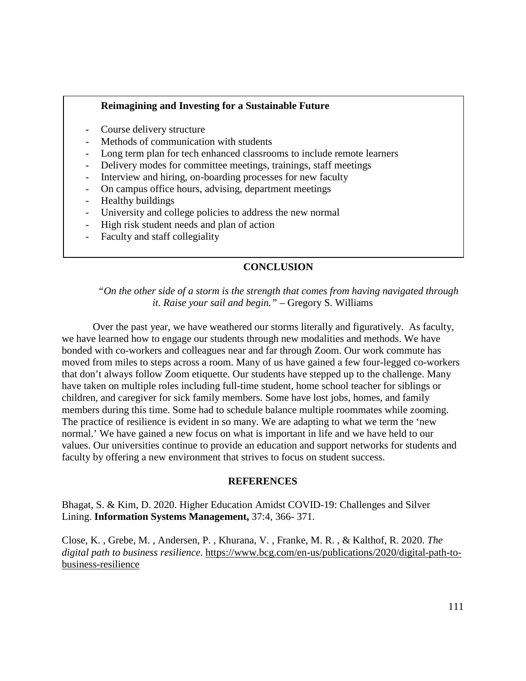### **Reimagining and Investing for a Sustainable Future**

- Course delivery structure
- Methods of communication with students
- Long term plan for tech enhanced classrooms to include remote learners
- Delivery modes for committee meetings, trainings, staff meetings
- Interview and hiring, on-boarding processes for new faculty
- On campus office hours, advising, department meetings
- Healthy buildings
- University and college policies to address the new normal
- High risk student needs and plan of action
- Faculty and staff collegiality

# **CONCLUSION**

*"On the other side of a storm is the strength that comes from having navigated through it. Raise your sail and begin." –* Gregory S. Williams

Over the past year, we have weathered our storms literally and figuratively. As faculty, we have learned how to engage our students through new modalities and methods. We have bonded with co-workers and colleagues near and far through Zoom. Our work commute has moved from miles to steps across a room. Many of us have gained a few four-legged co-workers that don't always follow Zoom etiquette. Our students have stepped up to the challenge. Many have taken on multiple roles including full-time student, home school teacher for siblings or children, and caregiver for sick family members. Some have lost jobs, homes, and family members during this time. Some had to schedule balance multiple roommates while zooming. The practice of resilience is evident in so many. We are adapting to what we term the 'new normal.' We have gained a new focus on what is important in life and we have held to our values. Our universities continue to provide an education and support networks for students and faculty by offering a new environment that strives to focus on student success.

### **REFERENCES**

Bhagat, S. & Kim, D. 2020. Higher Education Amidst COVID-19: Challenges and Silver Lining. **Information Systems Management,** 37:4, 366- 371.

Close, K. , Grebe, M. , Andersen, P. , Khurana, V. , Franke, M. R. , & Kalthof, R. 2020. *The digital path to business resilience*. https://www.bcg.com/en-us/publications/2020/digital-path-tobusiness-resilience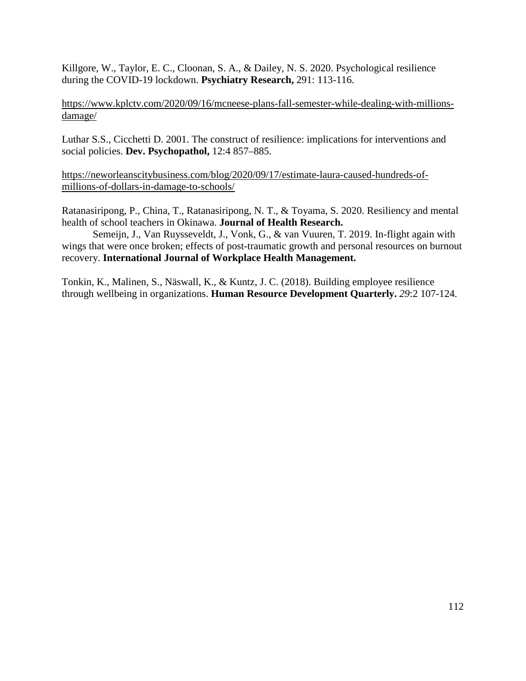Killgore, W., Taylor, E. C., Cloonan, S. A., & Dailey, N. S. 2020. Psychological resilience during the COVID-19 lockdown. **Psychiatry Research,** 291: 113-116.

[https://www.kplctv.com/2020/09/16/mcneese-plans-fall-semester-while-dealing-with-millions](about:blank)[damage/](about:blank)

Luthar S.S., Cicchetti D. 2001. The construct of resilience: implications for interventions and social policies. **Dev. Psychopathol,** 12:4 857–885.

[https://neworleanscitybusiness.com/blog/2020/09/17/estimate-laura-caused-hundreds-of](about:blank)[millions-of-dollars-in-damage-to-schools/](about:blank)

Ratanasiripong, P., China, T., Ratanasiripong, N. T., & Toyama, S. 2020. Resiliency and mental health of school teachers in Okinawa. **Journal of Health Research.**

Semeijn, J., Van Ruysseveldt, J., Vonk, G., & van Vuuren, T. 2019. In-flight again with wings that were once broken; effects of post-traumatic growth and personal resources on burnout recovery. **International Journal of Workplace Health Management.**

Tonkin, K., Malinen, S., Näswall, K., & Kuntz, J. C. (2018). Building employee resilience through wellbeing in organizations. **Human Resource Development Quarterly.** *29*:2 107-124.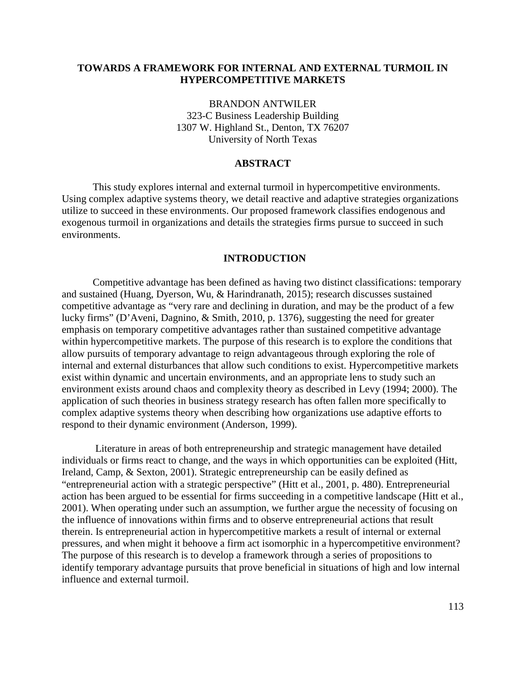### **TOWARDS A FRAMEWORK FOR INTERNAL AND EXTERNAL TURMOIL IN HYPERCOMPETITIVE MARKETS**

BRANDON ANTWILER 323-C Business Leadership Building 1307 W. Highland St., Denton, TX 76207 University of North Texas

# **ABSTRACT**

This study explores internal and external turmoil in hypercompetitive environments. Using complex adaptive systems theory, we detail reactive and adaptive strategies organizations utilize to succeed in these environments. Our proposed framework classifies endogenous and exogenous turmoil in organizations and details the strategies firms pursue to succeed in such environments.

#### **INTRODUCTION**

Competitive advantage has been defined as having two distinct classifications: temporary and sustained (Huang, Dyerson, Wu, & Harindranath, 2015); research discusses sustained competitive advantage as "very rare and declining in duration, and may be the product of a few lucky firms" (D'Aveni, Dagnino, & Smith, 2010, p. 1376), suggesting the need for greater emphasis on temporary competitive advantages rather than sustained competitive advantage within hypercompetitive markets. The purpose of this research is to explore the conditions that allow pursuits of temporary advantage to reign advantageous through exploring the role of internal and external disturbances that allow such conditions to exist. Hypercompetitive markets exist within dynamic and uncertain environments, and an appropriate lens to study such an environment exists around chaos and complexity theory as described in Levy (1994; 2000). The application of such theories in business strategy research has often fallen more specifically to complex adaptive systems theory when describing how organizations use adaptive efforts to respond to their dynamic environment (Anderson, 1999).

Literature in areas of both entrepreneurship and strategic management have detailed individuals or firms react to change, and the ways in which opportunities can be exploited (Hitt, Ireland, Camp, & Sexton, 2001). Strategic entrepreneurship can be easily defined as "entrepreneurial action with a strategic perspective" (Hitt et al., 2001, p. 480). Entrepreneurial action has been argued to be essential for firms succeeding in a competitive landscape (Hitt et al., 2001). When operating under such an assumption, we further argue the necessity of focusing on the influence of innovations within firms and to observe entrepreneurial actions that result therein. Is entrepreneurial action in hypercompetitive markets a result of internal or external pressures, and when might it behoove a firm act isomorphic in a hypercompetitive environment? The purpose of this research is to develop a framework through a series of propositions to identify temporary advantage pursuits that prove beneficial in situations of high and low internal influence and external turmoil.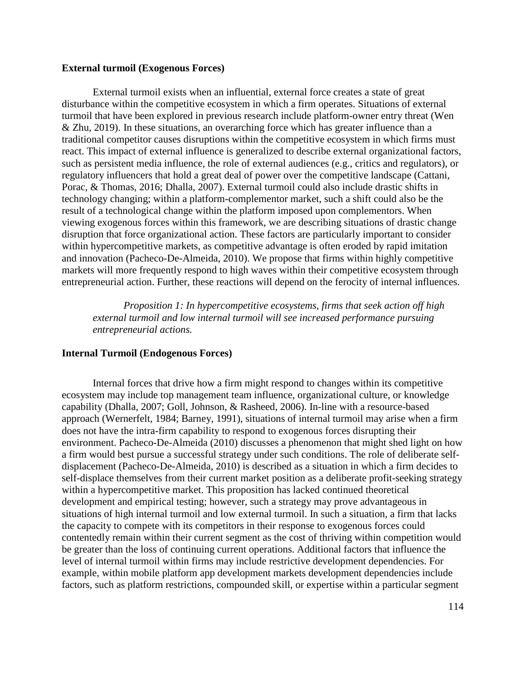### **External turmoil (Exogenous Forces)**

External turmoil exists when an influential, external force creates a state of great disturbance within the competitive ecosystem in which a firm operates. Situations of external turmoil that have been explored in previous research include platform-owner entry threat (Wen & Zhu, 2019). In these situations, an overarching force which has greater influence than a traditional competitor causes disruptions within the competitive ecosystem in which firms must react. This impact of external influence is generalized to describe external organizational factors, such as persistent media influence, the role of external audiences (e.g., critics and regulators), or regulatory influencers that hold a great deal of power over the competitive landscape (Cattani, Porac, & Thomas, 2016; Dhalla, 2007). External turmoil could also include drastic shifts in technology changing; within a platform-complementor market, such a shift could also be the result of a technological change within the platform imposed upon complementors. When viewing exogenous forces within this framework, we are describing situations of drastic change disruption that force organizational action. These factors are particularly important to consider within hypercompetitive markets, as competitive advantage is often eroded by rapid imitation and innovation (Pacheco-De-Almeida, 2010). We propose that firms within highly competitive markets will more frequently respond to high waves within their competitive ecosystem through entrepreneurial action. Further, these reactions will depend on the ferocity of internal influences.

*Proposition 1: In hypercompetitive ecosystems, firms that seek action off high external turmoil and low internal turmoil will see increased performance pursuing entrepreneurial actions.*

### **Internal Turmoil (Endogenous Forces)**

Internal forces that drive how a firm might respond to changes within its competitive ecosystem may include top management team influence, organizational culture, or knowledge capability (Dhalla, 2007; Goll, Johnson, & Rasheed, 2006). In-line with a resource-based approach (Wernerfelt, 1984; Barney, 1991), situations of internal turmoil may arise when a firm does not have the intra-firm capability to respond to exogenous forces disrupting their environment. Pacheco-De-Almeida (2010) discusses a phenomenon that might shed light on how a firm would best pursue a successful strategy under such conditions. The role of deliberate selfdisplacement (Pacheco-De-Almeida, 2010) is described as a situation in which a firm decides to self-displace themselves from their current market position as a deliberate profit-seeking strategy within a hypercompetitive market. This proposition has lacked continued theoretical development and empirical testing; however, such a strategy may prove advantageous in situations of high internal turmoil and low external turmoil. In such a situation, a firm that lacks the capacity to compete with its competitors in their response to exogenous forces could contentedly remain within their current segment as the cost of thriving within competition would be greater than the loss of continuing current operations. Additional factors that influence the level of internal turmoil within firms may include restrictive development dependencies. For example, within mobile platform app development markets development dependencies include factors, such as platform restrictions, compounded skill, or expertise within a particular segment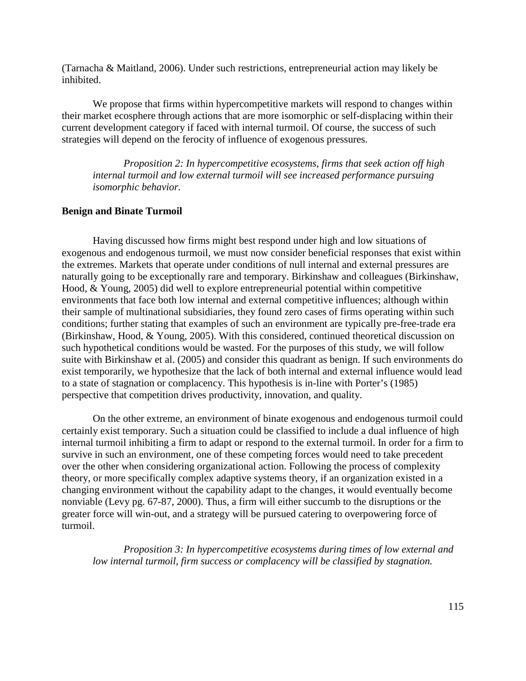(Tarnacha & Maitland, 2006). Under such restrictions, entrepreneurial action may likely be inhibited.

We propose that firms within hypercompetitive markets will respond to changes within their market ecosphere through actions that are more isomorphic or self-displacing within their current development category if faced with internal turmoil. Of course, the success of such strategies will depend on the ferocity of influence of exogenous pressures.

*Proposition 2: In hypercompetitive ecosystems, firms that seek action off high internal turmoil and low external turmoil will see increased performance pursuing isomorphic behavior.*

#### **Benign and Binate Turmoil**

Having discussed how firms might best respond under high and low situations of exogenous and endogenous turmoil, we must now consider beneficial responses that exist within the extremes. Markets that operate under conditions of null internal and external pressures are naturally going to be exceptionally rare and temporary. Birkinshaw and colleagues (Birkinshaw, Hood, & Young, 2005) did well to explore entrepreneurial potential within competitive environments that face both low internal and external competitive influences; although within their sample of multinational subsidiaries, they found zero cases of firms operating within such conditions; further stating that examples of such an environment are typically pre-free-trade era (Birkinshaw, Hood, & Young, 2005). With this considered, continued theoretical discussion on such hypothetical conditions would be wasted. For the purposes of this study, we will follow suite with Birkinshaw et al. (2005) and consider this quadrant as benign. If such environments do exist temporarily, we hypothesize that the lack of both internal and external influence would lead to a state of stagnation or complacency. This hypothesis is in-line with Porter's (1985) perspective that competition drives productivity, innovation, and quality.

On the other extreme, an environment of binate exogenous and endogenous turmoil could certainly exist temporary. Such a situation could be classified to include a dual influence of high internal turmoil inhibiting a firm to adapt or respond to the external turmoil. In order for a firm to survive in such an environment, one of these competing forces would need to take precedent over the other when considering organizational action. Following the process of complexity theory, or more specifically complex adaptive systems theory, if an organization existed in a changing environment without the capability adapt to the changes, it would eventually become nonviable (Levy pg. 67-87, 2000). Thus, a firm will either succumb to the disruptions or the greater force will win-out, and a strategy will be pursued catering to overpowering force of turmoil.

*Proposition 3: In hypercompetitive ecosystems during times of low external and low internal turmoil, firm success or complacency will be classified by stagnation.*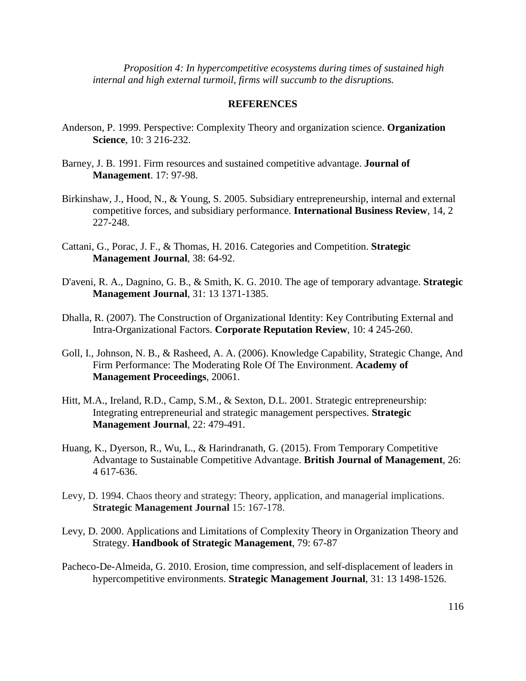*Proposition 4: In hypercompetitive ecosystems during times of sustained high internal and high external turmoil, firms will succumb to the disruptions.* 

### **REFERENCES**

- Anderson, P. 1999. Perspective: Complexity Theory and organization science. **Organization Science**, 10: 3 216-232.
- Barney, J. B. 1991. Firm resources and sustained competitive advantage. **Journal of Management**. 17: 97-98.
- Birkinshaw, J., Hood, N., & Young, S. 2005. Subsidiary entrepreneurship, internal and external competitive forces, and subsidiary performance. **International Business Review**, 14, 2 227-248.
- Cattani, G., Porac, J. F., & Thomas, H. 2016. Categories and Competition. **Strategic Management Journal**, 38: 64-92.
- D'aveni, R. A., Dagnino, G. B., & Smith, K. G. 2010. The age of temporary advantage. **Strategic Management Journal**, 31: 13 1371-1385.
- Dhalla, R. (2007). The Construction of Organizational Identity: Key Contributing External and Intra-Organizational Factors. **Corporate Reputation Review**, 10: 4 245-260.
- Goll, I., Johnson, N. B., & Rasheed, A. A. (2006). Knowledge Capability, Strategic Change, And Firm Performance: The Moderating Role Of The Environment. **Academy of Management Proceedings**, 20061.
- Hitt, M.A., Ireland, R.D., Camp, S.M., & Sexton, D.L. 2001. Strategic entrepreneurship: Integrating entrepreneurial and strategic management perspectives. **Strategic Management Journal**, 22: 479-491.
- Huang, K., Dyerson, R., Wu, L., & Harindranath, G. (2015). From Temporary Competitive Advantage to Sustainable Competitive Advantage. **British Journal of Management**, 26: 4 617-636.
- Levy, D. 1994. Chaos theory and strategy: Theory, application, and managerial implications. **Strategic Management Journal** 15: 167-178.
- Levy, D. 2000. Applications and Limitations of Complexity Theory in Organization Theory and Strategy. **Handbook of Strategic Management**, 79: 67-87
- Pacheco-De-Almeida, G. 2010. Erosion, time compression, and self-displacement of leaders in hypercompetitive environments. **Strategic Management Journal**, 31: 13 1498-1526.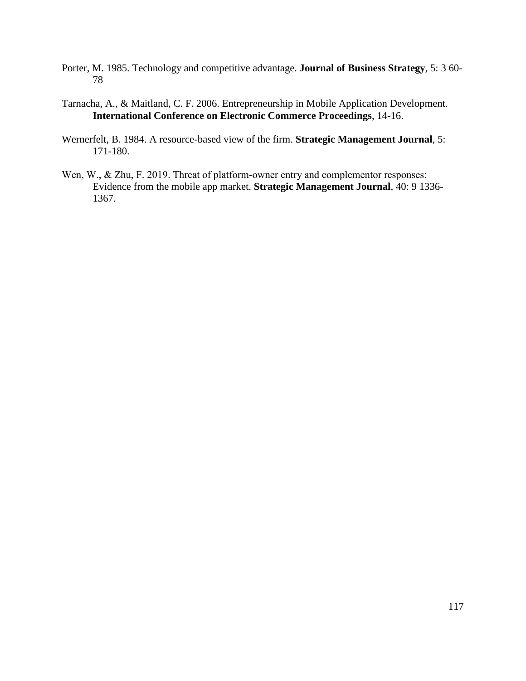- Porter, M. 1985. Technology and competitive advantage. **Journal of Business Strategy**, 5: 3 60- 78
- Tarnacha, A., & Maitland, C. F. 2006. Entrepreneurship in Mobile Application Development. **International Conference on Electronic Commerce Proceedings**, 14-16.
- Wernerfelt, B. 1984. A resource-based view of the firm. **Strategic Management Journal**, 5: 171-180.
- Wen, W., & Zhu, F. 2019. Threat of platform-owner entry and complementor responses: Evidence from the mobile app market. **Strategic Management Journal**, 40: 9 1336- 1367.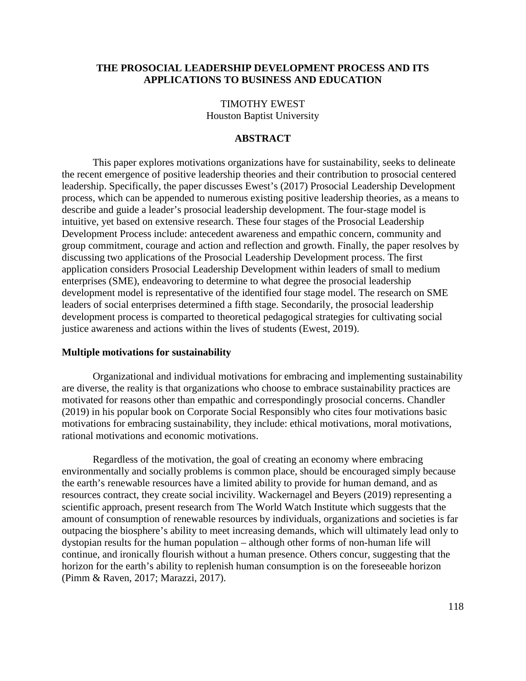### **THE PROSOCIAL LEADERSHIP DEVELOPMENT PROCESS AND ITS APPLICATIONS TO BUSINESS AND EDUCATION**

TIMOTHY EWEST Houston Baptist University

### **ABSTRACT**

This paper explores motivations organizations have for sustainability, seeks to delineate the recent emergence of positive leadership theories and their contribution to prosocial centered leadership. Specifically, the paper discusses Ewest's (2017) Prosocial Leadership Development process, which can be appended to numerous existing positive leadership theories, as a means to describe and guide a leader's prosocial leadership development. The four-stage model is intuitive, yet based on extensive research. These four stages of the Prosocial Leadership Development Process include: antecedent awareness and empathic concern, community and group commitment, courage and action and reflection and growth. Finally, the paper resolves by discussing two applications of the Prosocial Leadership Development process. The first application considers Prosocial Leadership Development within leaders of small to medium enterprises (SME), endeavoring to determine to what degree the prosocial leadership development model is representative of the identified four stage model. The research on SME leaders of social enterprises determined a fifth stage. Secondarily, the prosocial leadership development process is comparted to theoretical pedagogical strategies for cultivating social justice awareness and actions within the lives of students (Ewest, 2019).

### **Multiple motivations for sustainability**

Organizational and individual motivations for embracing and implementing sustainability are diverse, the reality is that organizations who choose to embrace sustainability practices are motivated for reasons other than empathic and correspondingly prosocial concerns. Chandler (2019) in his popular book on Corporate Social Responsibly who cites four motivations basic motivations for embracing sustainability, they include: ethical motivations, moral motivations, rational motivations and economic motivations.

Regardless of the motivation, the goal of creating an economy where embracing environmentally and socially problems is common place, should be encouraged simply because the earth's renewable resources have a limited ability to provide for human demand, and as resources contract, they create social incivility. Wackernagel and Beyers (2019) representing a scientific approach, present research from The World Watch Institute which suggests that the amount of consumption of renewable resources by individuals, organizations and societies is far outpacing the biosphere's ability to meet increasing demands, which will ultimately lead only to dystopian results for the human population – although other forms of non-human life will continue, and ironically flourish without a human presence. Others concur, suggesting that the horizon for the earth's ability to replenish human consumption is on the foreseeable horizon (Pimm & Raven, 2017; Marazzi, 2017).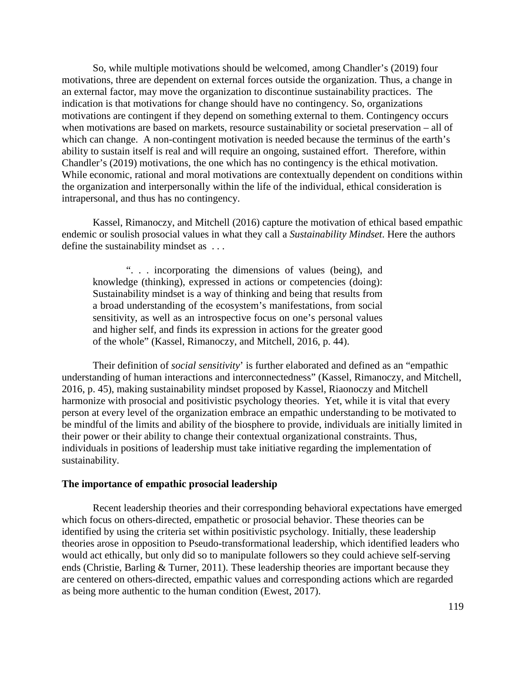So, while multiple motivations should be welcomed, among Chandler's (2019) four motivations, three are dependent on external forces outside the organization. Thus, a change in an external factor, may move the organization to discontinue sustainability practices. The indication is that motivations for change should have no contingency. So, organizations motivations are contingent if they depend on something external to them. Contingency occurs when motivations are based on markets, resource sustainability or societal preservation – all of which can change. A non-contingent motivation is needed because the terminus of the earth's ability to sustain itself is real and will require an ongoing, sustained effort. Therefore, within Chandler's (2019) motivations, the one which has no contingency is the ethical motivation. While economic, rational and moral motivations are contextually dependent on conditions within the organization and interpersonally within the life of the individual, ethical consideration is intrapersonal, and thus has no contingency.

Kassel, Rimanoczy, and Mitchell (2016) capture the motivation of ethical based empathic endemic or soulish prosocial values in what they call a *Sustainability Mindset*. Here the authors define the sustainability mindset as . . .

". . . incorporating the dimensions of values (being), and knowledge (thinking), expressed in actions or competencies (doing): Sustainability mindset is a way of thinking and being that results from a broad understanding of the ecosystem's manifestations, from social sensitivity, as well as an introspective focus on one's personal values and higher self, and finds its expression in actions for the greater good of the whole" (Kassel, Rimanoczy, and Mitchell, 2016, p. 44).

Their definition of *social sensitivity*' is further elaborated and defined as an "empathic understanding of human interactions and interconnectedness" (Kassel, Rimanoczy, and Mitchell, 2016, p. 45), making sustainability mindset proposed by Kassel, Riaonoczy and Mitchell harmonize with prosocial and positivistic psychology theories. Yet, while it is vital that every person at every level of the organization embrace an empathic understanding to be motivated to be mindful of the limits and ability of the biosphere to provide, individuals are initially limited in their power or their ability to change their contextual organizational constraints. Thus, individuals in positions of leadership must take initiative regarding the implementation of sustainability.

#### **The importance of empathic prosocial leadership**

Recent leadership theories and their corresponding behavioral expectations have emerged which focus on others-directed, empathetic or prosocial behavior. These theories can be identified by using the criteria set within positivistic psychology. Initially, these leadership theories arose in opposition to Pseudo-transformational leadership, which identified leaders who would act ethically, but only did so to manipulate followers so they could achieve self-serving ends (Christie, Barling & Turner, 2011). These leadership theories are important because they are centered on others-directed, empathic values and corresponding actions which are regarded as being more authentic to the human condition (Ewest, 2017).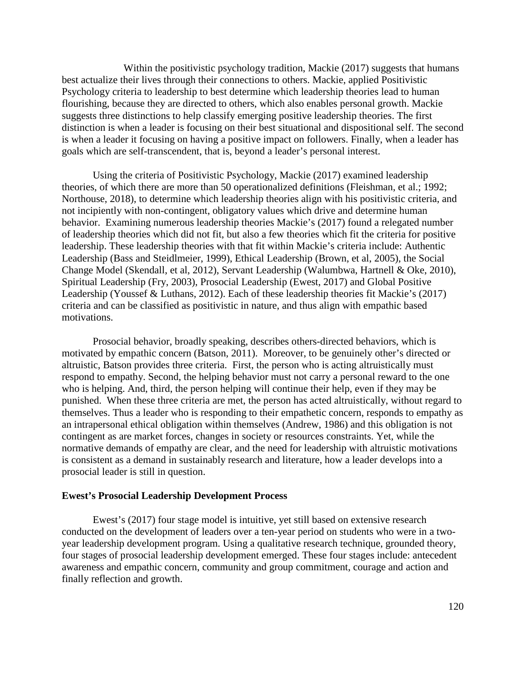Within the positivistic psychology tradition, Mackie (2017) suggests that humans best actualize their lives through their connections to others. Mackie, applied Positivistic Psychology criteria to leadership to best determine which leadership theories lead to human flourishing, because they are directed to others, which also enables personal growth. Mackie suggests three distinctions to help classify emerging positive leadership theories. The first distinction is when a leader is focusing on their best situational and dispositional self. The second is when a leader it focusing on having a positive impact on followers. Finally, when a leader has goals which are self-transcendent, that is, beyond a leader's personal interest.

Using the criteria of Positivistic Psychology, Mackie (2017) examined leadership theories, of which there are more than 50 operationalized definitions (Fleishman, et al.; 1992; Northouse, 2018), to determine which leadership theories align with his positivistic criteria, and not incipiently with non-contingent, obligatory values which drive and determine human behavior. Examining numerous leadership theories Mackie's (2017) found a relegated number of leadership theories which did not fit, but also a few theories which fit the criteria for positive leadership. These leadership theories with that fit within Mackie's criteria include: Authentic Leadership (Bass and Steidlmeier, 1999), Ethical Leadership (Brown, et al, 2005), the Social Change Model (Skendall, et al, 2012), Servant Leadership (Walumbwa, Hartnell & Oke, 2010), Spiritual Leadership (Fry, 2003), Prosocial Leadership (Ewest, 2017) and Global Positive Leadership (Youssef & Luthans, 2012). Each of these leadership theories fit Mackie's (2017) criteria and can be classified as positivistic in nature, and thus align with empathic based motivations.

Prosocial behavior, broadly speaking, describes others-directed behaviors, which is motivated by empathic concern (Batson, 2011). Moreover, to be genuinely other's directed or altruistic, Batson provides three criteria. First, the person who is acting altruistically must respond to empathy. Second, the helping behavior must not carry a personal reward to the one who is helping. And, third, the person helping will continue their help, even if they may be punished. When these three criteria are met, the person has acted altruistically, without regard to themselves. Thus a leader who is responding to their empathetic concern, responds to empathy as an intrapersonal ethical obligation within themselves (Andrew, 1986) and this obligation is not contingent as are market forces, changes in society or resources constraints. Yet, while the normative demands of empathy are clear, and the need for leadership with altruistic motivations is consistent as a demand in sustainably research and literature, how a leader develops into a prosocial leader is still in question.

#### **Ewest's Prosocial Leadership Development Process**

Ewest's (2017) four stage model is intuitive, yet still based on extensive research conducted on the development of leaders over a ten-year period on students who were in a twoyear leadership development program. Using a qualitative research technique, grounded theory, four stages of prosocial leadership development emerged. These four stages include: antecedent awareness and empathic concern, community and group commitment, courage and action and finally reflection and growth.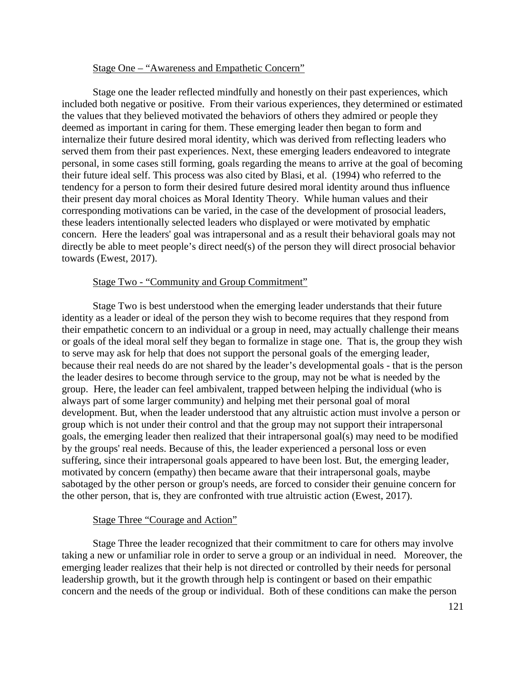### Stage One – "Awareness and Empathetic Concern"

Stage one the leader reflected mindfully and honestly on their past experiences, which included both negative or positive. From their various experiences, they determined or estimated the values that they believed motivated the behaviors of others they admired or people they deemed as important in caring for them. These emerging leader then began to form and internalize their future desired moral identity, which was derived from reflecting leaders who served them from their past experiences. Next, these emerging leaders endeavored to integrate personal, in some cases still forming, goals regarding the means to arrive at the goal of becoming their future ideal self. This process was also cited by Blasi, et al. (1994) who referred to the tendency for a person to form their desired future desired moral identity around thus influence their present day moral choices as Moral Identity Theory. While human values and their corresponding motivations can be varied, in the case of the development of prosocial leaders, these leaders intentionally selected leaders who displayed or were motivated by emphatic concern. Here the leaders' goal was intrapersonal and as a result their behavioral goals may not directly be able to meet people's direct need(s) of the person they will direct prosocial behavior towards (Ewest, 2017).

#### Stage Two - "Community and Group Commitment"

Stage Two is best understood when the emerging leader understands that their future identity as a leader or ideal of the person they wish to become requires that they respond from their empathetic concern to an individual or a group in need, may actually challenge their means or goals of the ideal moral self they began to formalize in stage one. That is, the group they wish to serve may ask for help that does not support the personal goals of the emerging leader, because their real needs do are not shared by the leader's developmental goals - that is the person the leader desires to become through service to the group, may not be what is needed by the group. Here, the leader can feel ambivalent, trapped between helping the individual (who is always part of some larger community) and helping met their personal goal of moral development. But, when the leader understood that any altruistic action must involve a person or group which is not under their control and that the group may not support their intrapersonal goals, the emerging leader then realized that their intrapersonal goal(s) may need to be modified by the groups' real needs. Because of this, the leader experienced a personal loss or even suffering, since their intrapersonal goals appeared to have been lost. But, the emerging leader, motivated by concern (empathy) then became aware that their intrapersonal goals, maybe sabotaged by the other person or group's needs, are forced to consider their genuine concern for the other person, that is, they are confronted with true altruistic action (Ewest, 2017).

#### Stage Three "Courage and Action"

Stage Three the leader recognized that their commitment to care for others may involve taking a new or unfamiliar role in order to serve a group or an individual in need. Moreover, the emerging leader realizes that their help is not directed or controlled by their needs for personal leadership growth, but it the growth through help is contingent or based on their empathic concern and the needs of the group or individual. Both of these conditions can make the person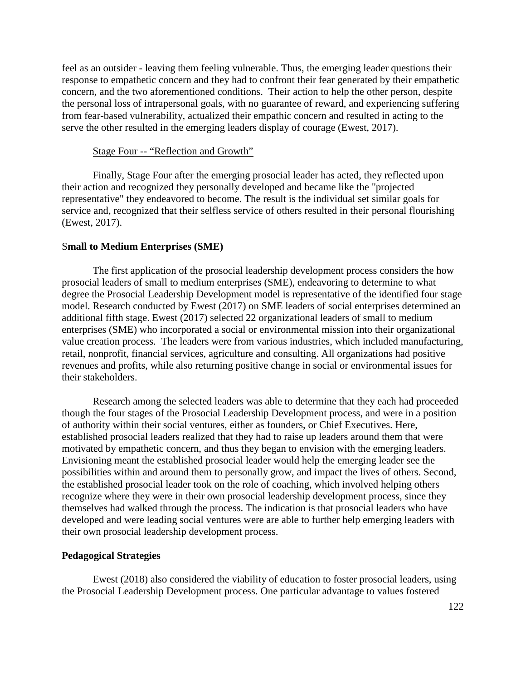feel as an outsider - leaving them feeling vulnerable. Thus, the emerging leader questions their response to empathetic concern and they had to confront their fear generated by their empathetic concern, and the two aforementioned conditions. Their action to help the other person, despite the personal loss of intrapersonal goals, with no guarantee of reward, and experiencing suffering from fear-based vulnerability, actualized their empathic concern and resulted in acting to the serve the other resulted in the emerging leaders display of courage (Ewest, 2017).

### Stage Four -- "Reflection and Growth"

Finally, Stage Four after the emerging prosocial leader has acted, they reflected upon their action and recognized they personally developed and became like the "projected representative" they endeavored to become. The result is the individual set similar goals for service and, recognized that their selfless service of others resulted in their personal flourishing (Ewest, 2017).

#### S**mall to Medium Enterprises (SME)**

The first application of the prosocial leadership development process considers the how prosocial leaders of small to medium enterprises (SME), endeavoring to determine to what degree the Prosocial Leadership Development model is representative of the identified four stage model. Research conducted by Ewest (2017) on SME leaders of social enterprises determined an additional fifth stage. Ewest (2017) selected 22 organizational leaders of small to medium enterprises (SME) who incorporated a social or environmental mission into their organizational value creation process. The leaders were from various industries, which included manufacturing, retail, nonprofit, financial services, agriculture and consulting. All organizations had positive revenues and profits, while also returning positive change in social or environmental issues for their stakeholders.

Research among the selected leaders was able to determine that they each had proceeded though the four stages of the Prosocial Leadership Development process, and were in a position of authority within their social ventures, either as founders, or Chief Executives. Here, established prosocial leaders realized that they had to raise up leaders around them that were motivated by empathetic concern, and thus they began to envision with the emerging leaders. Envisioning meant the established prosocial leader would help the emerging leader see the possibilities within and around them to personally grow, and impact the lives of others. Second, the established prosocial leader took on the role of coaching, which involved helping others recognize where they were in their own prosocial leadership development process, since they themselves had walked through the process. The indication is that prosocial leaders who have developed and were leading social ventures were are able to further help emerging leaders with their own prosocial leadership development process.

#### **Pedagogical Strategies**

Ewest (2018) also considered the viability of education to foster prosocial leaders, using the Prosocial Leadership Development process. One particular advantage to values fostered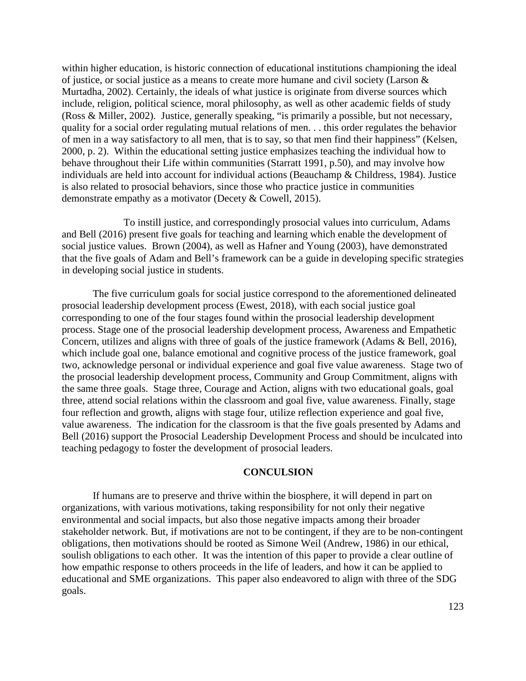within higher education, is historic connection of educational institutions championing the ideal of justice, or social justice as a means to create more humane and civil society (Larson & Murtadha, 2002). Certainly, the ideals of what justice is originate from diverse sources which include, religion, political science, moral philosophy, as well as other academic fields of study (Ross & Miller, 2002). Justice, generally speaking, "is primarily a possible, but not necessary, quality for a social order regulating mutual relations of men. . . this order regulates the behavior of men in a way satisfactory to all men, that is to say, so that men find their happiness" (Kelsen, 2000, p. 2). Within the educational setting justice emphasizes teaching the individual how to behave throughout their Life within communities (Starratt 1991, p.50), and may involve how individuals are held into account for individual actions (Beauchamp & Childress, 1984). Justice is also related to prosocial behaviors, since those who practice justice in communities demonstrate empathy as a motivator (Decety & Cowell, 2015).

To instill justice, and correspondingly prosocial values into curriculum, Adams and Bell (2016) present five goals for teaching and learning which enable the development of social justice values. Brown (2004), as well as Hafner and Young (2003), have demonstrated that the five goals of Adam and Bell's framework can be a guide in developing specific strategies in developing social justice in students.

The five curriculum goals for social justice correspond to the aforementioned delineated prosocial leadership development process (Ewest, 2018), with each social justice goal corresponding to one of the four stages found within the prosocial leadership development process. Stage one of the prosocial leadership development process, Awareness and Empathetic Concern, utilizes and aligns with three of goals of the justice framework (Adams & Bell, 2016), which include goal one, balance emotional and cognitive process of the justice framework, goal two, acknowledge personal or individual experience and goal five value awareness. Stage two of the prosocial leadership development process, Community and Group Commitment, aligns with the same three goals. Stage three, Courage and Action, aligns with two educational goals, goal three, attend social relations within the classroom and goal five, value awareness. Finally, stage four reflection and growth, aligns with stage four, utilize reflection experience and goal five, value awareness. The indication for the classroom is that the five goals presented by Adams and Bell (2016) support the Prosocial Leadership Development Process and should be inculcated into teaching pedagogy to foster the development of prosocial leaders.

### **CONCULSION**

If humans are to preserve and thrive within the biosphere, it will depend in part on organizations, with various motivations, taking responsibility for not only their negative environmental and social impacts, but also those negative impacts among their broader stakeholder network. But, if motivations are not to be contingent, if they are to be non-contingent obligations, then motivations should be rooted as Simone Weil (Andrew, 1986) in our ethical, soulish obligations to each other. It was the intention of this paper to provide a clear outline of how empathic response to others proceeds in the life of leaders, and how it can be applied to educational and SME organizations. This paper also endeavored to align with three of the SDG goals.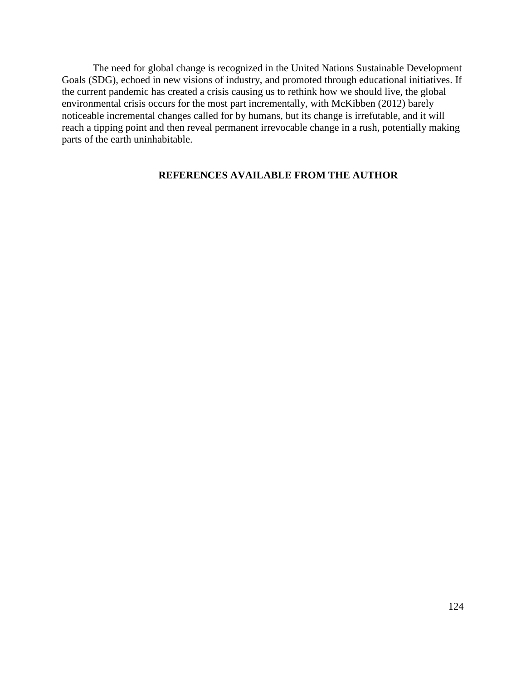The need for global change is recognized in the United Nations Sustainable Development Goals (SDG), echoed in new visions of industry, and promoted through educational initiatives. If the current pandemic has created a crisis causing us to rethink how we should live, the global environmental crisis occurs for the most part incrementally, with McKibben (2012) barely noticeable incremental changes called for by humans, but its change is irrefutable, and it will reach a tipping point and then reveal permanent irrevocable change in a rush, potentially making parts of the earth uninhabitable.

# **REFERENCES AVAILABLE FROM THE AUTHOR**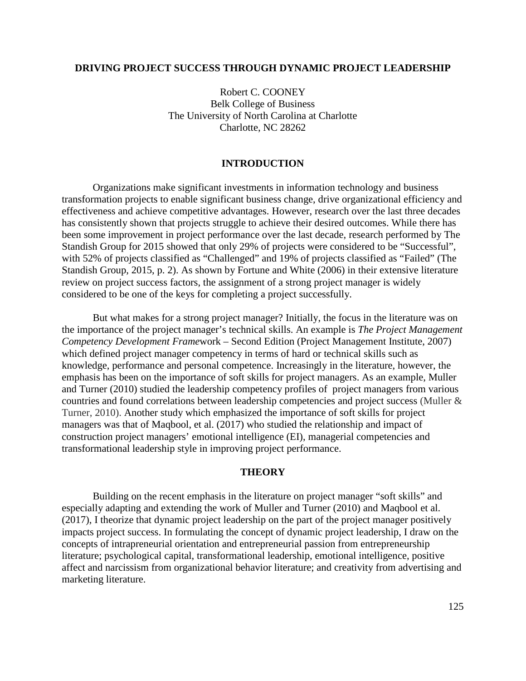### **DRIVING PROJECT SUCCESS THROUGH DYNAMIC PROJECT LEADERSHIP**

Robert C. COONEY Belk College of Business The University of North Carolina at Charlotte Charlotte, NC 28262

### **INTRODUCTION**

Organizations make significant investments in information technology and business transformation projects to enable significant business change, drive organizational efficiency and effectiveness and achieve competitive advantages. However, research over the last three decades has consistently shown that projects struggle to achieve their desired outcomes. While there has been some improvement in project performance over the last decade, research performed by The Standish Group for 2015 showed that only 29% of projects were considered to be "Successful", with 52% of projects classified as "Challenged" and 19% of projects classified as "Failed" (The Standish Group, 2015, p. 2). As shown by Fortune and White (2006) in their extensive literature review on project success factors, the assignment of a strong project manager is widely considered to be one of the keys for completing a project successfully.

But what makes for a strong project manager? Initially, the focus in the literature was on the importance of the project manager's technical skills. An example is *The Project Management Competency Development Frame*work – Second Edition (Project Management Institute, 2007) which defined project manager competency in terms of hard or technical skills such as knowledge, performance and personal competence. Increasingly in the literature, however, the emphasis has been on the importance of soft skills for project managers. As an example, Muller and Turner (2010) studied the leadership competency profiles of project managers from various countries and found correlations between leadership competencies and project success (Muller & Turner, 2010). Another study which emphasized the importance of soft skills for project managers was that of Maqbool, et al. (2017) who studied the relationship and impact of construction project managers' emotional intelligence (EI), managerial competencies and transformational leadership style in improving project performance.

### **THEORY**

Building on the recent emphasis in the literature on project manager "soft skills" and especially adapting and extending the work of Muller and Turner (2010) and Maqbool et al. (2017), I theorize that dynamic project leadership on the part of the project manager positively impacts project success. In formulating the concept of dynamic project leadership, I draw on the concepts of intrapreneurial orientation and entrepreneurial passion from entrepreneurship literature; psychological capital, transformational leadership, emotional intelligence, positive affect and narcissism from organizational behavior literature; and creativity from advertising and marketing literature.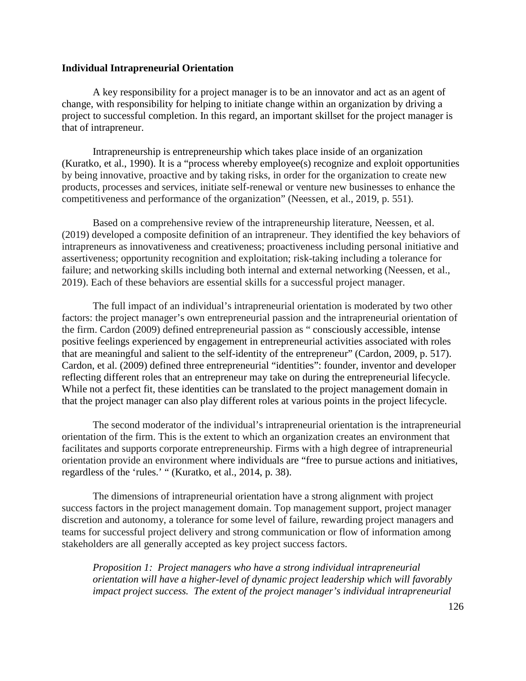### **Individual Intrapreneurial Orientation**

A key responsibility for a project manager is to be an innovator and act as an agent of change, with responsibility for helping to initiate change within an organization by driving a project to successful completion. In this regard, an important skillset for the project manager is that of intrapreneur.

Intrapreneurship is entrepreneurship which takes place inside of an organization (Kuratko, et al., 1990). It is a "process whereby employee(s) recognize and exploit opportunities by being innovative, proactive and by taking risks, in order for the organization to create new products, processes and services, initiate self-renewal or venture new businesses to enhance the competitiveness and performance of the organization" (Neessen, et al., 2019, p. 551).

Based on a comprehensive review of the intrapreneurship literature, Neessen, et al. (2019) developed a composite definition of an intrapreneur. They identified the key behaviors of intrapreneurs as innovativeness and creativeness; proactiveness including personal initiative and assertiveness; opportunity recognition and exploitation; risk-taking including a tolerance for failure; and networking skills including both internal and external networking (Neessen, et al., 2019). Each of these behaviors are essential skills for a successful project manager.

The full impact of an individual's intrapreneurial orientation is moderated by two other factors: the project manager's own entrepreneurial passion and the intrapreneurial orientation of the firm. Cardon (2009) defined entrepreneurial passion as " consciously accessible, intense positive feelings experienced by engagement in entrepreneurial activities associated with roles that are meaningful and salient to the self-identity of the entrepreneur" (Cardon, 2009, p. 517). Cardon, et al. (2009) defined three entrepreneurial "identities": founder, inventor and developer reflecting different roles that an entrepreneur may take on during the entrepreneurial lifecycle. While not a perfect fit, these identities can be translated to the project management domain in that the project manager can also play different roles at various points in the project lifecycle.

The second moderator of the individual's intrapreneurial orientation is the intrapreneurial orientation of the firm. This is the extent to which an organization creates an environment that facilitates and supports corporate entrepreneurship. Firms with a high degree of intrapreneurial orientation provide an environment where individuals are "free to pursue actions and initiatives, regardless of the 'rules.' " (Kuratko, et al., 2014, p. 38).

The dimensions of intrapreneurial orientation have a strong alignment with project success factors in the project management domain. Top management support, project manager discretion and autonomy, a tolerance for some level of failure, rewarding project managers and teams for successful project delivery and strong communication or flow of information among stakeholders are all generally accepted as key project success factors.

*Proposition 1: Project managers who have a strong individual intrapreneurial orientation will have a higher-level of dynamic project leadership which will favorably impact project success. The extent of the project manager's individual intrapreneurial*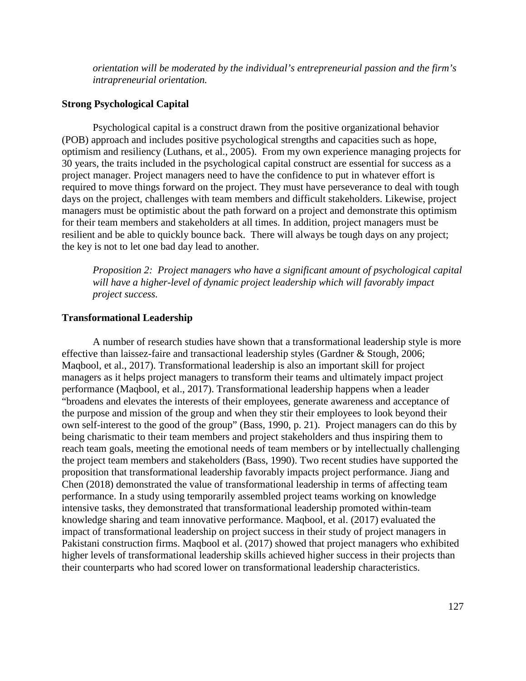*orientation will be moderated by the individual's entrepreneurial passion and the firm's intrapreneurial orientation.*

### **Strong Psychological Capital**

Psychological capital is a construct drawn from the positive organizational behavior (POB) approach and includes positive psychological strengths and capacities such as hope, optimism and resiliency (Luthans, et al., 2005). From my own experience managing projects for 30 years, the traits included in the psychological capital construct are essential for success as a project manager. Project managers need to have the confidence to put in whatever effort is required to move things forward on the project. They must have perseverance to deal with tough days on the project, challenges with team members and difficult stakeholders. Likewise, project managers must be optimistic about the path forward on a project and demonstrate this optimism for their team members and stakeholders at all times. In addition, project managers must be resilient and be able to quickly bounce back. There will always be tough days on any project; the key is not to let one bad day lead to another.

*Proposition 2: Project managers who have a significant amount of psychological capital*  will have a higher-level of dynamic project leadership which will favorably impact *project success.*

#### **Transformational Leadership**

A number of research studies have shown that a transformational leadership style is more effective than laissez-faire and transactional leadership styles (Gardner & Stough, 2006; Maqbool, et al., 2017). Transformational leadership is also an important skill for project managers as it helps project managers to transform their teams and ultimately impact project performance (Maqbool, et al., 2017). Transformational leadership happens when a leader "broadens and elevates the interests of their employees, generate awareness and acceptance of the purpose and mission of the group and when they stir their employees to look beyond their own self-interest to the good of the group" (Bass, 1990, p. 21). Project managers can do this by being charismatic to their team members and project stakeholders and thus inspiring them to reach team goals, meeting the emotional needs of team members or by intellectually challenging the project team members and stakeholders (Bass, 1990). Two recent studies have supported the proposition that transformational leadership favorably impacts project performance. Jiang and Chen (2018) demonstrated the value of transformational leadership in terms of affecting team performance. In a study using temporarily assembled project teams working on knowledge intensive tasks, they demonstrated that transformational leadership promoted within-team knowledge sharing and team innovative performance. Maqbool, et al. (2017) evaluated the impact of transformational leadership on project success in their study of project managers in Pakistani construction firms. Maqbool et al. (2017) showed that project managers who exhibited higher levels of transformational leadership skills achieved higher success in their projects than their counterparts who had scored lower on transformational leadership characteristics.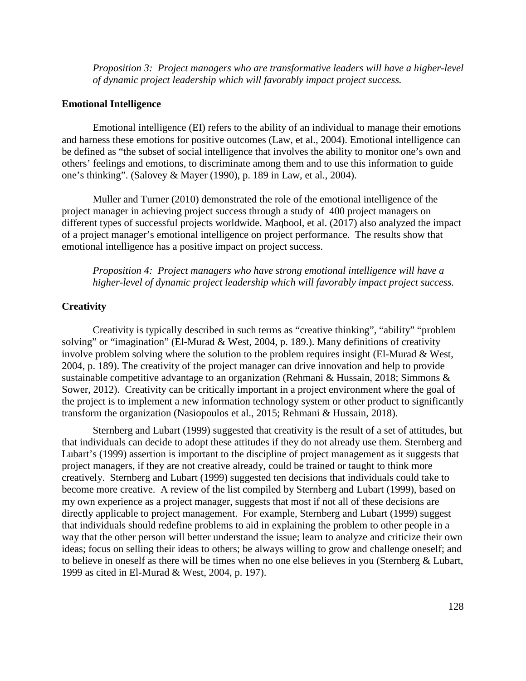*Proposition 3: Project managers who are transformative leaders will have a higher-level of dynamic project leadership which will favorably impact project success.*

### **Emotional Intelligence**

Emotional intelligence (EI) refers to the ability of an individual to manage their emotions and harness these emotions for positive outcomes (Law, et al., 2004). Emotional intelligence can be defined as "the subset of social intelligence that involves the ability to monitor one's own and others' feelings and emotions, to discriminate among them and to use this information to guide one's thinking". (Salovey & Mayer (1990), p. 189 in Law, et al., 2004).

Muller and Turner (2010) demonstrated the role of the emotional intelligence of the project manager in achieving project success through a study of 400 project managers on different types of successful projects worldwide. Maqbool, et al. (2017) also analyzed the impact of a project manager's emotional intelligence on project performance. The results show that emotional intelligence has a positive impact on project success.

*Proposition 4: Project managers who have strong emotional intelligence will have a higher-level of dynamic project leadership which will favorably impact project success.*

### **Creativity**

Creativity is typically described in such terms as "creative thinking", "ability" "problem solving" or "imagination" (El-Murad & West, 2004, p. 189.). Many definitions of creativity involve problem solving where the solution to the problem requires insight (El-Murad & West, 2004, p. 189). The creativity of the project manager can drive innovation and help to provide sustainable competitive advantage to an organization (Rehmani & Hussain, 2018; Simmons & Sower, 2012). Creativity can be critically important in a project environment where the goal of the project is to implement a new information technology system or other product to significantly transform the organization (Nasiopoulos et al., 2015; Rehmani & Hussain, 2018).

Sternberg and Lubart (1999) suggested that creativity is the result of a set of attitudes, but that individuals can decide to adopt these attitudes if they do not already use them. Sternberg and Lubart's (1999) assertion is important to the discipline of project management as it suggests that project managers, if they are not creative already, could be trained or taught to think more creatively. Sternberg and Lubart (1999) suggested ten decisions that individuals could take to become more creative. A review of the list compiled by Sternberg and Lubart (1999), based on my own experience as a project manager, suggests that most if not all of these decisions are directly applicable to project management. For example, Sternberg and Lubart (1999) suggest that individuals should redefine problems to aid in explaining the problem to other people in a way that the other person will better understand the issue; learn to analyze and criticize their own ideas; focus on selling their ideas to others; be always willing to grow and challenge oneself; and to believe in oneself as there will be times when no one else believes in you (Sternberg & Lubart, 1999 as cited in El-Murad & West, 2004, p. 197).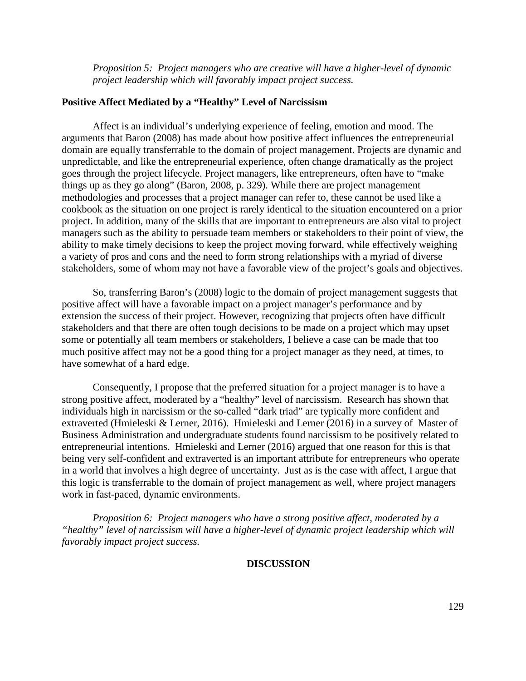*Proposition 5: Project managers who are creative will have a higher-level of dynamic project leadership which will favorably impact project success.*

#### **Positive Affect Mediated by a "Healthy" Level of Narcissism**

Affect is an individual's underlying experience of feeling, emotion and mood. The arguments that Baron (2008) has made about how positive affect influences the entrepreneurial domain are equally transferrable to the domain of project management. Projects are dynamic and unpredictable, and like the entrepreneurial experience, often change dramatically as the project goes through the project lifecycle. Project managers, like entrepreneurs, often have to "make things up as they go along" (Baron, 2008, p. 329). While there are project management methodologies and processes that a project manager can refer to, these cannot be used like a cookbook as the situation on one project is rarely identical to the situation encountered on a prior project. In addition, many of the skills that are important to entrepreneurs are also vital to project managers such as the ability to persuade team members or stakeholders to their point of view, the ability to make timely decisions to keep the project moving forward, while effectively weighing a variety of pros and cons and the need to form strong relationships with a myriad of diverse stakeholders, some of whom may not have a favorable view of the project's goals and objectives.

So, transferring Baron's (2008) logic to the domain of project management suggests that positive affect will have a favorable impact on a project manager's performance and by extension the success of their project. However, recognizing that projects often have difficult stakeholders and that there are often tough decisions to be made on a project which may upset some or potentially all team members or stakeholders, I believe a case can be made that too much positive affect may not be a good thing for a project manager as they need, at times, to have somewhat of a hard edge.

Consequently, I propose that the preferred situation for a project manager is to have a strong positive affect, moderated by a "healthy" level of narcissism. Research has shown that individuals high in narcissism or the so-called "dark triad" are typically more confident and extraverted (Hmieleski & Lerner, 2016). Hmieleski and Lerner (2016) in a survey of Master of Business Administration and undergraduate students found narcissism to be positively related to entrepreneurial intentions. Hmieleski and Lerner (2016) argued that one reason for this is that being very self-confident and extraverted is an important attribute for entrepreneurs who operate in a world that involves a high degree of uncertainty. Just as is the case with affect, I argue that this logic is transferrable to the domain of project management as well, where project managers work in fast-paced, dynamic environments.

*Proposition 6: Project managers who have a strong positive affect, moderated by a "healthy" level of narcissism will have a higher-level of dynamic project leadership which will favorably impact project success.*

### **DISCUSSION**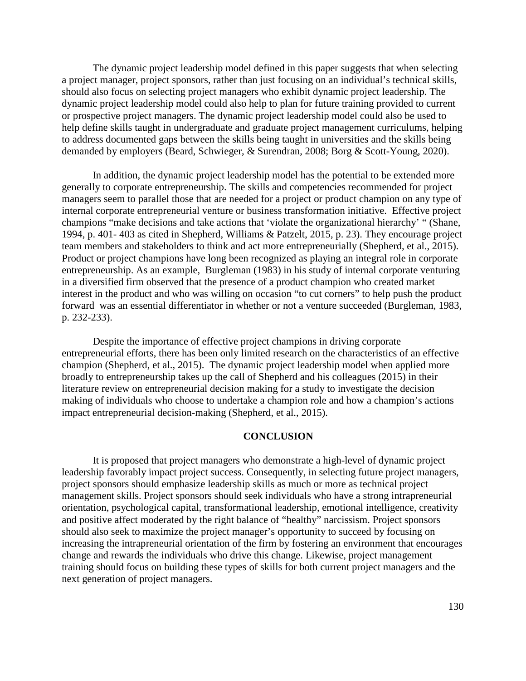The dynamic project leadership model defined in this paper suggests that when selecting a project manager, project sponsors, rather than just focusing on an individual's technical skills, should also focus on selecting project managers who exhibit dynamic project leadership. The dynamic project leadership model could also help to plan for future training provided to current or prospective project managers. The dynamic project leadership model could also be used to help define skills taught in undergraduate and graduate project management curriculums, helping to address documented gaps between the skills being taught in universities and the skills being demanded by employers (Beard, Schwieger, & Surendran, 2008; Borg & Scott-Young, 2020).

In addition, the dynamic project leadership model has the potential to be extended more generally to corporate entrepreneurship. The skills and competencies recommended for project managers seem to parallel those that are needed for a project or product champion on any type of internal corporate entrepreneurial venture or business transformation initiative. Effective project champions "make decisions and take actions that 'violate the organizational hierarchy' " (Shane, 1994, p. 401- 403 as cited in Shepherd, Williams & Patzelt, 2015, p. 23). They encourage project team members and stakeholders to think and act more entrepreneurially (Shepherd, et al., 2015). Product or project champions have long been recognized as playing an integral role in corporate entrepreneurship. As an example, Burgleman (1983) in his study of internal corporate venturing in a diversified firm observed that the presence of a product champion who created market interest in the product and who was willing on occasion "to cut corners" to help push the product forward was an essential differentiator in whether or not a venture succeeded (Burgleman, 1983, p. 232-233).

Despite the importance of effective project champions in driving corporate entrepreneurial efforts, there has been only limited research on the characteristics of an effective champion (Shepherd, et al., 2015). The dynamic project leadership model when applied more broadly to entrepreneurship takes up the call of Shepherd and his colleagues (2015) in their literature review on entrepreneurial decision making for a study to investigate the decision making of individuals who choose to undertake a champion role and how a champion's actions impact entrepreneurial decision-making (Shepherd, et al., 2015).

#### **CONCLUSION**

It is proposed that project managers who demonstrate a high-level of dynamic project leadership favorably impact project success. Consequently, in selecting future project managers, project sponsors should emphasize leadership skills as much or more as technical project management skills. Project sponsors should seek individuals who have a strong intrapreneurial orientation, psychological capital, transformational leadership, emotional intelligence, creativity and positive affect moderated by the right balance of "healthy" narcissism. Project sponsors should also seek to maximize the project manager's opportunity to succeed by focusing on increasing the intrapreneurial orientation of the firm by fostering an environment that encourages change and rewards the individuals who drive this change. Likewise, project management training should focus on building these types of skills for both current project managers and the next generation of project managers.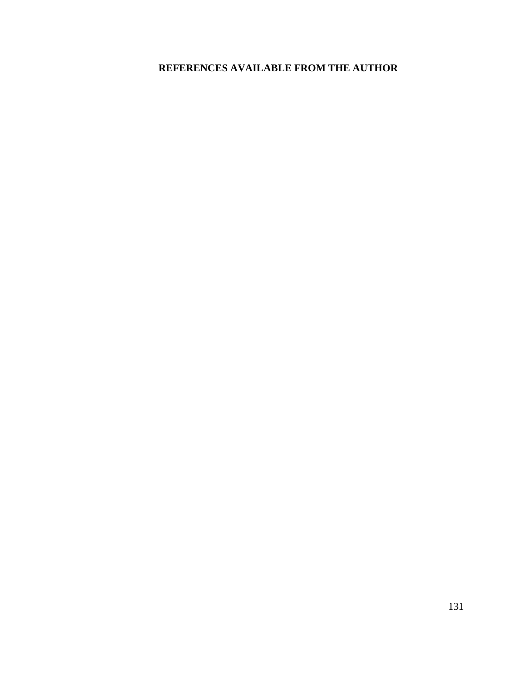# **REFERENCES AVAILABLE FROM THE AUTHOR**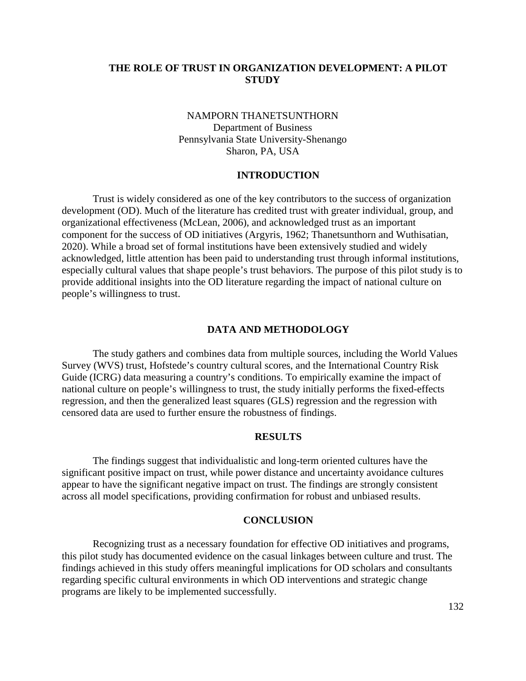# **THE ROLE OF TRUST IN ORGANIZATION DEVELOPMENT: A PILOT STUDY**

# NAMPORN THANETSUNTHORN Department of Business Pennsylvania State University-Shenango Sharon, PA, USA

### **INTRODUCTION**

Trust is widely considered as one of the key contributors to the success of organization development (OD). Much of the literature has credited trust with greater individual, group, and organizational effectiveness (McLean, 2006), and acknowledged trust as an important component for the success of OD initiatives (Argyris, 1962; Thanetsunthorn and Wuthisatian, 2020). While a broad set of formal institutions have been extensively studied and widely acknowledged, little attention has been paid to understanding trust through informal institutions, especially cultural values that shape people's trust behaviors. The purpose of this pilot study is to provide additional insights into the OD literature regarding the impact of national culture on people's willingness to trust.

#### **DATA AND METHODOLOGY**

The study gathers and combines data from multiple sources, including the World Values Survey (WVS) trust, Hofstede's country cultural scores, and the International Country Risk Guide (ICRG) data measuring a country's conditions. To empirically examine the impact of national culture on people's willingness to trust, the study initially performs the fixed-effects regression, and then the generalized least squares (GLS) regression and the regression with censored data are used to further ensure the robustness of findings.

### **RESULTS**

The findings suggest that individualistic and long-term oriented cultures have the significant positive impact on trust, while power distance and uncertainty avoidance cultures appear to have the significant negative impact on trust. The findings are strongly consistent across all model specifications, providing confirmation for robust and unbiased results.

#### **CONCLUSION**

Recognizing trust as a necessary foundation for effective OD initiatives and programs, this pilot study has documented evidence on the casual linkages between culture and trust. The findings achieved in this study offers meaningful implications for OD scholars and consultants regarding specific cultural environments in which OD interventions and strategic change programs are likely to be implemented successfully.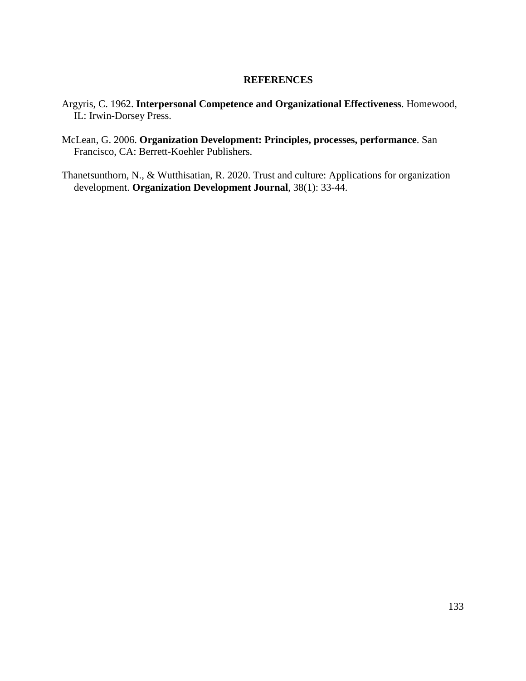### **REFERENCES**

- Argyris, C. 1962. **Interpersonal Competence and Organizational Effectiveness**. Homewood, IL: Irwin-Dorsey Press.
- McLean, G. 2006. **Organization Development: Principles, processes, performance**. San Francisco, CA: Berrett-Koehler Publishers.
- Thanetsunthorn, N., & Wutthisatian, R. 2020. Trust and culture: Applications for organization development. **Organization Development Journal**, 38(1): 33-44.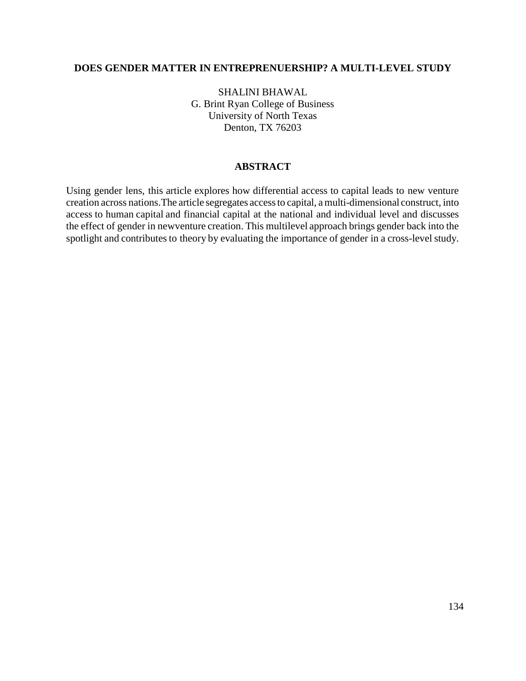# **DOES GENDER MATTER IN ENTREPRENUERSHIP? A MULTI-LEVEL STUDY**

SHALINI BHAWAL G. Brint Ryan College of Business University of North Texas Denton, TX 76203

# **ABSTRACT**

Using gender lens, this article explores how differential access to capital leads to new venture creation across nations.The article segregates accessto capital, a multi-dimensional construct, into access to human capital and financial capital at the national and individual level and discusses the effect of gender in newventure creation. This multilevel approach brings gender back into the spotlight and contributes to theory by evaluating the importance of gender in a cross-level study.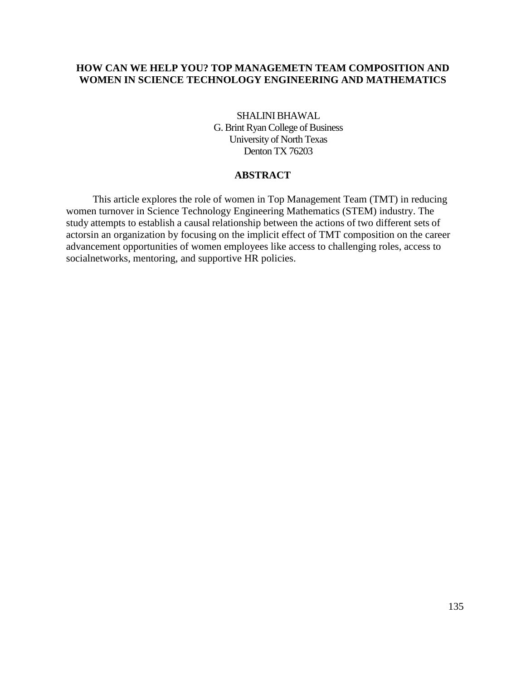# **HOW CAN WE HELP YOU? TOP MANAGEMETN TEAM COMPOSITION AND WOMEN IN SCIENCE TECHNOLOGY ENGINEERING AND MATHEMATICS**

SHALINI BHAWAL G. Brint Ryan College of Business University of North Texas Denton TX 76203

### **ABSTRACT**

This article explores the role of women in Top Management Team (TMT) in reducing women turnover in Science Technology Engineering Mathematics (STEM) industry. The study attempts to establish a causal relationship between the actions of two different sets of actorsin an organization by focusing on the implicit effect of TMT composition on the career advancement opportunities of women employees like access to challenging roles, access to socialnetworks, mentoring, and supportive HR policies.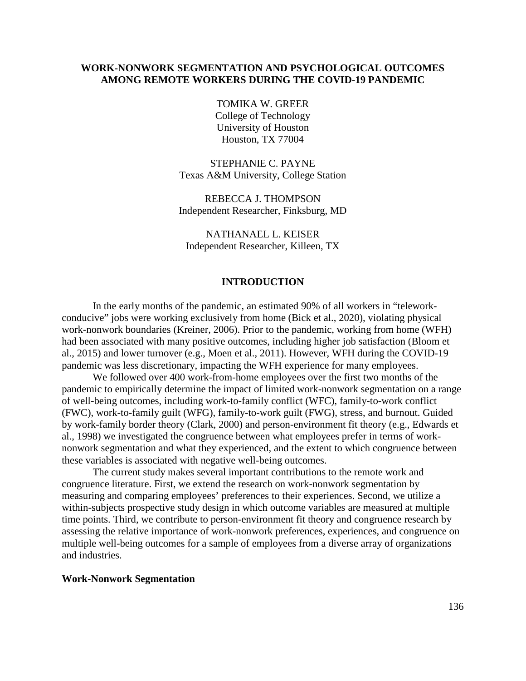### **WORK-NONWORK SEGMENTATION AND PSYCHOLOGICAL OUTCOMES AMONG REMOTE WORKERS DURING THE COVID-19 PANDEMIC**

TOMIKA W. GREER College of Technology University of Houston Houston, TX 77004

STEPHANIE C. PAYNE Texas A&M University, College Station

REBECCA J. THOMPSON Independent Researcher, Finksburg, MD

NATHANAEL L. KEISER Independent Researcher, Killeen, TX

### **INTRODUCTION**

In the early months of the pandemic, an estimated 90% of all workers in "teleworkconducive" jobs were working exclusively from home (Bick et al., 2020), violating physical work-nonwork boundaries (Kreiner, 2006). Prior to the pandemic, working from home (WFH) had been associated with many positive outcomes, including higher job satisfaction (Bloom et al., 2015) and lower turnover (e.g., Moen et al., 2011). However, WFH during the COVID-19 pandemic was less discretionary, impacting the WFH experience for many employees.

We followed over 400 work-from-home employees over the first two months of the pandemic to empirically determine the impact of limited work-nonwork segmentation on a range of well-being outcomes, including work-to-family conflict (WFC), family-to-work conflict (FWC), work-to-family guilt (WFG), family-to-work guilt (FWG), stress, and burnout. Guided by work-family border theory (Clark, 2000) and person-environment fit theory (e.g., Edwards et al., 1998) we investigated the congruence between what employees prefer in terms of worknonwork segmentation and what they experienced, and the extent to which congruence between these variables is associated with negative well-being outcomes.

The current study makes several important contributions to the remote work and congruence literature. First, we extend the research on work-nonwork segmentation by measuring and comparing employees' preferences to their experiences. Second, we utilize a within-subjects prospective study design in which outcome variables are measured at multiple time points. Third, we contribute to person-environment fit theory and congruence research by assessing the relative importance of work-nonwork preferences, experiences, and congruence on multiple well-being outcomes for a sample of employees from a diverse array of organizations and industries.

#### **Work-Nonwork Segmentation**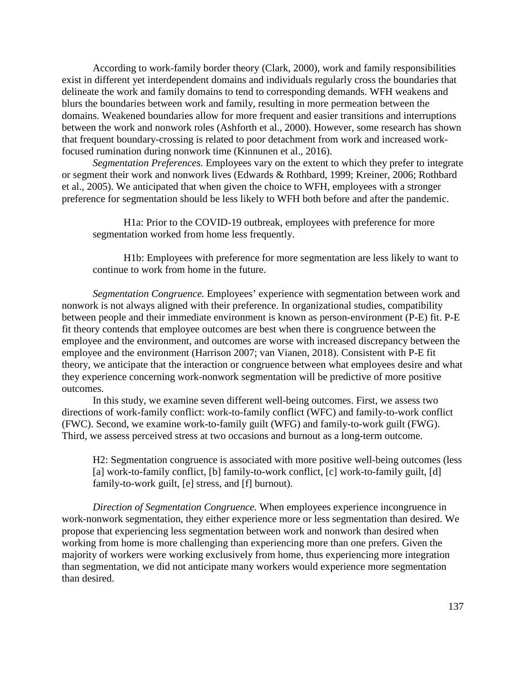According to work-family border theory (Clark, 2000), work and family responsibilities exist in different yet interdependent domains and individuals regularly cross the boundaries that delineate the work and family domains to tend to corresponding demands. WFH weakens and blurs the boundaries between work and family, resulting in more permeation between the domains. Weakened boundaries allow for more frequent and easier transitions and interruptions between the work and nonwork roles (Ashforth et al., 2000). However, some research has shown that frequent boundary-crossing is related to poor detachment from work and increased workfocused rumination during nonwork time (Kinnunen et al., 2016).

*Segmentation Preferences.* Employees vary on the extent to which they prefer to integrate or segment their work and nonwork lives (Edwards & Rothbard, 1999; Kreiner, 2006; Rothbard et al., 2005). We anticipated that when given the choice to WFH, employees with a stronger preference for segmentation should be less likely to WFH both before and after the pandemic.

H1a: Prior to the COVID-19 outbreak, employees with preference for more segmentation worked from home less frequently.

H1b: Employees with preference for more segmentation are less likely to want to continue to work from home in the future.

*Segmentation Congruence.* Employees' experience with segmentation between work and nonwork is not always aligned with their preference. In organizational studies, compatibility between people and their immediate environment is known as person-environment (P-E) fit. P-E fit theory contends that employee outcomes are best when there is congruence between the employee and the environment, and outcomes are worse with increased discrepancy between the employee and the environment (Harrison 2007; van Vianen, 2018). Consistent with P-E fit theory, we anticipate that the interaction or congruence between what employees desire and what they experience concerning work-nonwork segmentation will be predictive of more positive outcomes.

In this study, we examine seven different well-being outcomes. First, we assess two directions of work-family conflict: work-to-family conflict (WFC) and family-to-work conflict (FWC). Second, we examine work-to-family guilt (WFG) and family-to-work guilt (FWG). Third, we assess perceived stress at two occasions and burnout as a long-term outcome.

H2: Segmentation congruence is associated with more positive well-being outcomes (less [a] work-to-family conflict, [b] family-to-work conflict, [c] work-to-family guilt, [d] family-to-work guilt, [e] stress, and [f] burnout).

*Direction of Segmentation Congruence.* When employees experience incongruence in work-nonwork segmentation, they either experience more or less segmentation than desired. We propose that experiencing less segmentation between work and nonwork than desired when working from home is more challenging than experiencing more than one prefers. Given the majority of workers were working exclusively from home, thus experiencing more integration than segmentation, we did not anticipate many workers would experience more segmentation than desired.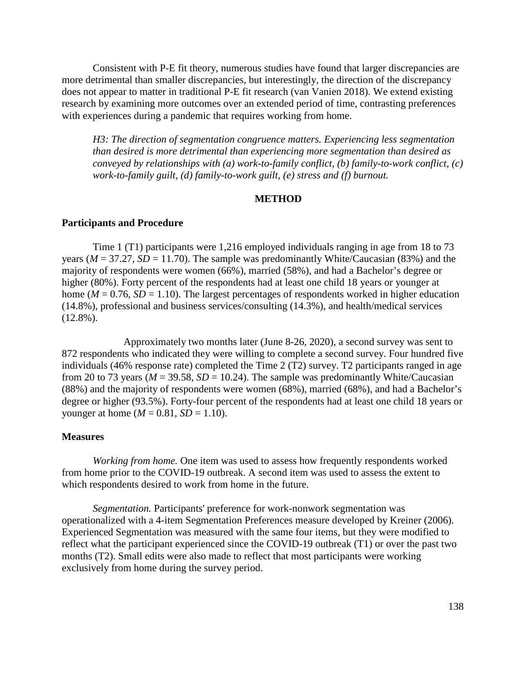Consistent with P-E fit theory, numerous studies have found that larger discrepancies are more detrimental than smaller discrepancies, but interestingly, the direction of the discrepancy does not appear to matter in traditional P-E fit research (van Vanien 2018). We extend existing research by examining more outcomes over an extended period of time, contrasting preferences with experiences during a pandemic that requires working from home.

*H3: The direction of segmentation congruence matters. Experiencing less segmentation than desired is more detrimental than experiencing more segmentation than desired as conveyed by relationships with (a) work-to-family conflict, (b) family-to-work conflict, (c) work-to-family guilt, (d) family-to-work guilt, (e) stress and (f) burnout.*

# **METHOD**

### **Participants and Procedure**

Time 1 (T1) participants were 1,216 employed individuals ranging in age from 18 to 73 years ( $M = 37.27$ ,  $SD = 11.70$ ). The sample was predominantly White/Caucasian (83%) and the majority of respondents were women (66%), married (58%), and had a Bachelor's degree or higher (80%). Forty percent of the respondents had at least one child 18 years or younger at home ( $M = 0.76$ ,  $SD = 1.10$ ). The largest percentages of respondents worked in higher education (14.8%), professional and business services/consulting (14.3%), and health/medical services  $(12.8\%)$ .

Approximately two months later (June 8-26, 2020), a second survey was sent to 872 respondents who indicated they were willing to complete a second survey. Four hundred five individuals (46% response rate) completed the Time 2 (T2) survey. T2 participants ranged in age from 20 to 73 years ( $M = 39.58$ ,  $SD = 10.24$ ). The sample was predominantly White/Caucasian (88%) and the majority of respondents were women (68%), married (68%), and had a Bachelor's degree or higher (93.5%). Forty-four percent of the respondents had at least one child 18 years or younger at home ( $M = 0.81$ ,  $SD = 1.10$ ).

#### **Measures**

*Working from home.* One item was used to assess how frequently respondents worked from home prior to the COVID-19 outbreak. A second item was used to assess the extent to which respondents desired to work from home in the future.

*Segmentation.* Participants' preference for work-nonwork segmentation was operationalized with a 4-item Segmentation Preferences measure developed by Kreiner (2006). Experienced Segmentation was measured with the same four items, but they were modified to reflect what the participant experienced since the COVID-19 outbreak (T1) or over the past two months (T2). Small edits were also made to reflect that most participants were working exclusively from home during the survey period.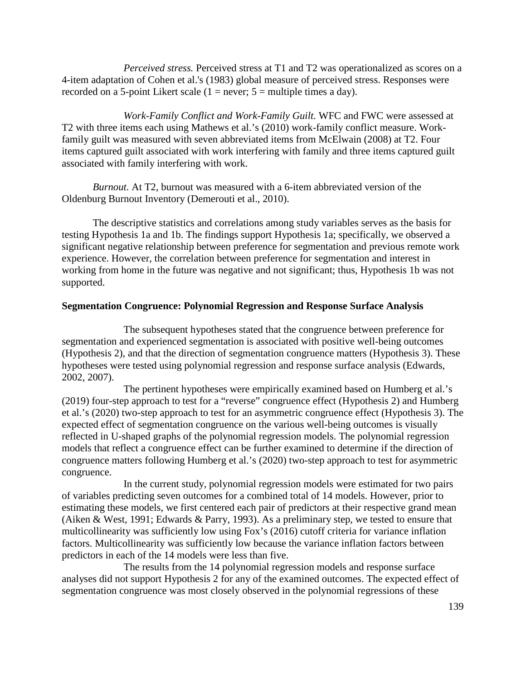*Perceived stress.* Perceived stress at T1 and T2 was operationalized as scores on a 4-item adaptation of Cohen et al.'s (1983) global measure of perceived stress. Responses were recorded on a 5-point Likert scale  $(1 = never; 5 = multiple times a day)$ .

*Work-Family Conflict and Work-Family Guilt.* WFC and FWC were assessed at T2 with three items each using Mathews et al.'s (2010) work-family conflict measure. Workfamily guilt was measured with seven abbreviated items from McElwain (2008) at T2. Four items captured guilt associated with work interfering with family and three items captured guilt associated with family interfering with work.

*Burnout.* At T2, burnout was measured with a 6-item abbreviated version of the Oldenburg Burnout Inventory (Demerouti et al., 2010).

The descriptive statistics and correlations among study variables serves as the basis for testing Hypothesis 1a and 1b. The findings support Hypothesis 1a; specifically, we observed a significant negative relationship between preference for segmentation and previous remote work experience. However, the correlation between preference for segmentation and interest in working from home in the future was negative and not significant; thus, Hypothesis 1b was not supported.

# **Segmentation Congruence: Polynomial Regression and Response Surface Analysis**

The subsequent hypotheses stated that the congruence between preference for segmentation and experienced segmentation is associated with positive well-being outcomes (Hypothesis 2), and that the direction of segmentation congruence matters (Hypothesis 3). These hypotheses were tested using polynomial regression and response surface analysis (Edwards, 2002, 2007).

The pertinent hypotheses were empirically examined based on Humberg et al.'s (2019) four-step approach to test for a "reverse" congruence effect (Hypothesis 2) and Humberg et al.'s (2020) two-step approach to test for an asymmetric congruence effect (Hypothesis 3). The expected effect of segmentation congruence on the various well-being outcomes is visually reflected in U-shaped graphs of the polynomial regression models. The polynomial regression models that reflect a congruence effect can be further examined to determine if the direction of congruence matters following Humberg et al.'s (2020) two-step approach to test for asymmetric congruence.

In the current study, polynomial regression models were estimated for two pairs of variables predicting seven outcomes for a combined total of 14 models. However, prior to estimating these models, we first centered each pair of predictors at their respective grand mean (Aiken & West, 1991; Edwards & Parry, 1993). As a preliminary step, we tested to ensure that multicollinearity was sufficiently low using Fox's (2016) cutoff criteria for variance inflation factors. Multicollinearity was sufficiently low because the variance inflation factors between predictors in each of the 14 models were less than five.

The results from the 14 polynomial regression models and response surface analyses did not support Hypothesis 2 for any of the examined outcomes. The expected effect of segmentation congruence was most closely observed in the polynomial regressions of these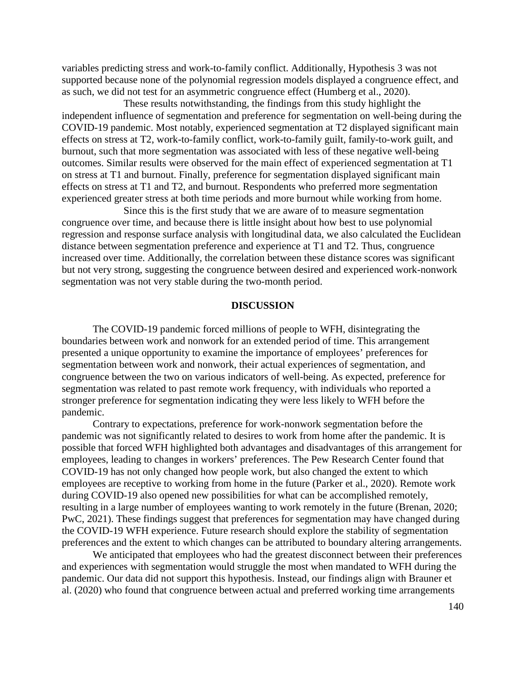variables predicting stress and work-to-family conflict. Additionally, Hypothesis 3 was not supported because none of the polynomial regression models displayed a congruence effect, and as such, we did not test for an asymmetric congruence effect (Humberg et al., 2020).

These results notwithstanding, the findings from this study highlight the independent influence of segmentation and preference for segmentation on well-being during the COVID-19 pandemic. Most notably, experienced segmentation at T2 displayed significant main effects on stress at T2, work-to-family conflict, work-to-family guilt, family-to-work guilt, and burnout, such that more segmentation was associated with less of these negative well-being outcomes. Similar results were observed for the main effect of experienced segmentation at T1 on stress at T1 and burnout. Finally, preference for segmentation displayed significant main effects on stress at T1 and T2, and burnout. Respondents who preferred more segmentation experienced greater stress at both time periods and more burnout while working from home.

Since this is the first study that we are aware of to measure segmentation congruence over time, and because there is little insight about how best to use polynomial regression and response surface analysis with longitudinal data, we also calculated the Euclidean distance between segmentation preference and experience at T1 and T2. Thus, congruence increased over time. Additionally, the correlation between these distance scores was significant but not very strong, suggesting the congruence between desired and experienced work-nonwork segmentation was not very stable during the two-month period.

#### **DISCUSSION**

The COVID-19 pandemic forced millions of people to WFH, disintegrating the boundaries between work and nonwork for an extended period of time. This arrangement presented a unique opportunity to examine the importance of employees' preferences for segmentation between work and nonwork, their actual experiences of segmentation, and congruence between the two on various indicators of well-being. As expected, preference for segmentation was related to past remote work frequency, with individuals who reported a stronger preference for segmentation indicating they were less likely to WFH before the pandemic.

Contrary to expectations, preference for work-nonwork segmentation before the pandemic was not significantly related to desires to work from home after the pandemic. It is possible that forced WFH highlighted both advantages and disadvantages of this arrangement for employees, leading to changes in workers' preferences. The Pew Research Center found that COVID-19 has not only changed how people work, but also changed the extent to which employees are receptive to working from home in the future (Parker et al., 2020). Remote work during COVID-19 also opened new possibilities for what can be accomplished remotely, resulting in a large number of employees wanting to work remotely in the future (Brenan, 2020; PwC, 2021). These findings suggest that preferences for segmentation may have changed during the COVID-19 WFH experience. Future research should explore the stability of segmentation preferences and the extent to which changes can be attributed to boundary altering arrangements.

We anticipated that employees who had the greatest disconnect between their preferences and experiences with segmentation would struggle the most when mandated to WFH during the pandemic. Our data did not support this hypothesis. Instead, our findings align with Brauner et al. (2020) who found that congruence between actual and preferred working time arrangements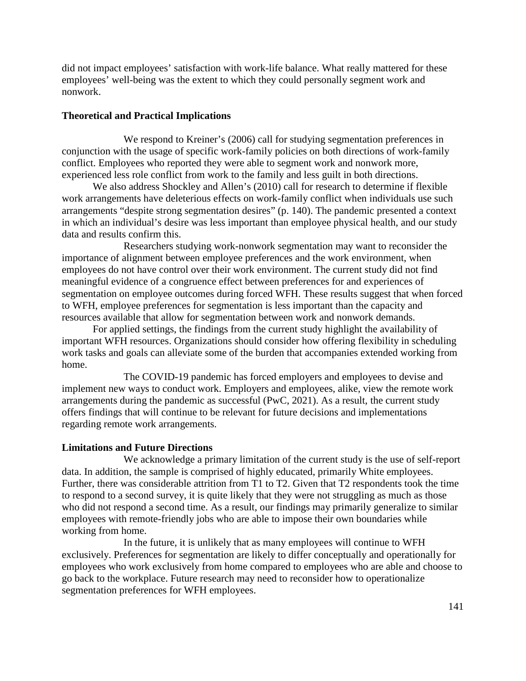did not impact employees' satisfaction with work-life balance. What really mattered for these employees' well-being was the extent to which they could personally segment work and nonwork.

### **Theoretical and Practical Implications**

We respond to Kreiner's (2006) call for studying segmentation preferences in conjunction with the usage of specific work-family policies on both directions of work-family conflict. Employees who reported they were able to segment work and nonwork more, experienced less role conflict from work to the family and less guilt in both directions.

We also address Shockley and Allen's (2010) call for research to determine if flexible work arrangements have deleterious effects on work-family conflict when individuals use such arrangements "despite strong segmentation desires" (p. 140). The pandemic presented a context in which an individual's desire was less important than employee physical health, and our study data and results confirm this.

Researchers studying work-nonwork segmentation may want to reconsider the importance of alignment between employee preferences and the work environment, when employees do not have control over their work environment. The current study did not find meaningful evidence of a congruence effect between preferences for and experiences of segmentation on employee outcomes during forced WFH. These results suggest that when forced to WFH, employee preferences for segmentation is less important than the capacity and resources available that allow for segmentation between work and nonwork demands.

For applied settings, the findings from the current study highlight the availability of important WFH resources. Organizations should consider how offering flexibility in scheduling work tasks and goals can alleviate some of the burden that accompanies extended working from home.

The COVID-19 pandemic has forced employers and employees to devise and implement new ways to conduct work. Employers and employees, alike, view the remote work arrangements during the pandemic as successful (PwC, 2021). As a result, the current study offers findings that will continue to be relevant for future decisions and implementations regarding remote work arrangements.

### **Limitations and Future Directions**

We acknowledge a primary limitation of the current study is the use of self-report data. In addition, the sample is comprised of highly educated, primarily White employees. Further, there was considerable attrition from T1 to T2. Given that T2 respondents took the time to respond to a second survey, it is quite likely that they were not struggling as much as those who did not respond a second time. As a result, our findings may primarily generalize to similar employees with remote-friendly jobs who are able to impose their own boundaries while working from home.

In the future, it is unlikely that as many employees will continue to WFH exclusively. Preferences for segmentation are likely to differ conceptually and operationally for employees who work exclusively from home compared to employees who are able and choose to go back to the workplace. Future research may need to reconsider how to operationalize segmentation preferences for WFH employees.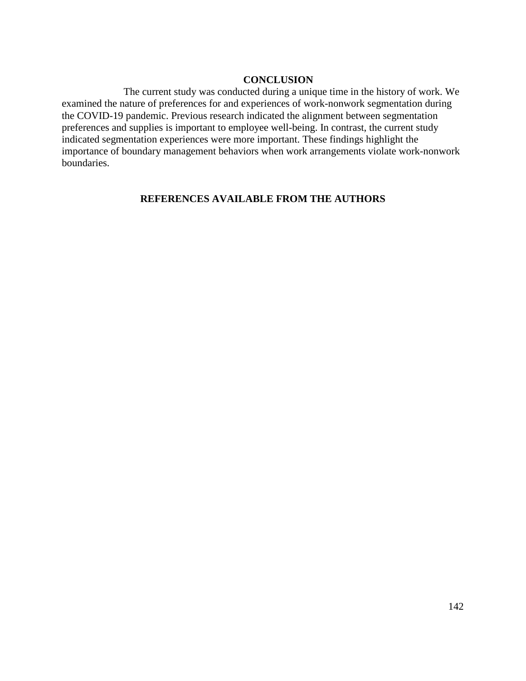### **CONCLUSION**

The current study was conducted during a unique time in the history of work. We examined the nature of preferences for and experiences of work-nonwork segmentation during the COVID-19 pandemic. Previous research indicated the alignment between segmentation preferences and supplies is important to employee well-being. In contrast, the current study indicated segmentation experiences were more important. These findings highlight the importance of boundary management behaviors when work arrangements violate work-nonwork boundaries.

# **REFERENCES AVAILABLE FROM THE AUTHORS**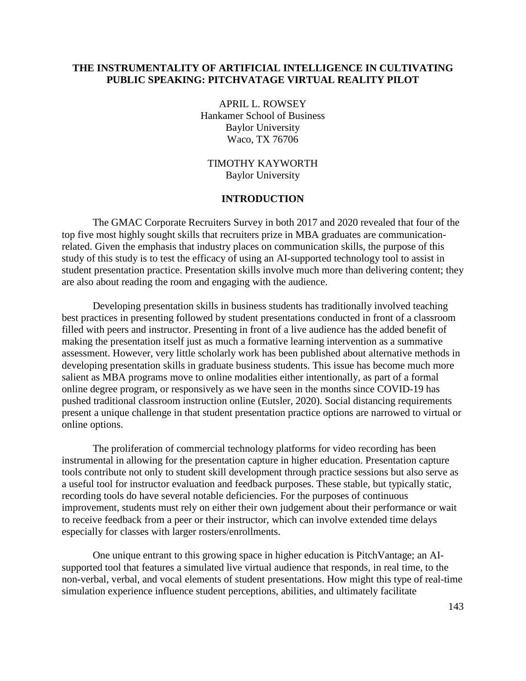# **THE INSTRUMENTALITY OF ARTIFICIAL INTELLIGENCE IN CULTIVATING PUBLIC SPEAKING: PITCHVATAGE VIRTUAL REALITY PILOT**

APRIL L. ROWSEY Hankamer School of Business Baylor University Waco, TX 76706

TIMOTHY KAYWORTH Baylor University

### **INTRODUCTION**

The GMAC Corporate Recruiters Survey in both 2017 and 2020 revealed that four of the top five most highly sought skills that recruiters prize in MBA graduates are communicationrelated. Given the emphasis that industry places on communication skills, the purpose of this study of this study is to test the efficacy of using an AI-supported technology tool to assist in student presentation practice. Presentation skills involve much more than delivering content; they are also about reading the room and engaging with the audience.

Developing presentation skills in business students has traditionally involved teaching best practices in presenting followed by student presentations conducted in front of a classroom filled with peers and instructor. Presenting in front of a live audience has the added benefit of making the presentation itself just as much a formative learning intervention as a summative assessment. However, very little scholarly work has been published about alternative methods in developing presentation skills in graduate business students. This issue has become much more salient as MBA programs move to online modalities either intentionally, as part of a formal online degree program, or responsively as we have seen in the months since COVID-19 has pushed traditional classroom instruction online (Eutsler, 2020). Social distancing requirements present a unique challenge in that student presentation practice options are narrowed to virtual or online options.

The proliferation of commercial technology platforms for video recording has been instrumental in allowing for the presentation capture in higher education. Presentation capture tools contribute not only to student skill development through practice sessions but also serve as a useful tool for instructor evaluation and feedback purposes. These stable, but typically static, recording tools do have several notable deficiencies. For the purposes of continuous improvement, students must rely on either their own judgement about their performance or wait to receive feedback from a peer or their instructor, which can involve extended time delays especially for classes with larger rosters/enrollments.

One unique entrant to this growing space in higher education is PitchVantage; an AIsupported tool that features a simulated live virtual audience that responds, in real time, to the non-verbal, verbal, and vocal elements of student presentations. How might this type of real-time simulation experience influence student perceptions, abilities, and ultimately facilitate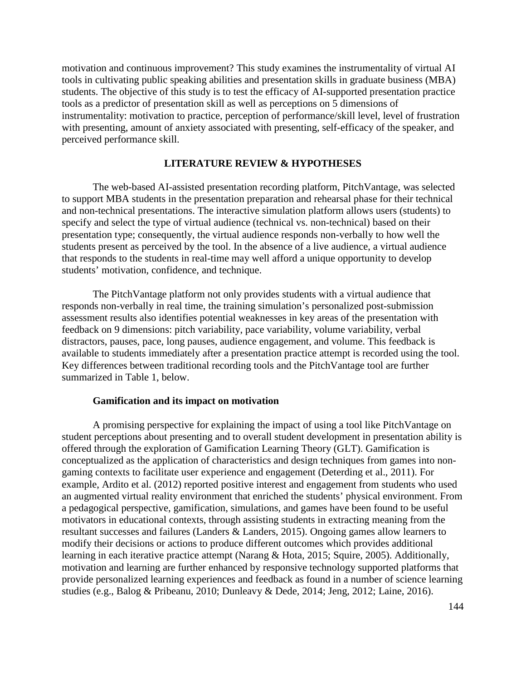motivation and continuous improvement? This study examines the instrumentality of virtual AI tools in cultivating public speaking abilities and presentation skills in graduate business (MBA) students. The objective of this study is to test the efficacy of AI-supported presentation practice tools as a predictor of presentation skill as well as perceptions on 5 dimensions of instrumentality: motivation to practice, perception of performance/skill level, level of frustration with presenting, amount of anxiety associated with presenting, self-efficacy of the speaker, and perceived performance skill.

### **LITERATURE REVIEW & HYPOTHESES**

The web-based AI-assisted presentation recording platform, PitchVantage, was selected to support MBA students in the presentation preparation and rehearsal phase for their technical and non-technical presentations. The interactive simulation platform allows users (students) to specify and select the type of virtual audience (technical vs. non-technical) based on their presentation type; consequently, the virtual audience responds non-verbally to how well the students present as perceived by the tool. In the absence of a live audience, a virtual audience that responds to the students in real-time may well afford a unique opportunity to develop students' motivation, confidence, and technique.

The PitchVantage platform not only provides students with a virtual audience that responds non-verbally in real time, the training simulation's personalized post-submission assessment results also identifies potential weaknesses in key areas of the presentation with feedback on 9 dimensions: pitch variability, pace variability, volume variability, verbal distractors, pauses, pace, long pauses, audience engagement, and volume. This feedback is available to students immediately after a presentation practice attempt is recorded using the tool. Key differences between traditional recording tools and the PitchVantage tool are further summarized in Table 1, below.

#### **Gamification and its impact on motivation**

A promising perspective for explaining the impact of using a tool like PitchVantage on student perceptions about presenting and to overall student development in presentation ability is offered through the exploration of Gamification Learning Theory (GLT). Gamification is conceptualized as the application of characteristics and design techniques from games into nongaming contexts to facilitate user experience and engagement (Deterding et al., 2011). For example, Ardito et al. (2012) reported positive interest and engagement from students who used an augmented virtual reality environment that enriched the students' physical environment. From a pedagogical perspective, gamification, simulations, and games have been found to be useful motivators in educational contexts, through assisting students in extracting meaning from the resultant successes and failures (Landers & Landers, 2015). Ongoing games allow learners to modify their decisions or actions to produce different outcomes which provides additional learning in each iterative practice attempt (Narang & Hota, 2015; Squire, 2005). Additionally, motivation and learning are further enhanced by responsive technology supported platforms that provide personalized learning experiences and feedback as found in a number of science learning studies (e.g., Balog & Pribeanu, 2010; Dunleavy & Dede, 2014; Jeng, 2012; Laine, 2016).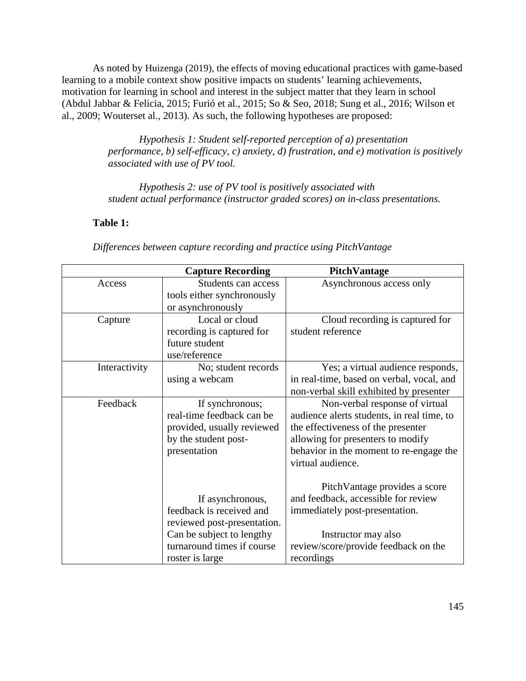As noted by Huizenga (2019), the effects of moving educational practices with game-based learning to a mobile context show positive impacts on students' learning achievements, motivation for learning in school and interest in the subject matter that they learn in school (Abdul Jabbar & Felicia, 2015; Furió et al., 2015; So & Seo, 2018; Sung et al., 2016; Wilson et al., 2009; Wouterset al., 2013). As such, the following hypotheses are proposed:

> *Hypothesis 1: Student self-reported perception of a) presentation performance, b) self-efficacy, c) anxiety, d) frustration, and e) motivation is positively associated with use of PV tool.*

*Hypothesis 2: use of PV tool is positively associated with student actual performance (instructor graded scores) on in-class presentations.*

# **Table 1:**

|               | <b>Capture Recording</b>    | PitchVantage                               |
|---------------|-----------------------------|--------------------------------------------|
| Access        | Students can access         | Asynchronous access only                   |
|               | tools either synchronously  |                                            |
|               | or asynchronously           |                                            |
| Capture       | Local or cloud              | Cloud recording is captured for            |
|               | recording is captured for   | student reference                          |
|               | future student              |                                            |
|               | use/reference               |                                            |
| Interactivity | No; student records         | Yes; a virtual audience responds,          |
|               | using a webcam              | in real-time, based on verbal, vocal, and  |
|               |                             | non-verbal skill exhibited by presenter    |
| Feedback      | If synchronous;             | Non-verbal response of virtual             |
|               | real-time feedback can be   | audience alerts students, in real time, to |
|               | provided, usually reviewed  | the effectiveness of the presenter         |
|               | by the student post-        | allowing for presenters to modify          |
|               | presentation                | behavior in the moment to re-engage the    |
|               |                             | virtual audience.                          |
|               |                             |                                            |
|               |                             | PitchVantage provides a score              |
|               | If asynchronous,            | and feedback, accessible for review        |
|               | feedback is received and    | immediately post-presentation.             |
|               | reviewed post-presentation. |                                            |
|               | Can be subject to lengthy   | Instructor may also                        |
|               | turnaround times if course  | review/score/provide feedback on the       |
|               | roster is large             | recordings                                 |

*Differences between capture recording and practice using PitchVantage*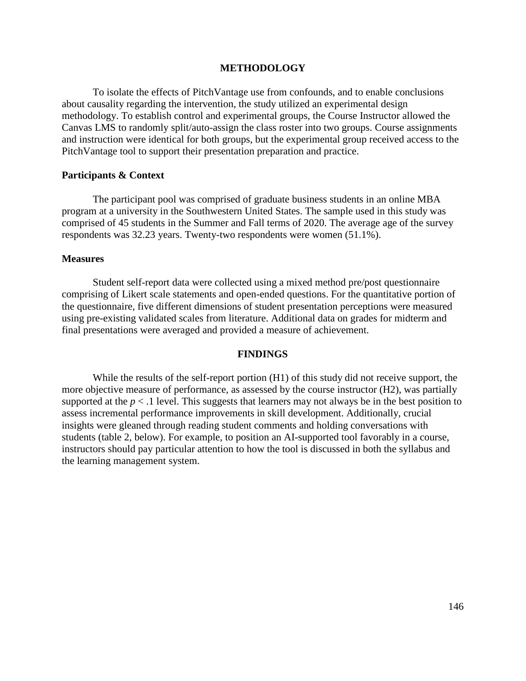#### **METHODOLOGY**

To isolate the effects of PitchVantage use from confounds, and to enable conclusions about causality regarding the intervention, the study utilized an experimental design methodology. To establish control and experimental groups, the Course Instructor allowed the Canvas LMS to randomly split/auto-assign the class roster into two groups. Course assignments and instruction were identical for both groups, but the experimental group received access to the PitchVantage tool to support their presentation preparation and practice.

#### **Participants & Context**

The participant pool was comprised of graduate business students in an online MBA program at a university in the Southwestern United States. The sample used in this study was comprised of 45 students in the Summer and Fall terms of 2020. The average age of the survey respondents was 32.23 years. Twenty-two respondents were women (51.1%).

#### **Measures**

Student self-report data were collected using a mixed method pre/post questionnaire comprising of Likert scale statements and open-ended questions. For the quantitative portion of the questionnaire, five different dimensions of student presentation perceptions were measured using pre-existing validated scales from literature. Additional data on grades for midterm and final presentations were averaged and provided a measure of achievement.

#### **FINDINGS**

While the results of the self-report portion (H1) of this study did not receive support, the more objective measure of performance, as assessed by the course instructor (H2), was partially supported at the  $p < 0.1$  level. This suggests that learners may not always be in the best position to assess incremental performance improvements in skill development. Additionally, crucial insights were gleaned through reading student comments and holding conversations with students (table 2, below). For example, to position an AI-supported tool favorably in a course, instructors should pay particular attention to how the tool is discussed in both the syllabus and the learning management system.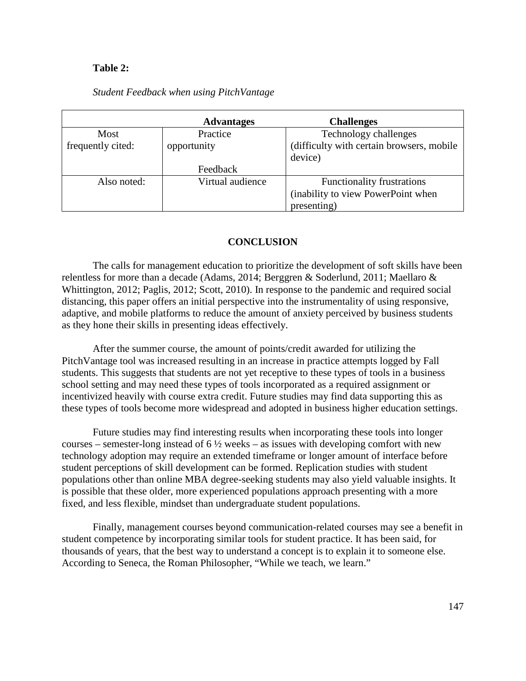### **Table 2:**

### *Student Feedback when using PitchVantage*

|                   | <b>Advantages</b> | <b>Challenges</b>                         |
|-------------------|-------------------|-------------------------------------------|
| Most              | Practice          | Technology challenges                     |
| frequently cited: | opportunity       | (difficulty with certain browsers, mobile |
|                   |                   | device)                                   |
|                   | Feedback          |                                           |
| Also noted:       | Virtual audience  | Functionality frustrations                |
|                   |                   | (inability to view PowerPoint when        |
|                   |                   | presenting)                               |

## **CONCLUSION**

The calls for management education to prioritize the development of soft skills have been relentless for more than a decade (Adams, 2014; Berggren & Soderlund, 2011; Maellaro & Whittington, 2012; Paglis, 2012; Scott, 2010). In response to the pandemic and required social distancing, this paper offers an initial perspective into the instrumentality of using responsive, adaptive, and mobile platforms to reduce the amount of anxiety perceived by business students as they hone their skills in presenting ideas effectively.

After the summer course, the amount of points/credit awarded for utilizing the PitchVantage tool was increased resulting in an increase in practice attempts logged by Fall students. This suggests that students are not yet receptive to these types of tools in a business school setting and may need these types of tools incorporated as a required assignment or incentivized heavily with course extra credit. Future studies may find data supporting this as these types of tools become more widespread and adopted in business higher education settings.

Future studies may find interesting results when incorporating these tools into longer courses – semester-long instead of  $6\frac{1}{2}$  weeks – as issues with developing comfort with new technology adoption may require an extended timeframe or longer amount of interface before student perceptions of skill development can be formed. Replication studies with student populations other than online MBA degree-seeking students may also yield valuable insights. It is possible that these older, more experienced populations approach presenting with a more fixed, and less flexible, mindset than undergraduate student populations.

Finally, management courses beyond communication-related courses may see a benefit in student competence by incorporating similar tools for student practice. It has been said, for thousands of years, that the best way to understand a concept is to explain it to someone else. According to Seneca, the Roman Philosopher, "While we teach, we learn."